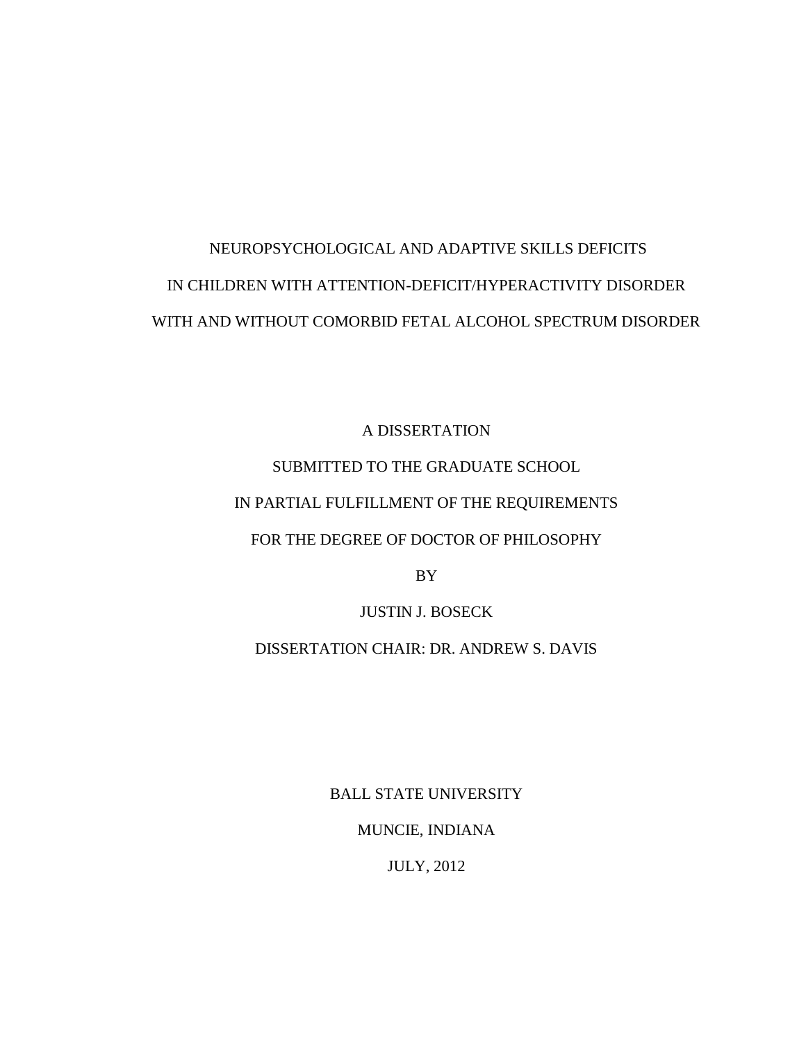# NEUROPSYCHOLOGICAL AND ADAPTIVE SKILLS DEFICITS IN CHILDREN WITH ATTENTION-DEFICIT/HYPERACTIVITY DISORDER WITH AND WITHOUT COMORBID FETAL ALCOHOL SPECTRUM DISORDER

A DISSERTATION SUBMITTED TO THE GRADUATE SCHOOL IN PARTIAL FULFILLMENT OF THE REQUIREMENTS FOR THE DEGREE OF DOCTOR OF PHILOSOPHY

BY

JUSTIN J. BOSECK

DISSERTATION CHAIR: DR. ANDREW S. DAVIS

BALL STATE UNIVERSITY

MUNCIE, INDIANA

JULY, 2012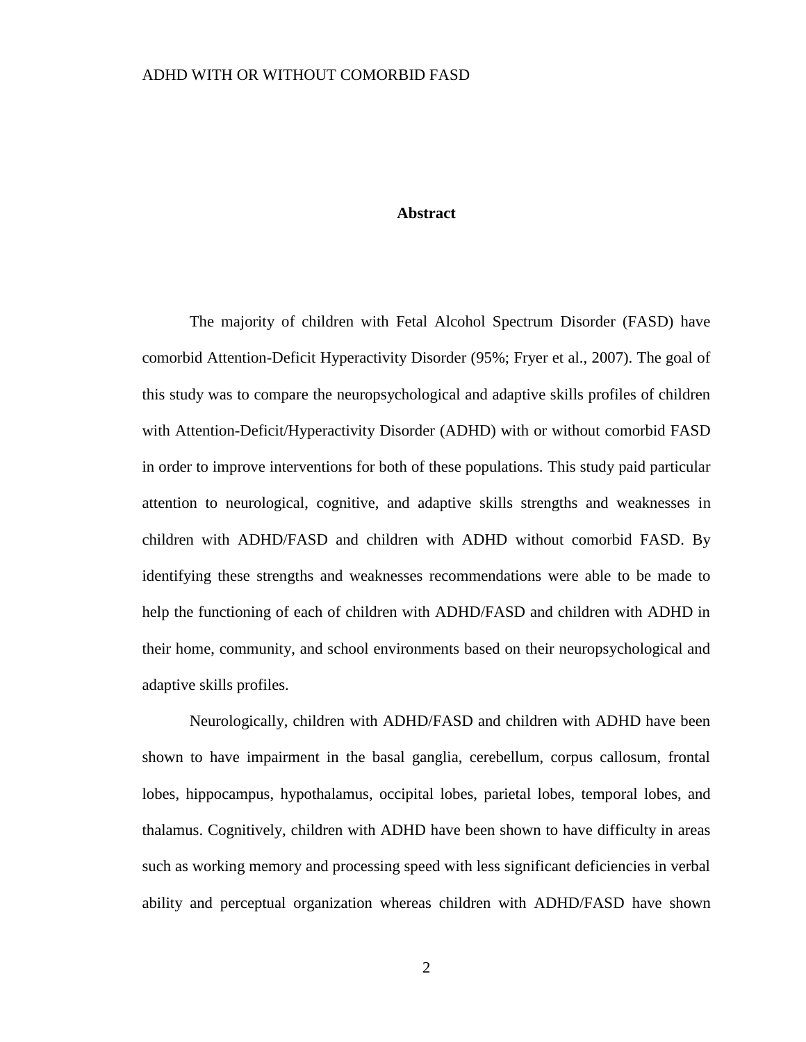#### **Abstract**

The majority of children with Fetal Alcohol Spectrum Disorder (FASD) have comorbid Attention-Deficit Hyperactivity Disorder (95%; Fryer et al., 2007). The goal of this study was to compare the neuropsychological and adaptive skills profiles of children with Attention-Deficit/Hyperactivity Disorder (ADHD) with or without comorbid FASD in order to improve interventions for both of these populations. This study paid particular attention to neurological, cognitive, and adaptive skills strengths and weaknesses in children with ADHD/FASD and children with ADHD without comorbid FASD. By identifying these strengths and weaknesses recommendations were able to be made to help the functioning of each of children with ADHD/FASD and children with ADHD in their home, community, and school environments based on their neuropsychological and adaptive skills profiles.

Neurologically, children with ADHD/FASD and children with ADHD have been shown to have impairment in the basal ganglia, cerebellum, corpus callosum, frontal lobes, hippocampus, hypothalamus, occipital lobes, parietal lobes, temporal lobes, and thalamus. Cognitively, children with ADHD have been shown to have difficulty in areas such as working memory and processing speed with less significant deficiencies in verbal ability and perceptual organization whereas children with ADHD/FASD have shown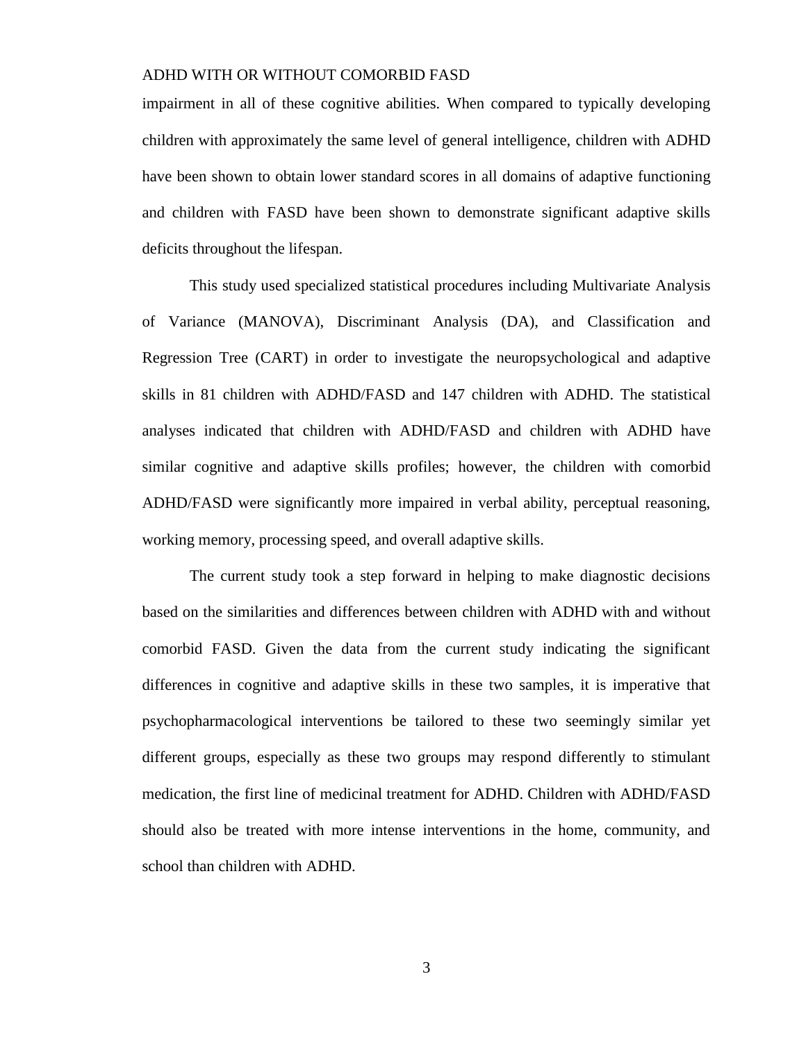impairment in all of these cognitive abilities. When compared to typically developing children with approximately the same level of general intelligence, children with ADHD have been shown to obtain lower standard scores in all domains of adaptive functioning and children with FASD have been shown to demonstrate significant adaptive skills deficits throughout the lifespan.

This study used specialized statistical procedures including Multivariate Analysis of Variance (MANOVA), Discriminant Analysis (DA), and Classification and Regression Tree (CART) in order to investigate the neuropsychological and adaptive skills in 81 children with ADHD/FASD and 147 children with ADHD. The statistical analyses indicated that children with ADHD/FASD and children with ADHD have similar cognitive and adaptive skills profiles; however, the children with comorbid ADHD/FASD were significantly more impaired in verbal ability, perceptual reasoning, working memory, processing speed, and overall adaptive skills.

The current study took a step forward in helping to make diagnostic decisions based on the similarities and differences between children with ADHD with and without comorbid FASD. Given the data from the current study indicating the significant differences in cognitive and adaptive skills in these two samples, it is imperative that psychopharmacological interventions be tailored to these two seemingly similar yet different groups, especially as these two groups may respond differently to stimulant medication, the first line of medicinal treatment for ADHD. Children with ADHD/FASD should also be treated with more intense interventions in the home, community, and school than children with ADHD.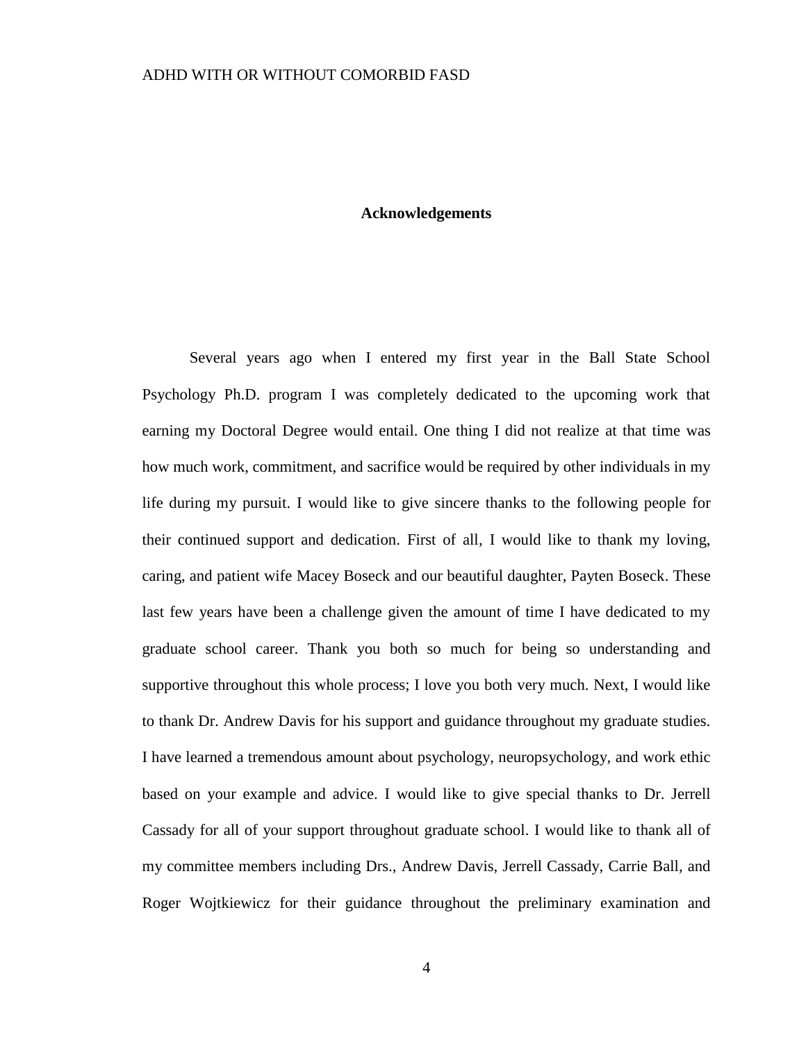#### **Acknowledgements**

Several years ago when I entered my first year in the Ball State School Psychology Ph.D. program I was completely dedicated to the upcoming work that earning my Doctoral Degree would entail. One thing I did not realize at that time was how much work, commitment, and sacrifice would be required by other individuals in my life during my pursuit. I would like to give sincere thanks to the following people for their continued support and dedication. First of all, I would like to thank my loving, caring, and patient wife Macey Boseck and our beautiful daughter, Payten Boseck. These last few years have been a challenge given the amount of time I have dedicated to my graduate school career. Thank you both so much for being so understanding and supportive throughout this whole process; I love you both very much. Next, I would like to thank Dr. Andrew Davis for his support and guidance throughout my graduate studies. I have learned a tremendous amount about psychology, neuropsychology, and work ethic based on your example and advice. I would like to give special thanks to Dr. Jerrell Cassady for all of your support throughout graduate school. I would like to thank all of my committee members including Drs., Andrew Davis, Jerrell Cassady, Carrie Ball, and Roger Wojtkiewicz for their guidance throughout the preliminary examination and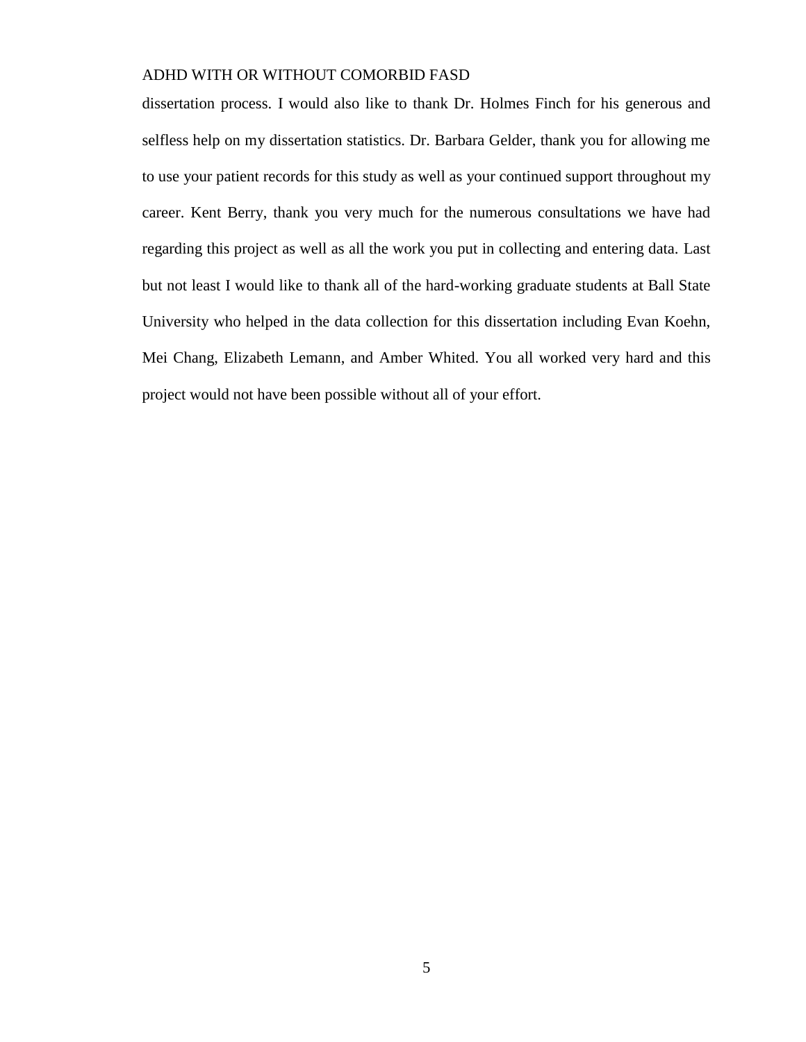dissertation process. I would also like to thank Dr. Holmes Finch for his generous and selfless help on my dissertation statistics. Dr. Barbara Gelder, thank you for allowing me to use your patient records for this study as well as your continued support throughout my career. Kent Berry, thank you very much for the numerous consultations we have had regarding this project as well as all the work you put in collecting and entering data. Last but not least I would like to thank all of the hard-working graduate students at Ball State University who helped in the data collection for this dissertation including Evan Koehn, Mei Chang, Elizabeth Lemann, and Amber Whited. You all worked very hard and this project would not have been possible without all of your effort.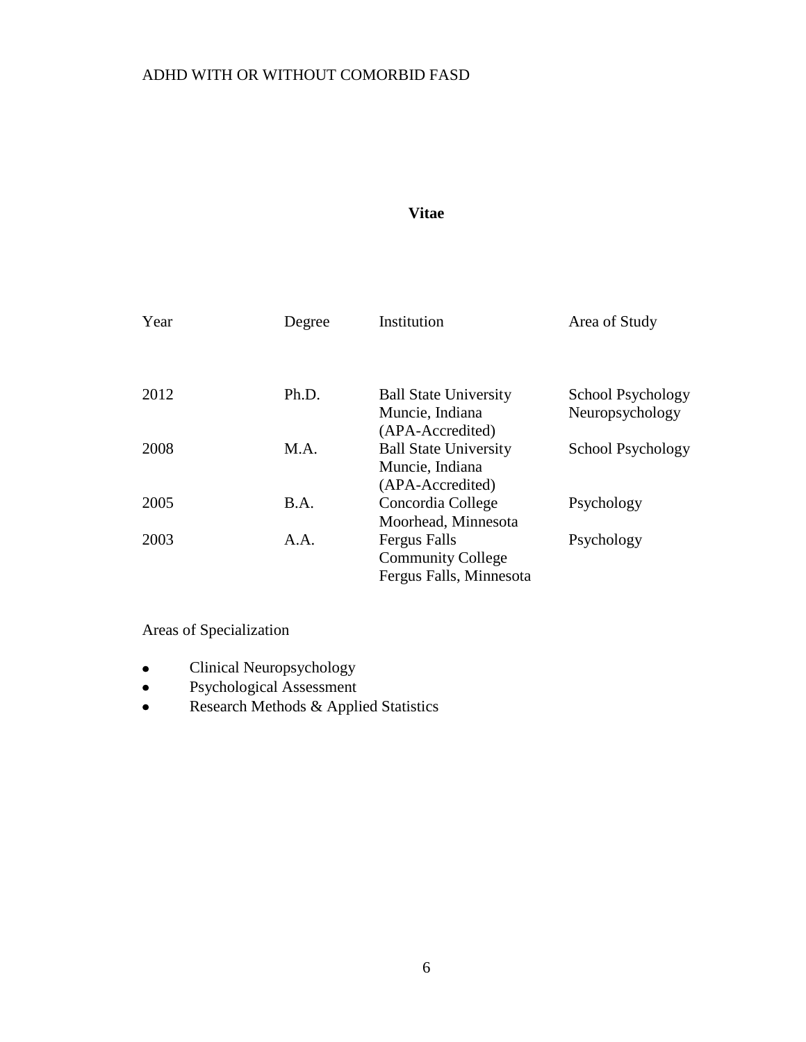# **Vitae**

| Year | Degree | Institution                                                                | Area of Study     |
|------|--------|----------------------------------------------------------------------------|-------------------|
| 2012 | Ph.D.  | <b>Ball State University</b>                                               | School Psychology |
|      |        | Muncie, Indiana<br>(APA-Accredited)                                        | Neuropsychology   |
| 2008 | M.A.   | <b>Ball State University</b><br>Muncie, Indiana<br>(APA-Accredited)        | School Psychology |
| 2005 | B.A.   | Concordia College<br>Moorhead, Minnesota                                   | Psychology        |
| 2003 | A.A.   | <b>Fergus Falls</b><br><b>Community College</b><br>Fergus Falls, Minnesota | Psychology        |

Areas of Specialization

- Clinical Neuropsychology  $\bullet$
- Psychological Assessment  $\bullet$
- Research Methods & Applied Statistics $\bullet$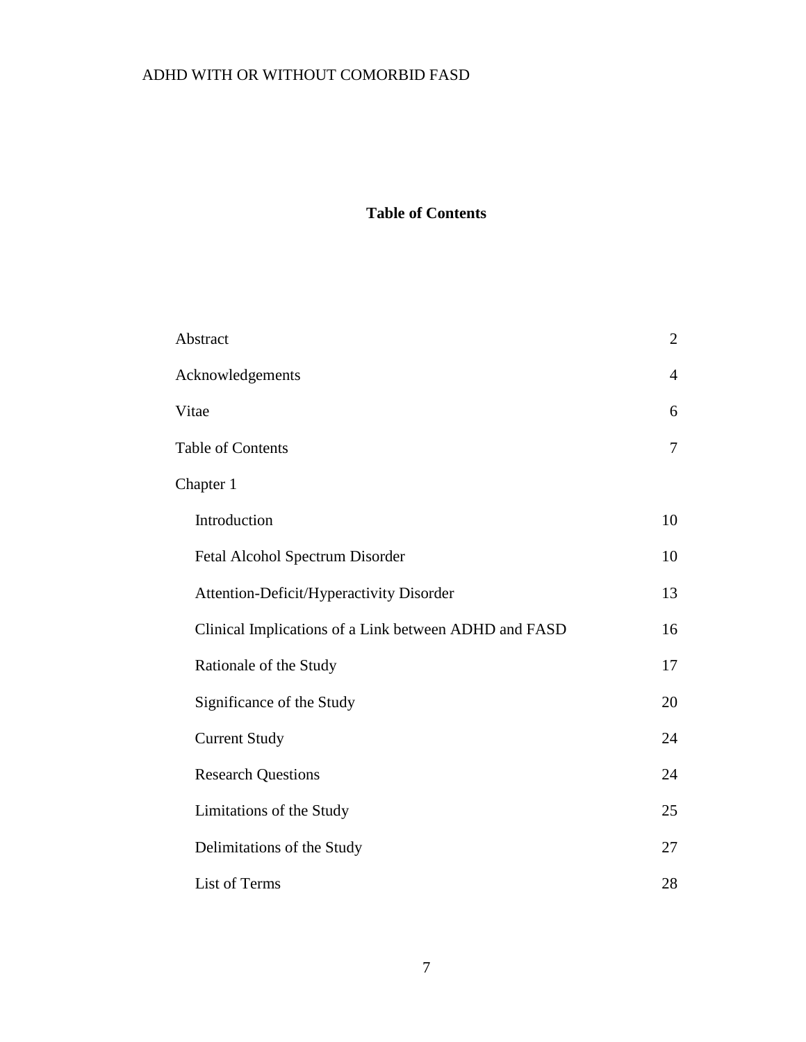# **Table of Contents**

| Abstract                                              |                |
|-------------------------------------------------------|----------------|
| Acknowledgements                                      |                |
| Vitae                                                 | 6              |
| <b>Table of Contents</b>                              | $\overline{7}$ |
| Chapter 1                                             |                |
| Introduction                                          | 10             |
| Fetal Alcohol Spectrum Disorder                       | 10             |
| Attention-Deficit/Hyperactivity Disorder              | 13             |
| Clinical Implications of a Link between ADHD and FASD | 16             |
| Rationale of the Study                                | 17             |
| Significance of the Study                             | 20             |
| <b>Current Study</b>                                  | 24             |
| <b>Research Questions</b>                             | 24             |
| Limitations of the Study                              | 25             |
| Delimitations of the Study                            | 27             |
| List of Terms                                         | 28             |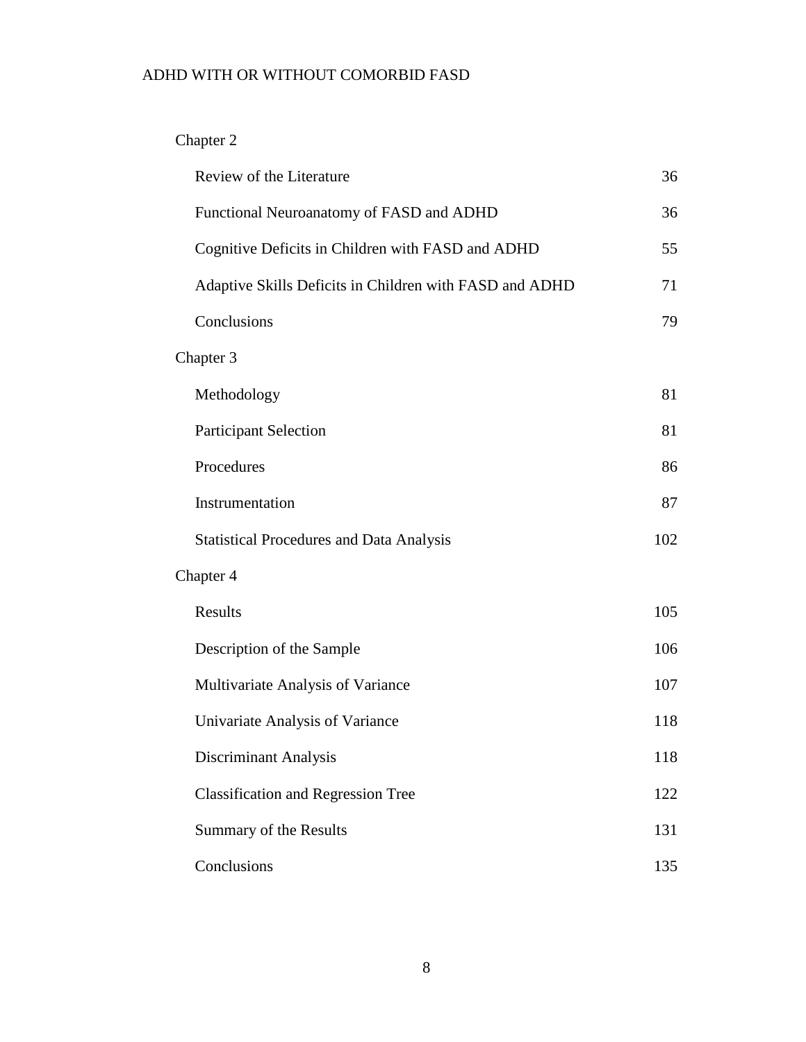# Chapter 2

| Review of the Literature                                | 36  |  |
|---------------------------------------------------------|-----|--|
| Functional Neuroanatomy of FASD and ADHD                | 36  |  |
| Cognitive Deficits in Children with FASD and ADHD       | 55  |  |
| Adaptive Skills Deficits in Children with FASD and ADHD | 71  |  |
| Conclusions                                             | 79  |  |
| Chapter 3                                               |     |  |
| Methodology                                             | 81  |  |
| <b>Participant Selection</b>                            | 81  |  |
| Procedures                                              | 86  |  |
| Instrumentation                                         | 87  |  |
| <b>Statistical Procedures and Data Analysis</b>         | 102 |  |
| Chapter 4                                               |     |  |
| Results                                                 | 105 |  |
| Description of the Sample                               | 106 |  |
| Multivariate Analysis of Variance                       | 107 |  |
| Univariate Analysis of Variance                         | 118 |  |
| Discriminant Analysis                                   | 118 |  |
| <b>Classification and Regression Tree</b>               | 122 |  |
| Summary of the Results                                  | 131 |  |
| Conclusions                                             | 135 |  |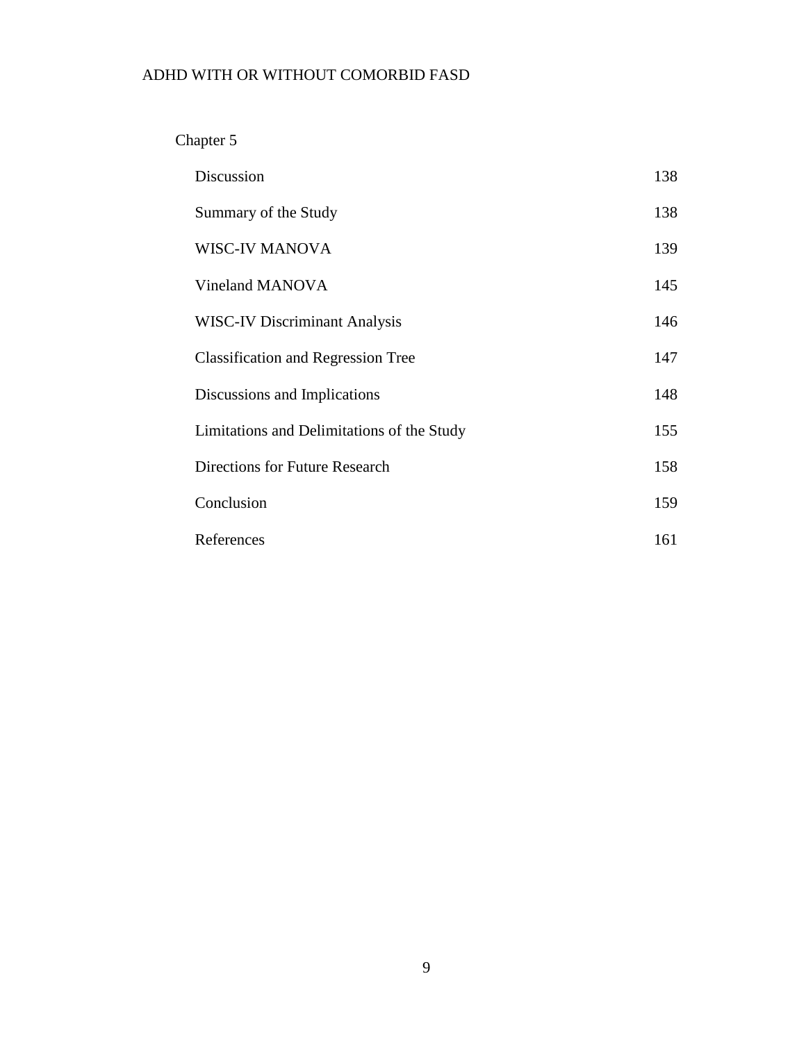# Chapter 5

| Discussion                                 | 138 |
|--------------------------------------------|-----|
| Summary of the Study                       | 138 |
| <b>WISC-IV MANOVA</b>                      | 139 |
| Vineland MANOVA                            | 145 |
| <b>WISC-IV Discriminant Analysis</b>       | 146 |
| <b>Classification and Regression Tree</b>  | 147 |
| Discussions and Implications               | 148 |
| Limitations and Delimitations of the Study | 155 |
| <b>Directions for Future Research</b>      | 158 |
| Conclusion                                 | 159 |
| References                                 | 161 |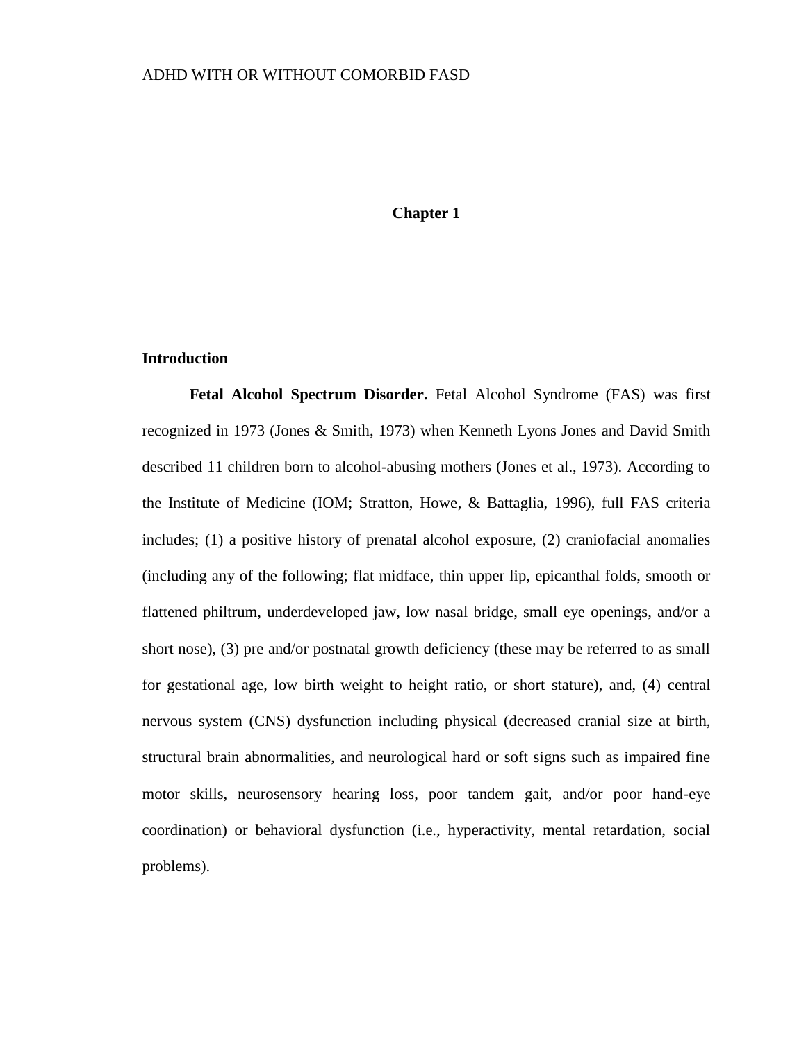### **Chapter 1**

### **Introduction**

**Fetal Alcohol Spectrum Disorder.** Fetal Alcohol Syndrome (FAS) was first recognized in 1973 (Jones & Smith, 1973) when Kenneth Lyons Jones and David Smith described 11 children born to alcohol-abusing mothers (Jones et al., 1973). According to the Institute of Medicine (IOM; Stratton, Howe, & Battaglia, 1996), full FAS criteria includes; (1) a positive history of prenatal alcohol exposure, (2) craniofacial anomalies (including any of the following; flat midface, thin upper lip, epicanthal folds, smooth or flattened philtrum, underdeveloped jaw, low nasal bridge, small eye openings, and/or a short nose), (3) pre and/or postnatal growth deficiency (these may be referred to as small for gestational age, low birth weight to height ratio, or short stature), and, (4) central nervous system (CNS) dysfunction including physical (decreased cranial size at birth, structural brain abnormalities, and neurological hard or soft signs such as impaired fine motor skills, neurosensory hearing loss, poor tandem gait, and/or poor hand-eye coordination) or behavioral dysfunction (i.e., hyperactivity, mental retardation, social problems).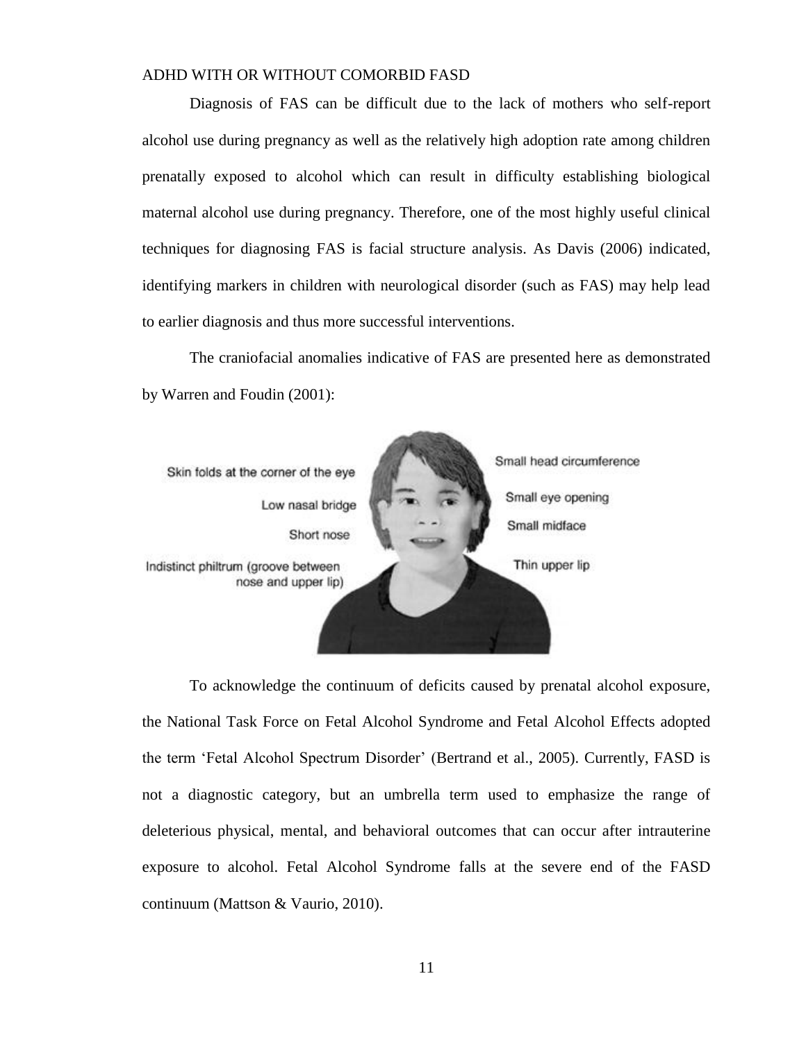Diagnosis of FAS can be difficult due to the lack of mothers who self-report alcohol use during pregnancy as well as the relatively high adoption rate among children prenatally exposed to alcohol which can result in difficulty establishing biological maternal alcohol use during pregnancy. Therefore, one of the most highly useful clinical techniques for diagnosing FAS is facial structure analysis. As Davis (2006) indicated, identifying markers in children with neurological disorder (such as FAS) may help lead to earlier diagnosis and thus more successful interventions.

The craniofacial anomalies indicative of FAS are presented here as demonstrated by Warren and Foudin (2001):



To acknowledge the continuum of deficits caused by prenatal alcohol exposure, the National Task Force on Fetal Alcohol Syndrome and Fetal Alcohol Effects adopted the term 'Fetal Alcohol Spectrum Disorder' (Bertrand et al., 2005). Currently, FASD is not a diagnostic category, but an umbrella term used to emphasize the range of deleterious physical, mental, and behavioral outcomes that can occur after intrauterine exposure to alcohol. Fetal Alcohol Syndrome falls at the severe end of the FASD continuum (Mattson & Vaurio, 2010).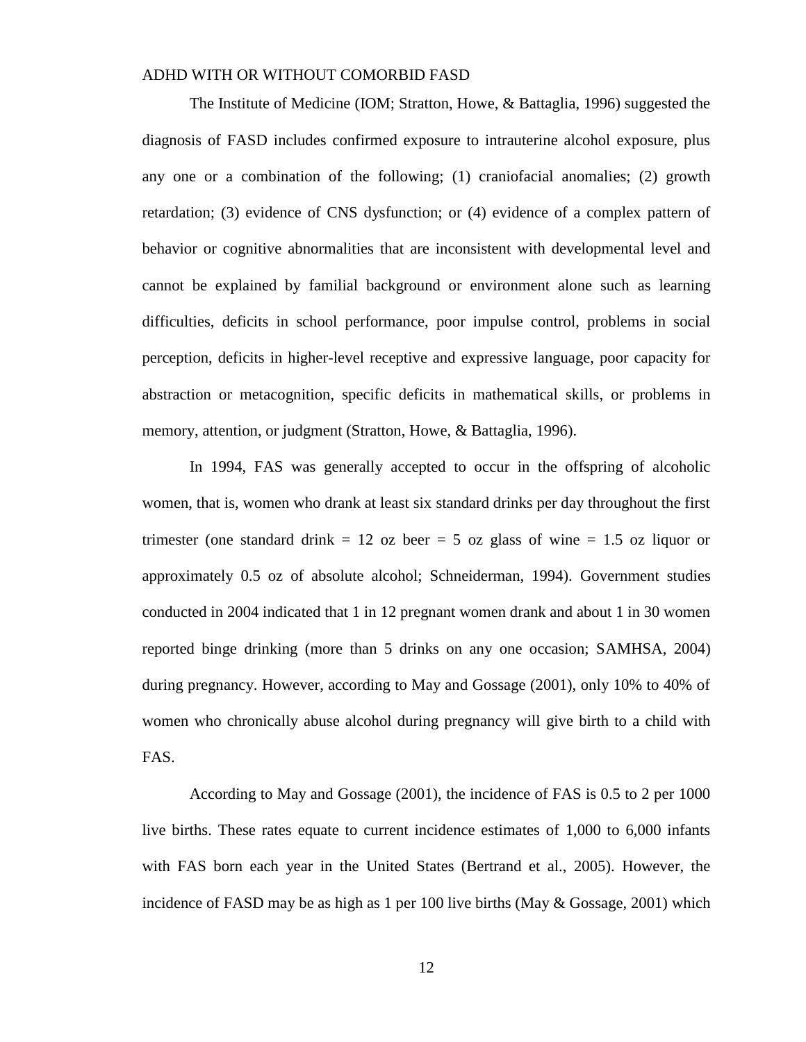The Institute of Medicine (IOM; Stratton, Howe, & Battaglia, 1996) suggested the diagnosis of FASD includes confirmed exposure to intrauterine alcohol exposure, plus any one or a combination of the following; (1) craniofacial anomalies; (2) growth retardation; (3) evidence of CNS dysfunction; or (4) evidence of a complex pattern of behavior or cognitive abnormalities that are inconsistent with developmental level and cannot be explained by familial background or environment alone such as learning difficulties, deficits in school performance, poor impulse control, problems in social perception, deficits in higher-level receptive and expressive language, poor capacity for abstraction or metacognition, specific deficits in mathematical skills, or problems in memory, attention, or judgment (Stratton, Howe, & Battaglia, 1996).

In 1994, FAS was generally accepted to occur in the offspring of alcoholic women, that is, women who drank at least six standard drinks per day throughout the first trimester (one standard drink  $= 12$  oz beer  $= 5$  oz glass of wine  $= 1.5$  oz liquor or approximately 0.5 oz of absolute alcohol; Schneiderman, 1994). Government studies conducted in 2004 indicated that 1 in 12 pregnant women drank and about 1 in 30 women reported binge drinking (more than 5 drinks on any one occasion; SAMHSA, 2004) during pregnancy. However, according to May and Gossage (2001), only 10% to 40% of women who chronically abuse alcohol during pregnancy will give birth to a child with FAS.

According to May and Gossage (2001), the incidence of FAS is 0.5 to 2 per 1000 live births. These rates equate to current incidence estimates of 1,000 to 6,000 infants with FAS born each year in the United States (Bertrand et al., 2005). However, the incidence of FASD may be as high as 1 per 100 live births (May & Gossage, 2001) which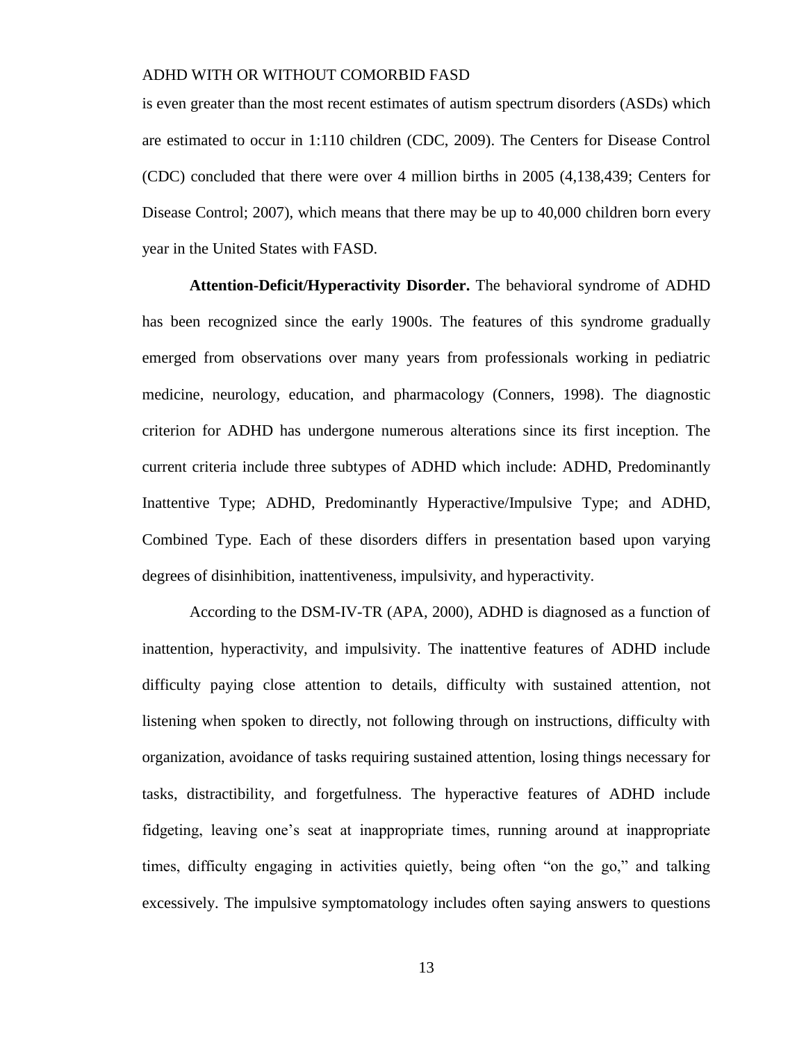is even greater than the most recent estimates of autism spectrum disorders (ASDs) which are estimated to occur in 1:110 children (CDC, 2009). The Centers for Disease Control (CDC) concluded that there were over 4 million births in 2005 (4,138,439; Centers for Disease Control; 2007), which means that there may be up to 40,000 children born every year in the United States with FASD.

**Attention-Deficit/Hyperactivity Disorder.** The behavioral syndrome of ADHD has been recognized since the early 1900s. The features of this syndrome gradually emerged from observations over many years from professionals working in pediatric medicine, neurology, education, and pharmacology (Conners, 1998). The diagnostic criterion for ADHD has undergone numerous alterations since its first inception. The current criteria include three subtypes of ADHD which include: ADHD, Predominantly Inattentive Type; ADHD, Predominantly Hyperactive/Impulsive Type; and ADHD, Combined Type. Each of these disorders differs in presentation based upon varying degrees of disinhibition, inattentiveness, impulsivity, and hyperactivity.

According to the DSM-IV-TR (APA, 2000), ADHD is diagnosed as a function of inattention, hyperactivity, and impulsivity. The inattentive features of ADHD include difficulty paying close attention to details, difficulty with sustained attention, not listening when spoken to directly, not following through on instructions, difficulty with organization, avoidance of tasks requiring sustained attention, losing things necessary for tasks, distractibility, and forgetfulness. The hyperactive features of ADHD include fidgeting, leaving one's seat at inappropriate times, running around at inappropriate times, difficulty engaging in activities quietly, being often "on the go," and talking excessively. The impulsive symptomatology includes often saying answers to questions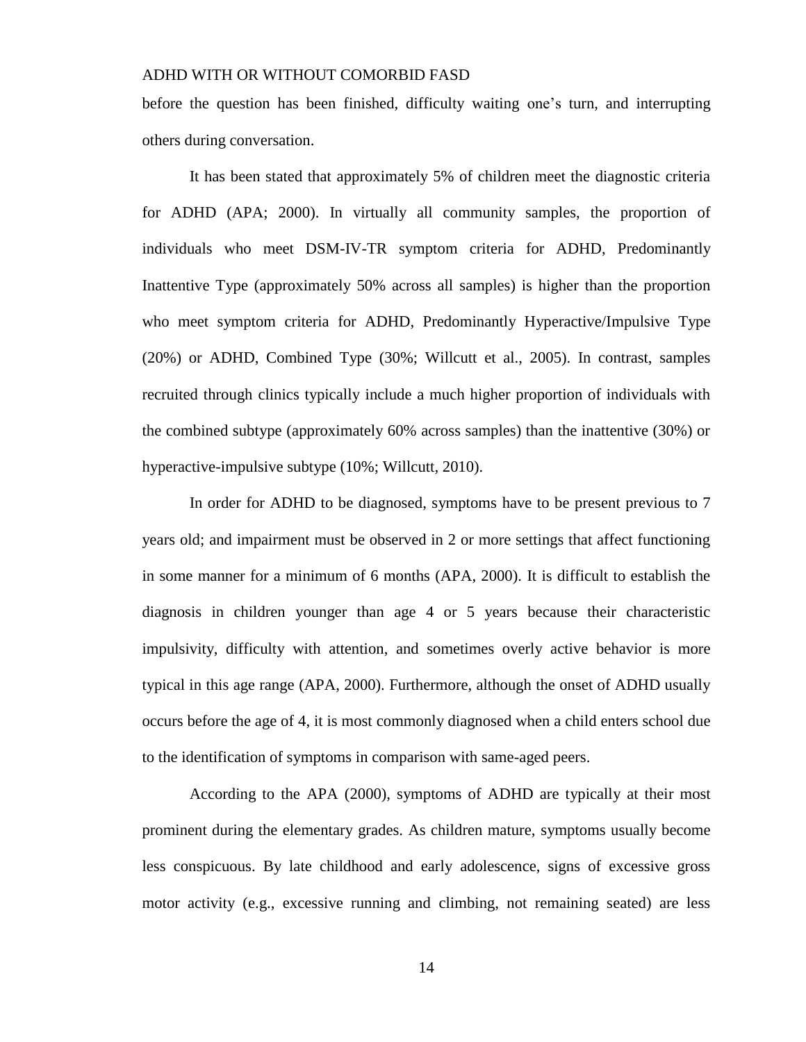before the question has been finished, difficulty waiting one's turn, and interrupting others during conversation.

It has been stated that approximately 5% of children meet the diagnostic criteria for ADHD (APA; 2000). In virtually all community samples, the proportion of individuals who meet DSM-IV-TR symptom criteria for ADHD, Predominantly Inattentive Type (approximately 50% across all samples) is higher than the proportion who meet symptom criteria for ADHD, Predominantly Hyperactive/Impulsive Type (20%) or ADHD, Combined Type (30%; Willcutt et al., 2005). In contrast, samples recruited through clinics typically include a much higher proportion of individuals with the combined subtype (approximately 60% across samples) than the inattentive (30%) or hyperactive-impulsive subtype (10%; Willcutt, 2010).

In order for ADHD to be diagnosed, symptoms have to be present previous to 7 years old; and impairment must be observed in 2 or more settings that affect functioning in some manner for a minimum of 6 months (APA, 2000). It is difficult to establish the diagnosis in children younger than age 4 or 5 years because their characteristic impulsivity, difficulty with attention, and sometimes overly active behavior is more typical in this age range (APA, 2000). Furthermore, although the onset of ADHD usually occurs before the age of 4, it is most commonly diagnosed when a child enters school due to the identification of symptoms in comparison with same-aged peers.

According to the APA (2000), symptoms of ADHD are typically at their most prominent during the elementary grades. As children mature, symptoms usually become less conspicuous. By late childhood and early adolescence, signs of excessive gross motor activity (e.g., excessive running and climbing, not remaining seated) are less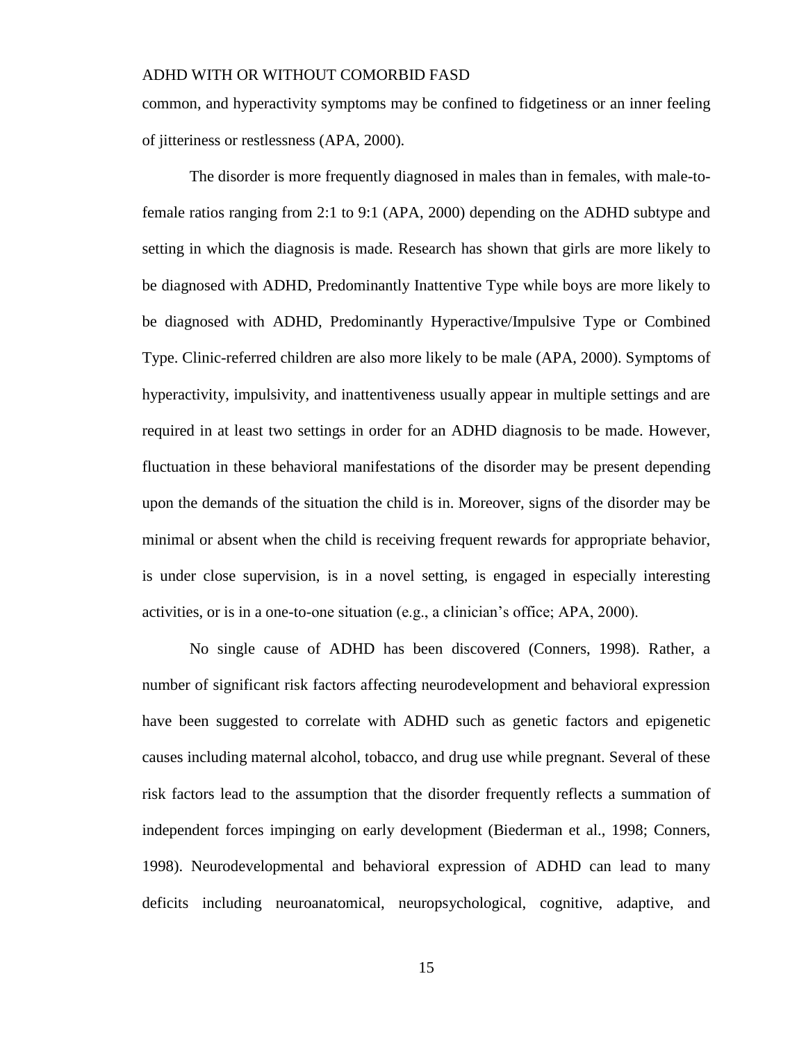common, and hyperactivity symptoms may be confined to fidgetiness or an inner feeling of jitteriness or restlessness (APA, 2000).

The disorder is more frequently diagnosed in males than in females, with male-tofemale ratios ranging from 2:1 to 9:1 (APA, 2000) depending on the ADHD subtype and setting in which the diagnosis is made. Research has shown that girls are more likely to be diagnosed with ADHD, Predominantly Inattentive Type while boys are more likely to be diagnosed with ADHD, Predominantly Hyperactive/Impulsive Type or Combined Type. Clinic-referred children are also more likely to be male (APA, 2000). Symptoms of hyperactivity, impulsivity, and inattentiveness usually appear in multiple settings and are required in at least two settings in order for an ADHD diagnosis to be made. However, fluctuation in these behavioral manifestations of the disorder may be present depending upon the demands of the situation the child is in. Moreover, signs of the disorder may be minimal or absent when the child is receiving frequent rewards for appropriate behavior, is under close supervision, is in a novel setting, is engaged in especially interesting activities, or is in a one-to-one situation (e.g., a clinician's office; APA, 2000).

No single cause of ADHD has been discovered (Conners, 1998). Rather, a number of significant risk factors affecting neurodevelopment and behavioral expression have been suggested to correlate with ADHD such as genetic factors and epigenetic causes including maternal alcohol, tobacco, and drug use while pregnant. Several of these risk factors lead to the assumption that the disorder frequently reflects a summation of independent forces impinging on early development (Biederman et al., 1998; Conners, 1998). Neurodevelopmental and behavioral expression of ADHD can lead to many deficits including neuroanatomical, neuropsychological, cognitive, adaptive, and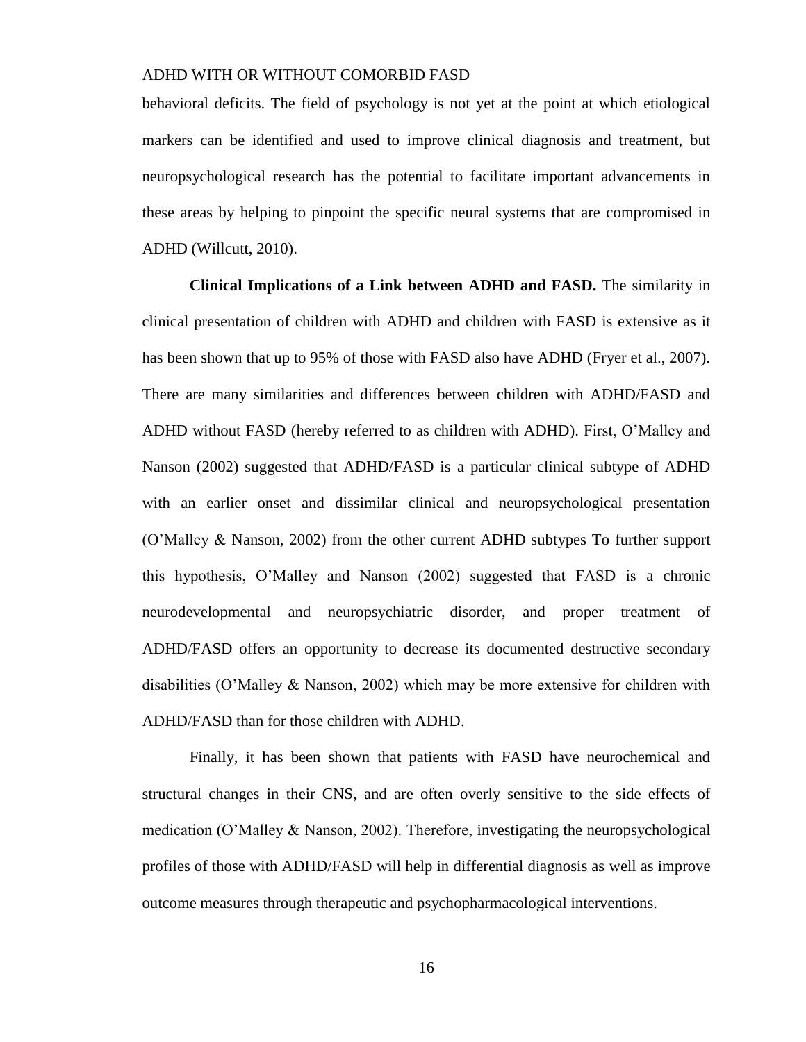behavioral deficits. The field of psychology is not yet at the point at which etiological markers can be identified and used to improve clinical diagnosis and treatment, but neuropsychological research has the potential to facilitate important advancements in these areas by helping to pinpoint the specific neural systems that are compromised in ADHD (Willcutt, 2010).

**Clinical Implications of a Link between ADHD and FASD.** The similarity in clinical presentation of children with ADHD and children with FASD is extensive as it has been shown that up to 95% of those with FASD also have ADHD (Fryer et al., 2007). There are many similarities and differences between children with ADHD/FASD and ADHD without FASD (hereby referred to as children with ADHD). First, O'Malley and Nanson (2002) suggested that ADHD/FASD is a particular clinical subtype of ADHD with an earlier onset and dissimilar clinical and neuropsychological presentation (O'Malley & Nanson, 2002) from the other current ADHD subtypes To further support this hypothesis, O'Malley and Nanson (2002) suggested that FASD is a chronic neurodevelopmental and neuropsychiatric disorder, and proper treatment of ADHD/FASD offers an opportunity to decrease its documented destructive secondary disabilities (O'Malley & Nanson, 2002) which may be more extensive for children with ADHD/FASD than for those children with ADHD.

Finally, it has been shown that patients with FASD have neurochemical and structural changes in their CNS, and are often overly sensitive to the side effects of medication (O'Malley & Nanson, 2002). Therefore, investigating the neuropsychological profiles of those with ADHD/FASD will help in differential diagnosis as well as improve outcome measures through therapeutic and psychopharmacological interventions.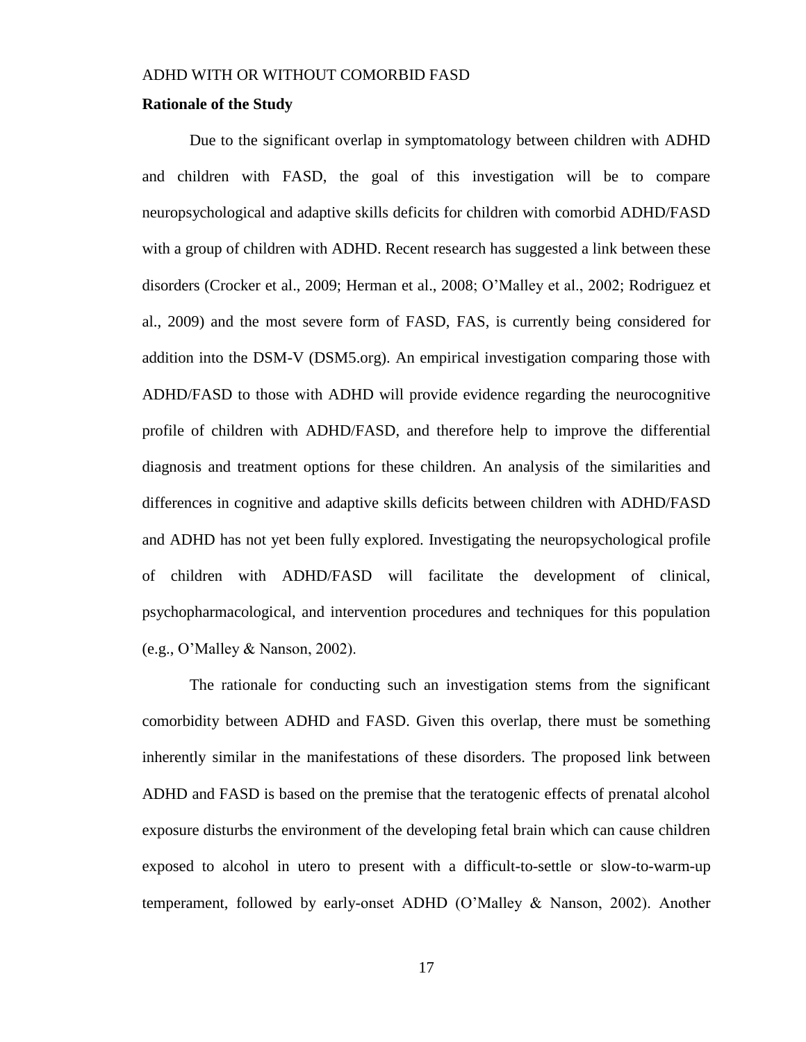#### **Rationale of the Study**

Due to the significant overlap in symptomatology between children with ADHD and children with FASD, the goal of this investigation will be to compare neuropsychological and adaptive skills deficits for children with comorbid ADHD/FASD with a group of children with ADHD. Recent research has suggested a link between these disorders (Crocker et al., 2009; Herman et al., 2008; O'Malley et al., 2002; Rodriguez et al., 2009) and the most severe form of FASD, FAS, is currently being considered for addition into the DSM-V (DSM5.org). An empirical investigation comparing those with ADHD/FASD to those with ADHD will provide evidence regarding the neurocognitive profile of children with ADHD/FASD, and therefore help to improve the differential diagnosis and treatment options for these children. An analysis of the similarities and differences in cognitive and adaptive skills deficits between children with ADHD/FASD and ADHD has not yet been fully explored. Investigating the neuropsychological profile of children with ADHD/FASD will facilitate the development of clinical, psychopharmacological, and intervention procedures and techniques for this population (e.g., O'Malley & Nanson, 2002).

The rationale for conducting such an investigation stems from the significant comorbidity between ADHD and FASD. Given this overlap, there must be something inherently similar in the manifestations of these disorders. The proposed link between ADHD and FASD is based on the premise that the teratogenic effects of prenatal alcohol exposure disturbs the environment of the developing fetal brain which can cause children exposed to alcohol in utero to present with a difficult-to-settle or slow-to-warm-up temperament, followed by early-onset ADHD (O'Malley & Nanson, 2002). Another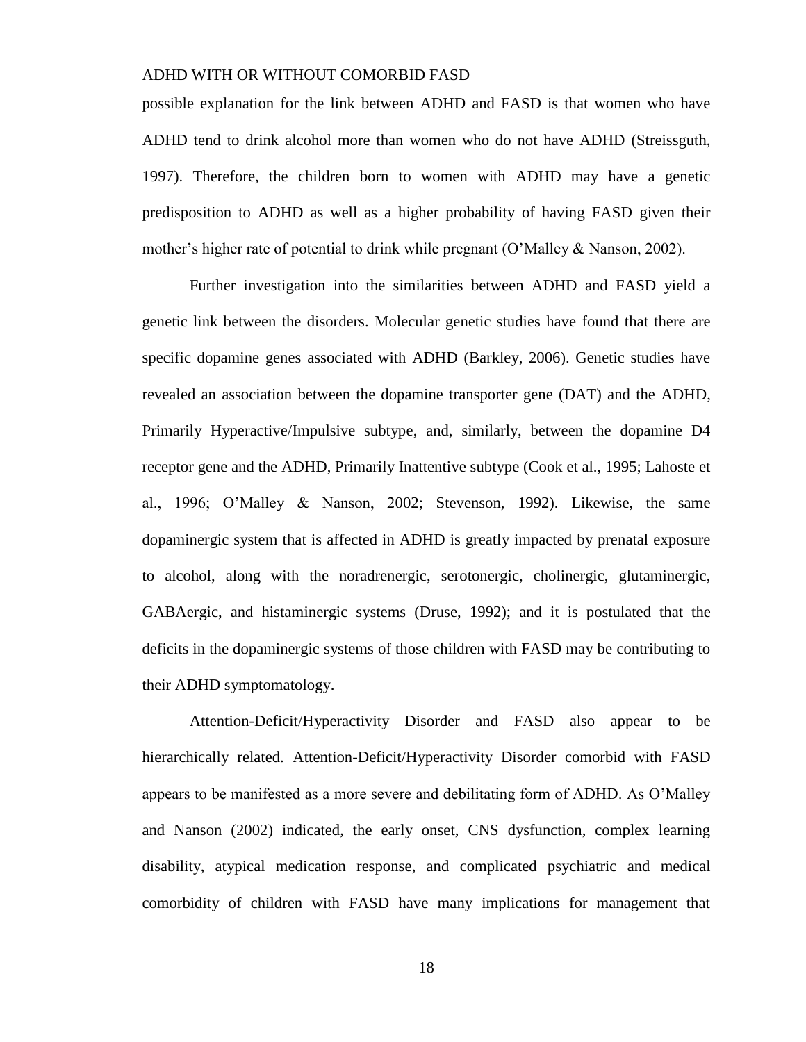possible explanation for the link between ADHD and FASD is that women who have ADHD tend to drink alcohol more than women who do not have ADHD (Streissguth, 1997). Therefore, the children born to women with ADHD may have a genetic predisposition to ADHD as well as a higher probability of having FASD given their mother's higher rate of potential to drink while pregnant (O'Malley & Nanson, 2002).

Further investigation into the similarities between ADHD and FASD yield a genetic link between the disorders. Molecular genetic studies have found that there are specific dopamine genes associated with ADHD (Barkley, 2006). Genetic studies have revealed an association between the dopamine transporter gene (DAT) and the ADHD, Primarily Hyperactive/Impulsive subtype, and, similarly, between the dopamine D4 receptor gene and the ADHD, Primarily Inattentive subtype (Cook et al., 1995; Lahoste et al., 1996; O'Malley & Nanson, 2002; Stevenson, 1992). Likewise, the same dopaminergic system that is affected in ADHD is greatly impacted by prenatal exposure to alcohol, along with the noradrenergic, serotonergic, cholinergic, glutaminergic, GABAergic, and histaminergic systems (Druse, 1992); and it is postulated that the deficits in the dopaminergic systems of those children with FASD may be contributing to their ADHD symptomatology.

Attention-Deficit/Hyperactivity Disorder and FASD also appear to be hierarchically related. Attention-Deficit/Hyperactivity Disorder comorbid with FASD appears to be manifested as a more severe and debilitating form of ADHD. As O'Malley and Nanson (2002) indicated, the early onset, CNS dysfunction, complex learning disability, atypical medication response, and complicated psychiatric and medical comorbidity of children with FASD have many implications for management that

18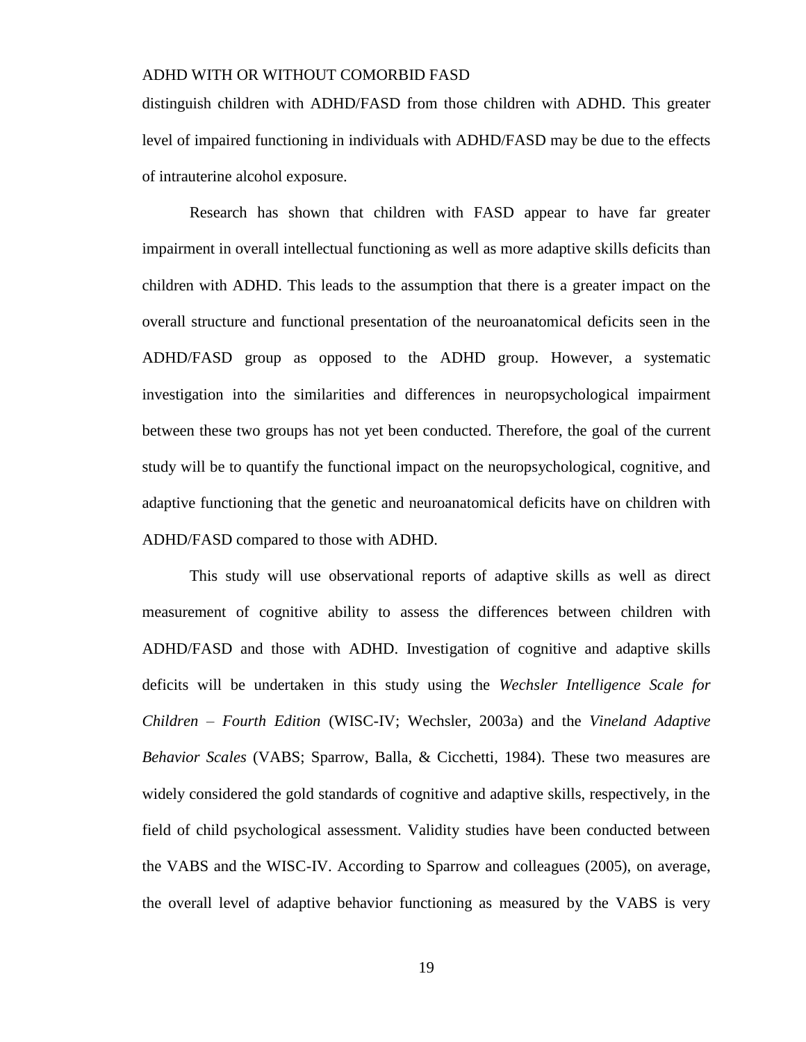distinguish children with ADHD/FASD from those children with ADHD. This greater level of impaired functioning in individuals with ADHD/FASD may be due to the effects of intrauterine alcohol exposure.

Research has shown that children with FASD appear to have far greater impairment in overall intellectual functioning as well as more adaptive skills deficits than children with ADHD. This leads to the assumption that there is a greater impact on the overall structure and functional presentation of the neuroanatomical deficits seen in the ADHD/FASD group as opposed to the ADHD group. However, a systematic investigation into the similarities and differences in neuropsychological impairment between these two groups has not yet been conducted. Therefore, the goal of the current study will be to quantify the functional impact on the neuropsychological, cognitive, and adaptive functioning that the genetic and neuroanatomical deficits have on children with ADHD/FASD compared to those with ADHD.

This study will use observational reports of adaptive skills as well as direct measurement of cognitive ability to assess the differences between children with ADHD/FASD and those with ADHD. Investigation of cognitive and adaptive skills deficits will be undertaken in this study using the *Wechsler Intelligence Scale for Children – Fourth Edition* (WISC-IV; Wechsler, 2003a) and the *Vineland Adaptive Behavior Scales* (VABS; Sparrow, Balla, & Cicchetti, 1984). These two measures are widely considered the gold standards of cognitive and adaptive skills, respectively, in the field of child psychological assessment. Validity studies have been conducted between the VABS and the WISC-IV. According to Sparrow and colleagues (2005), on average, the overall level of adaptive behavior functioning as measured by the VABS is very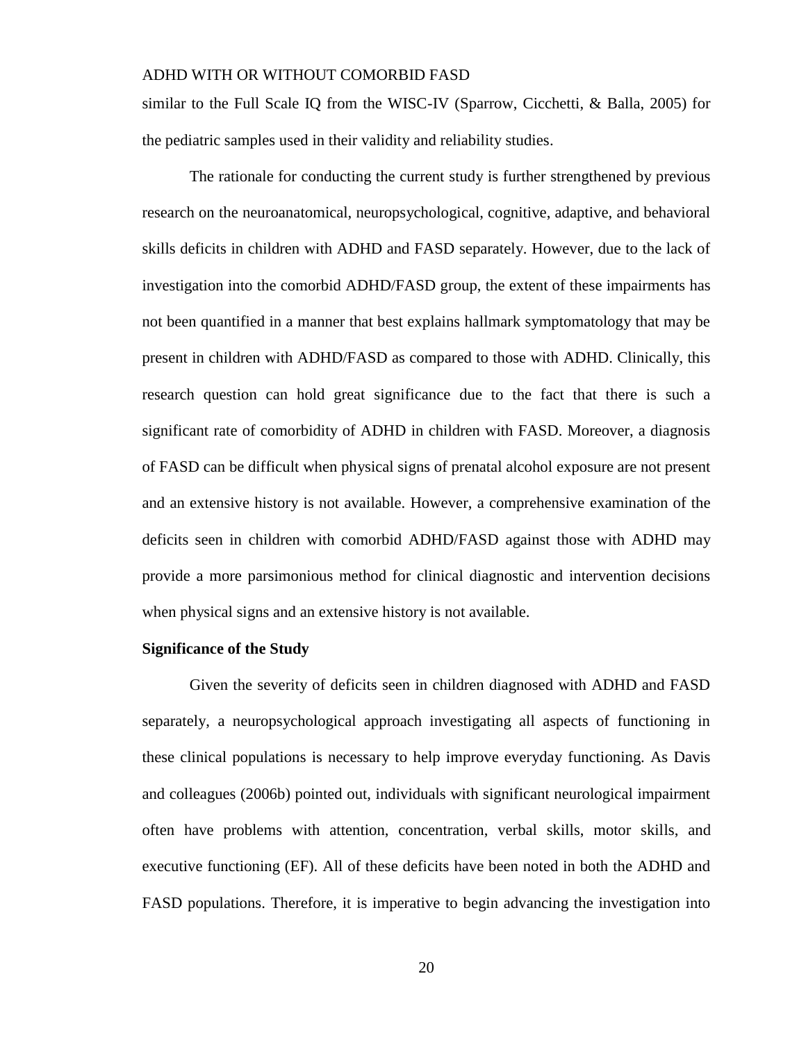similar to the Full Scale IQ from the WISC-IV (Sparrow, Cicchetti, & Balla, 2005) for the pediatric samples used in their validity and reliability studies.

The rationale for conducting the current study is further strengthened by previous research on the neuroanatomical, neuropsychological, cognitive, adaptive, and behavioral skills deficits in children with ADHD and FASD separately. However, due to the lack of investigation into the comorbid ADHD/FASD group, the extent of these impairments has not been quantified in a manner that best explains hallmark symptomatology that may be present in children with ADHD/FASD as compared to those with ADHD. Clinically, this research question can hold great significance due to the fact that there is such a significant rate of comorbidity of ADHD in children with FASD. Moreover, a diagnosis of FASD can be difficult when physical signs of prenatal alcohol exposure are not present and an extensive history is not available. However, a comprehensive examination of the deficits seen in children with comorbid ADHD/FASD against those with ADHD may provide a more parsimonious method for clinical diagnostic and intervention decisions when physical signs and an extensive history is not available.

#### **Significance of the Study**

Given the severity of deficits seen in children diagnosed with ADHD and FASD separately, a neuropsychological approach investigating all aspects of functioning in these clinical populations is necessary to help improve everyday functioning. As Davis and colleagues (2006b) pointed out, individuals with significant neurological impairment often have problems with attention, concentration, verbal skills, motor skills, and executive functioning (EF). All of these deficits have been noted in both the ADHD and FASD populations. Therefore, it is imperative to begin advancing the investigation into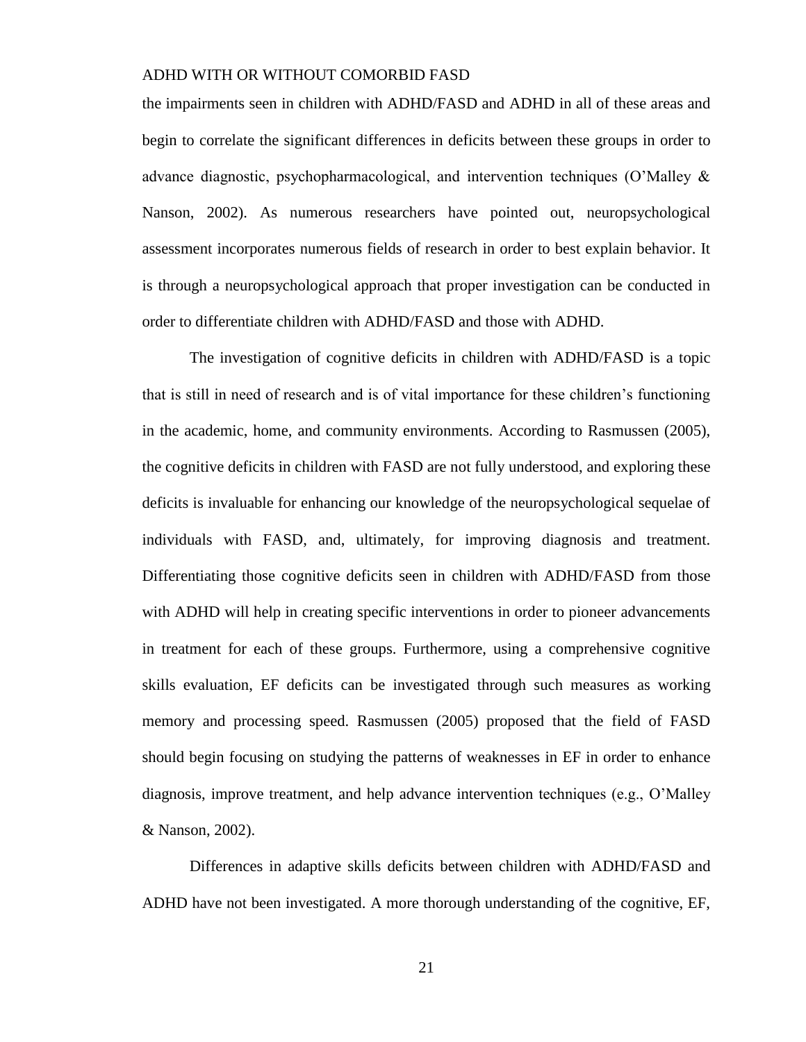the impairments seen in children with ADHD/FASD and ADHD in all of these areas and begin to correlate the significant differences in deficits between these groups in order to advance diagnostic, psychopharmacological, and intervention techniques (O'Malley & Nanson, 2002). As numerous researchers have pointed out, neuropsychological assessment incorporates numerous fields of research in order to best explain behavior. It is through a neuropsychological approach that proper investigation can be conducted in order to differentiate children with ADHD/FASD and those with ADHD.

The investigation of cognitive deficits in children with ADHD/FASD is a topic that is still in need of research and is of vital importance for these children's functioning in the academic, home, and community environments. According to Rasmussen (2005), the cognitive deficits in children with FASD are not fully understood, and exploring these deficits is invaluable for enhancing our knowledge of the neuropsychological sequelae of individuals with FASD, and, ultimately, for improving diagnosis and treatment. Differentiating those cognitive deficits seen in children with ADHD/FASD from those with ADHD will help in creating specific interventions in order to pioneer advancements in treatment for each of these groups. Furthermore, using a comprehensive cognitive skills evaluation, EF deficits can be investigated through such measures as working memory and processing speed. Rasmussen (2005) proposed that the field of FASD should begin focusing on studying the patterns of weaknesses in EF in order to enhance diagnosis, improve treatment, and help advance intervention techniques (e.g., O'Malley & Nanson, 2002).

Differences in adaptive skills deficits between children with ADHD/FASD and ADHD have not been investigated. A more thorough understanding of the cognitive, EF,

21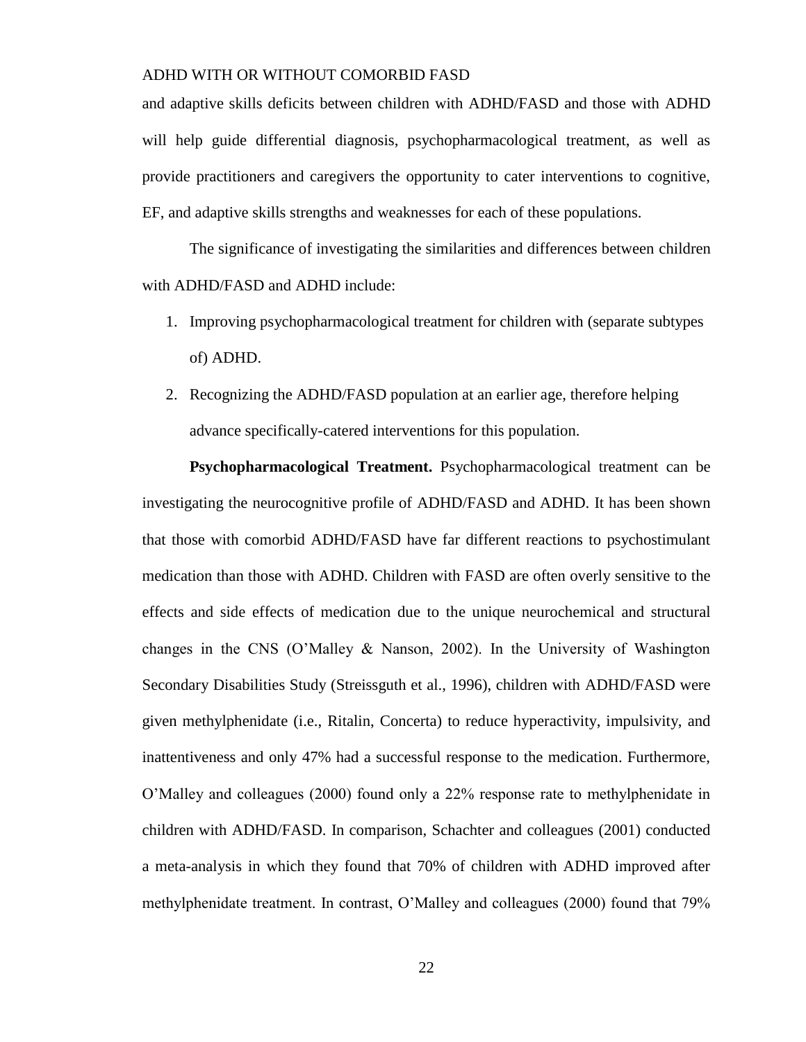and adaptive skills deficits between children with ADHD/FASD and those with ADHD will help guide differential diagnosis, psychopharmacological treatment, as well as provide practitioners and caregivers the opportunity to cater interventions to cognitive, EF, and adaptive skills strengths and weaknesses for each of these populations.

The significance of investigating the similarities and differences between children with ADHD/FASD and ADHD include:

- 1. Improving psychopharmacological treatment for children with (separate subtypes of) ADHD.
- 2. Recognizing the ADHD/FASD population at an earlier age, therefore helping advance specifically-catered interventions for this population.

**Psychopharmacological Treatment.** Psychopharmacological treatment can be investigating the neurocognitive profile of ADHD/FASD and ADHD. It has been shown that those with comorbid ADHD/FASD have far different reactions to psychostimulant medication than those with ADHD. Children with FASD are often overly sensitive to the effects and side effects of medication due to the unique neurochemical and structural changes in the CNS (O'Malley  $\&$  Nanson, 2002). In the University of Washington Secondary Disabilities Study (Streissguth et al., 1996), children with ADHD/FASD were given methylphenidate (i.e., Ritalin, Concerta) to reduce hyperactivity, impulsivity, and inattentiveness and only 47% had a successful response to the medication. Furthermore, O'Malley and colleagues (2000) found only a 22% response rate to methylphenidate in children with ADHD/FASD. In comparison, Schachter and colleagues (2001) conducted a meta-analysis in which they found that 70% of children with ADHD improved after methylphenidate treatment. In contrast, O'Malley and colleagues (2000) found that 79%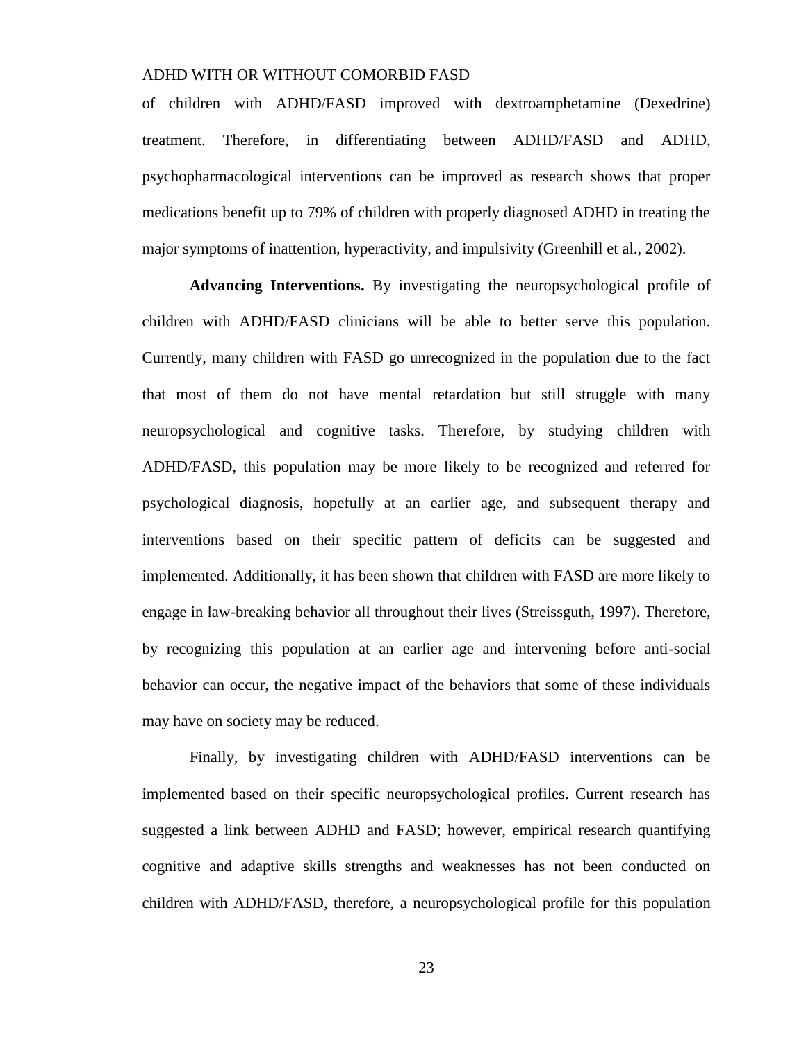of children with ADHD/FASD improved with dextroamphetamine (Dexedrine) treatment. Therefore, in differentiating between ADHD/FASD and ADHD, psychopharmacological interventions can be improved as research shows that proper medications benefit up to 79% of children with properly diagnosed ADHD in treating the major symptoms of inattention, hyperactivity, and impulsivity (Greenhill et al., 2002).

**Advancing Interventions.** By investigating the neuropsychological profile of children with ADHD/FASD clinicians will be able to better serve this population. Currently, many children with FASD go unrecognized in the population due to the fact that most of them do not have mental retardation but still struggle with many neuropsychological and cognitive tasks. Therefore, by studying children with ADHD/FASD, this population may be more likely to be recognized and referred for psychological diagnosis, hopefully at an earlier age, and subsequent therapy and interventions based on their specific pattern of deficits can be suggested and implemented. Additionally, it has been shown that children with FASD are more likely to engage in law-breaking behavior all throughout their lives (Streissguth, 1997). Therefore, by recognizing this population at an earlier age and intervening before anti-social behavior can occur, the negative impact of the behaviors that some of these individuals may have on society may be reduced.

Finally, by investigating children with ADHD/FASD interventions can be implemented based on their specific neuropsychological profiles. Current research has suggested a link between ADHD and FASD; however, empirical research quantifying cognitive and adaptive skills strengths and weaknesses has not been conducted on children with ADHD/FASD, therefore, a neuropsychological profile for this population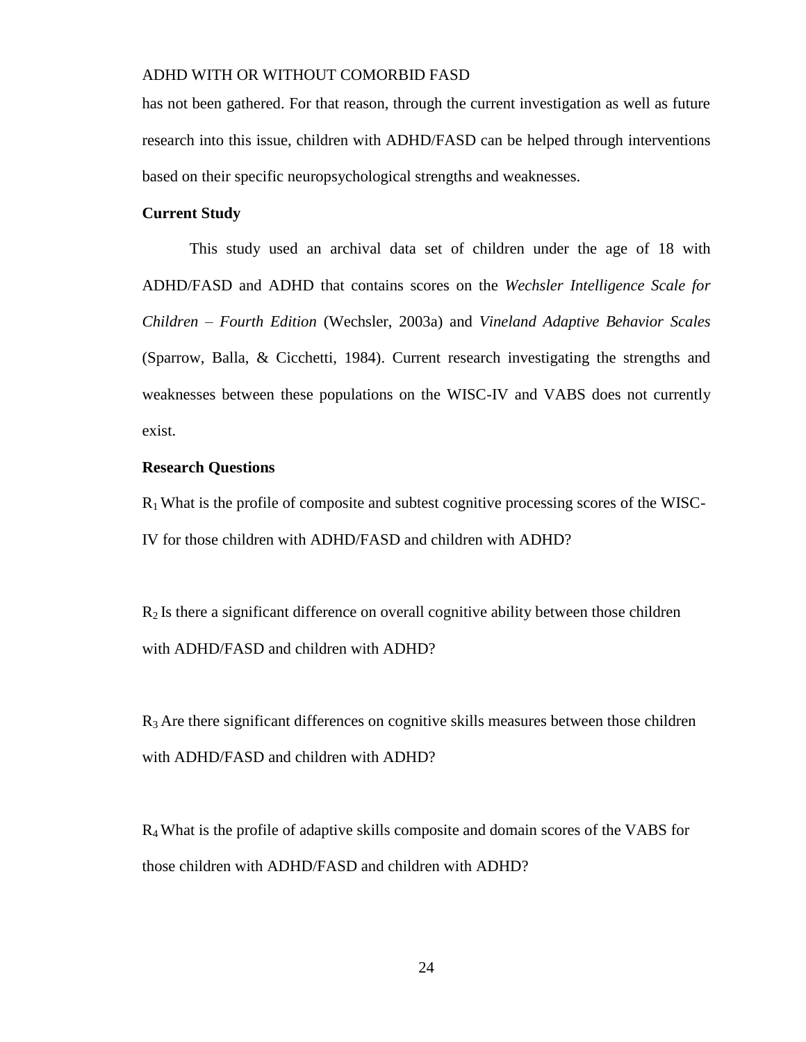has not been gathered. For that reason, through the current investigation as well as future research into this issue, children with ADHD/FASD can be helped through interventions based on their specific neuropsychological strengths and weaknesses.

#### **Current Study**

This study used an archival data set of children under the age of 18 with ADHD/FASD and ADHD that contains scores on the *Wechsler Intelligence Scale for Children – Fourth Edition* (Wechsler, 2003a) and *Vineland Adaptive Behavior Scales* (Sparrow, Balla, & Cicchetti, 1984). Current research investigating the strengths and weaknesses between these populations on the WISC-IV and VABS does not currently exist.

### **Research Questions**

 $R_1$  What is the profile of composite and subtest cognitive processing scores of the WISC-IV for those children with ADHD/FASD and children with ADHD?

 $R<sub>2</sub>$  Is there a significant difference on overall cognitive ability between those children with ADHD/FASD and children with ADHD?

R<sup>3</sup> Are there significant differences on cognitive skills measures between those children with ADHD/FASD and children with ADHD?

 $R<sub>4</sub>$  What is the profile of adaptive skills composite and domain scores of the VABS for those children with ADHD/FASD and children with ADHD?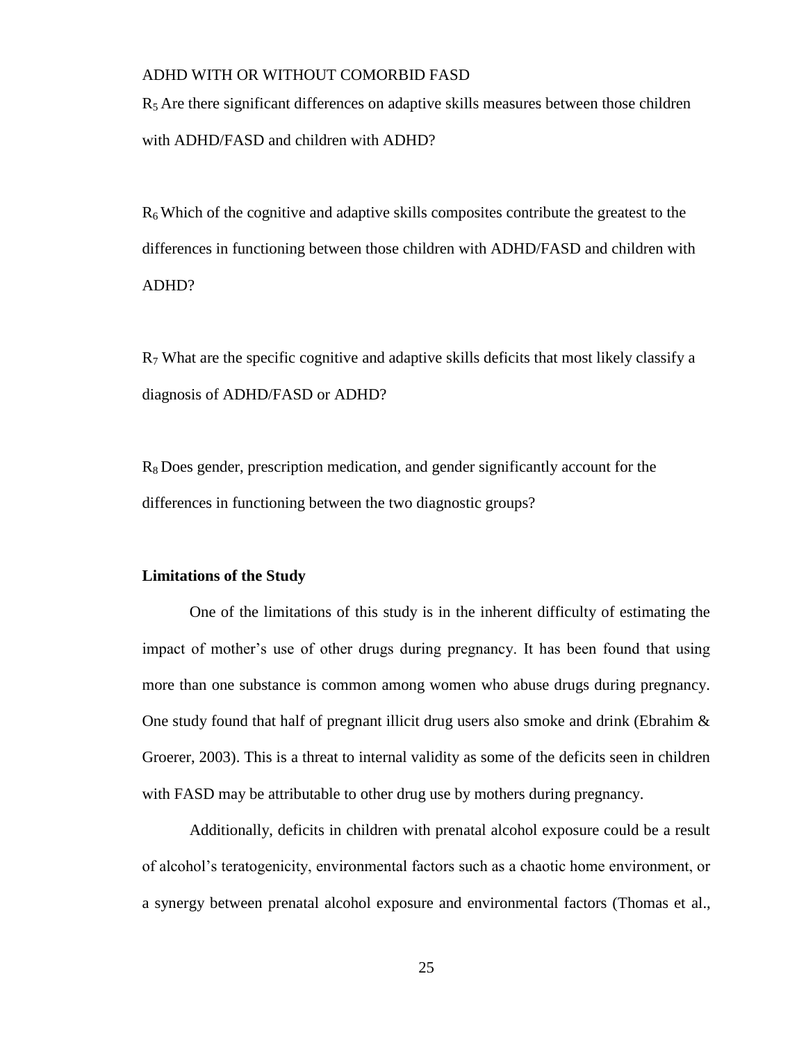$R<sub>5</sub>$  Are there significant differences on adaptive skills measures between those children with ADHD/FASD and children with ADHD?

 $R<sub>6</sub>$  Which of the cognitive and adaptive skills composites contribute the greatest to the differences in functioning between those children with ADHD/FASD and children with ADHD?

 $R<sub>7</sub>$  What are the specific cognitive and adaptive skills deficits that most likely classify a diagnosis of ADHD/FASD or ADHD?

 $R_8$  Does gender, prescription medication, and gender significantly account for the differences in functioning between the two diagnostic groups?

#### **Limitations of the Study**

One of the limitations of this study is in the inherent difficulty of estimating the impact of mother's use of other drugs during pregnancy. It has been found that using more than one substance is common among women who abuse drugs during pregnancy. One study found that half of pregnant illicit drug users also smoke and drink (Ebrahim & Groerer, 2003). This is a threat to internal validity as some of the deficits seen in children with FASD may be attributable to other drug use by mothers during pregnancy.

Additionally, deficits in children with prenatal alcohol exposure could be a result of alcohol's teratogenicity, environmental factors such as a chaotic home environment, or a synergy between prenatal alcohol exposure and environmental factors (Thomas et al.,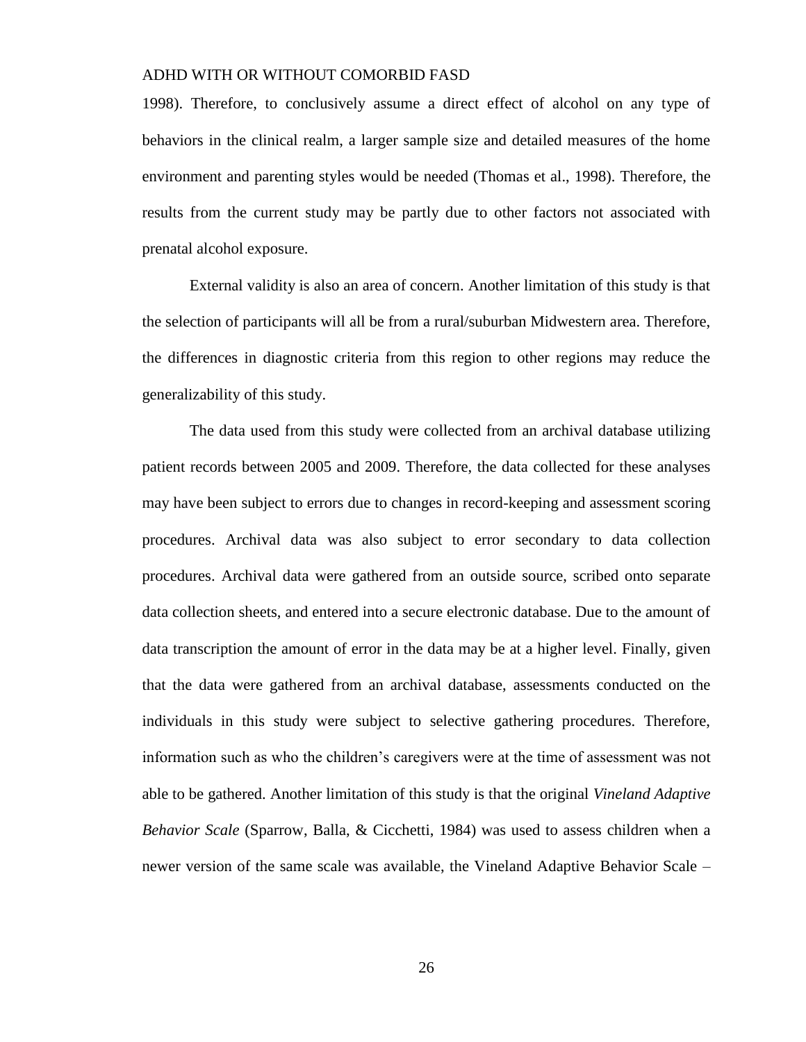1998). Therefore, to conclusively assume a direct effect of alcohol on any type of behaviors in the clinical realm, a larger sample size and detailed measures of the home environment and parenting styles would be needed (Thomas et al., 1998). Therefore, the results from the current study may be partly due to other factors not associated with prenatal alcohol exposure.

External validity is also an area of concern. Another limitation of this study is that the selection of participants will all be from a rural/suburban Midwestern area. Therefore, the differences in diagnostic criteria from this region to other regions may reduce the generalizability of this study.

The data used from this study were collected from an archival database utilizing patient records between 2005 and 2009. Therefore, the data collected for these analyses may have been subject to errors due to changes in record-keeping and assessment scoring procedures. Archival data was also subject to error secondary to data collection procedures. Archival data were gathered from an outside source, scribed onto separate data collection sheets, and entered into a secure electronic database. Due to the amount of data transcription the amount of error in the data may be at a higher level. Finally, given that the data were gathered from an archival database, assessments conducted on the individuals in this study were subject to selective gathering procedures. Therefore, information such as who the children's caregivers were at the time of assessment was not able to be gathered. Another limitation of this study is that the original *Vineland Adaptive Behavior Scale* (Sparrow, Balla, & Cicchetti, 1984) was used to assess children when a newer version of the same scale was available, the Vineland Adaptive Behavior Scale –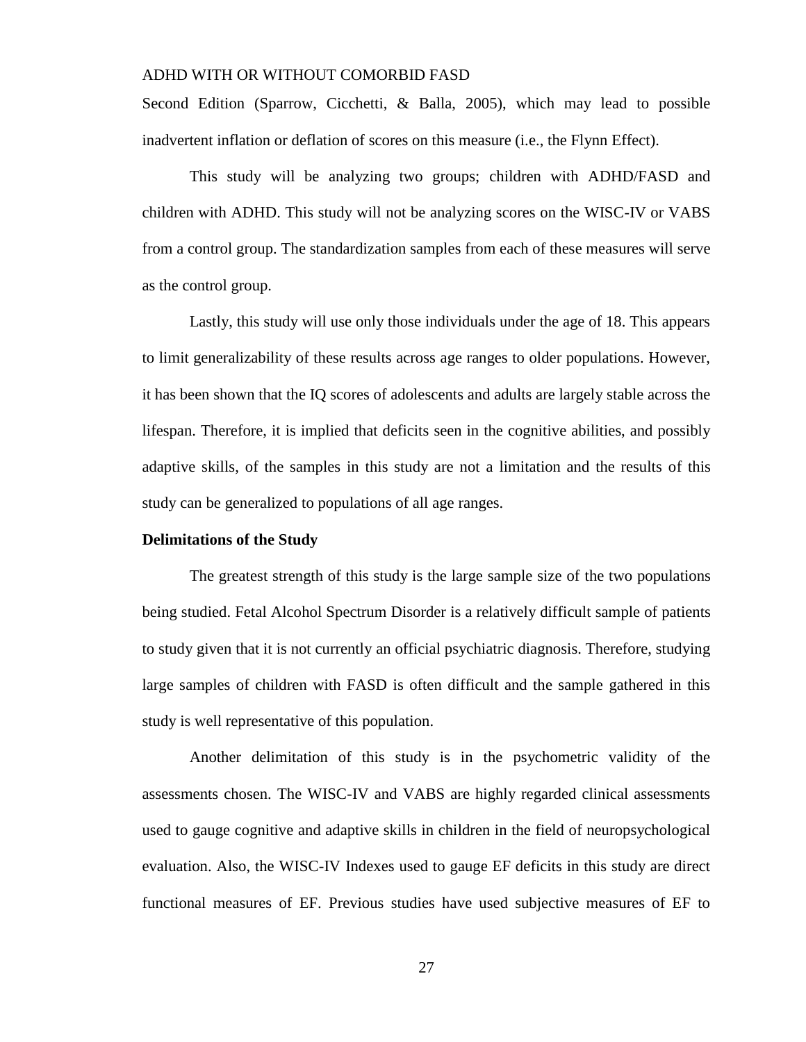Second Edition (Sparrow, Cicchetti, & Balla, 2005), which may lead to possible inadvertent inflation or deflation of scores on this measure (i.e., the Flynn Effect).

This study will be analyzing two groups; children with ADHD/FASD and children with ADHD. This study will not be analyzing scores on the WISC-IV or VABS from a control group. The standardization samples from each of these measures will serve as the control group.

Lastly, this study will use only those individuals under the age of 18. This appears to limit generalizability of these results across age ranges to older populations. However, it has been shown that the IQ scores of adolescents and adults are largely stable across the lifespan. Therefore, it is implied that deficits seen in the cognitive abilities, and possibly adaptive skills, of the samples in this study are not a limitation and the results of this study can be generalized to populations of all age ranges.

#### **Delimitations of the Study**

The greatest strength of this study is the large sample size of the two populations being studied. Fetal Alcohol Spectrum Disorder is a relatively difficult sample of patients to study given that it is not currently an official psychiatric diagnosis. Therefore, studying large samples of children with FASD is often difficult and the sample gathered in this study is well representative of this population.

Another delimitation of this study is in the psychometric validity of the assessments chosen. The WISC-IV and VABS are highly regarded clinical assessments used to gauge cognitive and adaptive skills in children in the field of neuropsychological evaluation. Also, the WISC-IV Indexes used to gauge EF deficits in this study are direct functional measures of EF. Previous studies have used subjective measures of EF to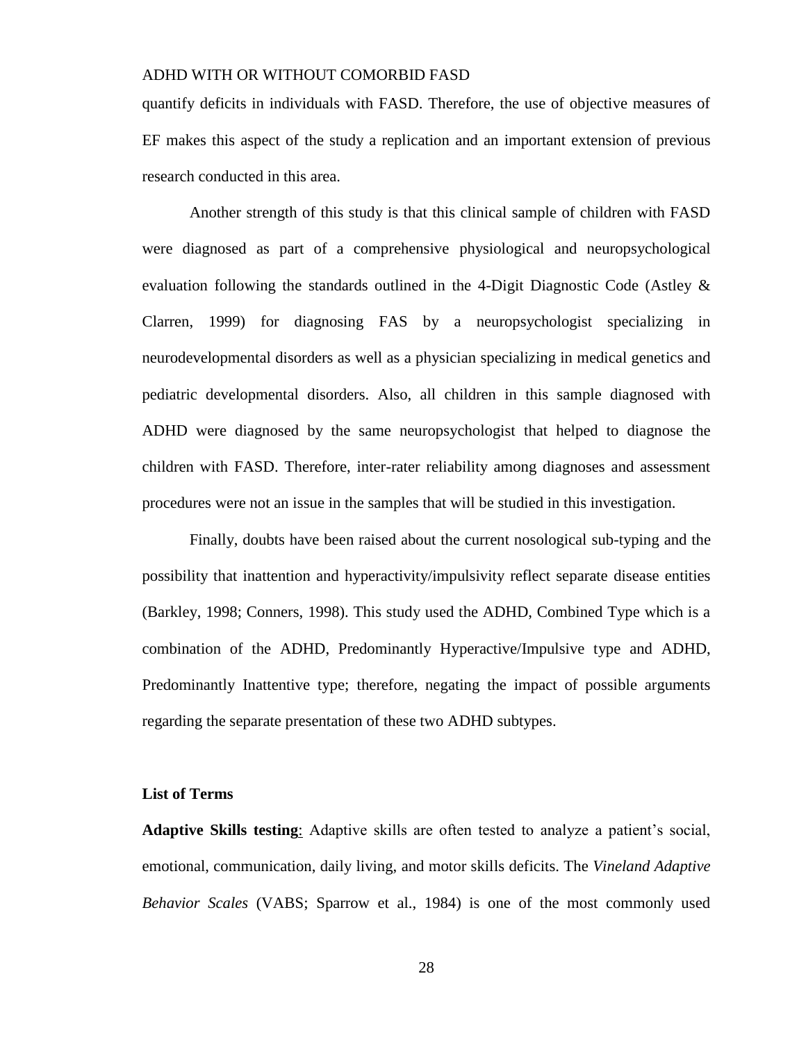quantify deficits in individuals with FASD. Therefore, the use of objective measures of EF makes this aspect of the study a replication and an important extension of previous research conducted in this area.

Another strength of this study is that this clinical sample of children with FASD were diagnosed as part of a comprehensive physiological and neuropsychological evaluation following the standards outlined in the 4-Digit Diagnostic Code (Astley & Clarren, 1999) for diagnosing FAS by a neuropsychologist specializing in neurodevelopmental disorders as well as a physician specializing in medical genetics and pediatric developmental disorders. Also, all children in this sample diagnosed with ADHD were diagnosed by the same neuropsychologist that helped to diagnose the children with FASD. Therefore, inter-rater reliability among diagnoses and assessment procedures were not an issue in the samples that will be studied in this investigation.

Finally, doubts have been raised about the current nosological sub-typing and the possibility that inattention and hyperactivity/impulsivity reflect separate disease entities (Barkley, 1998; Conners, 1998). This study used the ADHD, Combined Type which is a combination of the ADHD, Predominantly Hyperactive/Impulsive type and ADHD, Predominantly Inattentive type; therefore, negating the impact of possible arguments regarding the separate presentation of these two ADHD subtypes.

#### **List of Terms**

**Adaptive Skills testing**: Adaptive skills are often tested to analyze a patient's social, emotional, communication, daily living, and motor skills deficits. The *Vineland Adaptive Behavior Scales* (VABS; Sparrow et al., 1984) is one of the most commonly used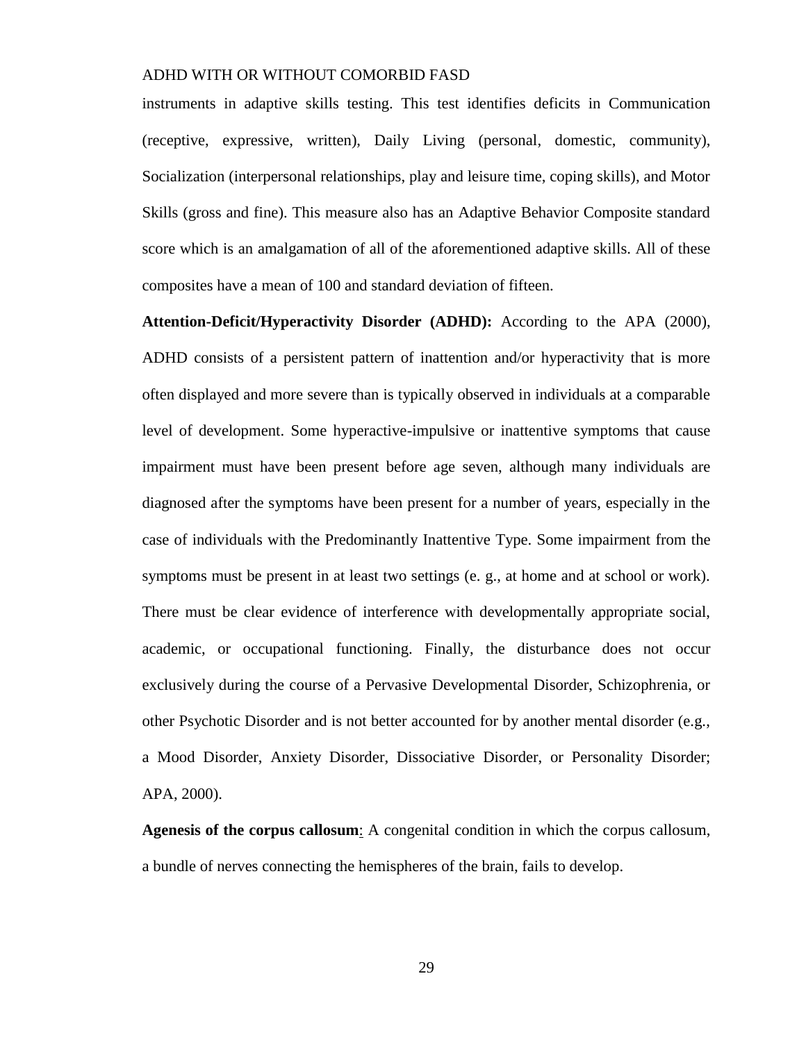instruments in adaptive skills testing. This test identifies deficits in Communication (receptive, expressive, written), Daily Living (personal, domestic, community), Socialization (interpersonal relationships, play and leisure time, coping skills), and Motor Skills (gross and fine). This measure also has an Adaptive Behavior Composite standard score which is an amalgamation of all of the aforementioned adaptive skills. All of these composites have a mean of 100 and standard deviation of fifteen.

**Attention-Deficit/Hyperactivity Disorder (ADHD):** According to the APA (2000), ADHD consists of a persistent pattern of inattention and/or hyperactivity that is more often displayed and more severe than is typically observed in individuals at a comparable level of development. Some hyperactive-impulsive or inattentive symptoms that cause impairment must have been present before age seven, although many individuals are diagnosed after the symptoms have been present for a number of years, especially in the case of individuals with the Predominantly Inattentive Type. Some impairment from the symptoms must be present in at least two settings (e. g., at home and at school or work). There must be clear evidence of interference with developmentally appropriate social, academic, or occupational functioning. Finally, the disturbance does not occur exclusively during the course of a Pervasive Developmental Disorder, Schizophrenia, or other Psychotic Disorder and is not better accounted for by another mental disorder (e.g., a Mood Disorder, Anxiety Disorder, Dissociative Disorder, or Personality Disorder; APA, 2000).

**Agenesis of the corpus callosum**: A congenital condition in which the corpus callosum, a bundle of nerves connecting the hemispheres of the brain, fails to develop.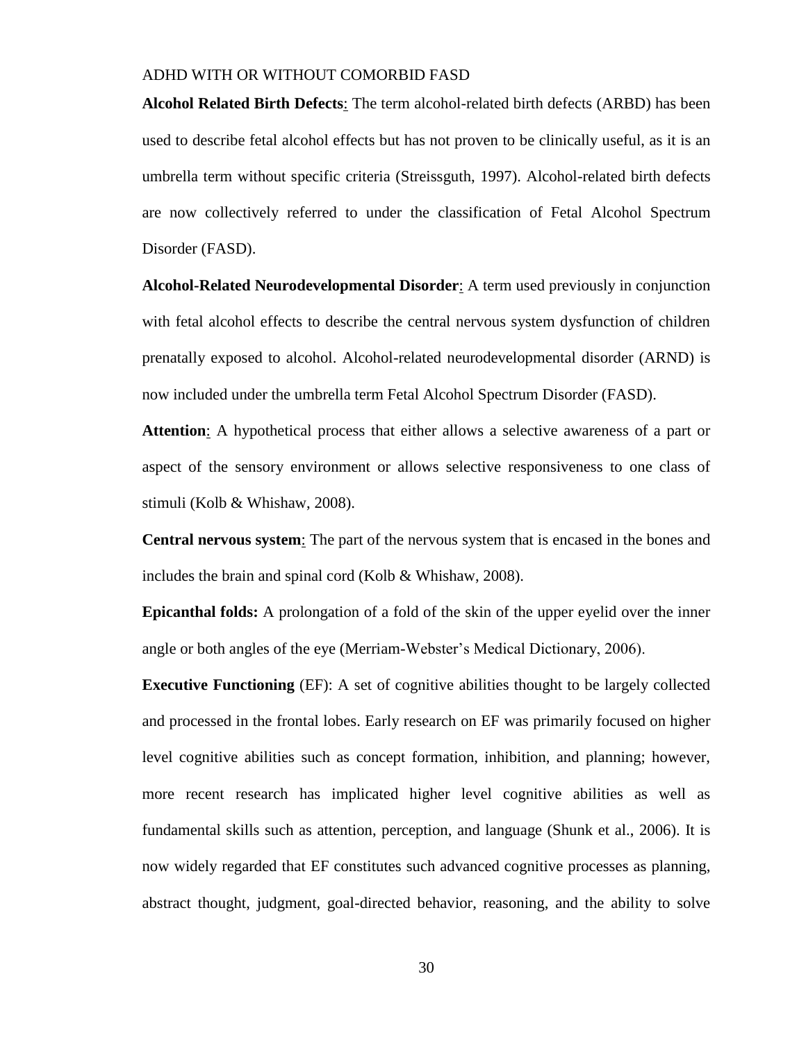**Alcohol Related Birth Defects**: The term alcohol-related birth defects (ARBD) has been used to describe fetal alcohol effects but has not proven to be clinically useful, as it is an umbrella term without specific criteria (Streissguth, 1997). Alcohol-related birth defects are now collectively referred to under the classification of Fetal Alcohol Spectrum Disorder (FASD).

**Alcohol-Related Neurodevelopmental Disorder**: A term used previously in conjunction with fetal alcohol effects to describe the central nervous system dysfunction of children prenatally exposed to alcohol. Alcohol-related neurodevelopmental disorder (ARND) is now included under the umbrella term Fetal Alcohol Spectrum Disorder (FASD).

**Attention**: A hypothetical process that either allows a selective awareness of a part or aspect of the sensory environment or allows selective responsiveness to one class of stimuli (Kolb & Whishaw, 2008).

**Central nervous system**: The part of the nervous system that is encased in the bones and includes the brain and spinal cord (Kolb & Whishaw, 2008).

**Epicanthal folds:** A prolongation of a fold of the skin of the upper eyelid over the inner angle or both angles of the eye (Merriam-Webster's Medical Dictionary, 2006).

**Executive Functioning** (EF): A set of cognitive abilities thought to be largely collected and processed in the frontal lobes. Early research on EF was primarily focused on higher level cognitive abilities such as concept formation, inhibition, and planning; however, more recent research has implicated higher level cognitive abilities as well as fundamental skills such as attention, perception, and language (Shunk et al., 2006). It is now widely regarded that EF constitutes such advanced cognitive processes as planning, abstract thought, judgment, goal-directed behavior, reasoning, and the ability to solve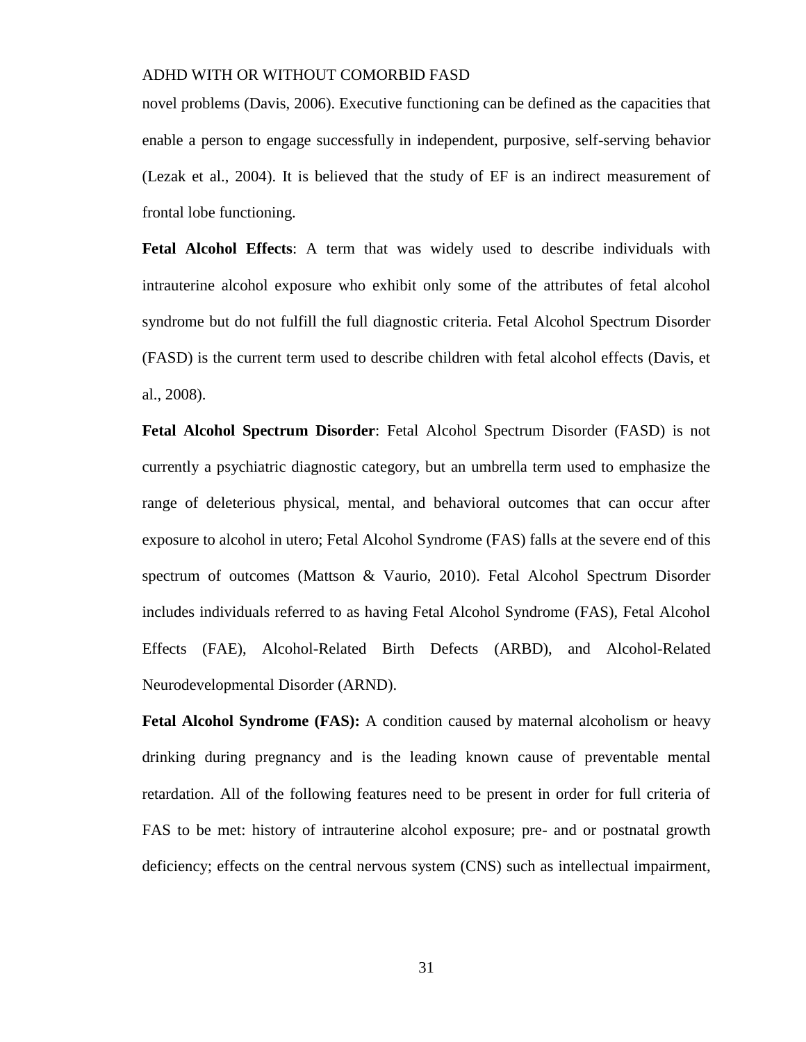novel problems (Davis, 2006). Executive functioning can be defined as the capacities that enable a person to engage successfully in independent, purposive, self-serving behavior (Lezak et al., 2004). It is believed that the study of EF is an indirect measurement of frontal lobe functioning.

**Fetal Alcohol Effects**: A term that was widely used to describe individuals with intrauterine alcohol exposure who exhibit only some of the attributes of fetal alcohol syndrome but do not fulfill the full diagnostic criteria. Fetal Alcohol Spectrum Disorder (FASD) is the current term used to describe children with fetal alcohol effects (Davis, et al., 2008).

**Fetal Alcohol Spectrum Disorder**: Fetal Alcohol Spectrum Disorder (FASD) is not currently a psychiatric diagnostic category, but an umbrella term used to emphasize the range of deleterious physical, mental, and behavioral outcomes that can occur after exposure to alcohol in utero; Fetal Alcohol Syndrome (FAS) falls at the severe end of this spectrum of outcomes (Mattson & Vaurio, 2010). Fetal Alcohol Spectrum Disorder includes individuals referred to as having Fetal Alcohol Syndrome (FAS), Fetal Alcohol Effects (FAE), Alcohol-Related Birth Defects (ARBD), and Alcohol-Related Neurodevelopmental Disorder (ARND).

**Fetal Alcohol Syndrome (FAS):** A condition caused by maternal alcoholism or heavy drinking during pregnancy and is the leading known cause of preventable mental retardation. All of the following features need to be present in order for full criteria of FAS to be met: history of intrauterine alcohol exposure; pre- and or postnatal growth deficiency; effects on the central nervous system (CNS) such as intellectual impairment,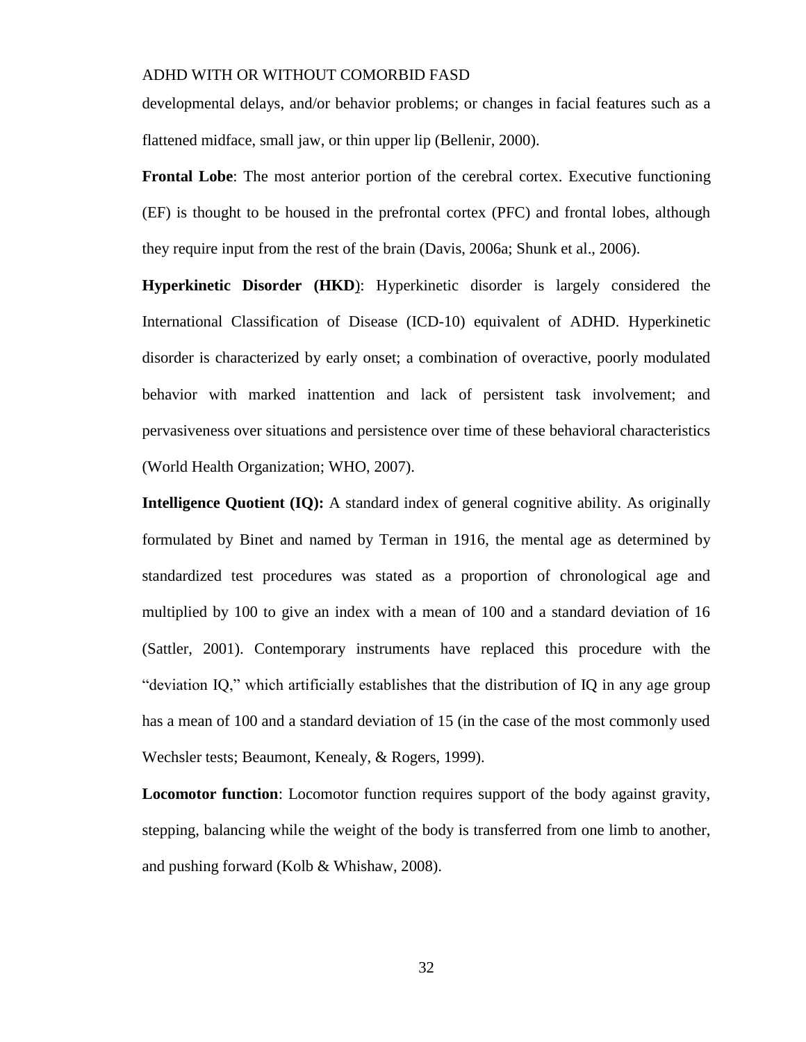developmental delays, and/or behavior problems; or changes in facial features such as a flattened midface, small jaw, or thin upper lip (Bellenir, 2000).

**Frontal Lobe:** The most anterior portion of the cerebral cortex. Executive functioning (EF) is thought to be housed in the prefrontal cortex (PFC) and frontal lobes, although they require input from the rest of the brain (Davis, 2006a; Shunk et al., 2006).

**Hyperkinetic Disorder (HKD**): Hyperkinetic disorder is largely considered the International Classification of Disease (ICD-10) equivalent of ADHD. Hyperkinetic disorder is characterized by early onset; a combination of overactive, poorly modulated behavior with marked inattention and lack of persistent task involvement; and pervasiveness over situations and persistence over time of these behavioral characteristics (World Health Organization; WHO, 2007).

**Intelligence Quotient (IQ):** A standard index of general cognitive ability. As originally formulated by Binet and named by Terman in 1916, the mental age as determined by standardized test procedures was stated as a proportion of chronological age and multiplied by 100 to give an index with a mean of 100 and a standard deviation of 16 (Sattler, 2001). Contemporary instruments have replaced this procedure with the "deviation IQ," which artificially establishes that the distribution of IQ in any age group has a mean of 100 and a standard deviation of 15 (in the case of the most commonly used Wechsler tests; Beaumont, Kenealy, & Rogers, 1999).

**Locomotor function**: Locomotor function requires support of the body against gravity, stepping, balancing while the weight of the body is transferred from one limb to another, and pushing forward (Kolb & Whishaw, 2008).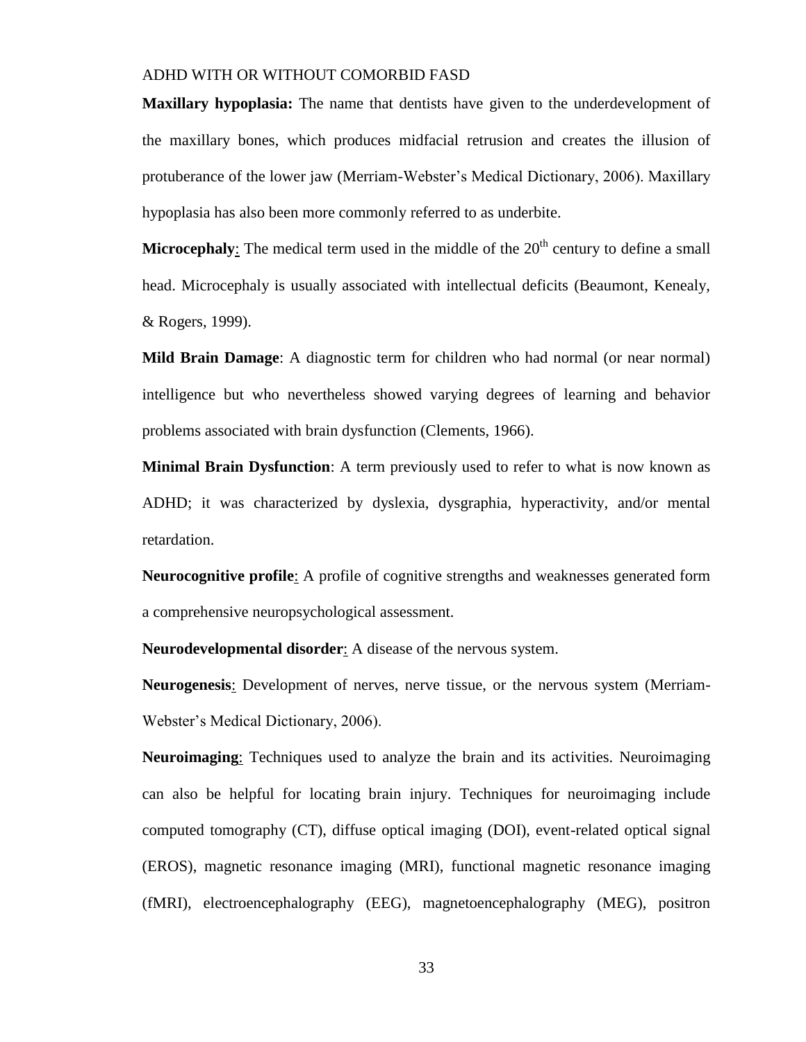**Maxillary hypoplasia:** The name that dentists have given to the underdevelopment of the maxillary bones, which produces midfacial retrusion and creates the illusion of protuberance of the lower jaw (Merriam-Webster's Medical Dictionary, 2006). Maxillary hypoplasia has also been more commonly referred to as underbite.

**Microcephaly**: The medical term used in the middle of the  $20<sup>th</sup>$  century to define a small head. Microcephaly is usually associated with intellectual deficits (Beaumont, Kenealy, & Rogers, 1999).

**Mild Brain Damage**: A diagnostic term for children who had normal (or near normal) intelligence but who nevertheless showed varying degrees of learning and behavior problems associated with brain dysfunction (Clements, 1966).

**Minimal Brain Dysfunction**: A term previously used to refer to what is now known as ADHD; it was characterized by dyslexia, dysgraphia, hyperactivity, and/or mental retardation.

**Neurocognitive profile**: A profile of cognitive strengths and weaknesses generated form a comprehensive neuropsychological assessment.

**Neurodevelopmental disorder**: A disease of the nervous system.

Neurogenesis: Development of nerves, nerve tissue, or the nervous system (Merriam-Webster's Medical Dictionary, 2006).

**Neuroimaging**: Techniques used to analyze the brain and its activities. Neuroimaging can also be helpful for locating brain injury. Techniques for neuroimaging include computed tomography (CT), diffuse optical imaging (DOI), event-related optical signal (EROS), magnetic resonance imaging (MRI), functional magnetic resonance imaging (fMRI), electroencephalography (EEG), magnetoencephalography (MEG), positron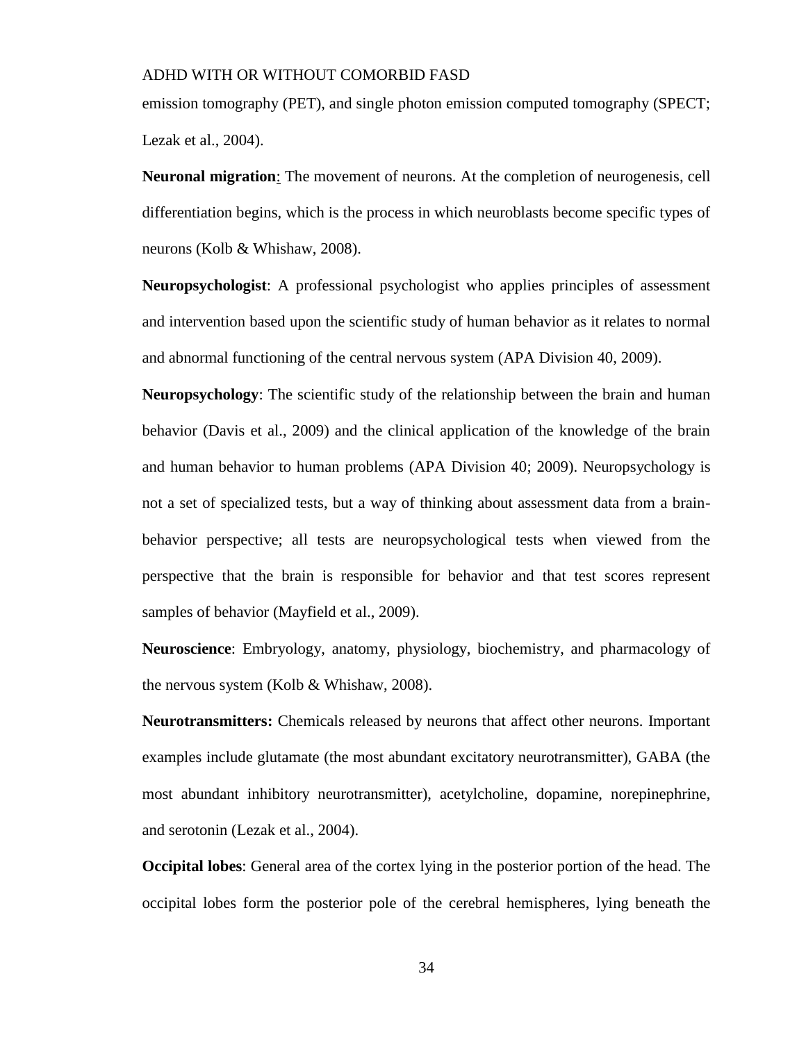emission tomography (PET), and single photon emission computed tomography (SPECT; Lezak et al., 2004).

**Neuronal migration**: The movement of neurons. At the completion of neurogenesis, cell differentiation begins, which is the process in which neuroblasts become specific types of neurons (Kolb & Whishaw, 2008).

**Neuropsychologist**: A professional psychologist who applies principles of assessment and intervention based upon the scientific study of human behavior as it relates to normal and abnormal functioning of the central nervous system (APA Division 40, 2009).

**Neuropsychology**: The scientific study of the relationship between the brain and human behavior (Davis et al., 2009) and the clinical application of the knowledge of the brain and human behavior to human problems (APA Division 40; 2009). Neuropsychology is not a set of specialized tests, but a way of thinking about assessment data from a brainbehavior perspective; all tests are neuropsychological tests when viewed from the perspective that the brain is responsible for behavior and that test scores represent samples of behavior (Mayfield et al., 2009).

**Neuroscience**: Embryology, anatomy, physiology, biochemistry, and pharmacology of the nervous system (Kolb & Whishaw, 2008).

**Neurotransmitters:** Chemicals released by neurons that affect other neurons. Important examples include glutamate (the most abundant excitatory neurotransmitter), GABA (the most abundant inhibitory neurotransmitter), acetylcholine, dopamine, norepinephrine, and serotonin (Lezak et al., 2004).

**Occipital lobes**: General area of the cortex lying in the posterior portion of the head. The occipital lobes form the posterior pole of the cerebral hemispheres, lying beneath the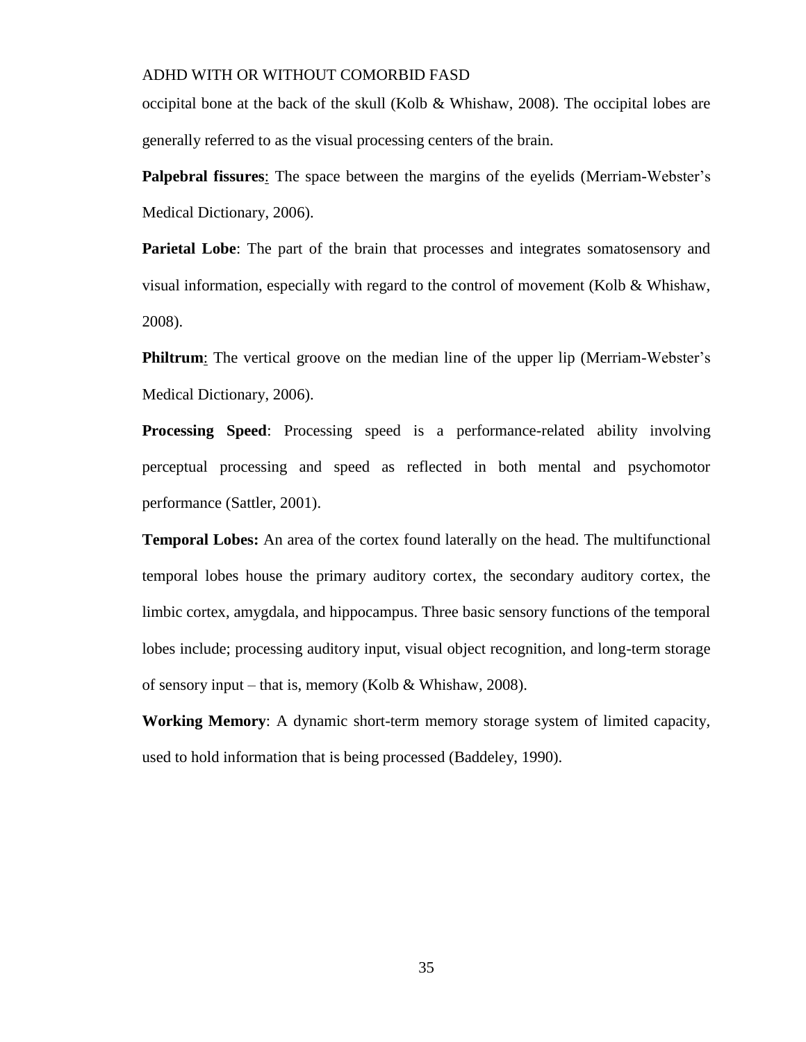occipital bone at the back of the skull (Kolb & Whishaw, 2008). The occipital lobes are generally referred to as the visual processing centers of the brain.

**Palpebral fissures**: The space between the margins of the eyelids (Merriam-Webster's Medical Dictionary, 2006).

**Parietal Lobe**: The part of the brain that processes and integrates somatosensory and visual information, especially with regard to the control of movement (Kolb  $\&$  Whishaw, 2008).

**Philtrum**: The vertical groove on the median line of the upper lip (Merriam-Webster's Medical Dictionary, 2006).

**Processing Speed:** Processing speed is a performance-related ability involving perceptual processing and speed as reflected in both mental and psychomotor performance (Sattler, 2001).

**Temporal Lobes:** An area of the cortex found laterally on the head. The multifunctional temporal lobes house the primary auditory cortex, the secondary auditory cortex, the limbic cortex, amygdala, and hippocampus. Three basic sensory functions of the temporal lobes include; processing auditory input, visual object recognition, and long-term storage of sensory input – that is, memory (Kolb & Whishaw, 2008).

**Working Memory**: A dynamic short-term memory storage system of limited capacity, used to hold information that is being processed (Baddeley, 1990).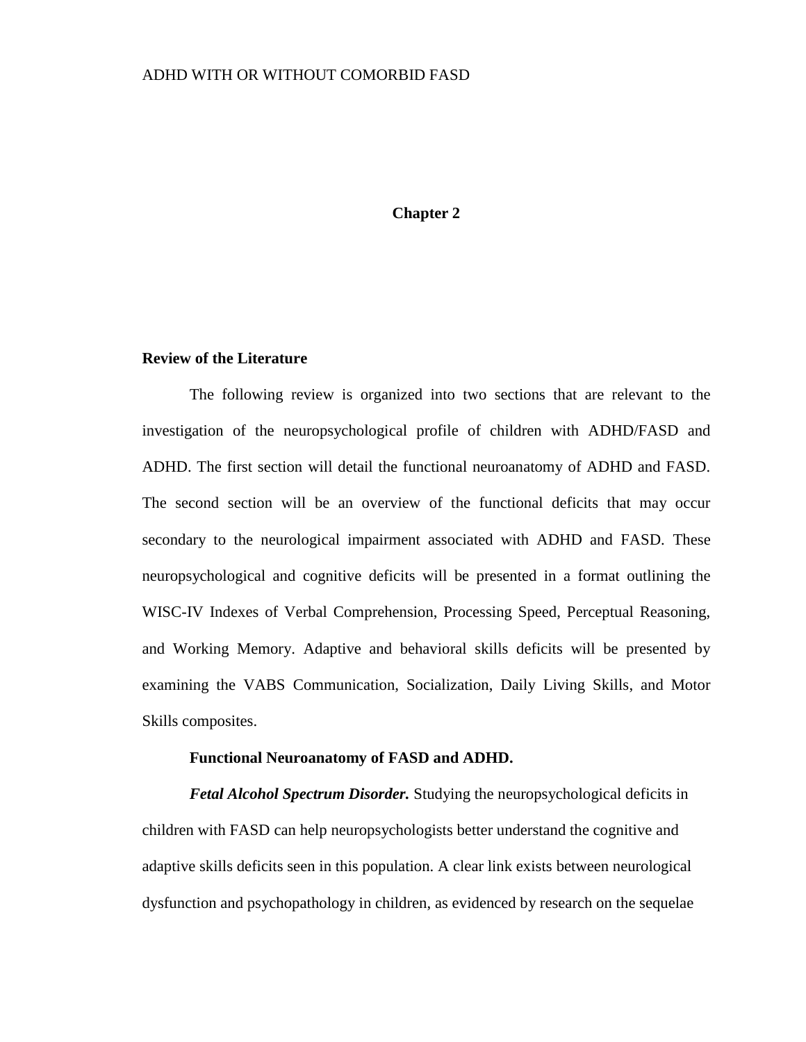# **Chapter 2**

#### **Review of the Literature**

The following review is organized into two sections that are relevant to the investigation of the neuropsychological profile of children with ADHD/FASD and ADHD. The first section will detail the functional neuroanatomy of ADHD and FASD. The second section will be an overview of the functional deficits that may occur secondary to the neurological impairment associated with ADHD and FASD. These neuropsychological and cognitive deficits will be presented in a format outlining the WISC-IV Indexes of Verbal Comprehension, Processing Speed, Perceptual Reasoning, and Working Memory. Adaptive and behavioral skills deficits will be presented by examining the VABS Communication, Socialization, Daily Living Skills, and Motor Skills composites.

#### **Functional Neuroanatomy of FASD and ADHD.**

*Fetal Alcohol Spectrum Disorder.* Studying the neuropsychological deficits in children with FASD can help neuropsychologists better understand the cognitive and adaptive skills deficits seen in this population. A clear link exists between neurological dysfunction and psychopathology in children, as evidenced by research on the sequelae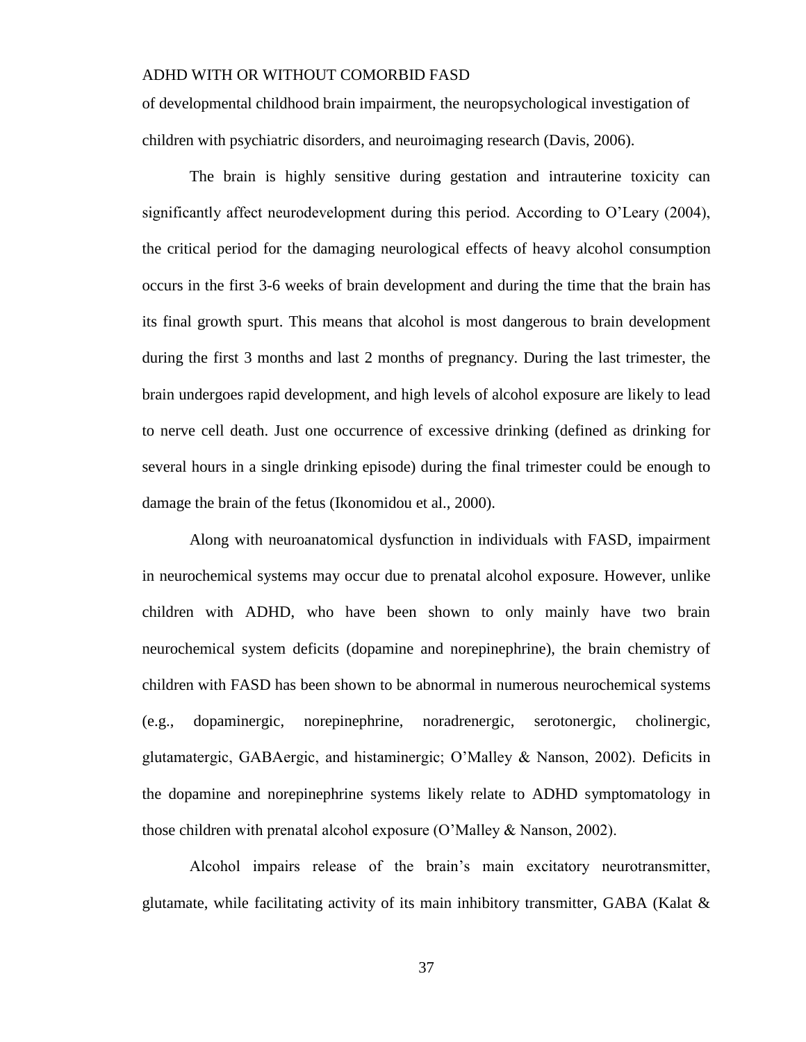of developmental childhood brain impairment, the neuropsychological investigation of children with psychiatric disorders, and neuroimaging research (Davis, 2006).

The brain is highly sensitive during gestation and intrauterine toxicity can significantly affect neurodevelopment during this period. According to O'Leary (2004), the critical period for the damaging neurological effects of heavy alcohol consumption occurs in the first 3-6 weeks of brain development and during the time that the brain has its final growth spurt. This means that alcohol is most dangerous to brain development during the first 3 months and last 2 months of pregnancy. During the last trimester, the brain undergoes rapid development, and high levels of alcohol exposure are likely to lead to nerve cell death. Just one occurrence of excessive drinking (defined as drinking for several hours in a single drinking episode) during the final trimester could be enough to damage the brain of the fetus (Ikonomidou et al., 2000).

Along with neuroanatomical dysfunction in individuals with FASD, impairment in neurochemical systems may occur due to prenatal alcohol exposure. However, unlike children with ADHD, who have been shown to only mainly have two brain neurochemical system deficits (dopamine and norepinephrine), the brain chemistry of children with FASD has been shown to be abnormal in numerous neurochemical systems (e.g., dopaminergic, norepinephrine, noradrenergic, serotonergic, cholinergic, glutamatergic, GABAergic, and histaminergic; O'Malley & Nanson, 2002). Deficits in the dopamine and norepinephrine systems likely relate to ADHD symptomatology in those children with prenatal alcohol exposure (O'Malley & Nanson, 2002).

Alcohol impairs release of the brain's main excitatory neurotransmitter, glutamate, while facilitating activity of its main inhibitory transmitter, GABA (Kalat  $\&$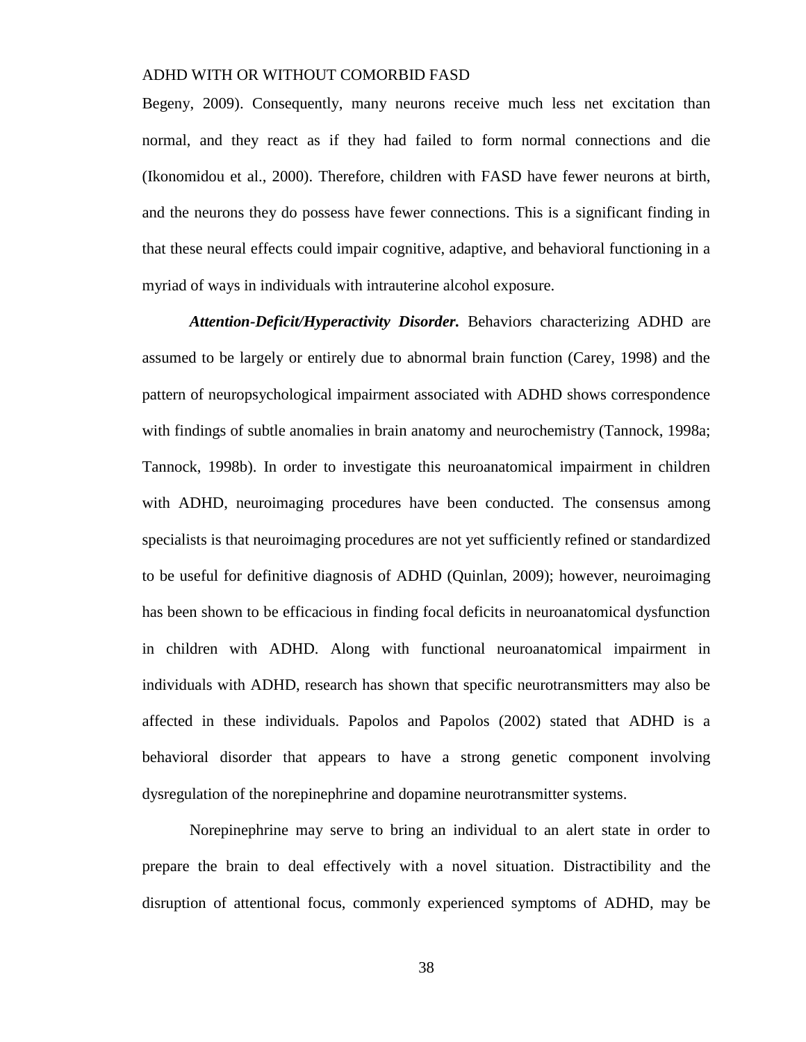Begeny, 2009). Consequently, many neurons receive much less net excitation than normal, and they react as if they had failed to form normal connections and die (Ikonomidou et al., 2000). Therefore, children with FASD have fewer neurons at birth, and the neurons they do possess have fewer connections. This is a significant finding in that these neural effects could impair cognitive, adaptive, and behavioral functioning in a myriad of ways in individuals with intrauterine alcohol exposure.

*Attention-Deficit/Hyperactivity Disorder.* Behaviors characterizing ADHD are assumed to be largely or entirely due to abnormal brain function (Carey, 1998) and the pattern of neuropsychological impairment associated with ADHD shows correspondence with findings of subtle anomalies in brain anatomy and neurochemistry (Tannock, 1998a; Tannock, 1998b). In order to investigate this neuroanatomical impairment in children with ADHD, neuroimaging procedures have been conducted. The consensus among specialists is that neuroimaging procedures are not yet sufficiently refined or standardized to be useful for definitive diagnosis of ADHD (Quinlan, 2009); however, neuroimaging has been shown to be efficacious in finding focal deficits in neuroanatomical dysfunction in children with ADHD. Along with functional neuroanatomical impairment in individuals with ADHD, research has shown that specific neurotransmitters may also be affected in these individuals. Papolos and Papolos (2002) stated that ADHD is a behavioral disorder that appears to have a strong genetic component involving dysregulation of the norepinephrine and dopamine neurotransmitter systems.

Norepinephrine may serve to bring an individual to an alert state in order to prepare the brain to deal effectively with a novel situation. Distractibility and the disruption of attentional focus, commonly experienced symptoms of ADHD, may be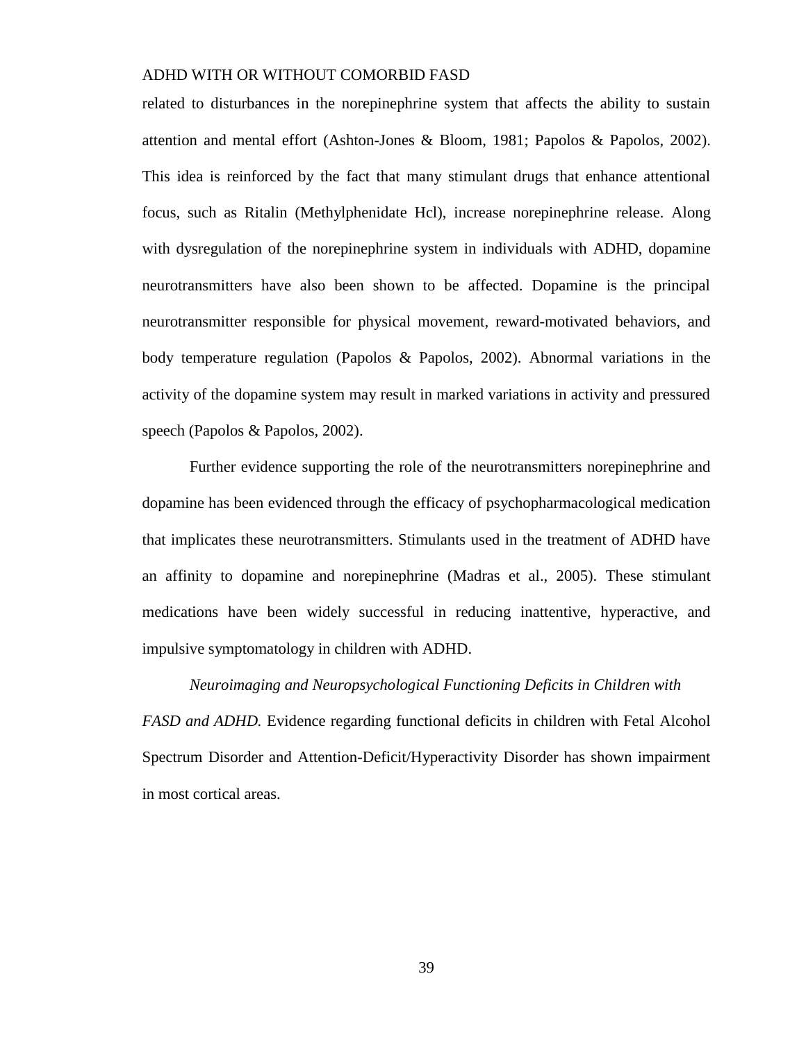related to disturbances in the norepinephrine system that affects the ability to sustain attention and mental effort (Ashton-Jones & Bloom, 1981; Papolos & Papolos, 2002). This idea is reinforced by the fact that many stimulant drugs that enhance attentional focus, such as Ritalin (Methylphenidate Hcl), increase norepinephrine release. Along with dysregulation of the norepinephrine system in individuals with ADHD, dopamine neurotransmitters have also been shown to be affected. Dopamine is the principal neurotransmitter responsible for physical movement, reward-motivated behaviors, and body temperature regulation (Papolos & Papolos, 2002). Abnormal variations in the activity of the dopamine system may result in marked variations in activity and pressured speech (Papolos & Papolos, 2002).

Further evidence supporting the role of the neurotransmitters norepinephrine and dopamine has been evidenced through the efficacy of psychopharmacological medication that implicates these neurotransmitters. Stimulants used in the treatment of ADHD have an affinity to dopamine and norepinephrine (Madras et al., 2005). These stimulant medications have been widely successful in reducing inattentive, hyperactive, and impulsive symptomatology in children with ADHD.

*Neuroimaging and Neuropsychological Functioning Deficits in Children with FASD and ADHD.* Evidence regarding functional deficits in children with Fetal Alcohol Spectrum Disorder and Attention-Deficit/Hyperactivity Disorder has shown impairment in most cortical areas.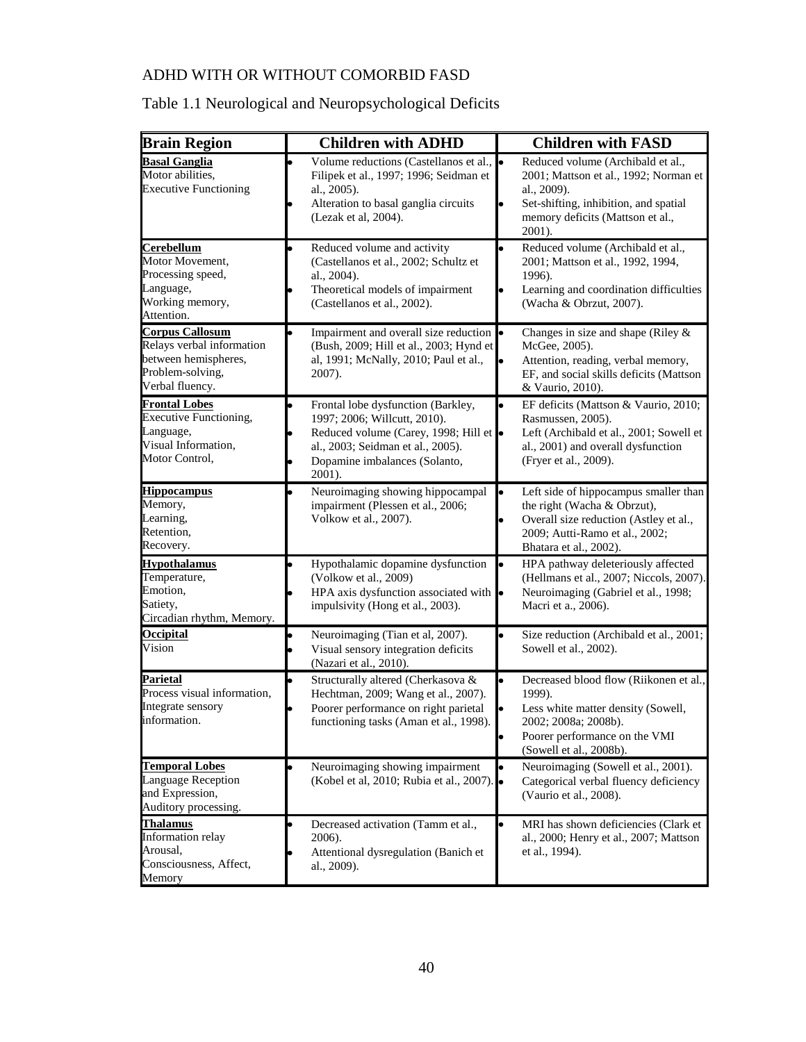## Table 1.1 Neurological and Neuropsychological Deficits

| <b>Brain Region</b>                                                                                                | <b>Children with ADHD</b>                                                                                                                                                                  | <b>Children with FASD</b>                                                                                                                                                        |
|--------------------------------------------------------------------------------------------------------------------|--------------------------------------------------------------------------------------------------------------------------------------------------------------------------------------------|----------------------------------------------------------------------------------------------------------------------------------------------------------------------------------|
| <b>Basal Ganglia</b><br>Motor abilities,<br><b>Executive Functioning</b>                                           | Volume reductions (Castellanos et al.,<br>Filipek et al., 1997; 1996; Seidman et<br>al., 2005).<br>Alteration to basal ganglia circuits<br>(Lezak et al, 2004).                            | Reduced volume (Archibald et al.,<br>2001; Mattson et al., 1992; Norman et<br>al., 2009).<br>Set-shifting, inhibition, and spatial<br>memory deficits (Mattson et al.,<br>2001). |
| <b>Cerebellum</b><br>Motor Movement,<br>Processing speed,<br>Language,<br>Working memory,<br>Attention.            | Reduced volume and activity<br>(Castellanos et al., 2002; Schultz et<br>al., 2004).<br>Theoretical models of impairment<br>(Castellanos et al., 2002).                                     | Reduced volume (Archibald et al.,<br>2001; Mattson et al., 1992, 1994,<br>1996).<br>Learning and coordination difficulties<br>(Wacha & Obrzut, 2007).                            |
| <b>Corpus Callosum</b><br>Relays verbal information<br>between hemispheres,<br>Problem-solving,<br>Verbal fluency. | Impairment and overall size reduction<br>(Bush, 2009; Hill et al., 2003; Hynd et<br>al, 1991; McNally, 2010; Paul et al.,<br>2007).                                                        | Changes in size and shape (Riley $\&$<br>McGee, 2005).<br>Attention, reading, verbal memory,<br>EF, and social skills deficits (Mattson<br>& Vaurio, 2010).                      |
| <b>Frontal Lobes</b><br><b>Executive Functioning,</b><br>Language,<br>Visual Information,<br>Motor Control,        | Frontal lobe dysfunction (Barkley,<br>1997; 2006; Willcutt, 2010).<br>Reduced volume (Carey, 1998; Hill et<br>al., 2003; Seidman et al., 2005).<br>Dopamine imbalances (Solanto,<br>2001). | EF deficits (Mattson & Vaurio, 2010;<br>Rasmussen, 2005).<br>Left (Archibald et al., 2001; Sowell et<br>al., 2001) and overall dysfunction<br>(Fryer et al., 2009).              |
| <b>Hippocampus</b><br>Memory,<br>Learning,<br>Retention,<br>Recovery.                                              | Neuroimaging showing hippocampal<br>impairment (Plessen et al., 2006;<br>Volkow et al., 2007).                                                                                             | Left side of hippocampus smaller than<br>the right (Wacha & Obrzut),<br>Overall size reduction (Astley et al.,<br>2009; Autti-Ramo et al., 2002;<br>Bhatara et al., 2002).       |
| <b>Hypothalamus</b><br>Temperature,<br>Emotion,<br>Satiety,<br>Circadian rhythm, Memory.                           | Hypothalamic dopamine dysfunction<br>(Volkow et al., 2009)<br>HPA axis dysfunction associated with •<br>impulsivity (Hong et al., 2003).                                                   | HPA pathway deleteriously affected<br>(Hellmans et al., 2007; Niccols, 2007).<br>Neuroimaging (Gabriel et al., 1998;<br>Macri et a., 2006).                                      |
| <b>Occipital</b><br>Vision                                                                                         | Neuroimaging (Tian et al, 2007).<br>Visual sensory integration deficits<br>(Nazari et al., 2010).                                                                                          | Size reduction (Archibald et al., 2001;<br>Sowell et al., 2002).                                                                                                                 |
| <b>Parietal</b><br>Process visual information,<br>Integrate sensory<br>information.                                | Structurally altered (Cherkasova &<br>Hechtman, 2009; Wang et al., 2007).<br>Poorer performance on right parietal<br>functioning tasks (Aman et al., 1998).                                | Decreased blood flow (Riikonen et al.,<br>1999).<br>Less white matter density (Sowell,<br>2002; 2008a; 2008b).<br>Poorer performance on the VMI<br>(Sowell et al., 2008b).       |
| <b>Temporal Lobes</b><br>Language Reception<br>and Expression,<br>Auditory processing.                             | Neuroimaging showing impairment<br>(Kobel et al, 2010; Rubia et al., 2007).                                                                                                                | Neuroimaging (Sowell et al., 2001).<br>Categorical verbal fluency deficiency<br>(Vaurio et al., 2008).                                                                           |
| <b>Thalamus</b><br>Information relay<br>Arousal,<br>Consciousness, Affect,<br>Memory                               | Decreased activation (Tamm et al.,<br>2006).<br>Attentional dysregulation (Banich et<br>al., 2009).                                                                                        | MRI has shown deficiencies (Clark et<br>al., 2000; Henry et al., 2007; Mattson<br>et al., 1994).                                                                                 |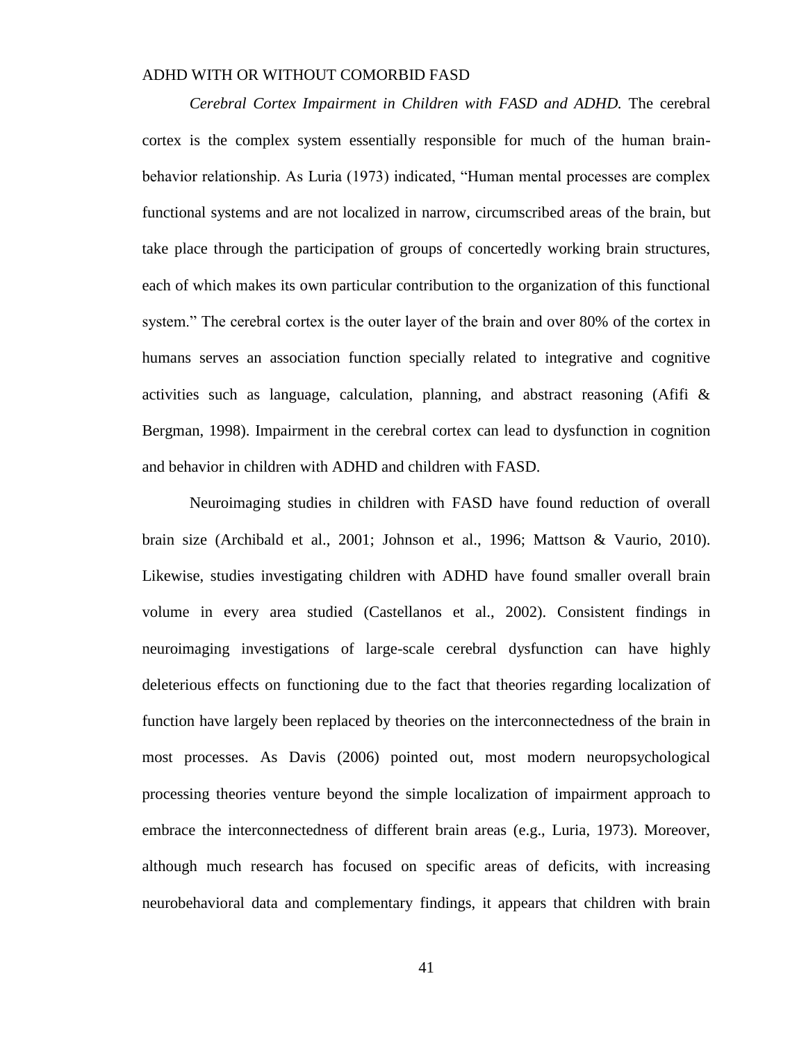*Cerebral Cortex Impairment in Children with FASD and ADHD.* The cerebral cortex is the complex system essentially responsible for much of the human brainbehavior relationship. As Luria (1973) indicated, "Human mental processes are complex functional systems and are not localized in narrow, circumscribed areas of the brain, but take place through the participation of groups of concertedly working brain structures, each of which makes its own particular contribution to the organization of this functional system." The cerebral cortex is the outer layer of the brain and over 80% of the cortex in humans serves an association function specially related to integrative and cognitive activities such as language, calculation, planning, and abstract reasoning (Afifi  $\&$ Bergman, 1998). Impairment in the cerebral cortex can lead to dysfunction in cognition and behavior in children with ADHD and children with FASD.

Neuroimaging studies in children with FASD have found reduction of overall brain size (Archibald et al., 2001; Johnson et al., 1996; Mattson & Vaurio, 2010). Likewise, studies investigating children with ADHD have found smaller overall brain volume in every area studied (Castellanos et al., 2002). Consistent findings in neuroimaging investigations of large-scale cerebral dysfunction can have highly deleterious effects on functioning due to the fact that theories regarding localization of function have largely been replaced by theories on the interconnectedness of the brain in most processes. As Davis (2006) pointed out, most modern neuropsychological processing theories venture beyond the simple localization of impairment approach to embrace the interconnectedness of different brain areas (e.g., Luria, 1973). Moreover, although much research has focused on specific areas of deficits, with increasing neurobehavioral data and complementary findings, it appears that children with brain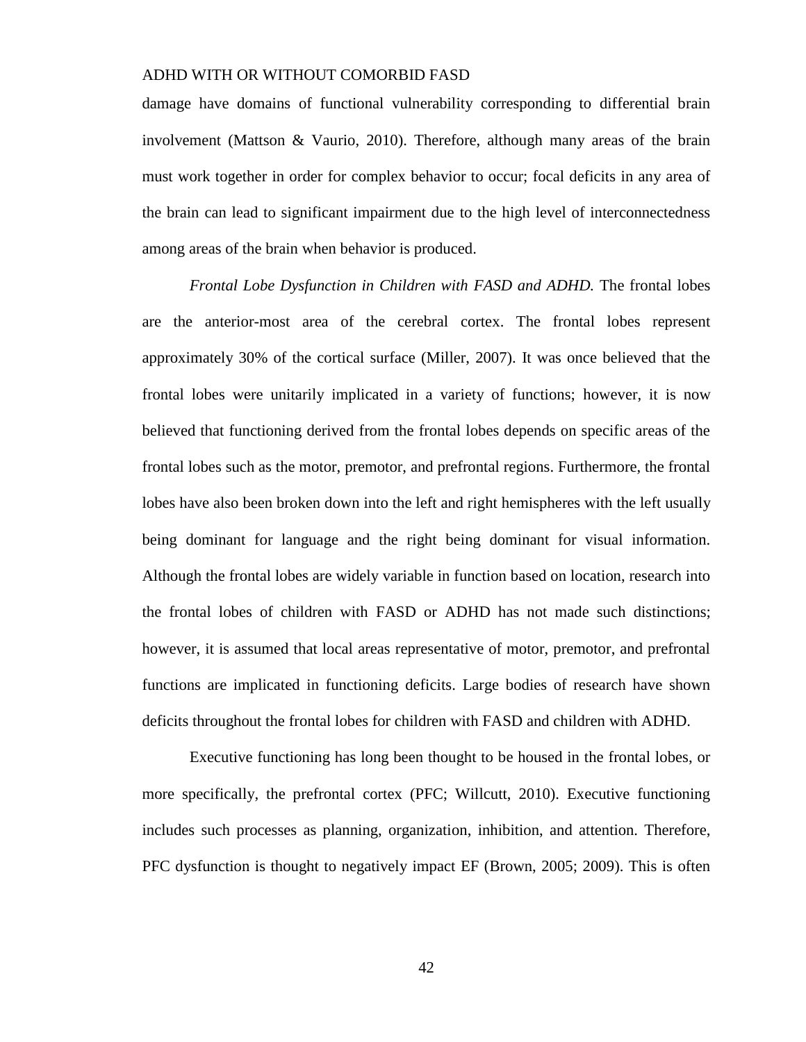damage have domains of functional vulnerability corresponding to differential brain involvement (Mattson & Vaurio, 2010). Therefore, although many areas of the brain must work together in order for complex behavior to occur; focal deficits in any area of the brain can lead to significant impairment due to the high level of interconnectedness among areas of the brain when behavior is produced.

*Frontal Lobe Dysfunction in Children with FASD and ADHD.* The frontal lobes are the anterior-most area of the cerebral cortex. The frontal lobes represent approximately 30% of the cortical surface (Miller, 2007). It was once believed that the frontal lobes were unitarily implicated in a variety of functions; however, it is now believed that functioning derived from the frontal lobes depends on specific areas of the frontal lobes such as the motor, premotor, and prefrontal regions. Furthermore, the frontal lobes have also been broken down into the left and right hemispheres with the left usually being dominant for language and the right being dominant for visual information. Although the frontal lobes are widely variable in function based on location, research into the frontal lobes of children with FASD or ADHD has not made such distinctions; however, it is assumed that local areas representative of motor, premotor, and prefrontal functions are implicated in functioning deficits. Large bodies of research have shown deficits throughout the frontal lobes for children with FASD and children with ADHD.

Executive functioning has long been thought to be housed in the frontal lobes, or more specifically, the prefrontal cortex (PFC; Willcutt, 2010). Executive functioning includes such processes as planning, organization, inhibition, and attention. Therefore, PFC dysfunction is thought to negatively impact EF (Brown, 2005; 2009). This is often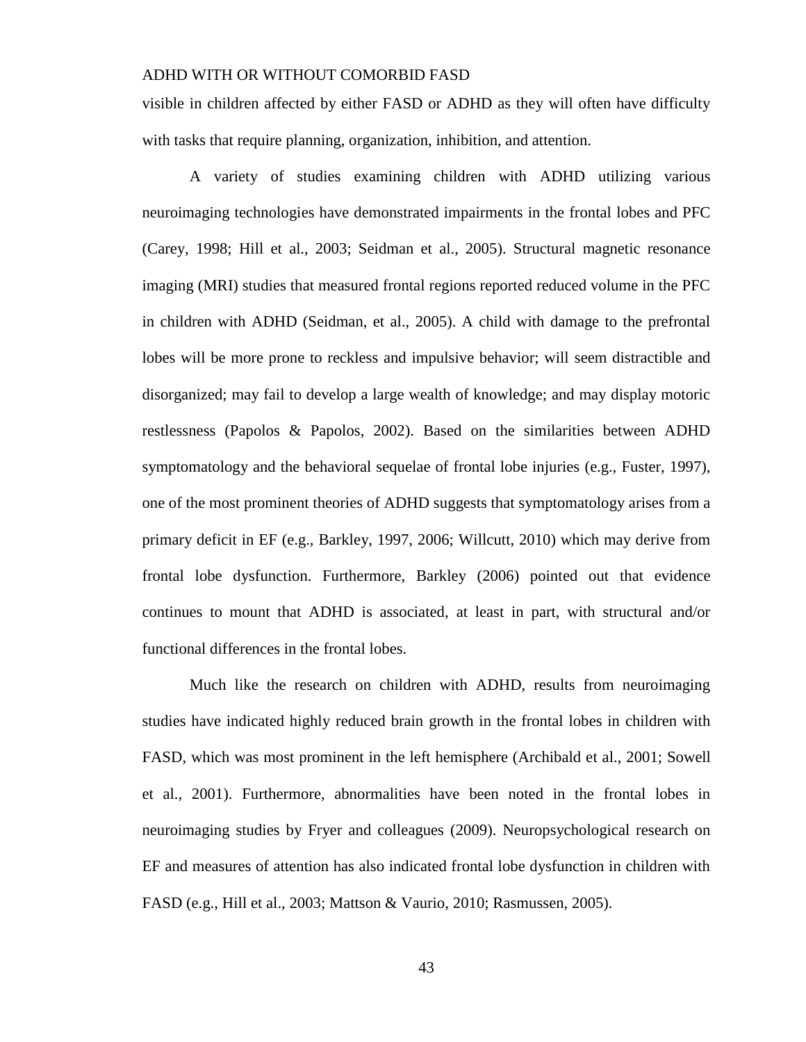visible in children affected by either FASD or ADHD as they will often have difficulty with tasks that require planning, organization, inhibition, and attention.

A variety of studies examining children with ADHD utilizing various neuroimaging technologies have demonstrated impairments in the frontal lobes and PFC (Carey, 1998; Hill et al., 2003; Seidman et al., 2005). Structural magnetic resonance imaging (MRI) studies that measured frontal regions reported reduced volume in the PFC in children with ADHD (Seidman, et al., 2005). A child with damage to the prefrontal lobes will be more prone to reckless and impulsive behavior; will seem distractible and disorganized; may fail to develop a large wealth of knowledge; and may display motoric restlessness (Papolos & Papolos, 2002). Based on the similarities between ADHD symptomatology and the behavioral sequelae of frontal lobe injuries (e.g., Fuster, 1997), one of the most prominent theories of ADHD suggests that symptomatology arises from a primary deficit in EF (e.g., Barkley, 1997, 2006; Willcutt, 2010) which may derive from frontal lobe dysfunction. Furthermore, Barkley (2006) pointed out that evidence continues to mount that ADHD is associated, at least in part, with structural and/or functional differences in the frontal lobes.

Much like the research on children with ADHD, results from neuroimaging studies have indicated highly reduced brain growth in the frontal lobes in children with FASD, which was most prominent in the left hemisphere (Archibald et al., 2001; Sowell et al., 2001). Furthermore, abnormalities have been noted in the frontal lobes in neuroimaging studies by Fryer and colleagues (2009). Neuropsychological research on EF and measures of attention has also indicated frontal lobe dysfunction in children with FASD (e.g., Hill et al., 2003; Mattson & Vaurio, 2010; Rasmussen, 2005).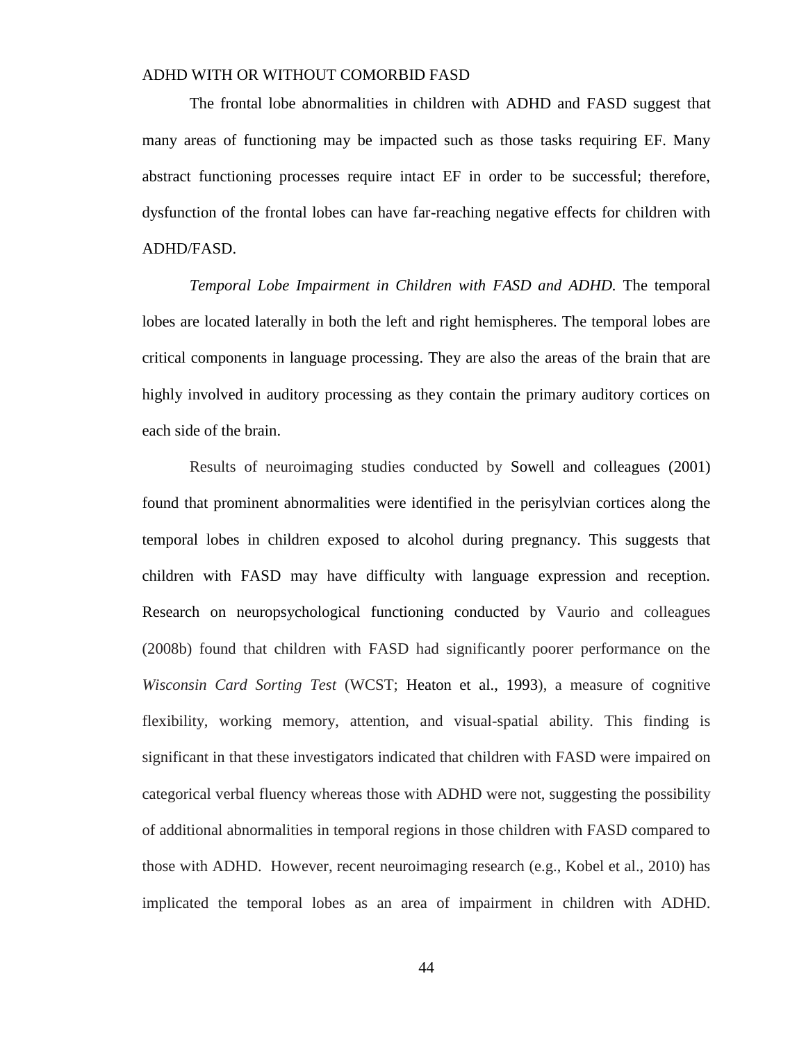The frontal lobe abnormalities in children with ADHD and FASD suggest that many areas of functioning may be impacted such as those tasks requiring EF. Many abstract functioning processes require intact EF in order to be successful; therefore, dysfunction of the frontal lobes can have far-reaching negative effects for children with ADHD/FASD.

*Temporal Lobe Impairment in Children with FASD and ADHD.* The temporal lobes are located laterally in both the left and right hemispheres. The temporal lobes are critical components in language processing. They are also the areas of the brain that are highly involved in auditory processing as they contain the primary auditory cortices on each side of the brain.

Results of neuroimaging studies conducted by Sowell and colleagues (2001) found that prominent abnormalities were identified in the perisylvian cortices along the temporal lobes in children exposed to alcohol during pregnancy. This suggests that children with FASD may have difficulty with language expression and reception. Research on neuropsychological functioning conducted by Vaurio and colleagues (2008b) found that children with FASD had significantly poorer performance on the *Wisconsin Card Sorting Test* (WCST; Heaton et al., 1993), a measure of cognitive flexibility, working memory, attention, and visual-spatial ability. This finding is significant in that these investigators indicated that children with FASD were impaired on categorical verbal fluency whereas those with ADHD were not, suggesting the possibility of additional abnormalities in temporal regions in those children with FASD compared to those with ADHD. However, recent neuroimaging research (e.g., Kobel et al., 2010) has implicated the temporal lobes as an area of impairment in children with ADHD.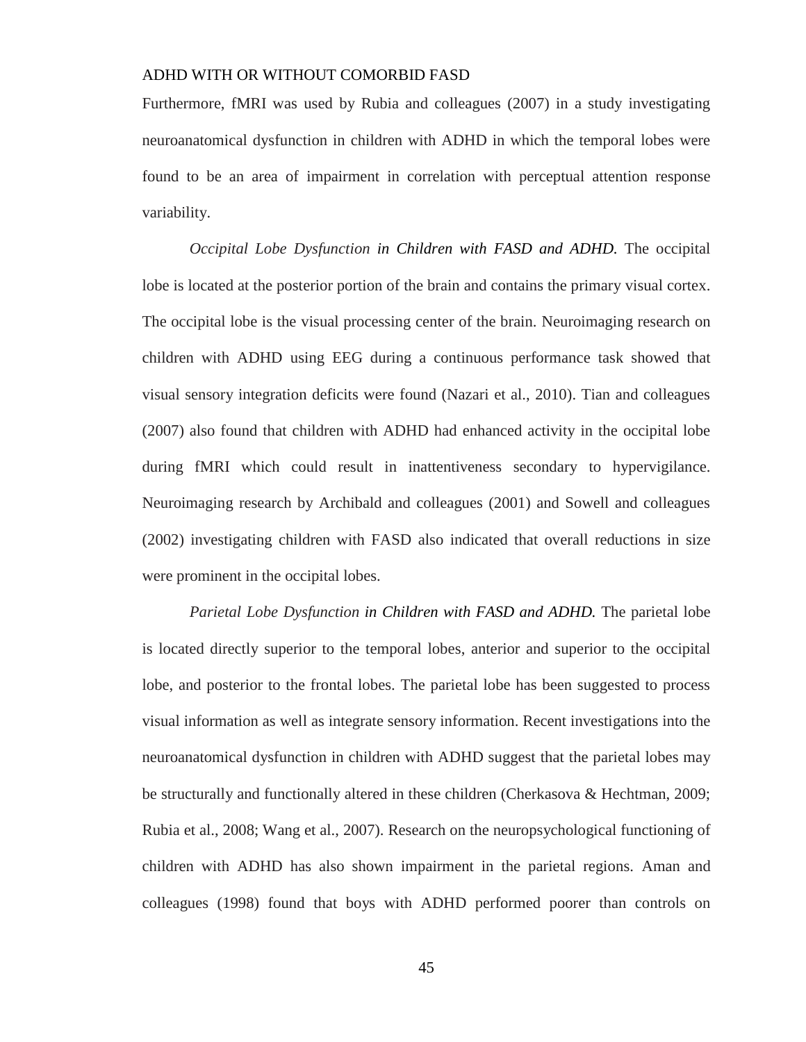Furthermore, fMRI was used by Rubia and colleagues (2007) in a study investigating neuroanatomical dysfunction in children with ADHD in which the temporal lobes were found to be an area of impairment in correlation with perceptual attention response variability.

*Occipital Lobe Dysfunction in Children with FASD and ADHD.* The occipital lobe is located at the posterior portion of the brain and contains the primary visual cortex. The occipital lobe is the visual processing center of the brain. Neuroimaging research on children with ADHD using EEG during a continuous performance task showed that visual sensory integration deficits were found (Nazari et al., 2010). Tian and colleagues (2007) also found that children with ADHD had enhanced activity in the occipital lobe during fMRI which could result in inattentiveness secondary to hypervigilance. Neuroimaging research by Archibald and colleagues (2001) and Sowell and colleagues (2002) investigating children with FASD also indicated that overall reductions in size were prominent in the occipital lobes.

*Parietal Lobe Dysfunction in Children with FASD and ADHD.* The parietal lobe is located directly superior to the temporal lobes, anterior and superior to the occipital lobe, and posterior to the frontal lobes. The parietal lobe has been suggested to process visual information as well as integrate sensory information. Recent investigations into the neuroanatomical dysfunction in children with ADHD suggest that the parietal lobes may be structurally and functionally altered in these children (Cherkasova & Hechtman, 2009; Rubia et al., 2008; Wang et al., 2007). Research on the neuropsychological functioning of children with ADHD has also shown impairment in the parietal regions. Aman and colleagues (1998) found that boys with ADHD performed poorer than controls on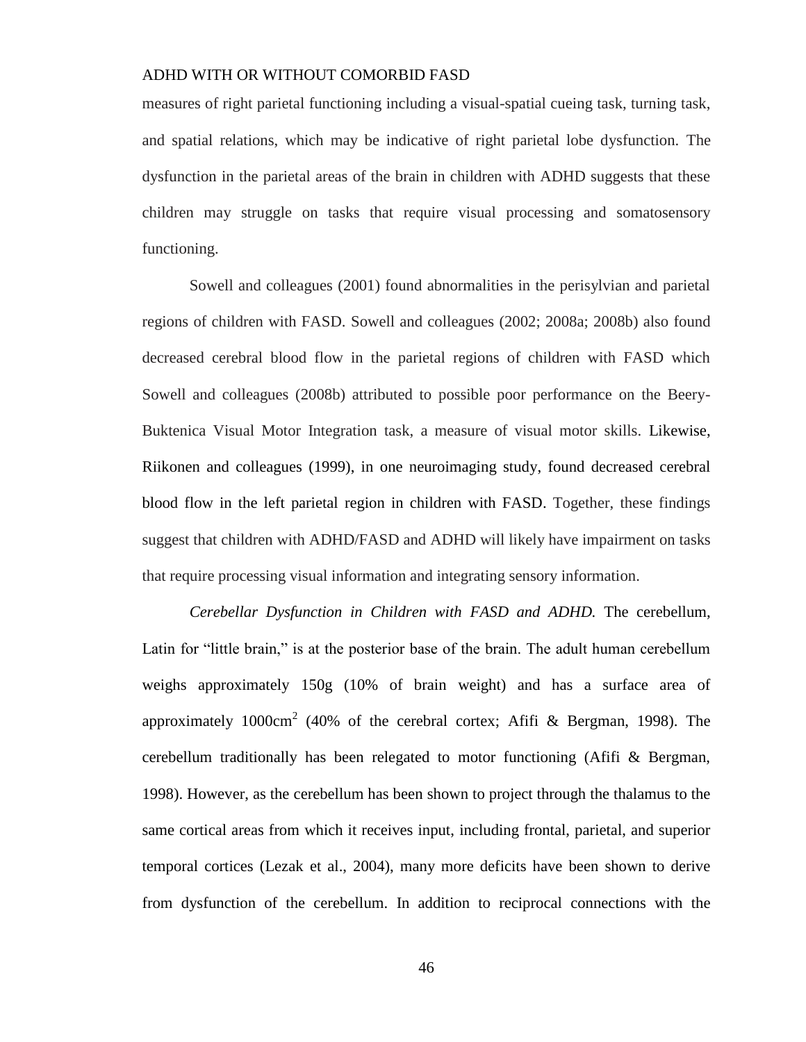measures of right parietal functioning including a visual-spatial cueing task, turning task, and spatial relations, which may be indicative of right parietal lobe dysfunction. The dysfunction in the parietal areas of the brain in children with ADHD suggests that these children may struggle on tasks that require visual processing and somatosensory functioning.

Sowell and colleagues (2001) found abnormalities in the perisylvian and parietal regions of children with FASD. Sowell and colleagues (2002; 2008a; 2008b) also found decreased cerebral blood flow in the parietal regions of children with FASD which Sowell and colleagues (2008b) attributed to possible poor performance on the Beery-Buktenica Visual Motor Integration task, a measure of visual motor skills. Likewise, Riikonen and colleagues (1999), in one neuroimaging study, found decreased cerebral blood flow in the left parietal region in children with FASD. Together, these findings suggest that children with ADHD/FASD and ADHD will likely have impairment on tasks that require processing visual information and integrating sensory information.

*Cerebellar Dysfunction in Children with FASD and ADHD.* The cerebellum, Latin for "little brain," is at the posterior base of the brain. The adult human cerebellum weighs approximately 150g (10% of brain weight) and has a surface area of approximately 1000cm<sup>2</sup> (40% of the cerebral cortex; Afifi & Bergman, 1998). The cerebellum traditionally has been relegated to motor functioning (Afifi & Bergman, 1998). However, as the cerebellum has been shown to project through the thalamus to the same cortical areas from which it receives input, including frontal, parietal, and superior temporal cortices (Lezak et al., 2004), many more deficits have been shown to derive from dysfunction of the cerebellum. In addition to reciprocal connections with the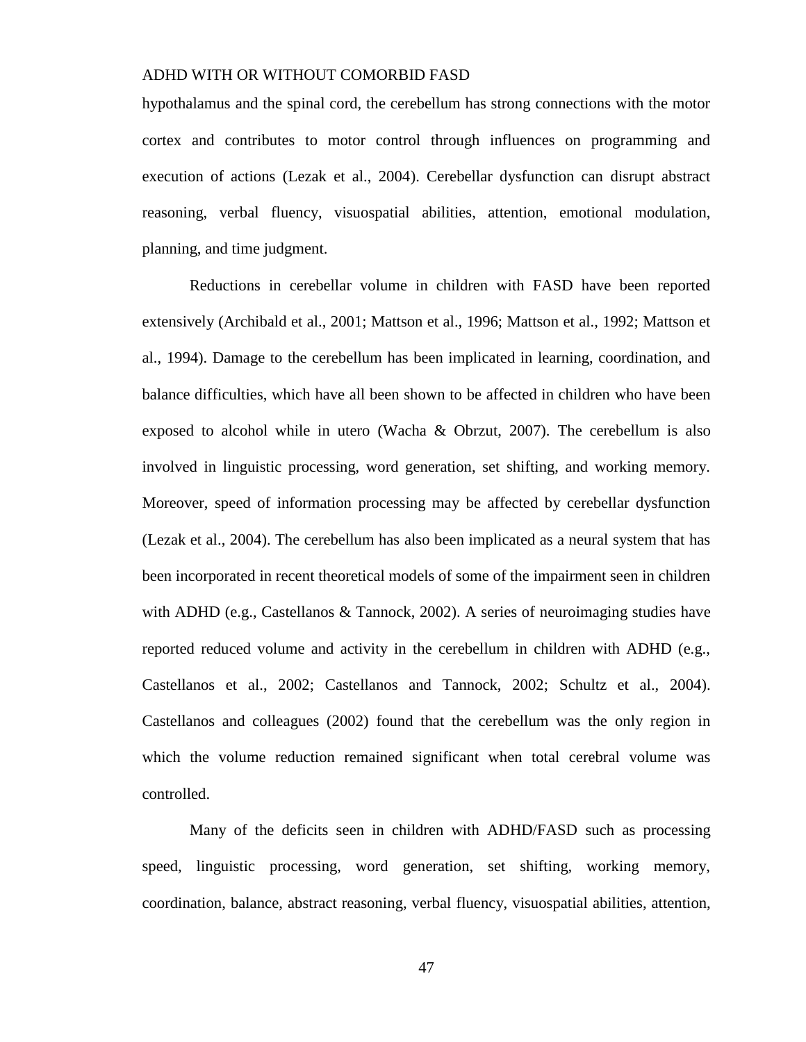hypothalamus and the spinal cord, the cerebellum has strong connections with the motor cortex and contributes to motor control through influences on programming and execution of actions (Lezak et al., 2004). Cerebellar dysfunction can disrupt abstract reasoning, verbal fluency, visuospatial abilities, attention, emotional modulation, planning, and time judgment.

Reductions in cerebellar volume in children with FASD have been reported extensively (Archibald et al., 2001; Mattson et al., 1996; Mattson et al., 1992; Mattson et al., 1994). Damage to the cerebellum has been implicated in learning, coordination, and balance difficulties, which have all been shown to be affected in children who have been exposed to alcohol while in utero (Wacha & Obrzut, 2007). The cerebellum is also involved in linguistic processing, word generation, set shifting, and working memory. Moreover, speed of information processing may be affected by cerebellar dysfunction (Lezak et al., 2004). The cerebellum has also been implicated as a neural system that has been incorporated in recent theoretical models of some of the impairment seen in children with ADHD (e.g., Castellanos & Tannock, 2002). A series of neuroimaging studies have reported reduced volume and activity in the cerebellum in children with ADHD (e.g., Castellanos et al., 2002; Castellanos and Tannock, 2002; Schultz et al., 2004). Castellanos and colleagues (2002) found that the cerebellum was the only region in which the volume reduction remained significant when total cerebral volume was controlled.

Many of the deficits seen in children with ADHD/FASD such as processing speed, linguistic processing, word generation, set shifting, working memory, coordination, balance, abstract reasoning, verbal fluency, visuospatial abilities, attention,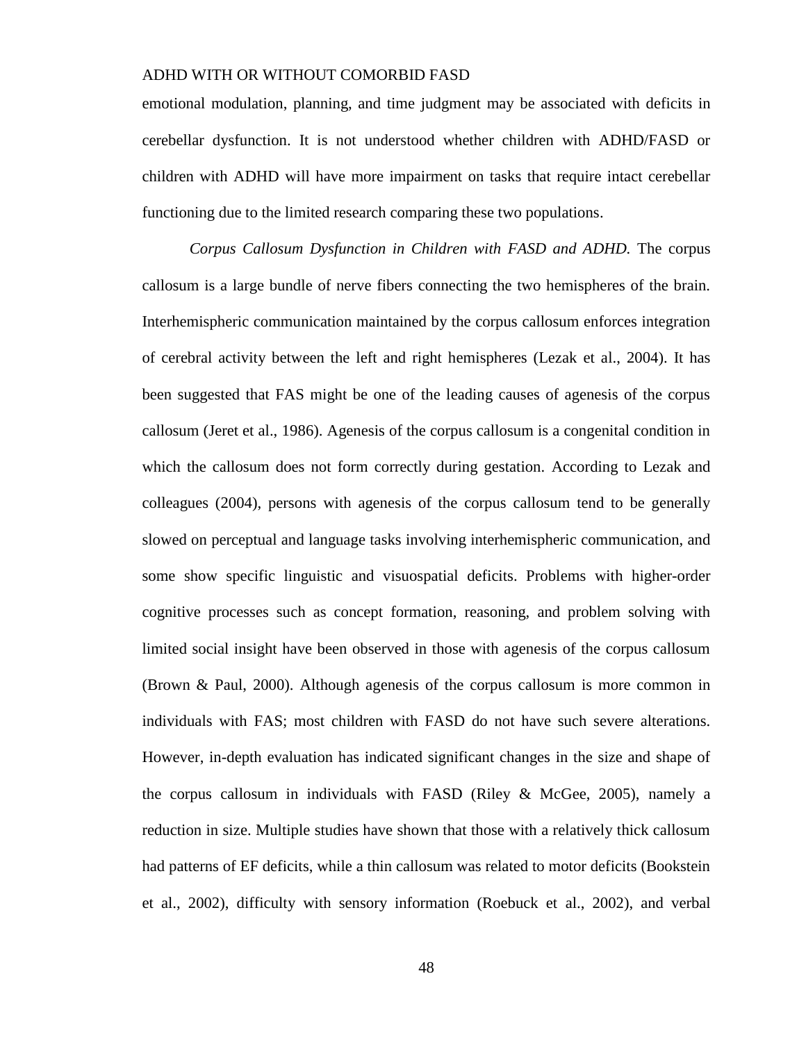emotional modulation, planning, and time judgment may be associated with deficits in cerebellar dysfunction. It is not understood whether children with ADHD/FASD or children with ADHD will have more impairment on tasks that require intact cerebellar functioning due to the limited research comparing these two populations.

*Corpus Callosum Dysfunction in Children with FASD and ADHD.* The corpus callosum is a large bundle of nerve fibers connecting the two hemispheres of the brain. Interhemispheric communication maintained by the corpus callosum enforces integration of cerebral activity between the left and right hemispheres (Lezak et al., 2004). It has been suggested that FAS might be one of the leading causes of agenesis of the corpus callosum (Jeret et al., 1986). Agenesis of the corpus callosum is a congenital condition in which the callosum does not form correctly during gestation. According to Lezak and colleagues (2004), persons with agenesis of the corpus callosum tend to be generally slowed on perceptual and language tasks involving interhemispheric communication, and some show specific linguistic and visuospatial deficits. Problems with higher-order cognitive processes such as concept formation, reasoning, and problem solving with limited social insight have been observed in those with agenesis of the corpus callosum (Brown & Paul, 2000). Although agenesis of the corpus callosum is more common in individuals with FAS; most children with FASD do not have such severe alterations. However, in-depth evaluation has indicated significant changes in the size and shape of the corpus callosum in individuals with FASD (Riley & McGee, 2005), namely a reduction in size. Multiple studies have shown that those with a relatively thick callosum had patterns of EF deficits, while a thin callosum was related to motor deficits (Bookstein et al., 2002), difficulty with sensory information (Roebuck et al., 2002), and verbal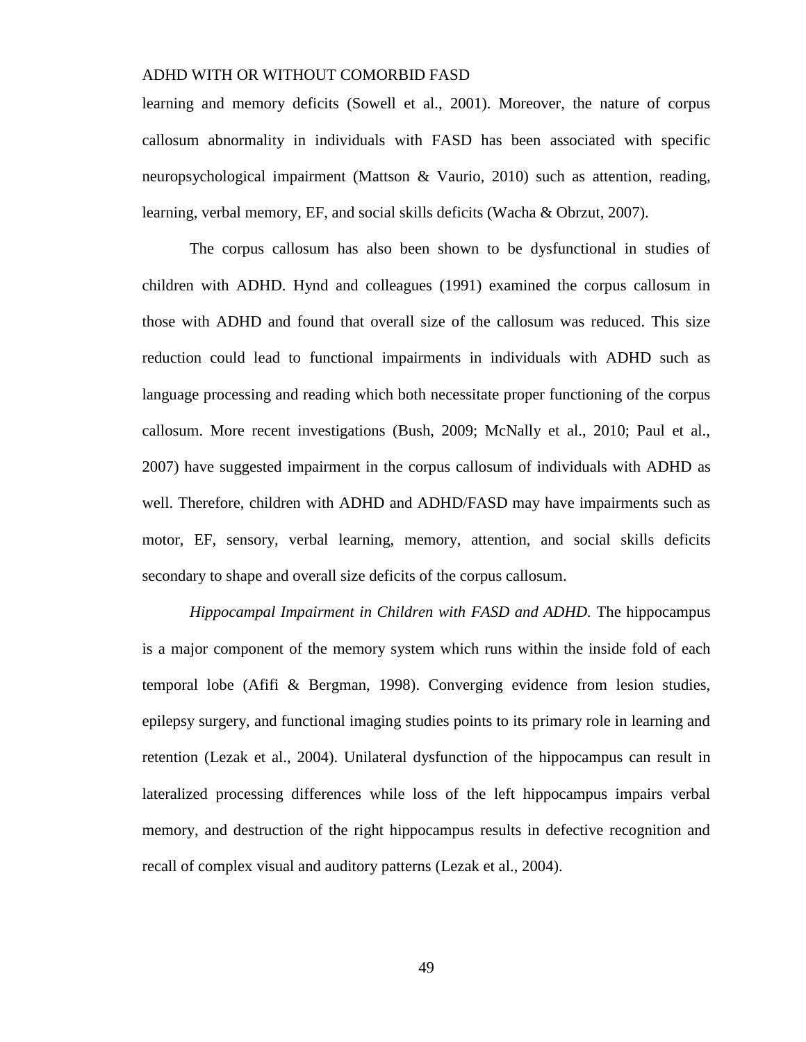learning and memory deficits (Sowell et al., 2001). Moreover, the nature of corpus callosum abnormality in individuals with FASD has been associated with specific neuropsychological impairment (Mattson & Vaurio, 2010) such as attention, reading, learning, verbal memory, EF, and social skills deficits (Wacha & Obrzut, 2007).

The corpus callosum has also been shown to be dysfunctional in studies of children with ADHD. Hynd and colleagues (1991) examined the corpus callosum in those with ADHD and found that overall size of the callosum was reduced. This size reduction could lead to functional impairments in individuals with ADHD such as language processing and reading which both necessitate proper functioning of the corpus callosum. More recent investigations (Bush, 2009; McNally et al., 2010; Paul et al., 2007) have suggested impairment in the corpus callosum of individuals with ADHD as well. Therefore, children with ADHD and ADHD/FASD may have impairments such as motor, EF, sensory, verbal learning, memory, attention, and social skills deficits secondary to shape and overall size deficits of the corpus callosum.

*Hippocampal Impairment in Children with FASD and ADHD.* The hippocampus is a major component of the memory system which runs within the inside fold of each temporal lobe (Afifi & Bergman, 1998). Converging evidence from lesion studies, epilepsy surgery, and functional imaging studies points to its primary role in learning and retention (Lezak et al., 2004). Unilateral dysfunction of the hippocampus can result in lateralized processing differences while loss of the left hippocampus impairs verbal memory, and destruction of the right hippocampus results in defective recognition and recall of complex visual and auditory patterns (Lezak et al., 2004).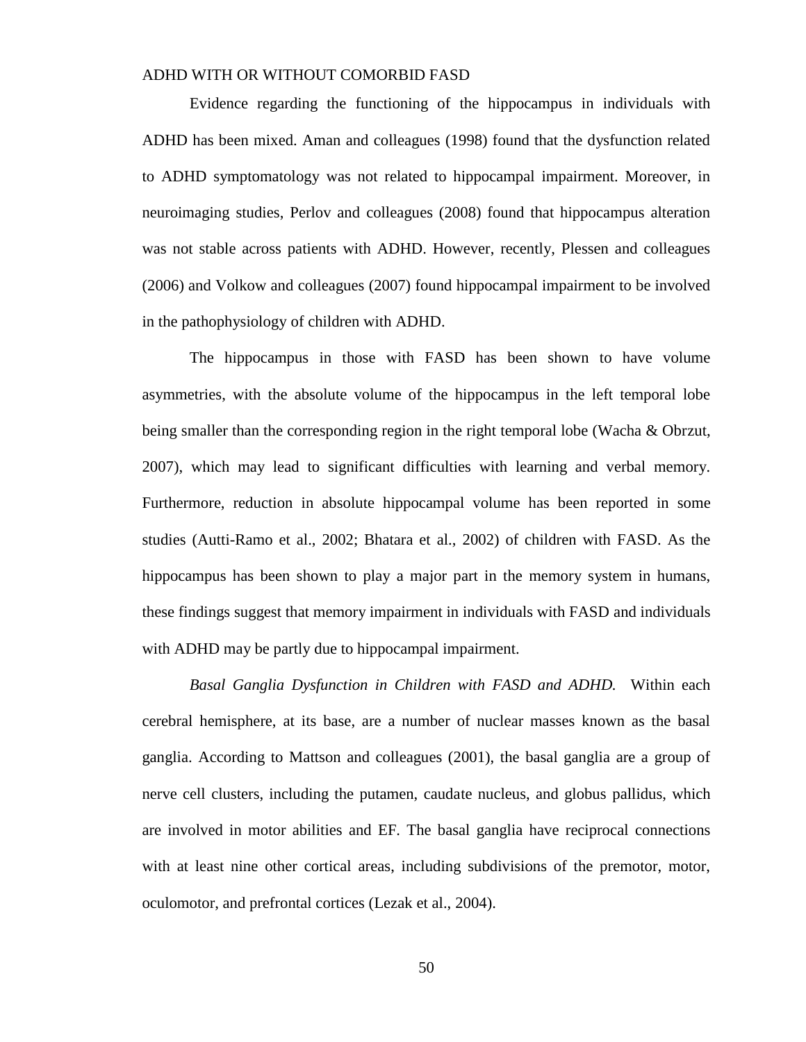Evidence regarding the functioning of the hippocampus in individuals with ADHD has been mixed. Aman and colleagues (1998) found that the dysfunction related to ADHD symptomatology was not related to hippocampal impairment. Moreover, in neuroimaging studies, Perlov and colleagues (2008) found that hippocampus alteration was not stable across patients with ADHD. However, recently, Plessen and colleagues (2006) and Volkow and colleagues (2007) found hippocampal impairment to be involved in the pathophysiology of children with ADHD.

The hippocampus in those with FASD has been shown to have volume asymmetries, with the absolute volume of the hippocampus in the left temporal lobe being smaller than the corresponding region in the right temporal lobe (Wacha & Obrzut, 2007), which may lead to significant difficulties with learning and verbal memory. Furthermore, reduction in absolute hippocampal volume has been reported in some studies (Autti-Ramo et al., 2002; Bhatara et al., 2002) of children with FASD. As the hippocampus has been shown to play a major part in the memory system in humans, these findings suggest that memory impairment in individuals with FASD and individuals with ADHD may be partly due to hippocampal impairment.

*Basal Ganglia Dysfunction in Children with FASD and ADHD.* Within each cerebral hemisphere, at its base, are a number of nuclear masses known as the basal ganglia. According to Mattson and colleagues (2001), the basal ganglia are a group of nerve cell clusters, including the putamen, caudate nucleus, and globus pallidus, which are involved in motor abilities and EF. The basal ganglia have reciprocal connections with at least nine other cortical areas, including subdivisions of the premotor, motor, oculomotor, and prefrontal cortices (Lezak et al., 2004).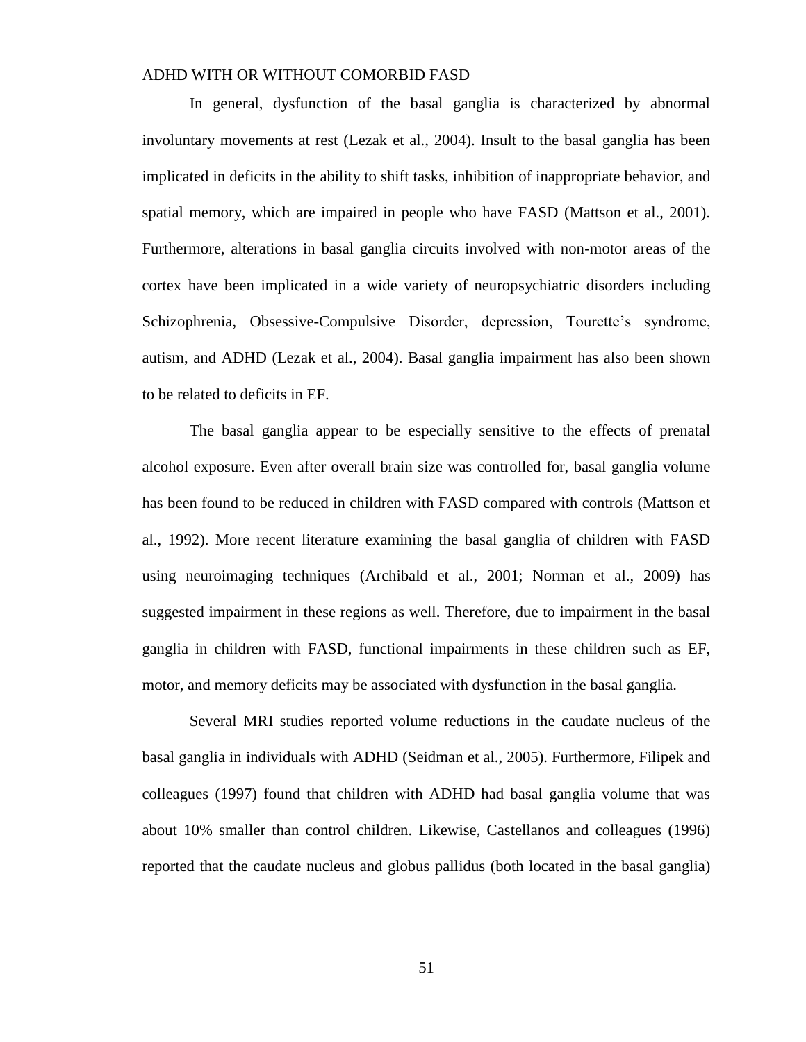In general, dysfunction of the basal ganglia is characterized by abnormal involuntary movements at rest (Lezak et al., 2004). Insult to the basal ganglia has been implicated in deficits in the ability to shift tasks, inhibition of inappropriate behavior, and spatial memory, which are impaired in people who have FASD (Mattson et al., 2001). Furthermore, alterations in basal ganglia circuits involved with non-motor areas of the cortex have been implicated in a wide variety of neuropsychiatric disorders including Schizophrenia, Obsessive-Compulsive Disorder, depression, Tourette's syndrome, autism, and ADHD (Lezak et al., 2004). Basal ganglia impairment has also been shown to be related to deficits in EF.

The basal ganglia appear to be especially sensitive to the effects of prenatal alcohol exposure. Even after overall brain size was controlled for, basal ganglia volume has been found to be reduced in children with FASD compared with controls (Mattson et al., 1992). More recent literature examining the basal ganglia of children with FASD using neuroimaging techniques (Archibald et al., 2001; Norman et al., 2009) has suggested impairment in these regions as well. Therefore, due to impairment in the basal ganglia in children with FASD, functional impairments in these children such as EF, motor, and memory deficits may be associated with dysfunction in the basal ganglia.

Several MRI studies reported volume reductions in the caudate nucleus of the basal ganglia in individuals with ADHD (Seidman et al., 2005). Furthermore, Filipek and colleagues (1997) found that children with ADHD had basal ganglia volume that was about 10% smaller than control children. Likewise, Castellanos and colleagues (1996) reported that the caudate nucleus and globus pallidus (both located in the basal ganglia)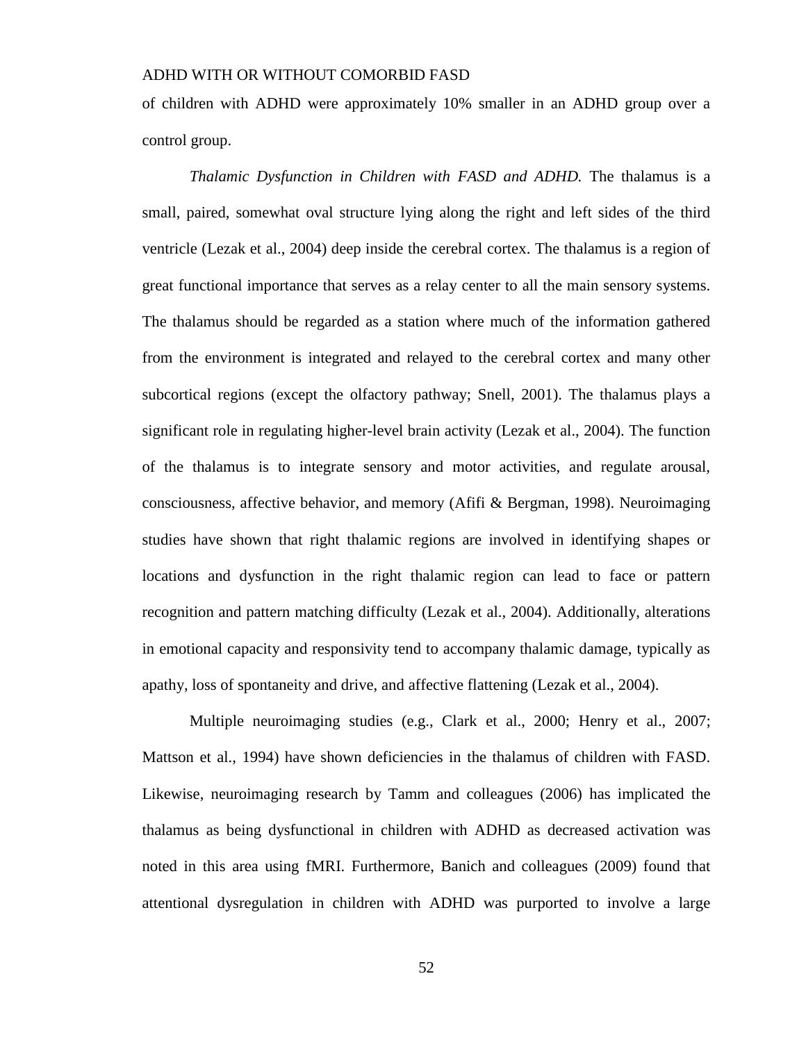of children with ADHD were approximately 10% smaller in an ADHD group over a control group.

*Thalamic Dysfunction in Children with FASD and ADHD.* The thalamus is a small, paired, somewhat oval structure lying along the right and left sides of the third ventricle (Lezak et al., 2004) deep inside the cerebral cortex. The thalamus is a region of great functional importance that serves as a relay center to all the main sensory systems. The thalamus should be regarded as a station where much of the information gathered from the environment is integrated and relayed to the cerebral cortex and many other subcortical regions (except the olfactory pathway; Snell, 2001). The thalamus plays a significant role in regulating higher-level brain activity (Lezak et al., 2004). The function of the thalamus is to integrate sensory and motor activities, and regulate arousal, consciousness, affective behavior, and memory (Afifi & Bergman, 1998). Neuroimaging studies have shown that right thalamic regions are involved in identifying shapes or locations and dysfunction in the right thalamic region can lead to face or pattern recognition and pattern matching difficulty (Lezak et al., 2004). Additionally, alterations in emotional capacity and responsivity tend to accompany thalamic damage, typically as apathy, loss of spontaneity and drive, and affective flattening (Lezak et al., 2004).

Multiple neuroimaging studies (e.g., Clark et al., 2000; Henry et al., 2007; Mattson et al., 1994) have shown deficiencies in the thalamus of children with FASD. Likewise, neuroimaging research by Tamm and colleagues (2006) has implicated the thalamus as being dysfunctional in children with ADHD as decreased activation was noted in this area using fMRI. Furthermore, Banich and colleagues (2009) found that attentional dysregulation in children with ADHD was purported to involve a large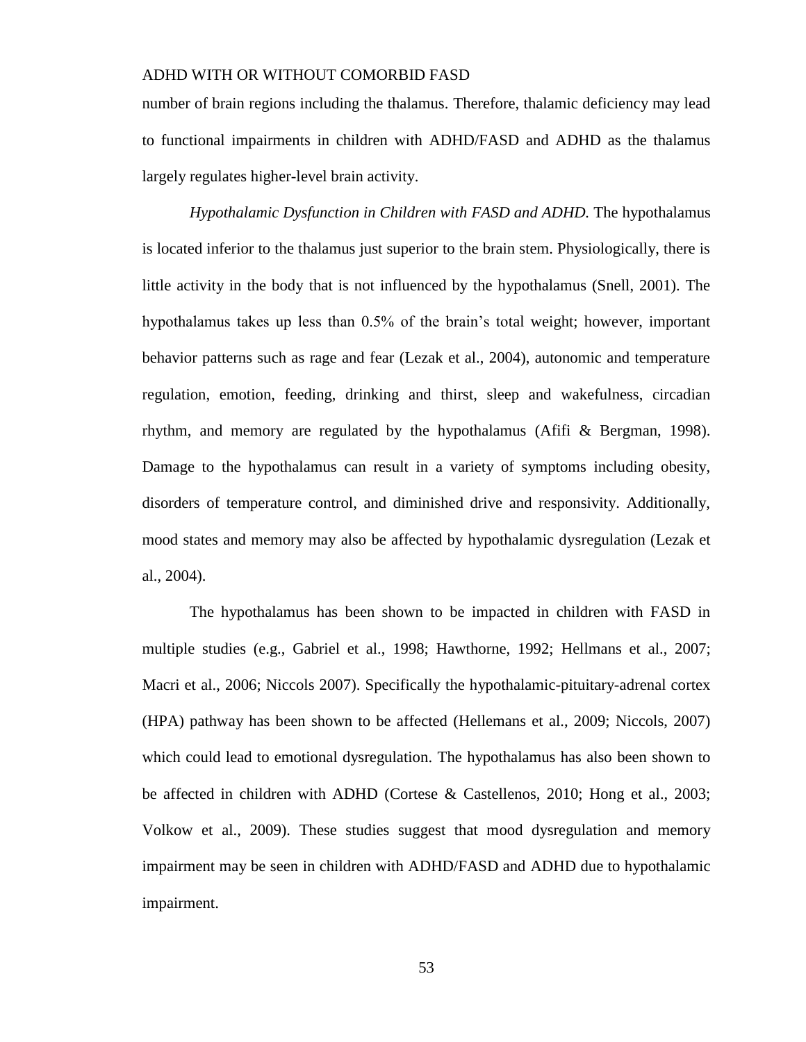number of brain regions including the thalamus. Therefore, thalamic deficiency may lead to functional impairments in children with ADHD/FASD and ADHD as the thalamus largely regulates higher-level brain activity.

*Hypothalamic Dysfunction in Children with FASD and ADHD.* The hypothalamus is located inferior to the thalamus just superior to the brain stem. Physiologically, there is little activity in the body that is not influenced by the hypothalamus (Snell, 2001). The hypothalamus takes up less than 0.5% of the brain's total weight; however, important behavior patterns such as rage and fear (Lezak et al., 2004), autonomic and temperature regulation, emotion, feeding, drinking and thirst, sleep and wakefulness, circadian rhythm, and memory are regulated by the hypothalamus (Afifi & Bergman, 1998). Damage to the hypothalamus can result in a variety of symptoms including obesity, disorders of temperature control, and diminished drive and responsivity. Additionally, mood states and memory may also be affected by hypothalamic dysregulation (Lezak et al., 2004).

The hypothalamus has been shown to be impacted in children with FASD in multiple studies (e.g., Gabriel et al., 1998; Hawthorne, 1992; Hellmans et al., 2007; Macri et al., 2006; Niccols 2007). Specifically the hypothalamic-pituitary-adrenal cortex (HPA) pathway has been shown to be affected (Hellemans et al., 2009; Niccols, 2007) which could lead to emotional dysregulation. The hypothalamus has also been shown to be affected in children with ADHD (Cortese & Castellenos, 2010; Hong et al., 2003; Volkow et al., 2009). These studies suggest that mood dysregulation and memory impairment may be seen in children with ADHD/FASD and ADHD due to hypothalamic impairment.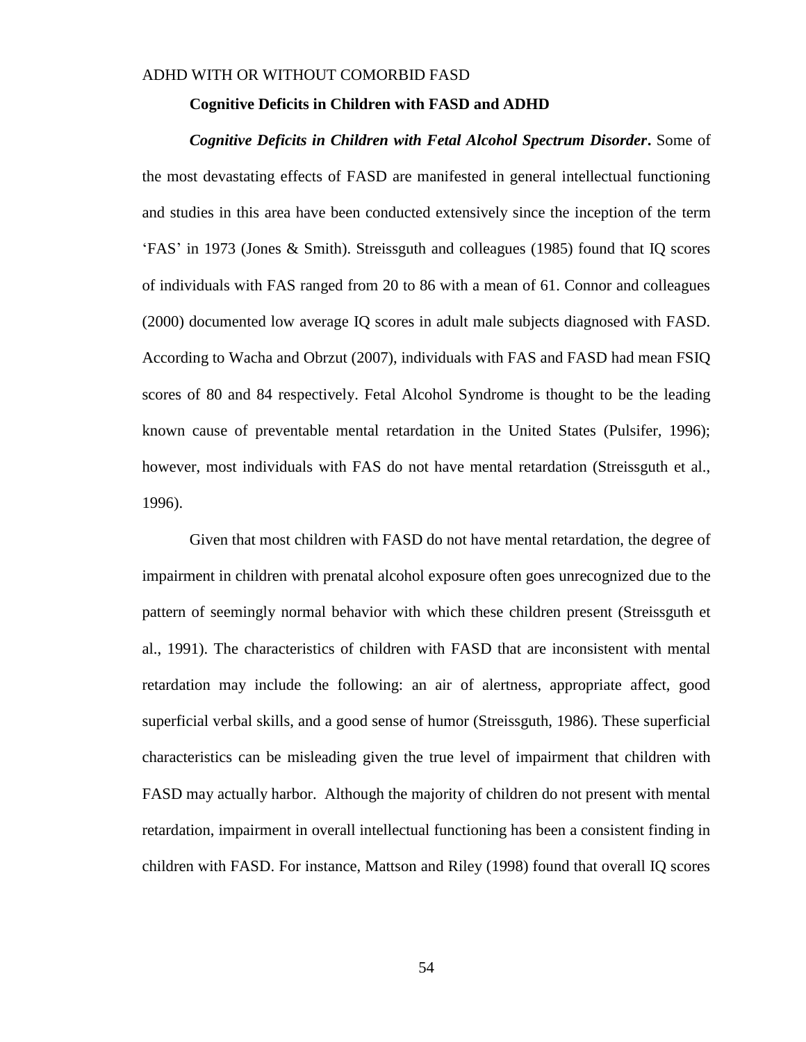### **Cognitive Deficits in Children with FASD and ADHD**

*Cognitive Deficits in Children with Fetal Alcohol Spectrum Disorder***.** Some of the most devastating effects of FASD are manifested in general intellectual functioning and studies in this area have been conducted extensively since the inception of the term 'FAS' in 1973 (Jones & Smith). Streissguth and colleagues (1985) found that IQ scores of individuals with FAS ranged from 20 to 86 with a mean of 61. Connor and colleagues (2000) documented low average IQ scores in adult male subjects diagnosed with FASD. According to Wacha and Obrzut (2007), individuals with FAS and FASD had mean FSIQ scores of 80 and 84 respectively. Fetal Alcohol Syndrome is thought to be the leading known cause of preventable mental retardation in the United States (Pulsifer, 1996); however, most individuals with FAS do not have mental retardation (Streissguth et al., 1996).

Given that most children with FASD do not have mental retardation, the degree of impairment in children with prenatal alcohol exposure often goes unrecognized due to the pattern of seemingly normal behavior with which these children present (Streissguth et al., 1991). The characteristics of children with FASD that are inconsistent with mental retardation may include the following: an air of alertness, appropriate affect, good superficial verbal skills, and a good sense of humor (Streissguth, 1986). These superficial characteristics can be misleading given the true level of impairment that children with FASD may actually harbor. Although the majority of children do not present with mental retardation, impairment in overall intellectual functioning has been a consistent finding in children with FASD. For instance, Mattson and Riley (1998) found that overall IQ scores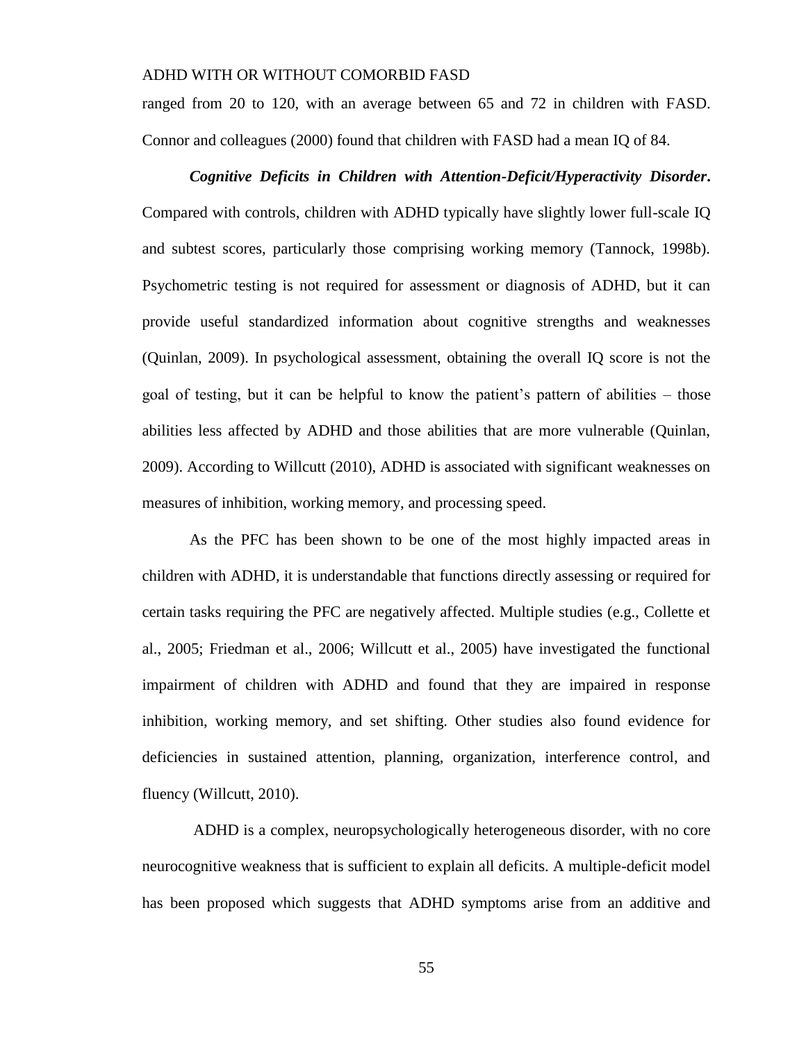ranged from 20 to 120, with an average between 65 and 72 in children with FASD. Connor and colleagues (2000) found that children with FASD had a mean IQ of 84.

# *Cognitive Deficits in Children with Attention-Deficit/Hyperactivity Disorder***.** Compared with controls, children with ADHD typically have slightly lower full-scale IQ and subtest scores, particularly those comprising working memory (Tannock, 1998b). Psychometric testing is not required for assessment or diagnosis of ADHD, but it can provide useful standardized information about cognitive strengths and weaknesses (Quinlan, 2009). In psychological assessment, obtaining the overall IQ score is not the goal of testing, but it can be helpful to know the patient's pattern of abilities – those abilities less affected by ADHD and those abilities that are more vulnerable (Quinlan, 2009). According to Willcutt (2010), ADHD is associated with significant weaknesses on measures of inhibition, working memory, and processing speed.

As the PFC has been shown to be one of the most highly impacted areas in children with ADHD, it is understandable that functions directly assessing or required for certain tasks requiring the PFC are negatively affected. Multiple studies (e.g., Collette et al., 2005; Friedman et al., 2006; Willcutt et al., 2005) have investigated the functional impairment of children with ADHD and found that they are impaired in response inhibition, working memory, and set shifting. Other studies also found evidence for deficiencies in sustained attention, planning, organization, interference control, and fluency (Willcutt, 2010).

ADHD is a complex, neuropsychologically heterogeneous disorder, with no core neurocognitive weakness that is sufficient to explain all deficits. A multiple-deficit model has been proposed which suggests that ADHD symptoms arise from an additive and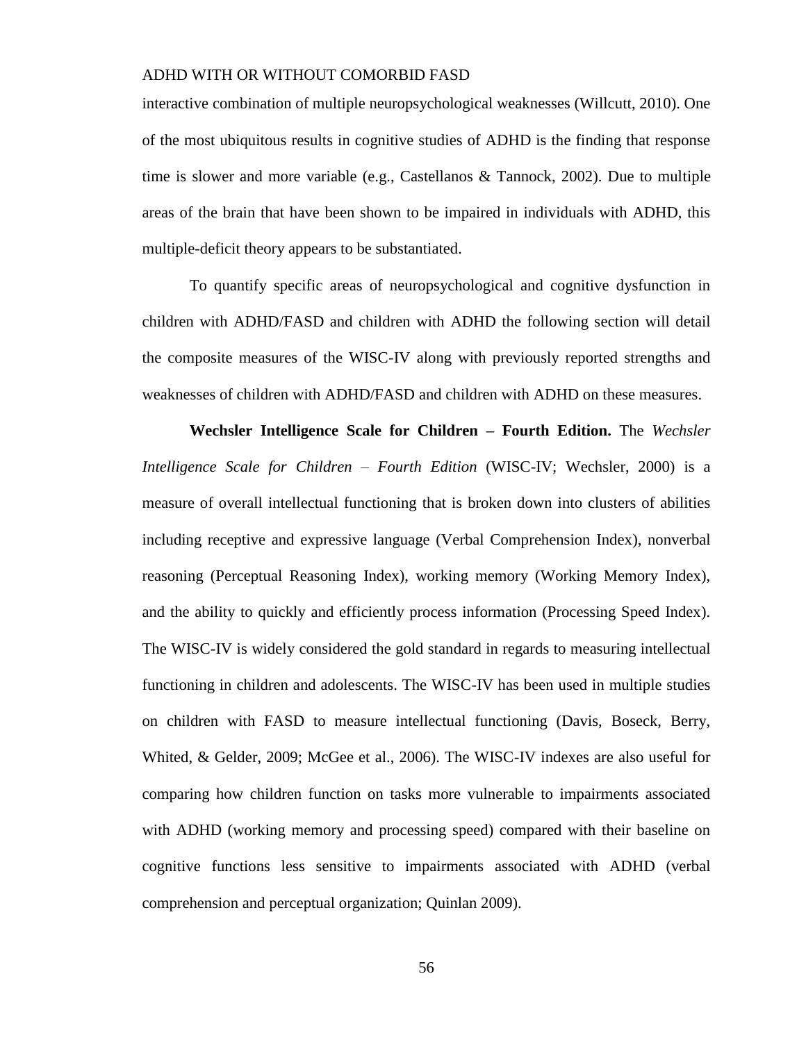interactive combination of multiple neuropsychological weaknesses (Willcutt, 2010). One of the most ubiquitous results in cognitive studies of ADHD is the finding that response time is slower and more variable (e.g., Castellanos  $\&$  Tannock, 2002). Due to multiple areas of the brain that have been shown to be impaired in individuals with ADHD, this multiple-deficit theory appears to be substantiated.

To quantify specific areas of neuropsychological and cognitive dysfunction in children with ADHD/FASD and children with ADHD the following section will detail the composite measures of the WISC-IV along with previously reported strengths and weaknesses of children with ADHD/FASD and children with ADHD on these measures.

**Wechsler Intelligence Scale for Children – Fourth Edition.** The *Wechsler Intelligence Scale for Children – Fourth Edition* (WISC-IV; Wechsler, 2000) is a measure of overall intellectual functioning that is broken down into clusters of abilities including receptive and expressive language (Verbal Comprehension Index), nonverbal reasoning (Perceptual Reasoning Index), working memory (Working Memory Index), and the ability to quickly and efficiently process information (Processing Speed Index). The WISC-IV is widely considered the gold standard in regards to measuring intellectual functioning in children and adolescents. The WISC-IV has been used in multiple studies on children with FASD to measure intellectual functioning (Davis, Boseck, Berry, Whited, & Gelder, 2009; McGee et al., 2006). The WISC-IV indexes are also useful for comparing how children function on tasks more vulnerable to impairments associated with ADHD (working memory and processing speed) compared with their baseline on cognitive functions less sensitive to impairments associated with ADHD (verbal comprehension and perceptual organization; Quinlan 2009).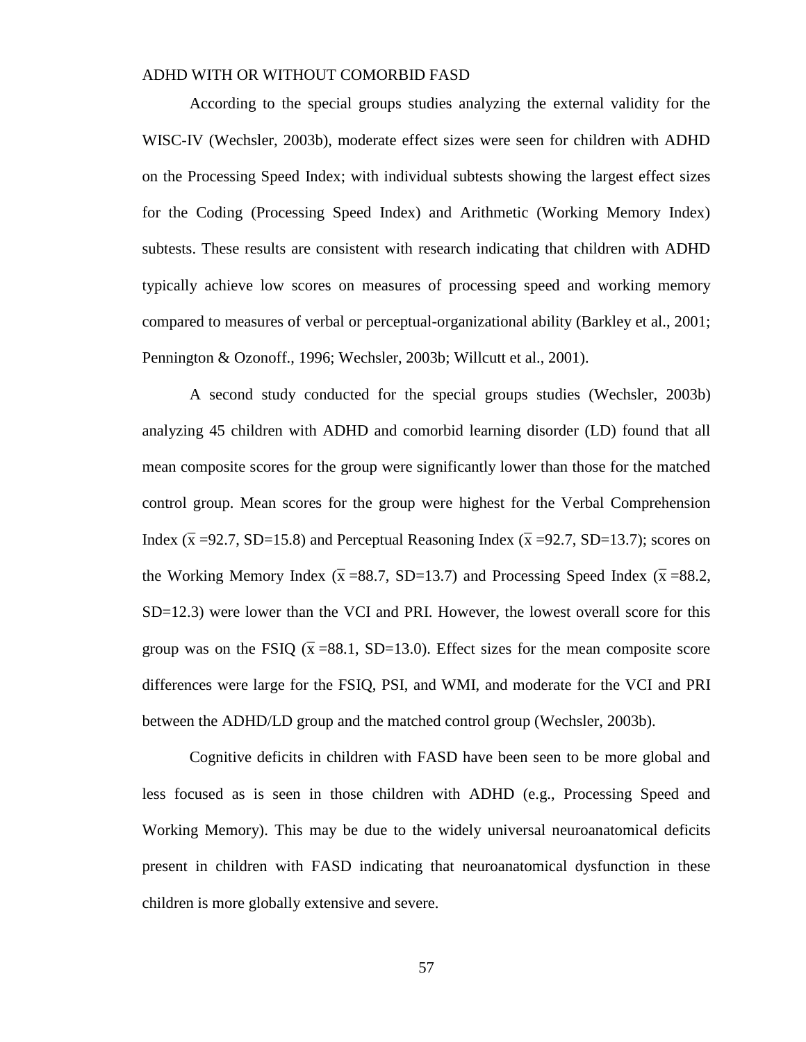According to the special groups studies analyzing the external validity for the WISC-IV (Wechsler, 2003b), moderate effect sizes were seen for children with ADHD on the Processing Speed Index; with individual subtests showing the largest effect sizes for the Coding (Processing Speed Index) and Arithmetic (Working Memory Index) subtests. These results are consistent with research indicating that children with ADHD typically achieve low scores on measures of processing speed and working memory compared to measures of verbal or perceptual-organizational ability (Barkley et al., 2001; Pennington & Ozonoff., 1996; Wechsler, 2003b; Willcutt et al., 2001).

A second study conducted for the special groups studies (Wechsler, 2003b) analyzing 45 children with ADHD and comorbid learning disorder (LD) found that all mean composite scores for the group were significantly lower than those for the matched control group. Mean scores for the group were highest for the Verbal Comprehension Index ( $\bar{x}$  =92.7, SD=15.8) and Perceptual Reasoning Index ( $\bar{x}$  =92.7, SD=13.7); scores on the Working Memory Index ( $\bar{x}$  =88.7, SD=13.7) and Processing Speed Index ( $\bar{x}$  =88.2, SD=12.3) were lower than the VCI and PRI. However, the lowest overall score for this group was on the FSIQ ( $\bar{x}$  =88.1, SD=13.0). Effect sizes for the mean composite score differences were large for the FSIQ, PSI, and WMI, and moderate for the VCI and PRI between the ADHD/LD group and the matched control group (Wechsler, 2003b).

Cognitive deficits in children with FASD have been seen to be more global and less focused as is seen in those children with ADHD (e.g., Processing Speed and Working Memory). This may be due to the widely universal neuroanatomical deficits present in children with FASD indicating that neuroanatomical dysfunction in these children is more globally extensive and severe.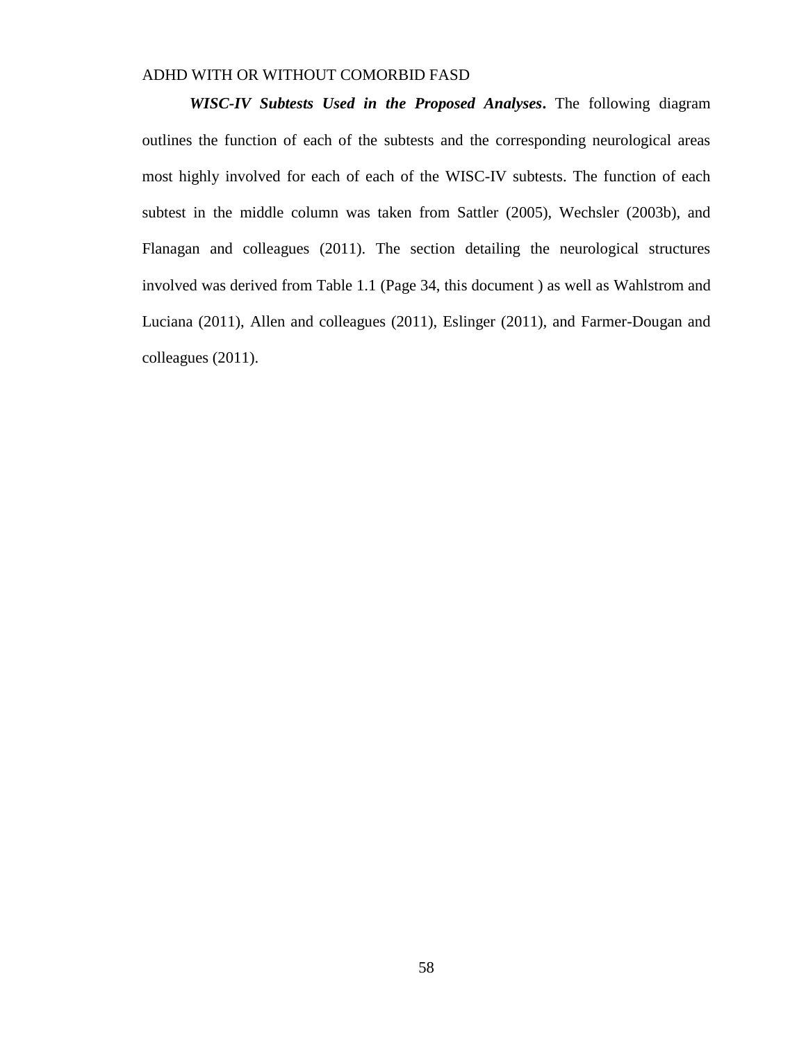*WISC-IV Subtests Used in the Proposed Analyses***.** The following diagram outlines the function of each of the subtests and the corresponding neurological areas most highly involved for each of each of the WISC-IV subtests. The function of each subtest in the middle column was taken from Sattler (2005), Wechsler (2003b), and Flanagan and colleagues (2011). The section detailing the neurological structures involved was derived from Table 1.1 (Page 34, this document ) as well as Wahlstrom and Luciana (2011), Allen and colleagues (2011), Eslinger (2011), and Farmer-Dougan and colleagues (2011).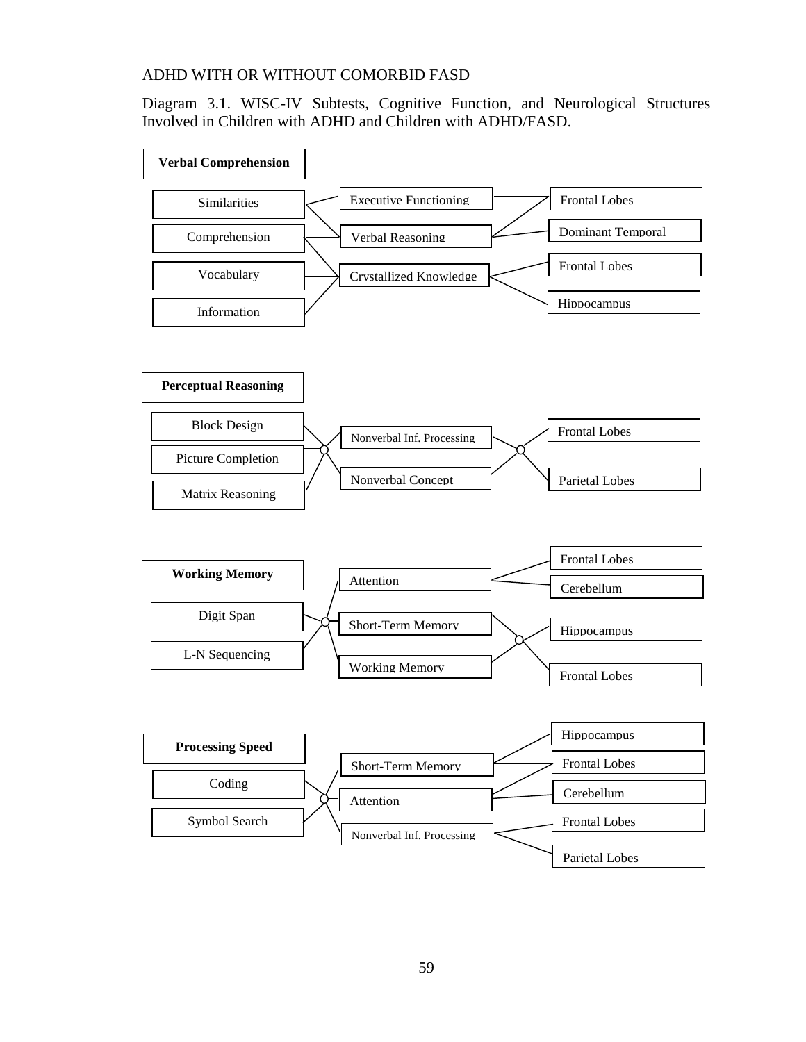Diagram 3.1. WISC-IV Subtests, Cognitive Function, and Neurological Structures Involved in Children with ADHD and Children with ADHD/FASD.

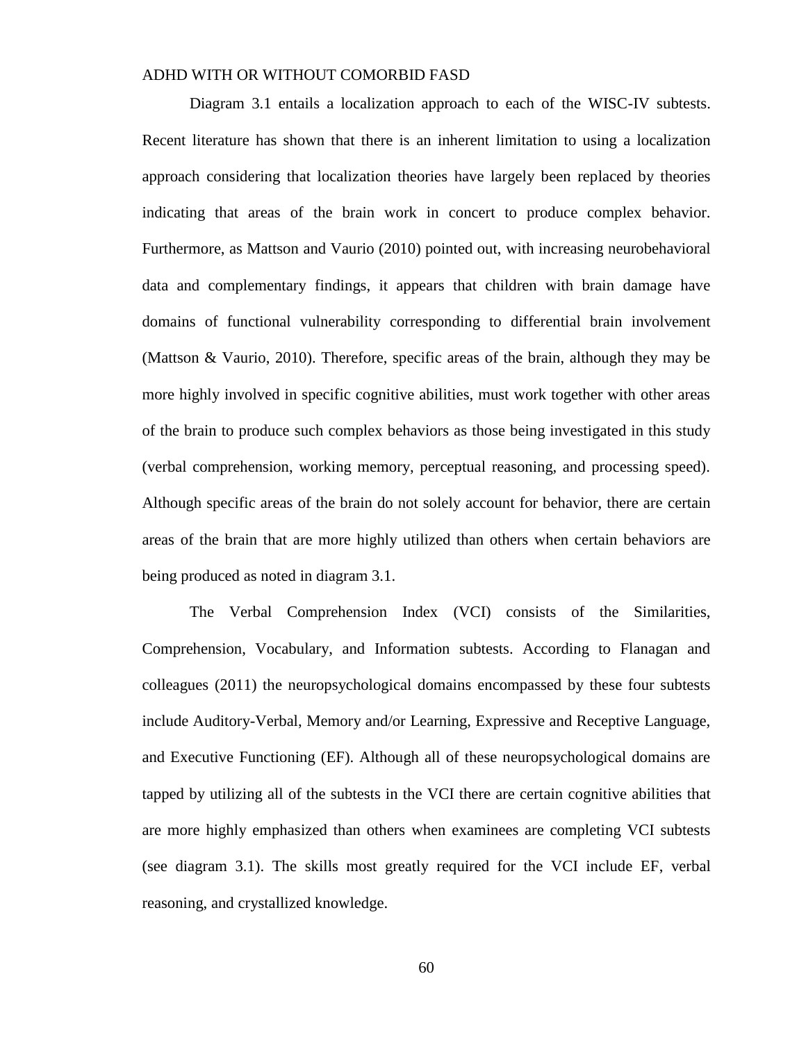Diagram 3.1 entails a localization approach to each of the WISC-IV subtests. Recent literature has shown that there is an inherent limitation to using a localization approach considering that localization theories have largely been replaced by theories indicating that areas of the brain work in concert to produce complex behavior. Furthermore, as Mattson and Vaurio (2010) pointed out, with increasing neurobehavioral data and complementary findings, it appears that children with brain damage have domains of functional vulnerability corresponding to differential brain involvement (Mattson & Vaurio, 2010). Therefore, specific areas of the brain, although they may be more highly involved in specific cognitive abilities, must work together with other areas of the brain to produce such complex behaviors as those being investigated in this study (verbal comprehension, working memory, perceptual reasoning, and processing speed). Although specific areas of the brain do not solely account for behavior, there are certain areas of the brain that are more highly utilized than others when certain behaviors are being produced as noted in diagram 3.1.

The Verbal Comprehension Index (VCI) consists of the Similarities, Comprehension, Vocabulary, and Information subtests. According to Flanagan and colleagues (2011) the neuropsychological domains encompassed by these four subtests include Auditory-Verbal, Memory and/or Learning, Expressive and Receptive Language, and Executive Functioning (EF). Although all of these neuropsychological domains are tapped by utilizing all of the subtests in the VCI there are certain cognitive abilities that are more highly emphasized than others when examinees are completing VCI subtests (see diagram 3.1). The skills most greatly required for the VCI include EF, verbal reasoning, and crystallized knowledge.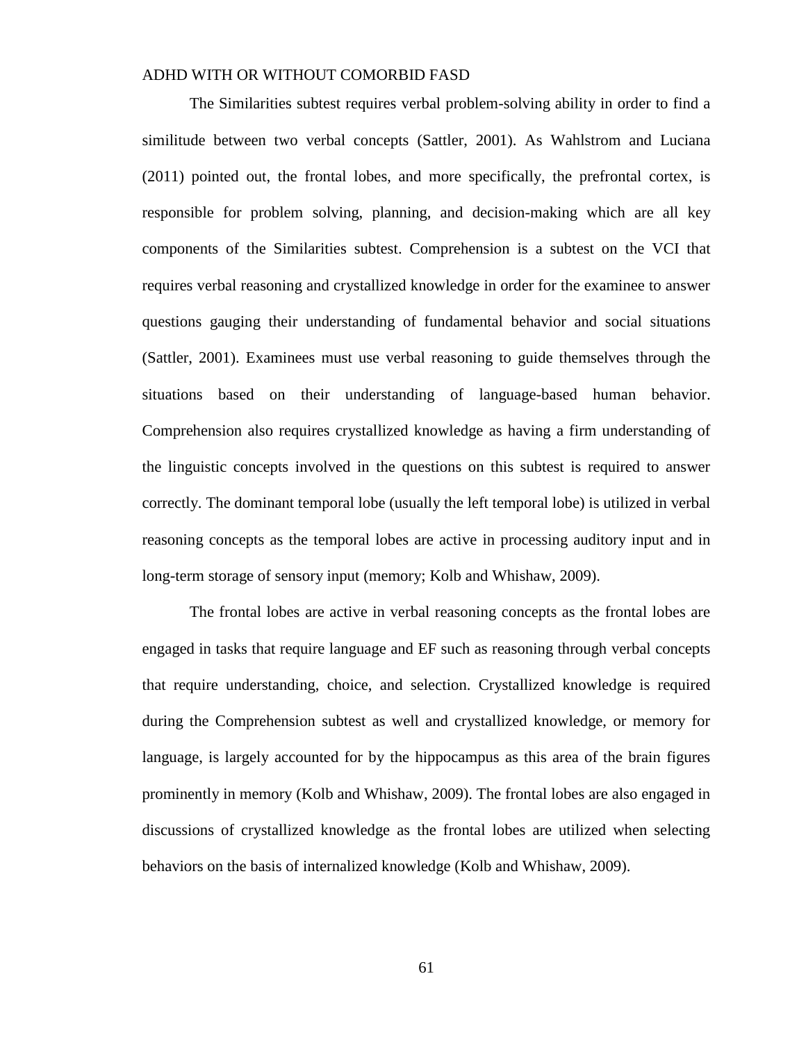The Similarities subtest requires verbal problem-solving ability in order to find a similitude between two verbal concepts (Sattler, 2001). As Wahlstrom and Luciana (2011) pointed out, the frontal lobes, and more specifically, the prefrontal cortex, is responsible for problem solving, planning, and decision-making which are all key components of the Similarities subtest. Comprehension is a subtest on the VCI that requires verbal reasoning and crystallized knowledge in order for the examinee to answer questions gauging their understanding of fundamental behavior and social situations (Sattler, 2001). Examinees must use verbal reasoning to guide themselves through the situations based on their understanding of language-based human behavior. Comprehension also requires crystallized knowledge as having a firm understanding of the linguistic concepts involved in the questions on this subtest is required to answer correctly. The dominant temporal lobe (usually the left temporal lobe) is utilized in verbal reasoning concepts as the temporal lobes are active in processing auditory input and in long-term storage of sensory input (memory; Kolb and Whishaw, 2009).

The frontal lobes are active in verbal reasoning concepts as the frontal lobes are engaged in tasks that require language and EF such as reasoning through verbal concepts that require understanding, choice, and selection. Crystallized knowledge is required during the Comprehension subtest as well and crystallized knowledge, or memory for language, is largely accounted for by the hippocampus as this area of the brain figures prominently in memory (Kolb and Whishaw, 2009). The frontal lobes are also engaged in discussions of crystallized knowledge as the frontal lobes are utilized when selecting behaviors on the basis of internalized knowledge (Kolb and Whishaw, 2009).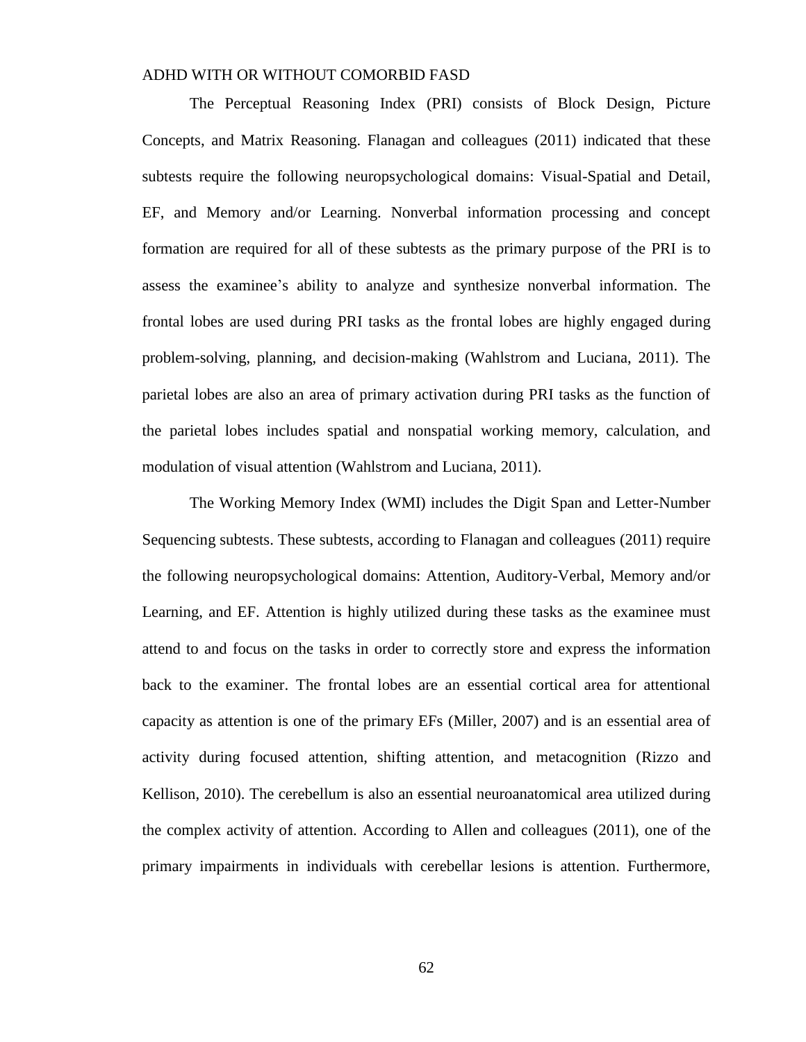The Perceptual Reasoning Index (PRI) consists of Block Design, Picture Concepts, and Matrix Reasoning. Flanagan and colleagues (2011) indicated that these subtests require the following neuropsychological domains: Visual-Spatial and Detail, EF, and Memory and/or Learning. Nonverbal information processing and concept formation are required for all of these subtests as the primary purpose of the PRI is to assess the examinee's ability to analyze and synthesize nonverbal information. The frontal lobes are used during PRI tasks as the frontal lobes are highly engaged during problem-solving, planning, and decision-making (Wahlstrom and Luciana, 2011). The parietal lobes are also an area of primary activation during PRI tasks as the function of the parietal lobes includes spatial and nonspatial working memory, calculation, and modulation of visual attention (Wahlstrom and Luciana, 2011).

The Working Memory Index (WMI) includes the Digit Span and Letter-Number Sequencing subtests. These subtests, according to Flanagan and colleagues (2011) require the following neuropsychological domains: Attention, Auditory-Verbal, Memory and/or Learning, and EF. Attention is highly utilized during these tasks as the examinee must attend to and focus on the tasks in order to correctly store and express the information back to the examiner. The frontal lobes are an essential cortical area for attentional capacity as attention is one of the primary EFs (Miller, 2007) and is an essential area of activity during focused attention, shifting attention, and metacognition (Rizzo and Kellison, 2010). The cerebellum is also an essential neuroanatomical area utilized during the complex activity of attention. According to Allen and colleagues (2011), one of the primary impairments in individuals with cerebellar lesions is attention. Furthermore,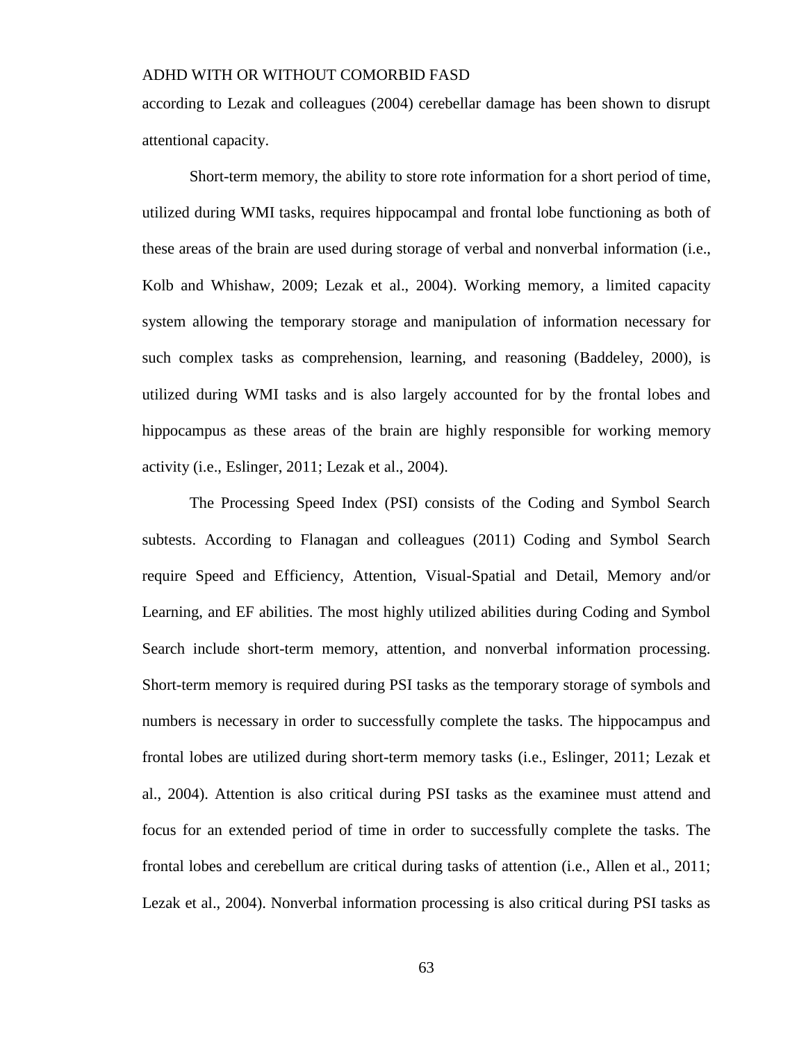according to Lezak and colleagues (2004) cerebellar damage has been shown to disrupt attentional capacity.

Short-term memory, the ability to store rote information for a short period of time, utilized during WMI tasks, requires hippocampal and frontal lobe functioning as both of these areas of the brain are used during storage of verbal and nonverbal information (i.e., Kolb and Whishaw, 2009; Lezak et al., 2004). Working memory, a limited capacity system allowing the temporary storage and manipulation of information necessary for such complex tasks as comprehension, learning, and reasoning (Baddeley, 2000), is utilized during WMI tasks and is also largely accounted for by the frontal lobes and hippocampus as these areas of the brain are highly responsible for working memory activity (i.e., Eslinger, 2011; Lezak et al., 2004).

The Processing Speed Index (PSI) consists of the Coding and Symbol Search subtests. According to Flanagan and colleagues (2011) Coding and Symbol Search require Speed and Efficiency, Attention, Visual-Spatial and Detail, Memory and/or Learning, and EF abilities. The most highly utilized abilities during Coding and Symbol Search include short-term memory, attention, and nonverbal information processing. Short-term memory is required during PSI tasks as the temporary storage of symbols and numbers is necessary in order to successfully complete the tasks. The hippocampus and frontal lobes are utilized during short-term memory tasks (i.e., Eslinger, 2011; Lezak et al., 2004). Attention is also critical during PSI tasks as the examinee must attend and focus for an extended period of time in order to successfully complete the tasks. The frontal lobes and cerebellum are critical during tasks of attention (i.e., Allen et al., 2011; Lezak et al., 2004). Nonverbal information processing is also critical during PSI tasks as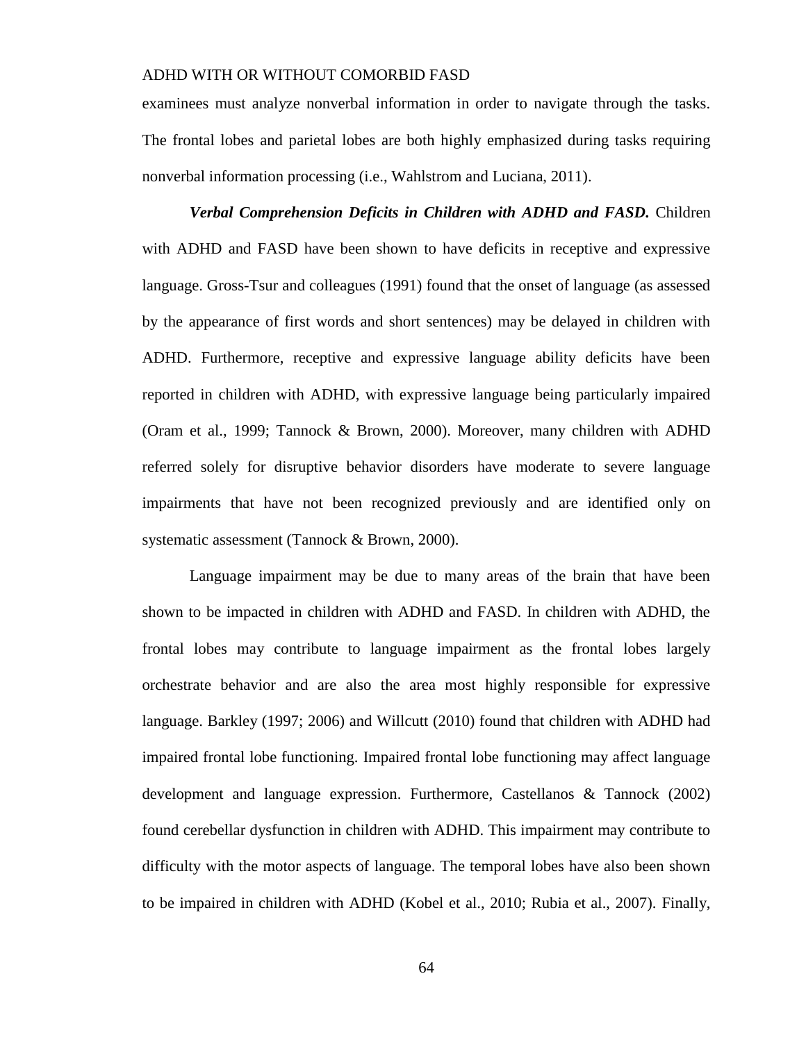examinees must analyze nonverbal information in order to navigate through the tasks. The frontal lobes and parietal lobes are both highly emphasized during tasks requiring nonverbal information processing (i.e., Wahlstrom and Luciana, 2011).

*Verbal Comprehension Deficits in Children with ADHD and FASD.* Children with ADHD and FASD have been shown to have deficits in receptive and expressive language. Gross-Tsur and colleagues (1991) found that the onset of language (as assessed by the appearance of first words and short sentences) may be delayed in children with ADHD. Furthermore, receptive and expressive language ability deficits have been reported in children with ADHD, with expressive language being particularly impaired (Oram et al., 1999; Tannock & Brown, 2000). Moreover, many children with ADHD referred solely for disruptive behavior disorders have moderate to severe language impairments that have not been recognized previously and are identified only on systematic assessment (Tannock & Brown, 2000).

Language impairment may be due to many areas of the brain that have been shown to be impacted in children with ADHD and FASD. In children with ADHD, the frontal lobes may contribute to language impairment as the frontal lobes largely orchestrate behavior and are also the area most highly responsible for expressive language. Barkley (1997; 2006) and Willcutt (2010) found that children with ADHD had impaired frontal lobe functioning. Impaired frontal lobe functioning may affect language development and language expression. Furthermore, Castellanos & Tannock (2002) found cerebellar dysfunction in children with ADHD. This impairment may contribute to difficulty with the motor aspects of language. The temporal lobes have also been shown to be impaired in children with ADHD (Kobel et al., 2010; Rubia et al., 2007). Finally,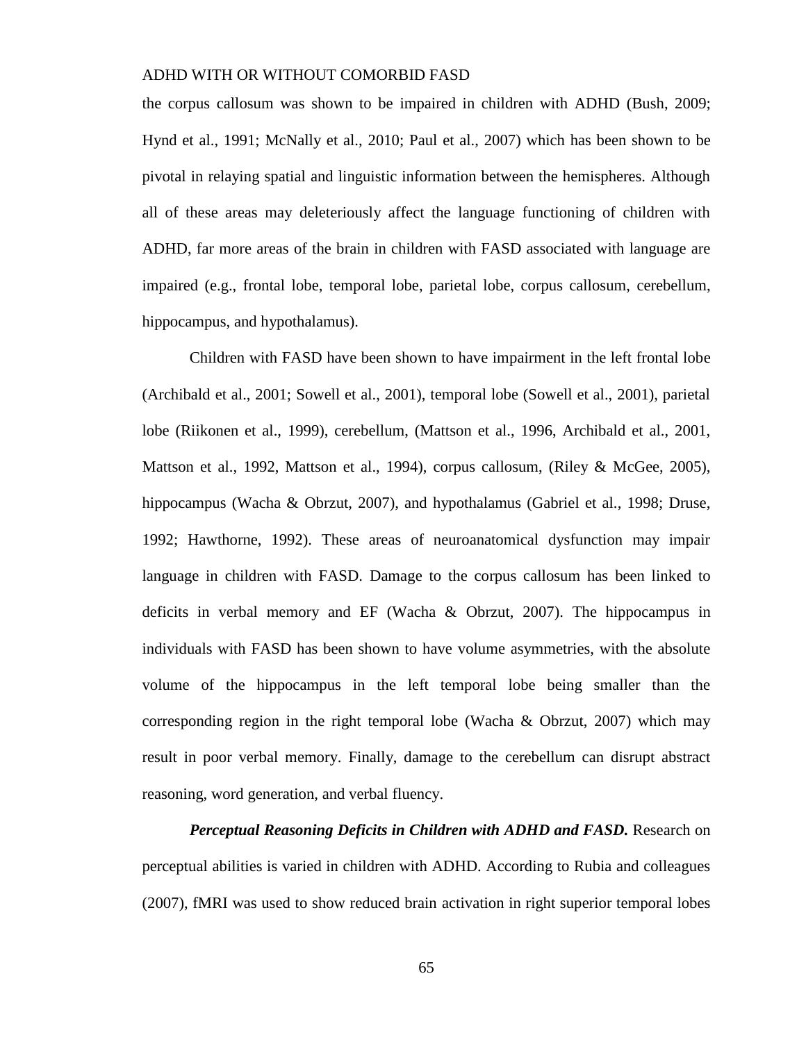the corpus callosum was shown to be impaired in children with ADHD (Bush, 2009; Hynd et al., 1991; McNally et al., 2010; Paul et al., 2007) which has been shown to be pivotal in relaying spatial and linguistic information between the hemispheres. Although all of these areas may deleteriously affect the language functioning of children with ADHD, far more areas of the brain in children with FASD associated with language are impaired (e.g., frontal lobe, temporal lobe, parietal lobe, corpus callosum, cerebellum, hippocampus, and hypothalamus).

Children with FASD have been shown to have impairment in the left frontal lobe (Archibald et al., 2001; Sowell et al., 2001), temporal lobe (Sowell et al., 2001), parietal lobe (Riikonen et al., 1999), cerebellum, (Mattson et al., 1996, Archibald et al., 2001, Mattson et al., 1992, Mattson et al., 1994), corpus callosum, (Riley & McGee, 2005), hippocampus (Wacha & Obrzut, 2007), and hypothalamus (Gabriel et al., 1998; Druse, 1992; Hawthorne, 1992). These areas of neuroanatomical dysfunction may impair language in children with FASD. Damage to the corpus callosum has been linked to deficits in verbal memory and EF (Wacha & Obrzut, 2007). The hippocampus in individuals with FASD has been shown to have volume asymmetries, with the absolute volume of the hippocampus in the left temporal lobe being smaller than the corresponding region in the right temporal lobe (Wacha  $\&$  Obrzut, 2007) which may result in poor verbal memory. Finally, damage to the cerebellum can disrupt abstract reasoning, word generation, and verbal fluency.

*Perceptual Reasoning Deficits in Children with ADHD and FASD.* Research on perceptual abilities is varied in children with ADHD. According to Rubia and colleagues (2007), fMRI was used to show reduced brain activation in right superior temporal lobes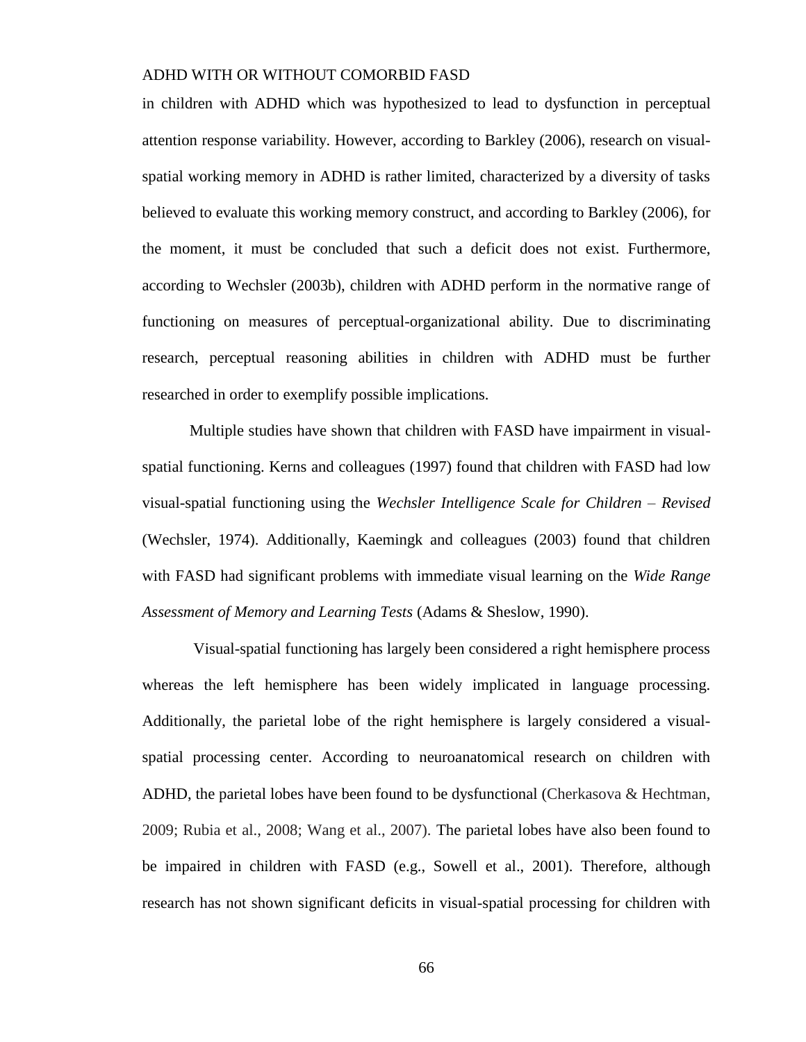in children with ADHD which was hypothesized to lead to dysfunction in perceptual attention response variability. However, according to Barkley (2006), research on visualspatial working memory in ADHD is rather limited, characterized by a diversity of tasks believed to evaluate this working memory construct, and according to Barkley (2006), for the moment, it must be concluded that such a deficit does not exist. Furthermore, according to Wechsler (2003b), children with ADHD perform in the normative range of functioning on measures of perceptual-organizational ability. Due to discriminating research, perceptual reasoning abilities in children with ADHD must be further researched in order to exemplify possible implications.

Multiple studies have shown that children with FASD have impairment in visualspatial functioning. Kerns and colleagues (1997) found that children with FASD had low visual-spatial functioning using the *Wechsler Intelligence Scale for Children – Revised* (Wechsler, 1974). Additionally, Kaemingk and colleagues (2003) found that children with FASD had significant problems with immediate visual learning on the *Wide Range Assessment of Memory and Learning Tests* (Adams & Sheslow, 1990).

Visual-spatial functioning has largely been considered a right hemisphere process whereas the left hemisphere has been widely implicated in language processing. Additionally, the parietal lobe of the right hemisphere is largely considered a visualspatial processing center. According to neuroanatomical research on children with ADHD, the parietal lobes have been found to be dysfunctional (Cherkasova & Hechtman, 2009; Rubia et al., 2008; Wang et al., 2007). The parietal lobes have also been found to be impaired in children with FASD (e.g., Sowell et al., 2001). Therefore, although research has not shown significant deficits in visual-spatial processing for children with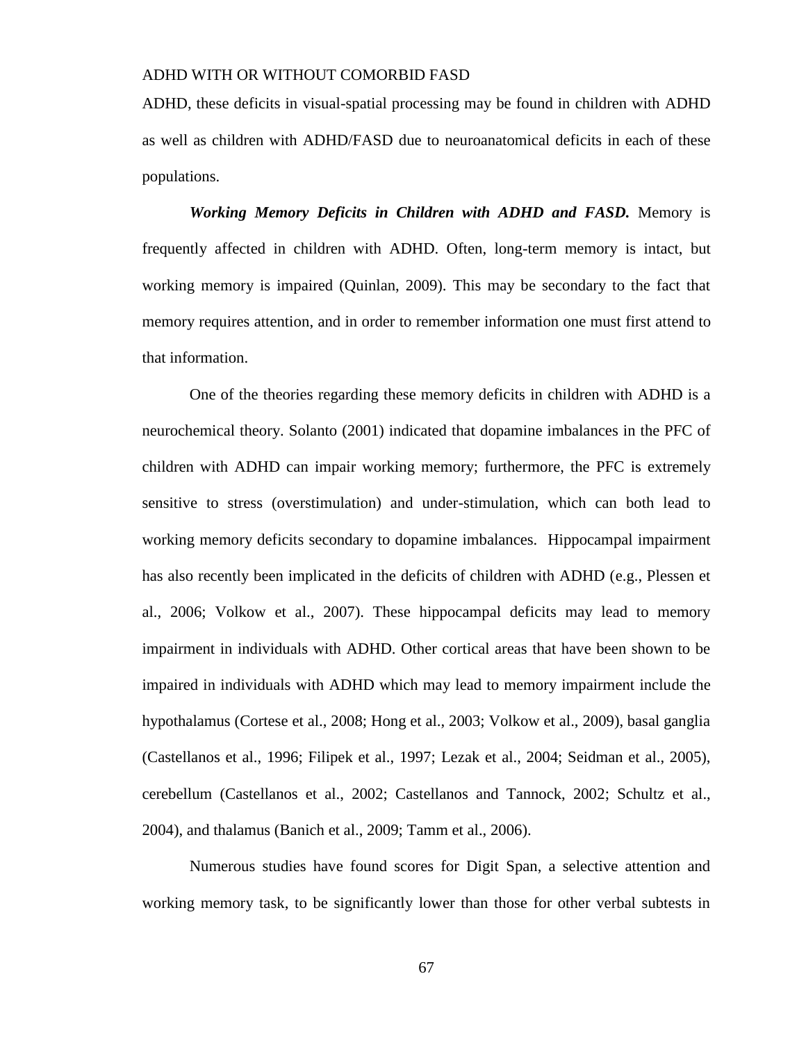ADHD, these deficits in visual-spatial processing may be found in children with ADHD as well as children with ADHD/FASD due to neuroanatomical deficits in each of these populations.

*Working Memory Deficits in Children with ADHD and FASD.* Memory is frequently affected in children with ADHD. Often, long-term memory is intact, but working memory is impaired (Quinlan, 2009). This may be secondary to the fact that memory requires attention, and in order to remember information one must first attend to that information.

One of the theories regarding these memory deficits in children with ADHD is a neurochemical theory. Solanto (2001) indicated that dopamine imbalances in the PFC of children with ADHD can impair working memory; furthermore, the PFC is extremely sensitive to stress (overstimulation) and under-stimulation, which can both lead to working memory deficits secondary to dopamine imbalances. Hippocampal impairment has also recently been implicated in the deficits of children with ADHD (e.g., Plessen et al., 2006; Volkow et al., 2007). These hippocampal deficits may lead to memory impairment in individuals with ADHD. Other cortical areas that have been shown to be impaired in individuals with ADHD which may lead to memory impairment include the hypothalamus (Cortese et al., 2008; Hong et al., 2003; Volkow et al., 2009), basal ganglia (Castellanos et al., 1996; Filipek et al., 1997; Lezak et al., 2004; Seidman et al., 2005), cerebellum (Castellanos et al., 2002; Castellanos and Tannock, 2002; Schultz et al., 2004), and thalamus (Banich et al., 2009; Tamm et al., 2006).

Numerous studies have found scores for Digit Span, a selective attention and working memory task, to be significantly lower than those for other verbal subtests in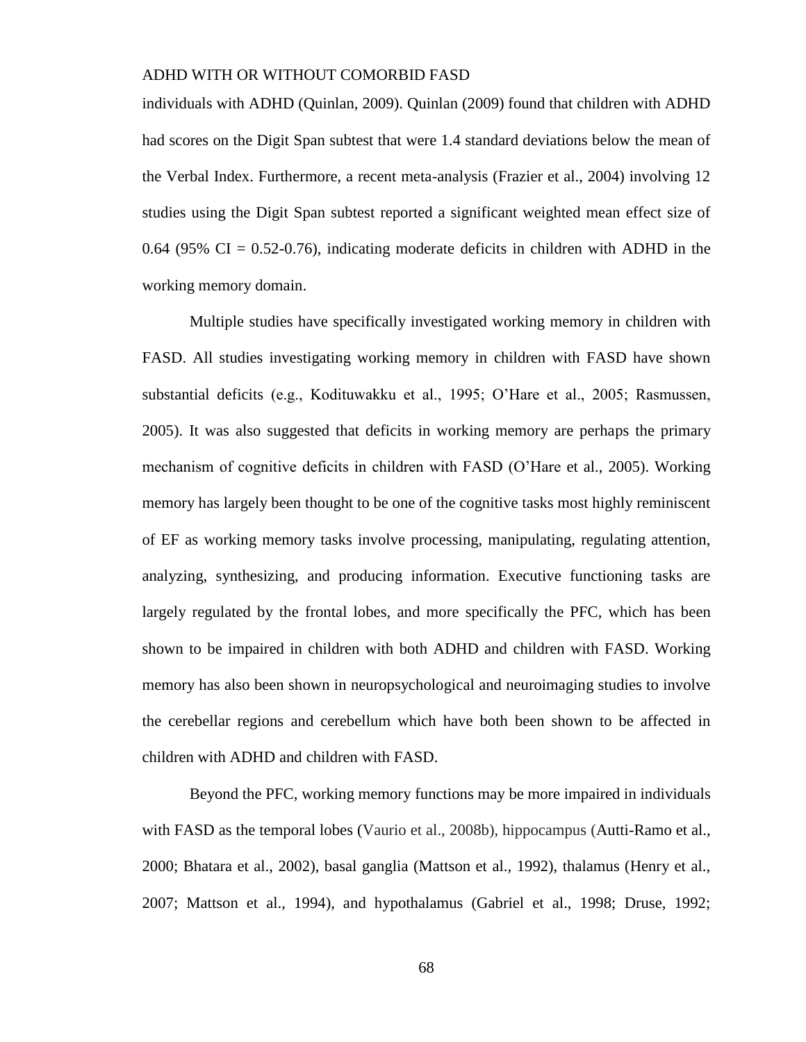individuals with ADHD (Quinlan, 2009). Quinlan (2009) found that children with ADHD had scores on the Digit Span subtest that were 1.4 standard deviations below the mean of the Verbal Index. Furthermore, a recent meta-analysis (Frazier et al., 2004) involving 12 studies using the Digit Span subtest reported a significant weighted mean effect size of 0.64 (95% CI =  $0.52$ -0.76), indicating moderate deficits in children with ADHD in the working memory domain.

Multiple studies have specifically investigated working memory in children with FASD. All studies investigating working memory in children with FASD have shown substantial deficits (e.g., Kodituwakku et al., 1995; O'Hare et al., 2005; Rasmussen, 2005). It was also suggested that deficits in working memory are perhaps the primary mechanism of cognitive deficits in children with FASD (O'Hare et al., 2005). Working memory has largely been thought to be one of the cognitive tasks most highly reminiscent of EF as working memory tasks involve processing, manipulating, regulating attention, analyzing, synthesizing, and producing information. Executive functioning tasks are largely regulated by the frontal lobes, and more specifically the PFC, which has been shown to be impaired in children with both ADHD and children with FASD. Working memory has also been shown in neuropsychological and neuroimaging studies to involve the cerebellar regions and cerebellum which have both been shown to be affected in children with ADHD and children with FASD.

Beyond the PFC, working memory functions may be more impaired in individuals with FASD as the temporal lobes (Vaurio et al., 2008b), hippocampus (Autti-Ramo et al., 2000; Bhatara et al., 2002), basal ganglia (Mattson et al., 1992), thalamus (Henry et al., 2007; Mattson et al., 1994), and hypothalamus (Gabriel et al., 1998; Druse, 1992;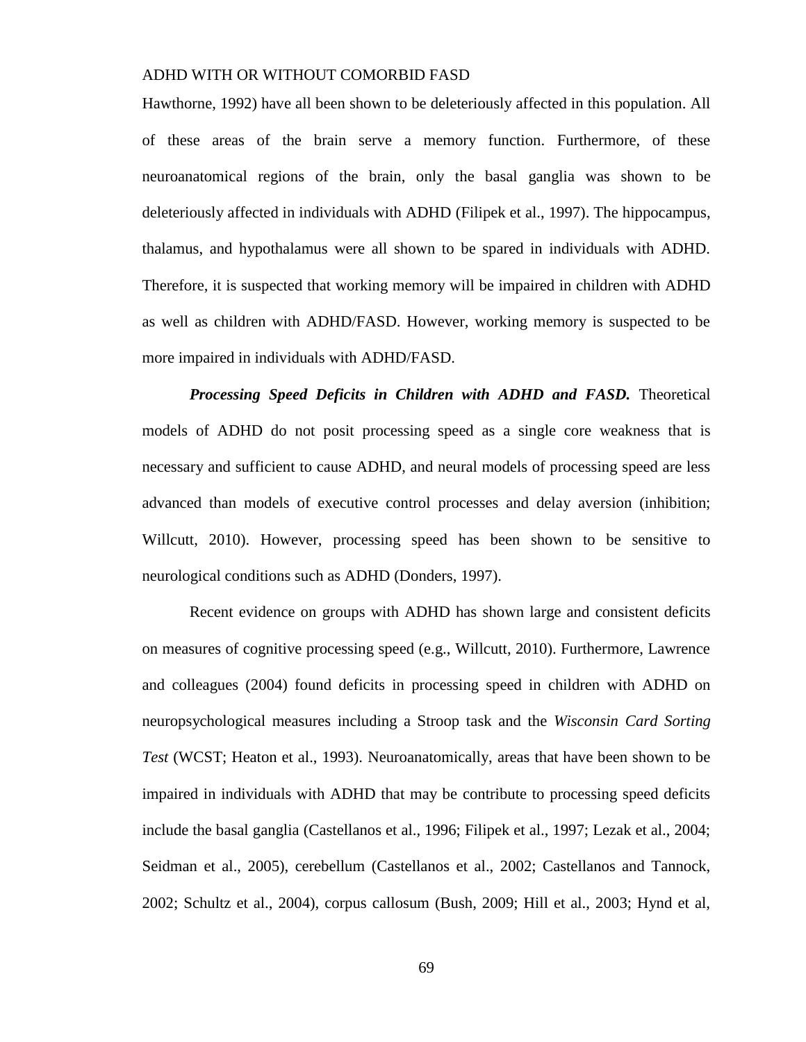Hawthorne, 1992) have all been shown to be deleteriously affected in this population. All of these areas of the brain serve a memory function. Furthermore, of these neuroanatomical regions of the brain, only the basal ganglia was shown to be deleteriously affected in individuals with ADHD (Filipek et al., 1997). The hippocampus, thalamus, and hypothalamus were all shown to be spared in individuals with ADHD. Therefore, it is suspected that working memory will be impaired in children with ADHD as well as children with ADHD/FASD. However, working memory is suspected to be more impaired in individuals with ADHD/FASD.

*Processing Speed Deficits in Children with ADHD and FASD.* Theoretical models of ADHD do not posit processing speed as a single core weakness that is necessary and sufficient to cause ADHD, and neural models of processing speed are less advanced than models of executive control processes and delay aversion (inhibition; Willcutt, 2010). However, processing speed has been shown to be sensitive to neurological conditions such as ADHD (Donders, 1997).

Recent evidence on groups with ADHD has shown large and consistent deficits on measures of cognitive processing speed (e.g., Willcutt, 2010). Furthermore, Lawrence and colleagues (2004) found deficits in processing speed in children with ADHD on neuropsychological measures including a Stroop task and the *Wisconsin Card Sorting Test* (WCST; Heaton et al., 1993). Neuroanatomically, areas that have been shown to be impaired in individuals with ADHD that may be contribute to processing speed deficits include the basal ganglia (Castellanos et al., 1996; Filipek et al., 1997; Lezak et al., 2004; Seidman et al., 2005), cerebellum (Castellanos et al., 2002; Castellanos and Tannock, 2002; Schultz et al., 2004), corpus callosum (Bush, 2009; Hill et al., 2003; Hynd et al,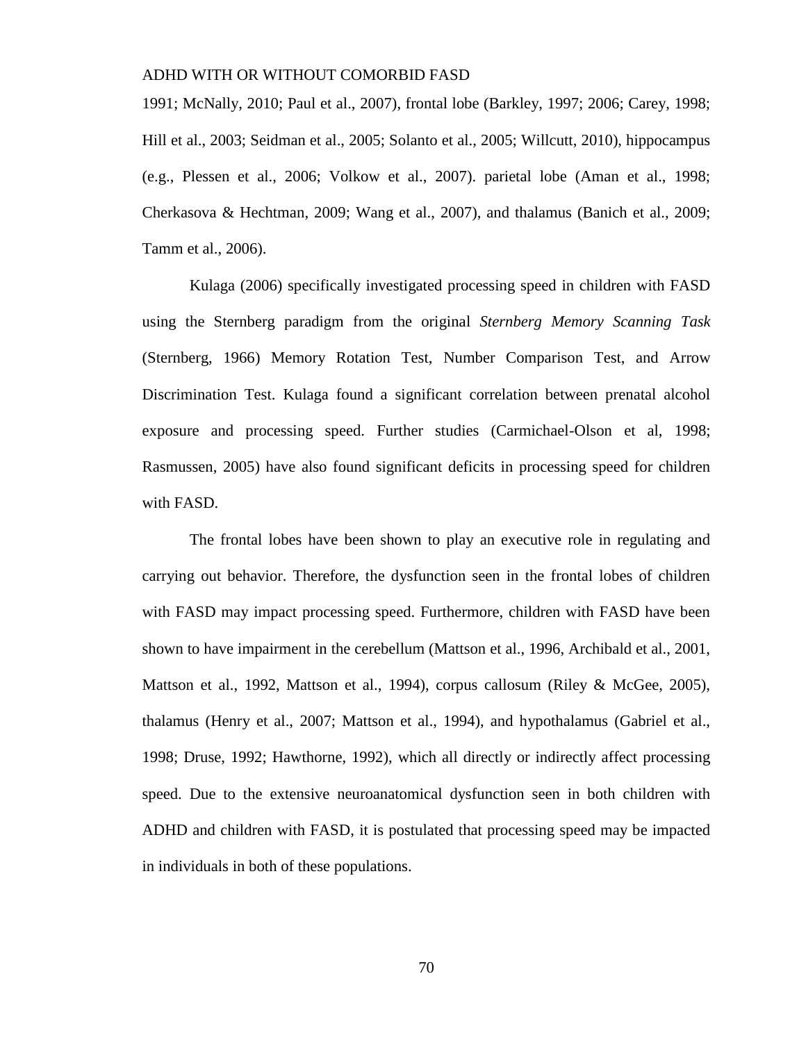1991; McNally, 2010; Paul et al., 2007), frontal lobe (Barkley, 1997; 2006; Carey, 1998; Hill et al., 2003; Seidman et al., 2005; Solanto et al., 2005; Willcutt, 2010), hippocampus (e.g., Plessen et al., 2006; Volkow et al., 2007). parietal lobe (Aman et al., 1998; Cherkasova & Hechtman, 2009; Wang et al., 2007), and thalamus (Banich et al., 2009; Tamm et al., 2006).

Kulaga (2006) specifically investigated processing speed in children with FASD using the Sternberg paradigm from the original *Sternberg Memory Scanning Task* (Sternberg, 1966) Memory Rotation Test, Number Comparison Test, and Arrow Discrimination Test. Kulaga found a significant correlation between prenatal alcohol exposure and processing speed. Further studies (Carmichael-Olson et al, 1998; Rasmussen, 2005) have also found significant deficits in processing speed for children with FASD.

The frontal lobes have been shown to play an executive role in regulating and carrying out behavior. Therefore, the dysfunction seen in the frontal lobes of children with FASD may impact processing speed. Furthermore, children with FASD have been shown to have impairment in the cerebellum (Mattson et al., 1996, Archibald et al., 2001, Mattson et al., 1992, Mattson et al., 1994), corpus callosum (Riley & McGee, 2005), thalamus (Henry et al., 2007; Mattson et al., 1994), and hypothalamus (Gabriel et al., 1998; Druse, 1992; Hawthorne, 1992), which all directly or indirectly affect processing speed. Due to the extensive neuroanatomical dysfunction seen in both children with ADHD and children with FASD, it is postulated that processing speed may be impacted in individuals in both of these populations.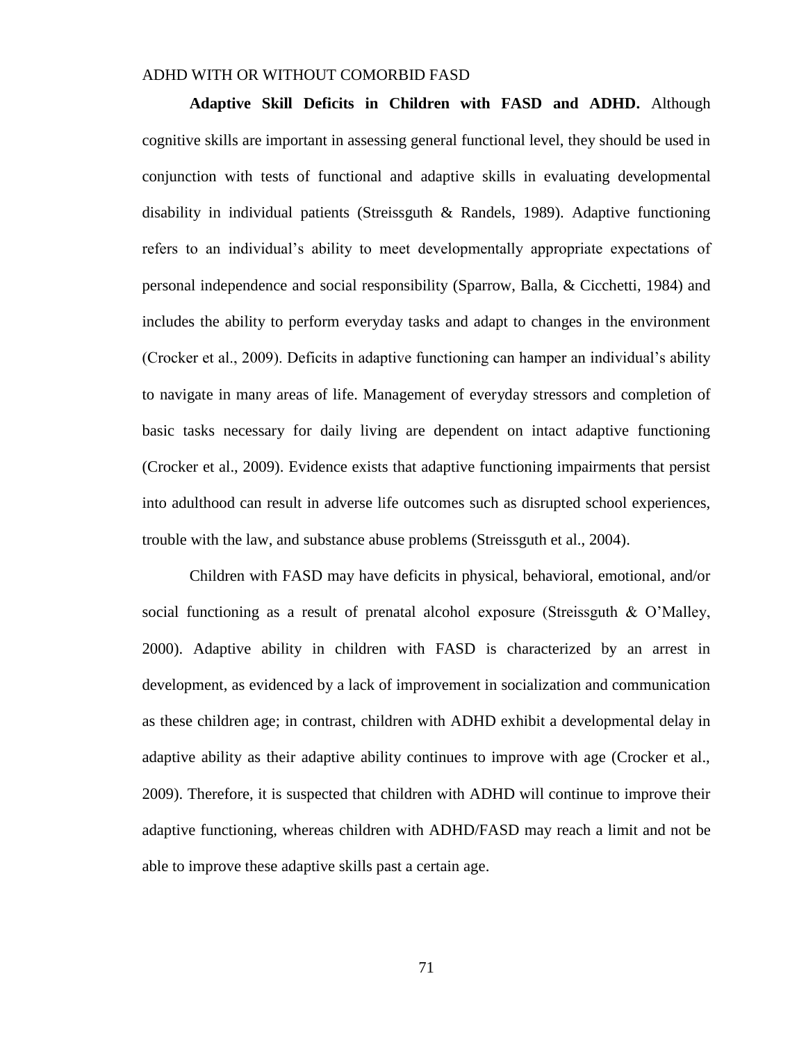**Adaptive Skill Deficits in Children with FASD and ADHD.** Although cognitive skills are important in assessing general functional level, they should be used in conjunction with tests of functional and adaptive skills in evaluating developmental disability in individual patients (Streissguth & Randels, 1989). Adaptive functioning refers to an individual's ability to meet developmentally appropriate expectations of personal independence and social responsibility (Sparrow, Balla, & Cicchetti, 1984) and includes the ability to perform everyday tasks and adapt to changes in the environment (Crocker et al., 2009). Deficits in adaptive functioning can hamper an individual's ability to navigate in many areas of life. Management of everyday stressors and completion of basic tasks necessary for daily living are dependent on intact adaptive functioning (Crocker et al., 2009). Evidence exists that adaptive functioning impairments that persist into adulthood can result in adverse life outcomes such as disrupted school experiences, trouble with the law, and substance abuse problems (Streissguth et al., 2004).

Children with FASD may have deficits in physical, behavioral, emotional, and/or social functioning as a result of prenatal alcohol exposure (Streissguth  $\&$  O'Malley, 2000). Adaptive ability in children with FASD is characterized by an arrest in development, as evidenced by a lack of improvement in socialization and communication as these children age; in contrast, children with ADHD exhibit a developmental delay in adaptive ability as their adaptive ability continues to improve with age (Crocker et al., 2009). Therefore, it is suspected that children with ADHD will continue to improve their adaptive functioning, whereas children with ADHD/FASD may reach a limit and not be able to improve these adaptive skills past a certain age.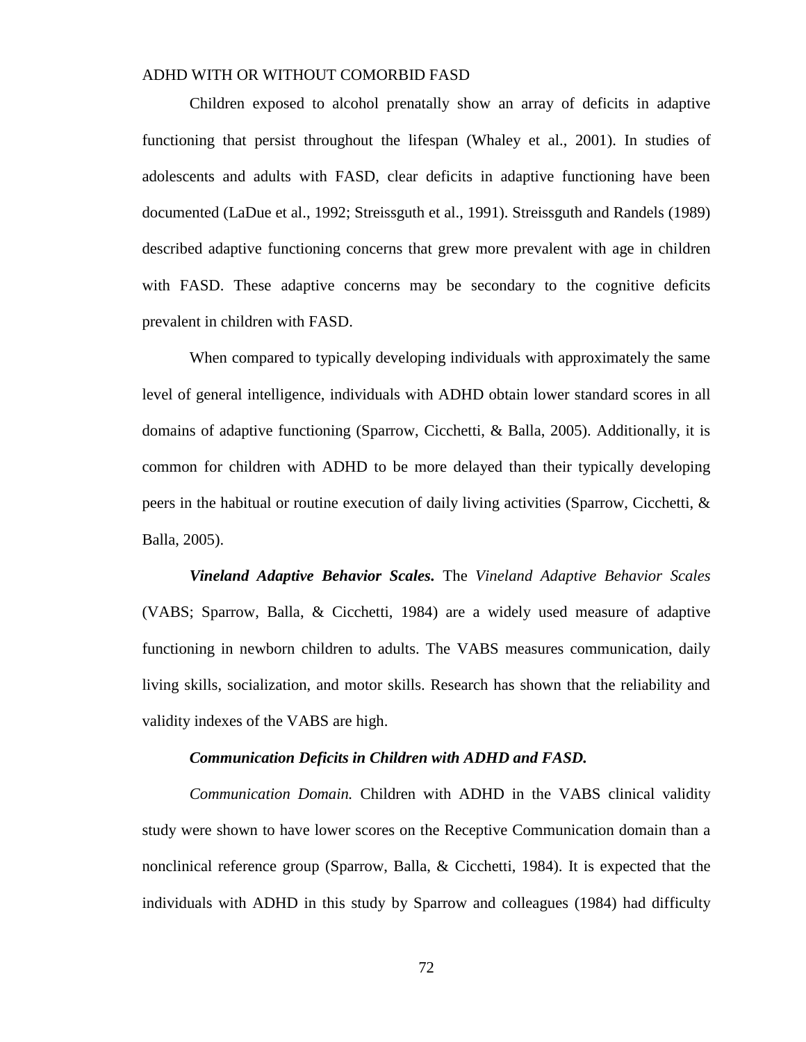Children exposed to alcohol prenatally show an array of deficits in adaptive functioning that persist throughout the lifespan (Whaley et al., 2001). In studies of adolescents and adults with FASD, clear deficits in adaptive functioning have been documented (LaDue et al., 1992; Streissguth et al., 1991). Streissguth and Randels (1989) described adaptive functioning concerns that grew more prevalent with age in children with FASD. These adaptive concerns may be secondary to the cognitive deficits prevalent in children with FASD.

When compared to typically developing individuals with approximately the same level of general intelligence, individuals with ADHD obtain lower standard scores in all domains of adaptive functioning (Sparrow, Cicchetti, & Balla, 2005). Additionally, it is common for children with ADHD to be more delayed than their typically developing peers in the habitual or routine execution of daily living activities (Sparrow, Cicchetti, & Balla, 2005).

*Vineland Adaptive Behavior Scales.* The *Vineland Adaptive Behavior Scales* (VABS; Sparrow, Balla, & Cicchetti, 1984) are a widely used measure of adaptive functioning in newborn children to adults. The VABS measures communication, daily living skills, socialization, and motor skills. Research has shown that the reliability and validity indexes of the VABS are high.

#### *Communication Deficits in Children with ADHD and FASD.*

*Communication Domain.* Children with ADHD in the VABS clinical validity study were shown to have lower scores on the Receptive Communication domain than a nonclinical reference group (Sparrow, Balla, & Cicchetti, 1984). It is expected that the individuals with ADHD in this study by Sparrow and colleagues (1984) had difficulty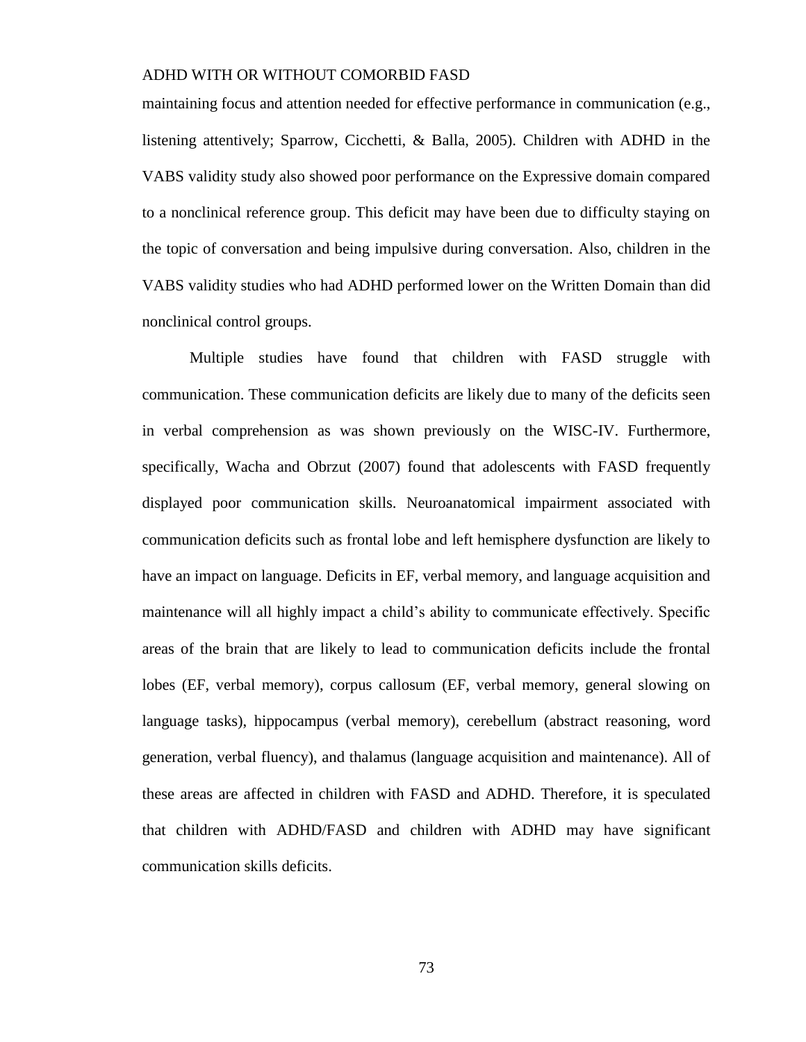maintaining focus and attention needed for effective performance in communication (e.g., listening attentively; Sparrow, Cicchetti, & Balla, 2005). Children with ADHD in the VABS validity study also showed poor performance on the Expressive domain compared to a nonclinical reference group. This deficit may have been due to difficulty staying on the topic of conversation and being impulsive during conversation. Also, children in the VABS validity studies who had ADHD performed lower on the Written Domain than did nonclinical control groups.

Multiple studies have found that children with FASD struggle with communication. These communication deficits are likely due to many of the deficits seen in verbal comprehension as was shown previously on the WISC-IV. Furthermore, specifically, Wacha and Obrzut (2007) found that adolescents with FASD frequently displayed poor communication skills. Neuroanatomical impairment associated with communication deficits such as frontal lobe and left hemisphere dysfunction are likely to have an impact on language. Deficits in EF, verbal memory, and language acquisition and maintenance will all highly impact a child's ability to communicate effectively. Specific areas of the brain that are likely to lead to communication deficits include the frontal lobes (EF, verbal memory), corpus callosum (EF, verbal memory, general slowing on language tasks), hippocampus (verbal memory), cerebellum (abstract reasoning, word generation, verbal fluency), and thalamus (language acquisition and maintenance). All of these areas are affected in children with FASD and ADHD. Therefore, it is speculated that children with ADHD/FASD and children with ADHD may have significant communication skills deficits.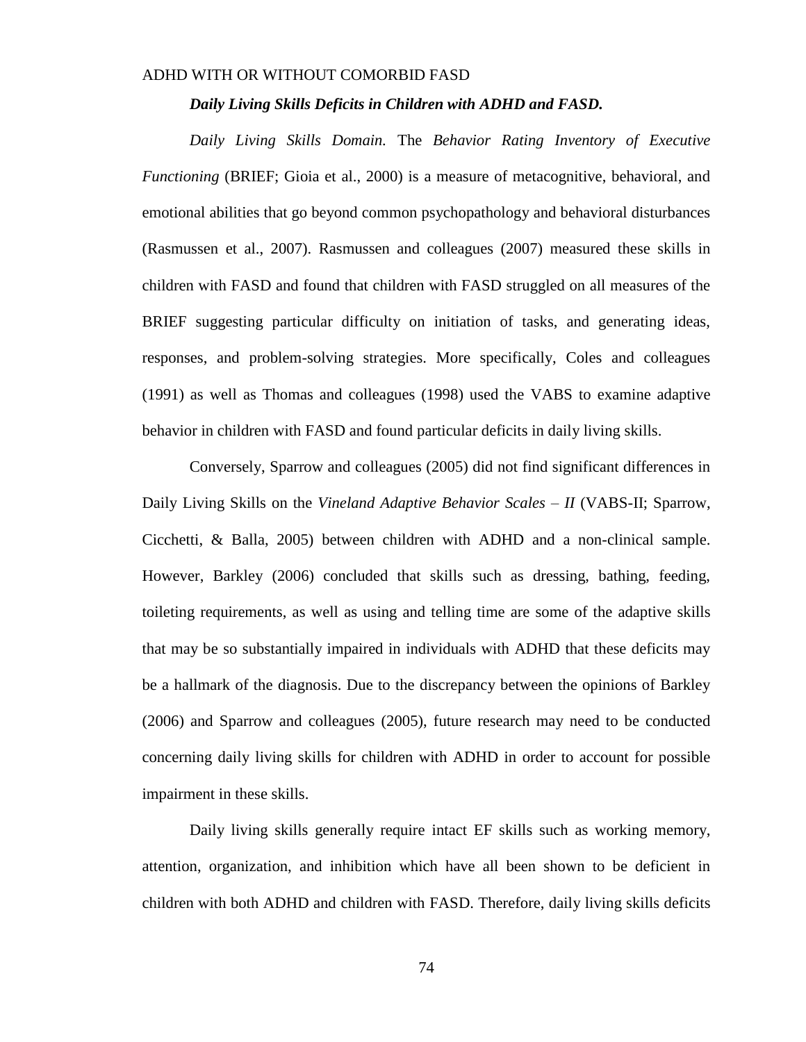#### *Daily Living Skills Deficits in Children with ADHD and FASD.*

*Daily Living Skills Domain.* The *Behavior Rating Inventory of Executive Functioning* (BRIEF; Gioia et al., 2000) is a measure of metacognitive, behavioral, and emotional abilities that go beyond common psychopathology and behavioral disturbances (Rasmussen et al., 2007). Rasmussen and colleagues (2007) measured these skills in children with FASD and found that children with FASD struggled on all measures of the BRIEF suggesting particular difficulty on initiation of tasks, and generating ideas, responses, and problem-solving strategies. More specifically, Coles and colleagues (1991) as well as Thomas and colleagues (1998) used the VABS to examine adaptive behavior in children with FASD and found particular deficits in daily living skills.

Conversely, Sparrow and colleagues (2005) did not find significant differences in Daily Living Skills on the *Vineland Adaptive Behavior Scales – II* (VABS-II; Sparrow, Cicchetti, & Balla, 2005) between children with ADHD and a non-clinical sample. However, Barkley (2006) concluded that skills such as dressing, bathing, feeding, toileting requirements, as well as using and telling time are some of the adaptive skills that may be so substantially impaired in individuals with ADHD that these deficits may be a hallmark of the diagnosis. Due to the discrepancy between the opinions of Barkley (2006) and Sparrow and colleagues (2005), future research may need to be conducted concerning daily living skills for children with ADHD in order to account for possible impairment in these skills.

Daily living skills generally require intact EF skills such as working memory, attention, organization, and inhibition which have all been shown to be deficient in children with both ADHD and children with FASD. Therefore, daily living skills deficits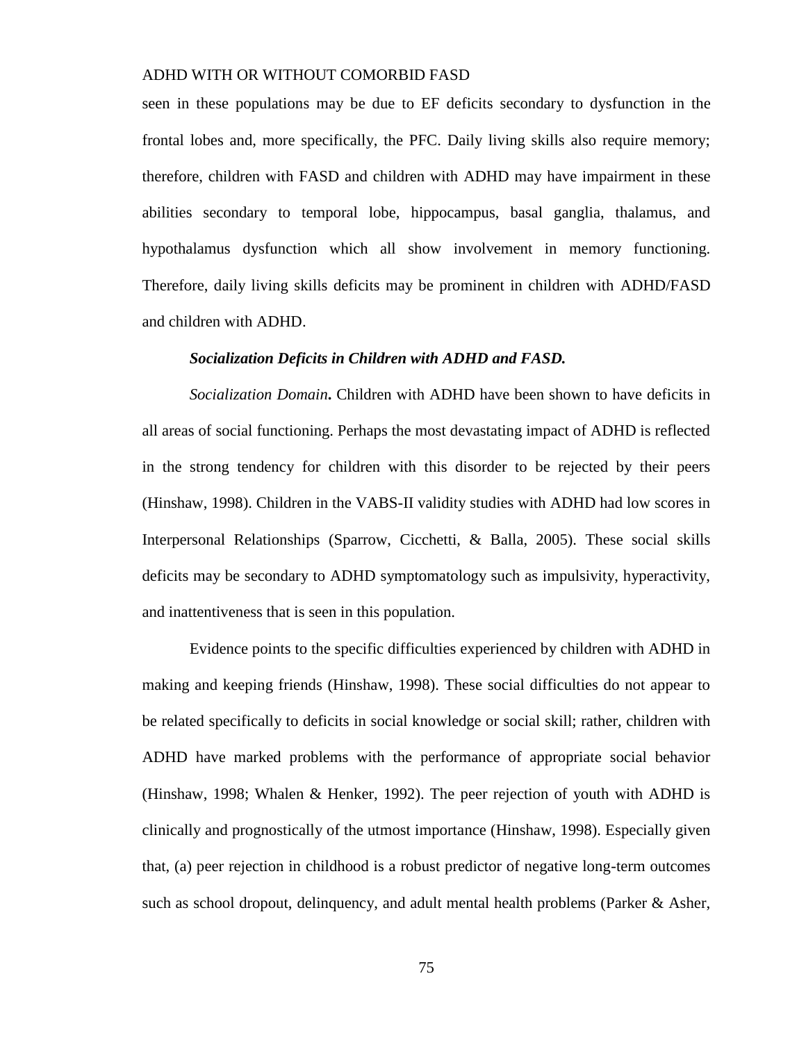seen in these populations may be due to EF deficits secondary to dysfunction in the frontal lobes and, more specifically, the PFC. Daily living skills also require memory; therefore, children with FASD and children with ADHD may have impairment in these abilities secondary to temporal lobe, hippocampus, basal ganglia, thalamus, and hypothalamus dysfunction which all show involvement in memory functioning. Therefore, daily living skills deficits may be prominent in children with ADHD/FASD and children with ADHD.

#### *Socialization Deficits in Children with ADHD and FASD.*

*Socialization Domain***.** Children with ADHD have been shown to have deficits in all areas of social functioning. Perhaps the most devastating impact of ADHD is reflected in the strong tendency for children with this disorder to be rejected by their peers (Hinshaw, 1998). Children in the VABS-II validity studies with ADHD had low scores in Interpersonal Relationships (Sparrow, Cicchetti, & Balla, 2005). These social skills deficits may be secondary to ADHD symptomatology such as impulsivity, hyperactivity, and inattentiveness that is seen in this population.

Evidence points to the specific difficulties experienced by children with ADHD in making and keeping friends (Hinshaw, 1998). These social difficulties do not appear to be related specifically to deficits in social knowledge or social skill; rather, children with ADHD have marked problems with the performance of appropriate social behavior (Hinshaw, 1998; Whalen & Henker, 1992). The peer rejection of youth with ADHD is clinically and prognostically of the utmost importance (Hinshaw, 1998). Especially given that, (a) peer rejection in childhood is a robust predictor of negative long-term outcomes such as school dropout, delinquency, and adult mental health problems (Parker  $\&$  Asher,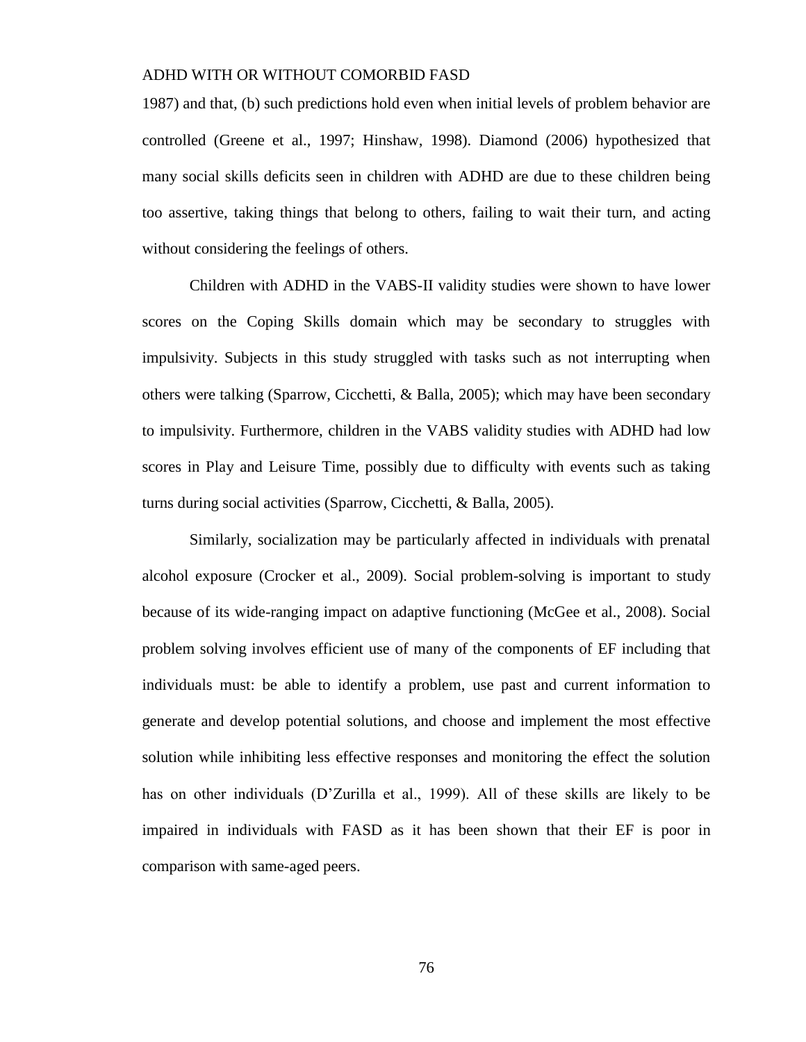1987) and that, (b) such predictions hold even when initial levels of problem behavior are controlled (Greene et al., 1997; Hinshaw, 1998). Diamond (2006) hypothesized that many social skills deficits seen in children with ADHD are due to these children being too assertive, taking things that belong to others, failing to wait their turn, and acting without considering the feelings of others.

Children with ADHD in the VABS-II validity studies were shown to have lower scores on the Coping Skills domain which may be secondary to struggles with impulsivity. Subjects in this study struggled with tasks such as not interrupting when others were talking (Sparrow, Cicchetti, & Balla, 2005); which may have been secondary to impulsivity. Furthermore, children in the VABS validity studies with ADHD had low scores in Play and Leisure Time, possibly due to difficulty with events such as taking turns during social activities (Sparrow, Cicchetti, & Balla, 2005).

Similarly, socialization may be particularly affected in individuals with prenatal alcohol exposure (Crocker et al., 2009). Social problem-solving is important to study because of its wide-ranging impact on adaptive functioning (McGee et al., 2008). Social problem solving involves efficient use of many of the components of EF including that individuals must: be able to identify a problem, use past and current information to generate and develop potential solutions, and choose and implement the most effective solution while inhibiting less effective responses and monitoring the effect the solution has on other individuals (D'Zurilla et al., 1999). All of these skills are likely to be impaired in individuals with FASD as it has been shown that their EF is poor in comparison with same-aged peers.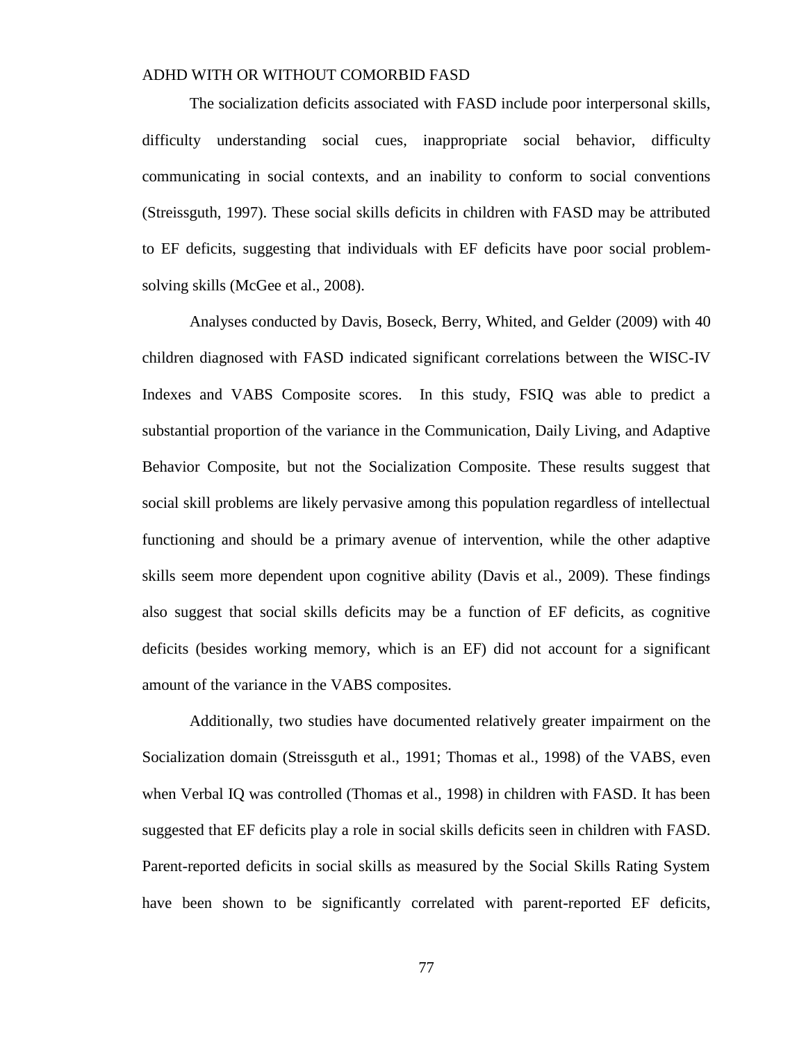The socialization deficits associated with FASD include poor interpersonal skills, difficulty understanding social cues, inappropriate social behavior, difficulty communicating in social contexts, and an inability to conform to social conventions (Streissguth, 1997). These social skills deficits in children with FASD may be attributed to EF deficits, suggesting that individuals with EF deficits have poor social problemsolving skills (McGee et al., 2008).

Analyses conducted by Davis, Boseck, Berry, Whited, and Gelder (2009) with 40 children diagnosed with FASD indicated significant correlations between the WISC-IV Indexes and VABS Composite scores. In this study, FSIQ was able to predict a substantial proportion of the variance in the Communication, Daily Living, and Adaptive Behavior Composite, but not the Socialization Composite. These results suggest that social skill problems are likely pervasive among this population regardless of intellectual functioning and should be a primary avenue of intervention, while the other adaptive skills seem more dependent upon cognitive ability (Davis et al., 2009). These findings also suggest that social skills deficits may be a function of EF deficits, as cognitive deficits (besides working memory, which is an EF) did not account for a significant amount of the variance in the VABS composites.

Additionally, two studies have documented relatively greater impairment on the Socialization domain (Streissguth et al., 1991; Thomas et al., 1998) of the VABS, even when Verbal IQ was controlled (Thomas et al., 1998) in children with FASD. It has been suggested that EF deficits play a role in social skills deficits seen in children with FASD. Parent-reported deficits in social skills as measured by the Social Skills Rating System have been shown to be significantly correlated with parent-reported EF deficits,

77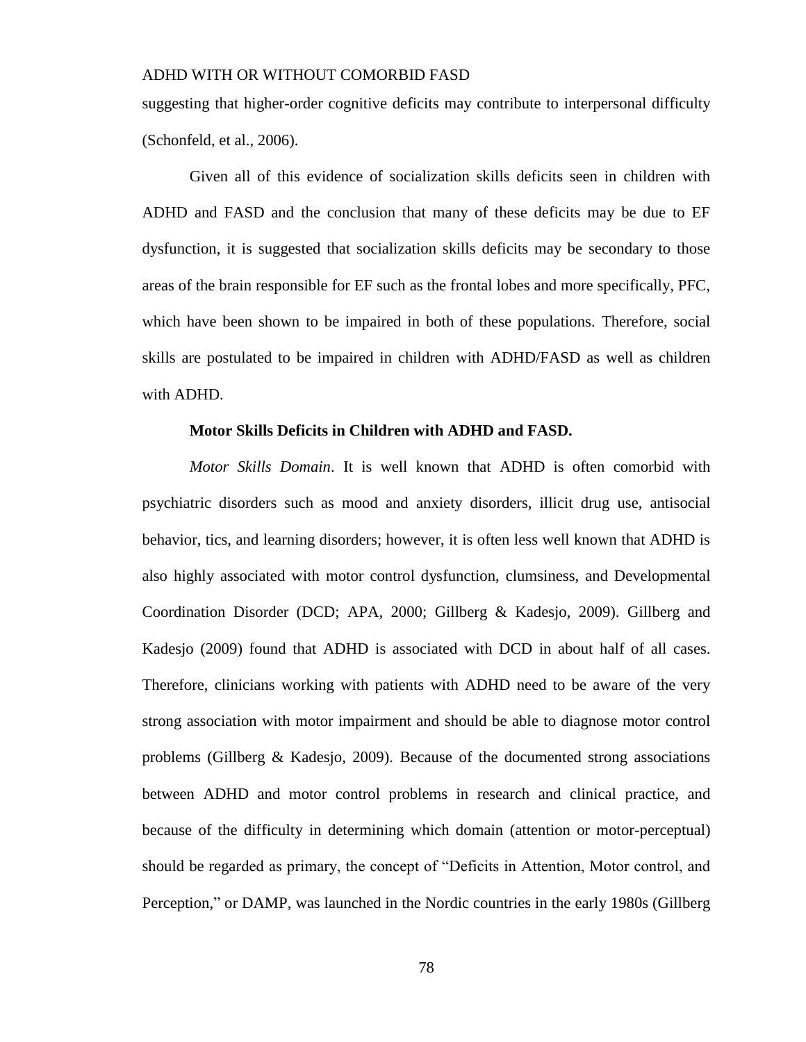suggesting that higher-order cognitive deficits may contribute to interpersonal difficulty (Schonfeld, et al., 2006).

Given all of this evidence of socialization skills deficits seen in children with ADHD and FASD and the conclusion that many of these deficits may be due to EF dysfunction, it is suggested that socialization skills deficits may be secondary to those areas of the brain responsible for EF such as the frontal lobes and more specifically, PFC, which have been shown to be impaired in both of these populations. Therefore, social skills are postulated to be impaired in children with ADHD/FASD as well as children with ADHD.

#### **Motor Skills Deficits in Children with ADHD and FASD.**

*Motor Skills Domain*. It is well known that ADHD is often comorbid with psychiatric disorders such as mood and anxiety disorders, illicit drug use, antisocial behavior, tics, and learning disorders; however, it is often less well known that ADHD is also highly associated with motor control dysfunction, clumsiness, and Developmental Coordination Disorder (DCD; APA, 2000; Gillberg & Kadesjo, 2009). Gillberg and Kadesjo (2009) found that ADHD is associated with DCD in about half of all cases. Therefore, clinicians working with patients with ADHD need to be aware of the very strong association with motor impairment and should be able to diagnose motor control problems (Gillberg & Kadesjo, 2009). Because of the documented strong associations between ADHD and motor control problems in research and clinical practice, and because of the difficulty in determining which domain (attention or motor-perceptual) should be regarded as primary, the concept of "Deficits in Attention, Motor control, and Perception," or DAMP, was launched in the Nordic countries in the early 1980s (Gillberg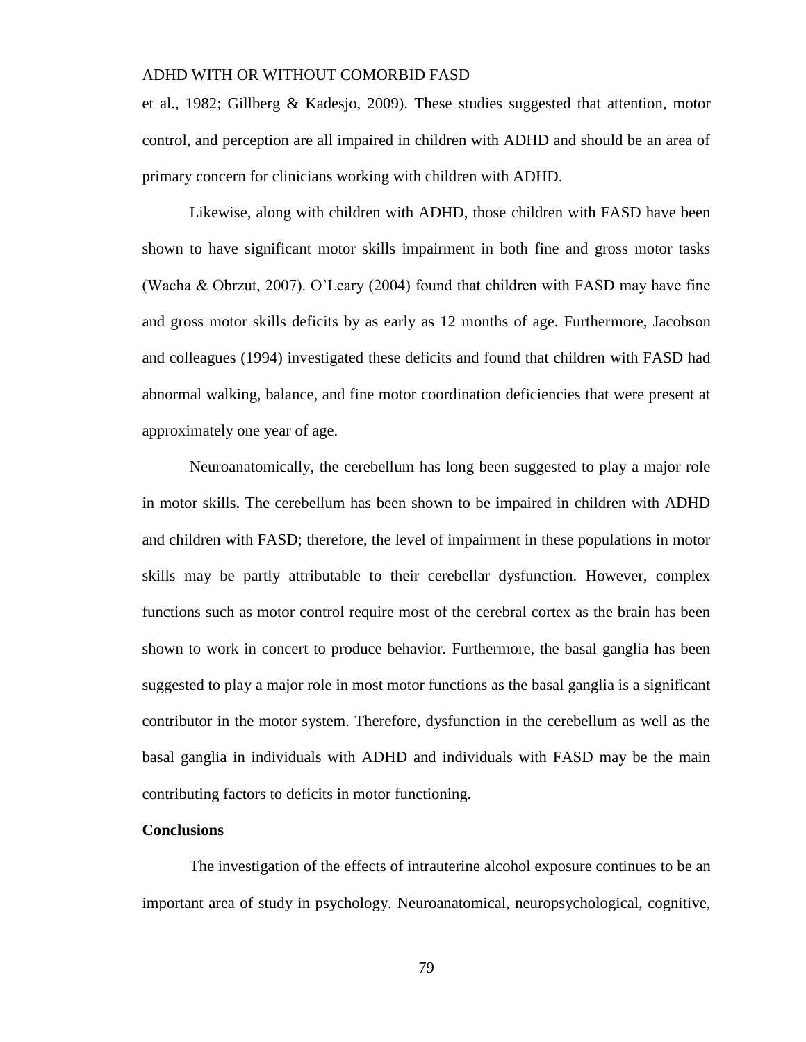et al., 1982; Gillberg & Kadesjo, 2009). These studies suggested that attention, motor control, and perception are all impaired in children with ADHD and should be an area of primary concern for clinicians working with children with ADHD.

Likewise, along with children with ADHD, those children with FASD have been shown to have significant motor skills impairment in both fine and gross motor tasks (Wacha & Obrzut, 2007). O'Leary (2004) found that children with FASD may have fine and gross motor skills deficits by as early as 12 months of age. Furthermore, Jacobson and colleagues (1994) investigated these deficits and found that children with FASD had abnormal walking, balance, and fine motor coordination deficiencies that were present at approximately one year of age.

Neuroanatomically, the cerebellum has long been suggested to play a major role in motor skills. The cerebellum has been shown to be impaired in children with ADHD and children with FASD; therefore, the level of impairment in these populations in motor skills may be partly attributable to their cerebellar dysfunction. However, complex functions such as motor control require most of the cerebral cortex as the brain has been shown to work in concert to produce behavior. Furthermore, the basal ganglia has been suggested to play a major role in most motor functions as the basal ganglia is a significant contributor in the motor system. Therefore, dysfunction in the cerebellum as well as the basal ganglia in individuals with ADHD and individuals with FASD may be the main contributing factors to deficits in motor functioning.

#### **Conclusions**

The investigation of the effects of intrauterine alcohol exposure continues to be an important area of study in psychology. Neuroanatomical, neuropsychological, cognitive,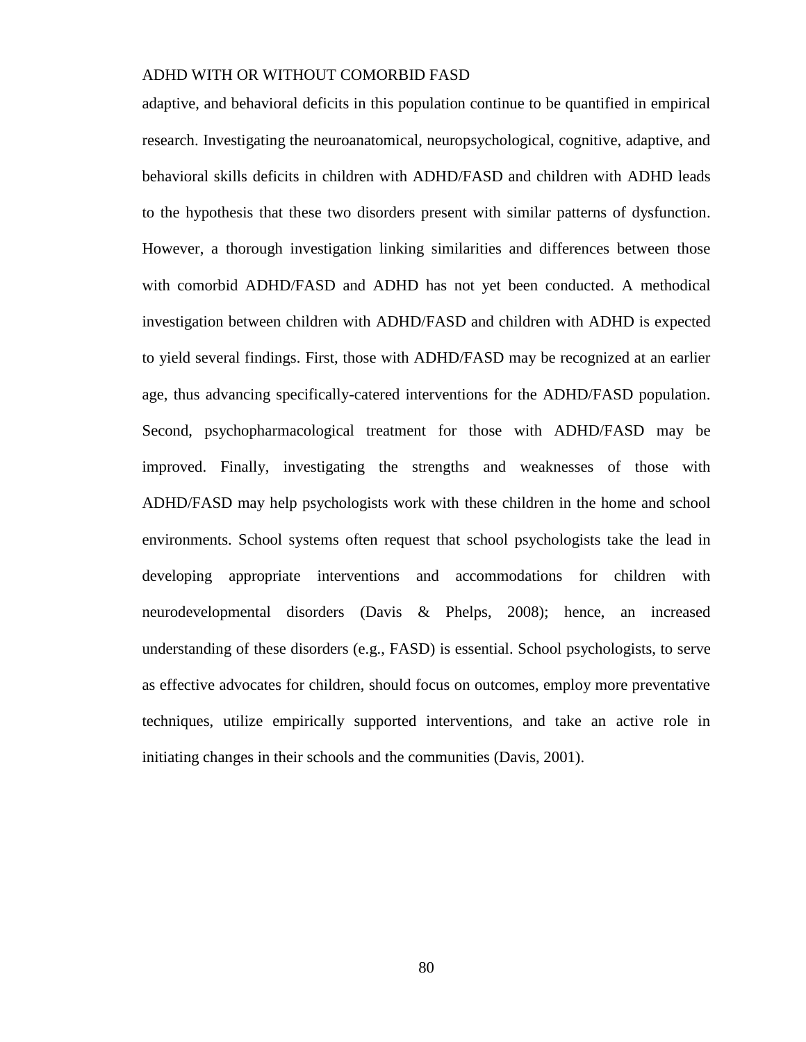adaptive, and behavioral deficits in this population continue to be quantified in empirical research. Investigating the neuroanatomical, neuropsychological, cognitive, adaptive, and behavioral skills deficits in children with ADHD/FASD and children with ADHD leads to the hypothesis that these two disorders present with similar patterns of dysfunction. However, a thorough investigation linking similarities and differences between those with comorbid ADHD/FASD and ADHD has not yet been conducted. A methodical investigation between children with ADHD/FASD and children with ADHD is expected to yield several findings. First, those with ADHD/FASD may be recognized at an earlier age, thus advancing specifically-catered interventions for the ADHD/FASD population. Second, psychopharmacological treatment for those with ADHD/FASD may be improved. Finally, investigating the strengths and weaknesses of those with ADHD/FASD may help psychologists work with these children in the home and school environments. School systems often request that school psychologists take the lead in developing appropriate interventions and accommodations for children with neurodevelopmental disorders (Davis & Phelps, 2008); hence, an increased understanding of these disorders (e.g., FASD) is essential. School psychologists, to serve as effective advocates for children, should focus on outcomes, employ more preventative techniques, utilize empirically supported interventions, and take an active role in initiating changes in their schools and the communities (Davis, 2001).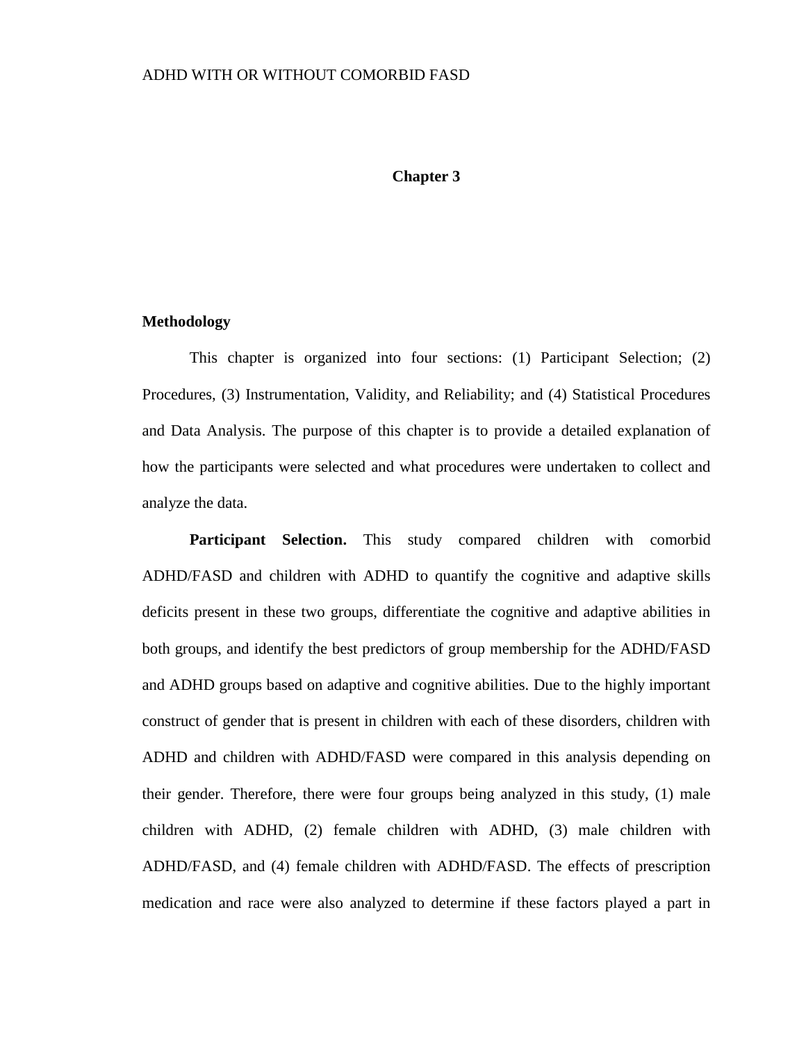#### **Chapter 3**

#### **Methodology**

This chapter is organized into four sections: (1) Participant Selection; (2) Procedures, (3) Instrumentation, Validity, and Reliability; and (4) Statistical Procedures and Data Analysis. The purpose of this chapter is to provide a detailed explanation of how the participants were selected and what procedures were undertaken to collect and analyze the data.

**Participant Selection.** This study compared children with comorbid ADHD/FASD and children with ADHD to quantify the cognitive and adaptive skills deficits present in these two groups, differentiate the cognitive and adaptive abilities in both groups, and identify the best predictors of group membership for the ADHD/FASD and ADHD groups based on adaptive and cognitive abilities. Due to the highly important construct of gender that is present in children with each of these disorders, children with ADHD and children with ADHD/FASD were compared in this analysis depending on their gender. Therefore, there were four groups being analyzed in this study, (1) male children with ADHD, (2) female children with ADHD, (3) male children with ADHD/FASD, and (4) female children with ADHD/FASD. The effects of prescription medication and race were also analyzed to determine if these factors played a part in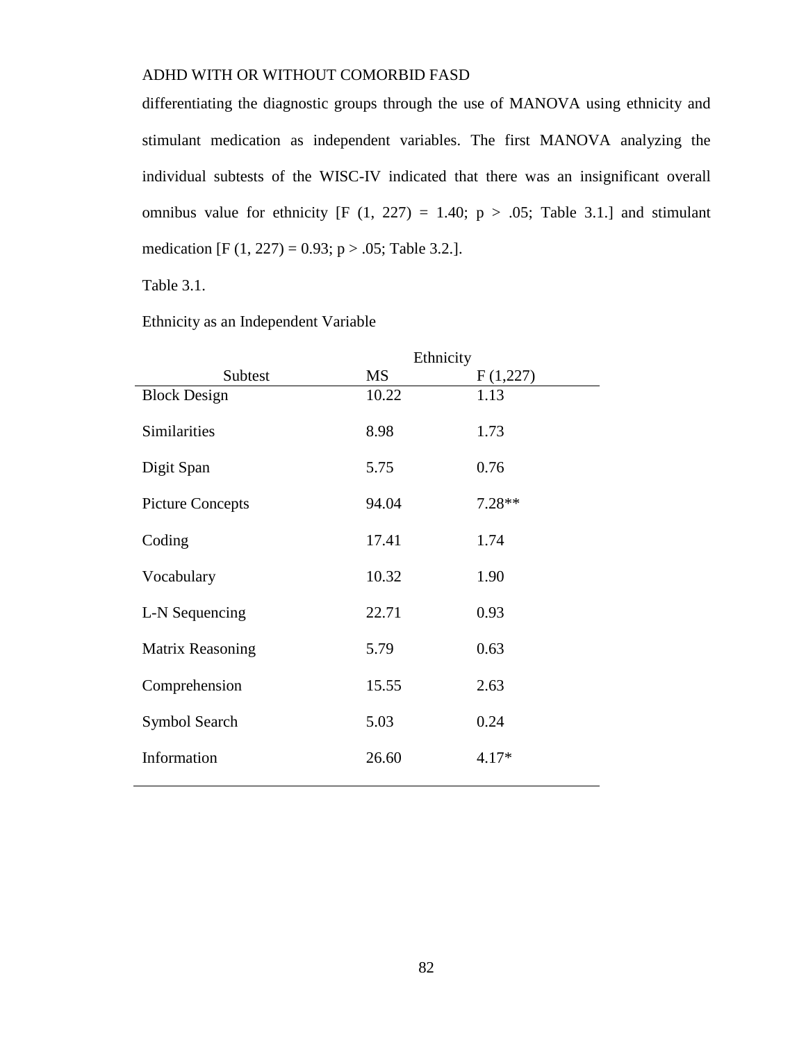differentiating the diagnostic groups through the use of MANOVA using ethnicity and stimulant medication as independent variables. The first MANOVA analyzing the individual subtests of the WISC-IV indicated that there was an insignificant overall omnibus value for ethnicity [F  $(1, 227) = 1.40$ ; p > .05; Table 3.1.] and stimulant medication [F (1, 227) = 0.93; p > .05; Table 3.2.].

Table 3.1.

Ethnicity as an Independent Variable

|                         | Ethnicity |          |  |
|-------------------------|-----------|----------|--|
| Subtest                 | <b>MS</b> | F(1,227) |  |
| <b>Block Design</b>     | 10.22     | 1.13     |  |
| <b>Similarities</b>     | 8.98      | 1.73     |  |
| Digit Span              | 5.75      | 0.76     |  |
| <b>Picture Concepts</b> | 94.04     | $7.28**$ |  |
| Coding                  | 17.41     | 1.74     |  |
| Vocabulary              | 10.32     | 1.90     |  |
| L-N Sequencing          | 22.71     | 0.93     |  |
| <b>Matrix Reasoning</b> | 5.79      | 0.63     |  |
| Comprehension           | 15.55     | 2.63     |  |
| Symbol Search           | 5.03      | 0.24     |  |
| Information             | 26.60     | $4.17*$  |  |
|                         |           |          |  |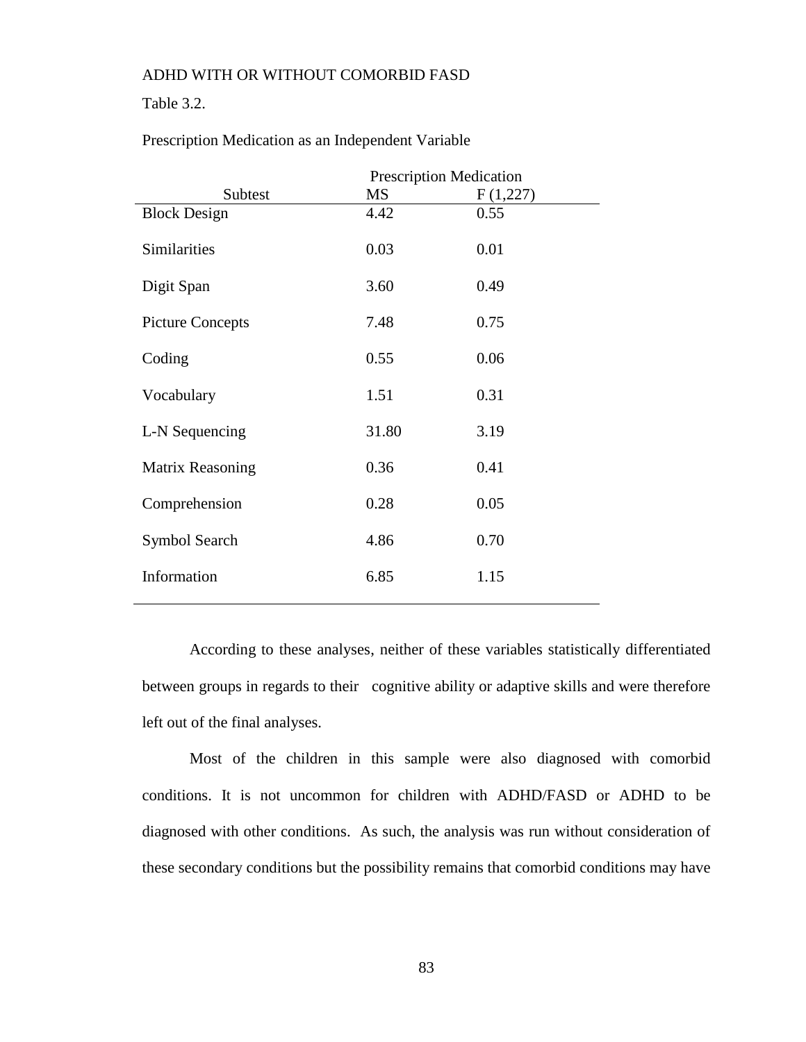## Table 3.2.

|                         | <b>Prescription Medication</b> |          |  |
|-------------------------|--------------------------------|----------|--|
| Subtest                 | MS                             | F(1,227) |  |
| <b>Block Design</b>     | 4.42                           | 0.55     |  |
| Similarities            | 0.03                           | 0.01     |  |
| Digit Span              | 3.60                           | 0.49     |  |
| <b>Picture Concepts</b> | 7.48                           | 0.75     |  |
| Coding                  | 0.55                           | 0.06     |  |
| Vocabulary              | 1.51                           | 0.31     |  |
| L-N Sequencing          | 31.80                          | 3.19     |  |
| Matrix Reasoning        | 0.36                           | 0.41     |  |
| Comprehension           | 0.28                           | 0.05     |  |
| Symbol Search           | 4.86                           | 0.70     |  |
| Information             | 6.85                           | 1.15     |  |

Prescription Medication as an Independent Variable

According to these analyses, neither of these variables statistically differentiated between groups in regards to their cognitive ability or adaptive skills and were therefore left out of the final analyses.

Most of the children in this sample were also diagnosed with comorbid conditions. It is not uncommon for children with ADHD/FASD or ADHD to be diagnosed with other conditions. As such, the analysis was run without consideration of these secondary conditions but the possibility remains that comorbid conditions may have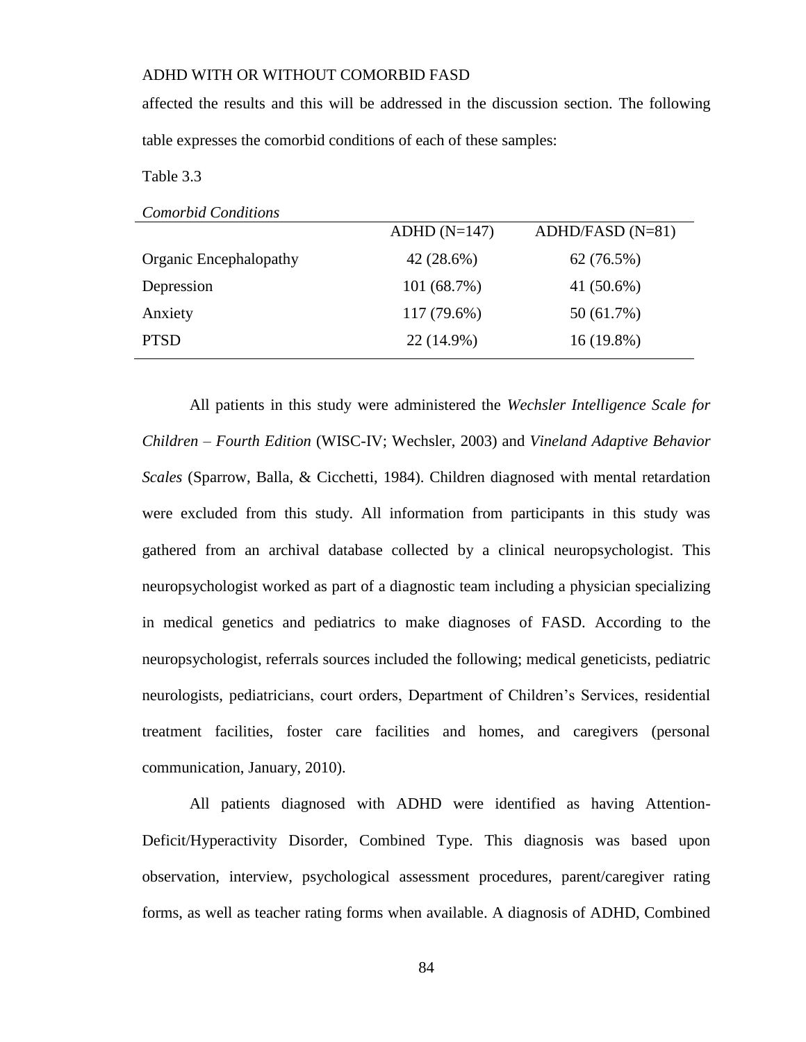affected the results and this will be addressed in the discussion section. The following table expresses the comorbid conditions of each of these samples:

Table 3.3

|                        | $ADHD(N=147)$ | $ADHD/FASD (N=81)$ |
|------------------------|---------------|--------------------|
| Organic Encephalopathy | 42 (28.6%)    | 62(76.5%)          |
| Depression             | 101(68.7%)    | 41 $(50.6\%)$      |
| Anxiety                | 117 (79.6%)   | 50 (61.7%)         |
| <b>PTSD</b>            | 22 (14.9%)    | $16(19.8\%)$       |
|                        |               |                    |

All patients in this study were administered the *Wechsler Intelligence Scale for Children – Fourth Edition* (WISC-IV; Wechsler, 2003) and *Vineland Adaptive Behavior Scales* (Sparrow, Balla, & Cicchetti, 1984). Children diagnosed with mental retardation were excluded from this study. All information from participants in this study was gathered from an archival database collected by a clinical neuropsychologist. This neuropsychologist worked as part of a diagnostic team including a physician specializing in medical genetics and pediatrics to make diagnoses of FASD. According to the neuropsychologist, referrals sources included the following; medical geneticists, pediatric neurologists, pediatricians, court orders, Department of Children's Services, residential treatment facilities, foster care facilities and homes, and caregivers (personal communication, January, 2010).

All patients diagnosed with ADHD were identified as having Attention-Deficit/Hyperactivity Disorder, Combined Type. This diagnosis was based upon observation, interview, psychological assessment procedures, parent/caregiver rating forms, as well as teacher rating forms when available. A diagnosis of ADHD, Combined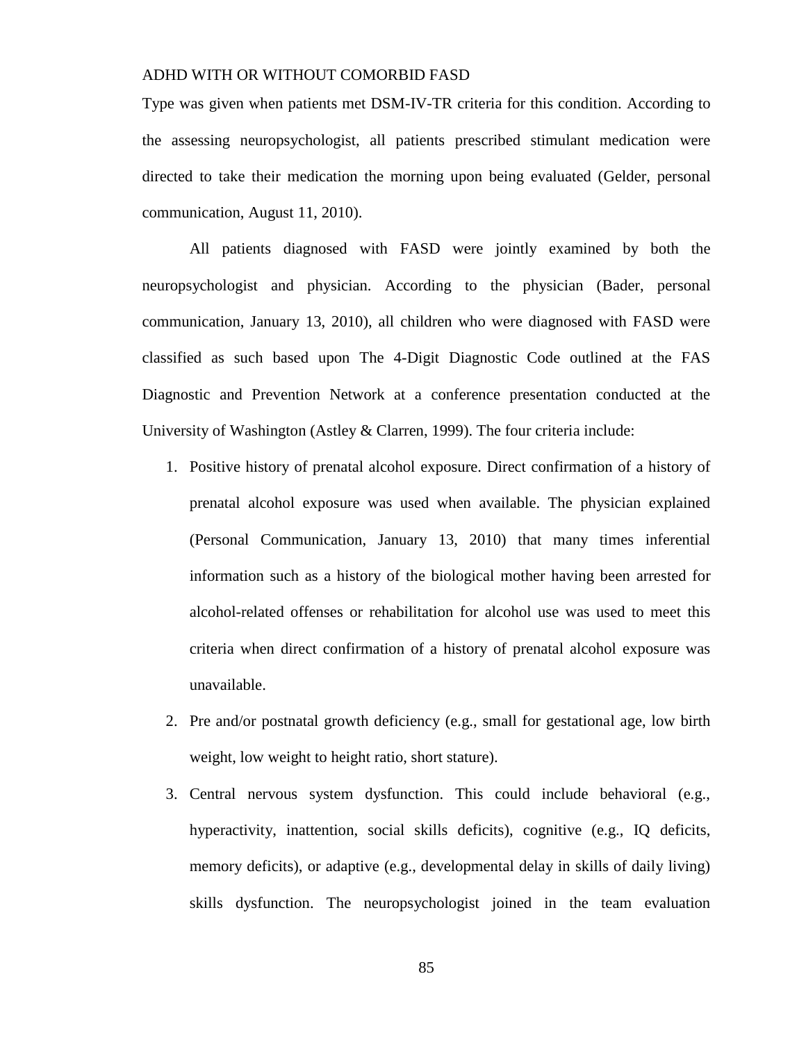Type was given when patients met DSM-IV-TR criteria for this condition. According to the assessing neuropsychologist, all patients prescribed stimulant medication were directed to take their medication the morning upon being evaluated (Gelder, personal communication, August 11, 2010).

All patients diagnosed with FASD were jointly examined by both the neuropsychologist and physician. According to the physician (Bader, personal communication, January 13, 2010), all children who were diagnosed with FASD were classified as such based upon The 4-Digit Diagnostic Code outlined at the FAS Diagnostic and Prevention Network at a conference presentation conducted at the University of Washington (Astley & Clarren, 1999). The four criteria include:

- 1. Positive history of prenatal alcohol exposure. Direct confirmation of a history of prenatal alcohol exposure was used when available. The physician explained (Personal Communication, January 13, 2010) that many times inferential information such as a history of the biological mother having been arrested for alcohol-related offenses or rehabilitation for alcohol use was used to meet this criteria when direct confirmation of a history of prenatal alcohol exposure was unavailable.
- 2. Pre and/or postnatal growth deficiency (e.g., small for gestational age, low birth weight, low weight to height ratio, short stature).
- 3. Central nervous system dysfunction. This could include behavioral (e.g., hyperactivity, inattention, social skills deficits), cognitive (e.g., IQ deficits, memory deficits), or adaptive (e.g., developmental delay in skills of daily living) skills dysfunction. The neuropsychologist joined in the team evaluation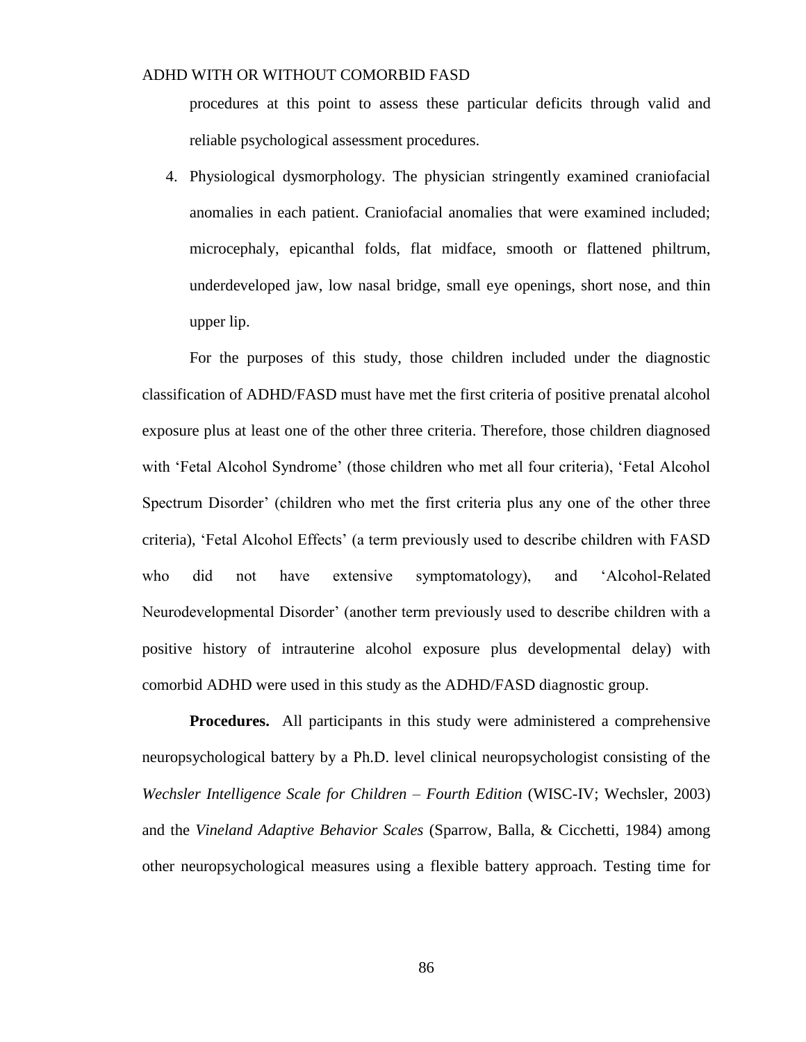procedures at this point to assess these particular deficits through valid and reliable psychological assessment procedures.

4. Physiological dysmorphology. The physician stringently examined craniofacial anomalies in each patient. Craniofacial anomalies that were examined included; microcephaly, epicanthal folds, flat midface, smooth or flattened philtrum, underdeveloped jaw, low nasal bridge, small eye openings, short nose, and thin upper lip.

For the purposes of this study, those children included under the diagnostic classification of ADHD/FASD must have met the first criteria of positive prenatal alcohol exposure plus at least one of the other three criteria. Therefore, those children diagnosed with 'Fetal Alcohol Syndrome' (those children who met all four criteria), 'Fetal Alcohol Spectrum Disorder' (children who met the first criteria plus any one of the other three criteria), 'Fetal Alcohol Effects' (a term previously used to describe children with FASD who did not have extensive symptomatology), and 'Alcohol-Related Neurodevelopmental Disorder' (another term previously used to describe children with a positive history of intrauterine alcohol exposure plus developmental delay) with comorbid ADHD were used in this study as the ADHD/FASD diagnostic group.

**Procedures.** All participants in this study were administered a comprehensive neuropsychological battery by a Ph.D. level clinical neuropsychologist consisting of the *Wechsler Intelligence Scale for Children – Fourth Edition* (WISC-IV; Wechsler, 2003) and the *Vineland Adaptive Behavior Scales* (Sparrow, Balla, & Cicchetti, 1984) among other neuropsychological measures using a flexible battery approach. Testing time for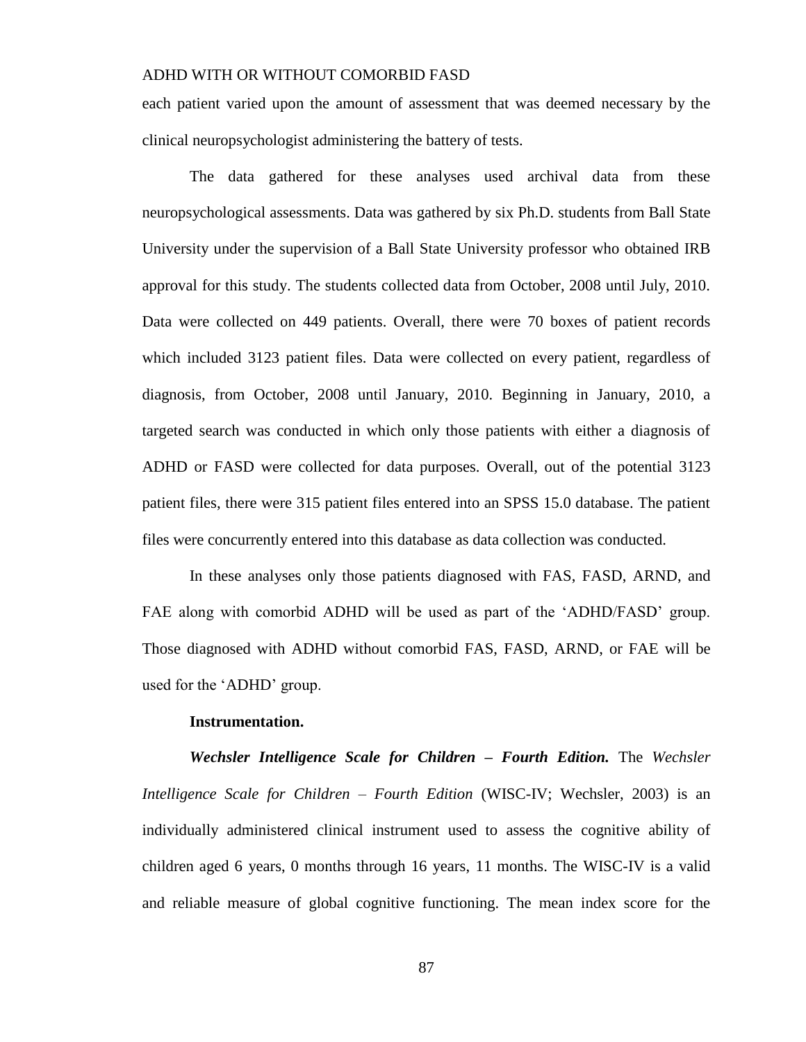each patient varied upon the amount of assessment that was deemed necessary by the clinical neuropsychologist administering the battery of tests.

The data gathered for these analyses used archival data from these neuropsychological assessments. Data was gathered by six Ph.D. students from Ball State University under the supervision of a Ball State University professor who obtained IRB approval for this study. The students collected data from October, 2008 until July, 2010. Data were collected on 449 patients. Overall, there were 70 boxes of patient records which included 3123 patient files. Data were collected on every patient, regardless of diagnosis, from October, 2008 until January, 2010. Beginning in January, 2010, a targeted search was conducted in which only those patients with either a diagnosis of ADHD or FASD were collected for data purposes. Overall, out of the potential 3123 patient files, there were 315 patient files entered into an SPSS 15.0 database. The patient files were concurrently entered into this database as data collection was conducted.

In these analyses only those patients diagnosed with FAS, FASD, ARND, and FAE along with comorbid ADHD will be used as part of the 'ADHD/FASD' group. Those diagnosed with ADHD without comorbid FAS, FASD, ARND, or FAE will be used for the 'ADHD' group.

#### **Instrumentation.**

*Wechsler Intelligence Scale for Children – Fourth Edition.* The *Wechsler Intelligence Scale for Children – Fourth Edition* (WISC-IV; Wechsler, 2003) is an individually administered clinical instrument used to assess the cognitive ability of children aged 6 years, 0 months through 16 years, 11 months. The WISC-IV is a valid and reliable measure of global cognitive functioning. The mean index score for the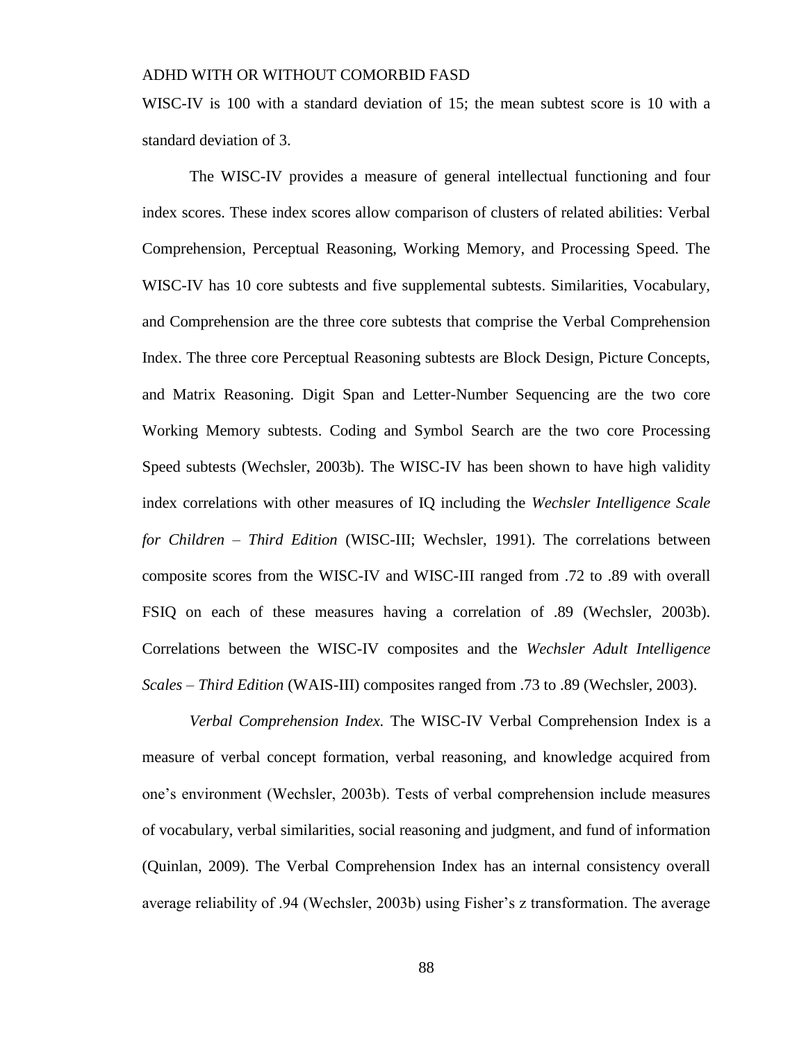WISC-IV is 100 with a standard deviation of 15; the mean subtest score is 10 with a standard deviation of 3.

The WISC-IV provides a measure of general intellectual functioning and four index scores. These index scores allow comparison of clusters of related abilities: Verbal Comprehension, Perceptual Reasoning, Working Memory, and Processing Speed. The WISC-IV has 10 core subtests and five supplemental subtests. Similarities, Vocabulary, and Comprehension are the three core subtests that comprise the Verbal Comprehension Index. The three core Perceptual Reasoning subtests are Block Design, Picture Concepts, and Matrix Reasoning. Digit Span and Letter-Number Sequencing are the two core Working Memory subtests. Coding and Symbol Search are the two core Processing Speed subtests (Wechsler, 2003b). The WISC-IV has been shown to have high validity index correlations with other measures of IQ including the *Wechsler Intelligence Scale for Children – Third Edition* (WISC-III; Wechsler, 1991). The correlations between composite scores from the WISC-IV and WISC-III ranged from .72 to .89 with overall FSIQ on each of these measures having a correlation of .89 (Wechsler, 2003b). Correlations between the WISC-IV composites and the *Wechsler Adult Intelligence Scales – Third Edition* (WAIS-III) composites ranged from .73 to .89 (Wechsler, 2003).

*Verbal Comprehension Index.* The WISC-IV Verbal Comprehension Index is a measure of verbal concept formation, verbal reasoning, and knowledge acquired from one's environment (Wechsler, 2003b). Tests of verbal comprehension include measures of vocabulary, verbal similarities, social reasoning and judgment, and fund of information (Quinlan, 2009). The Verbal Comprehension Index has an internal consistency overall average reliability of .94 (Wechsler, 2003b) using Fisher's z transformation. The average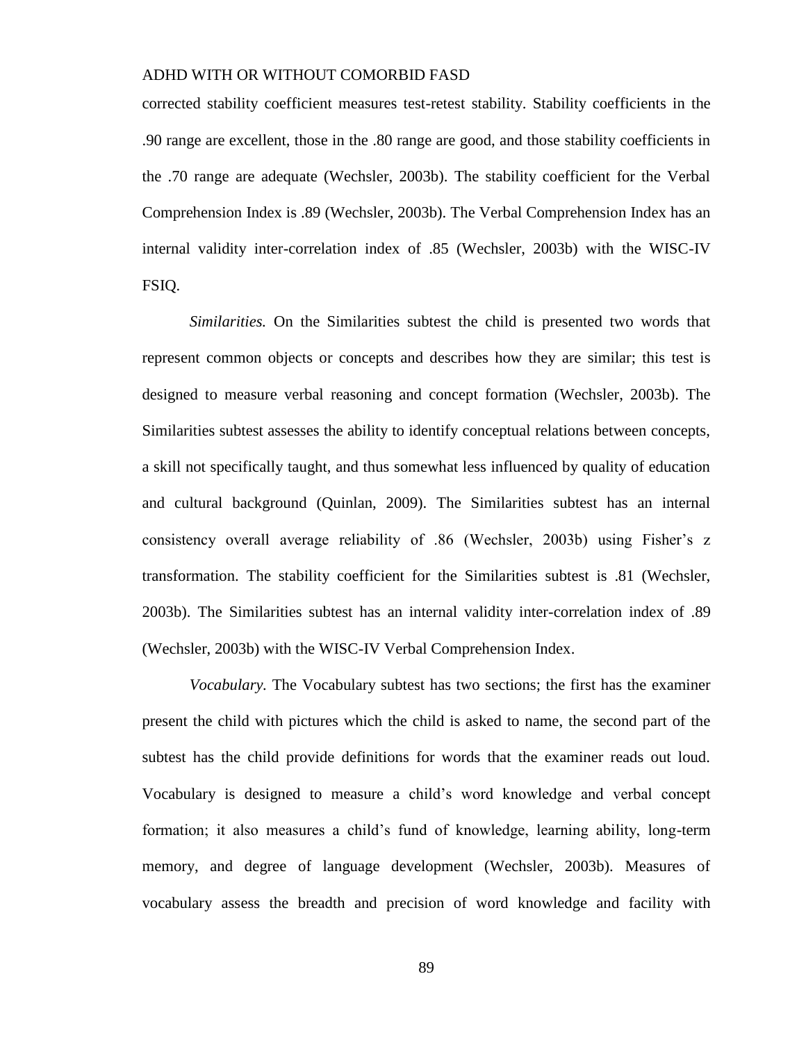corrected stability coefficient measures test-retest stability. Stability coefficients in the .90 range are excellent, those in the .80 range are good, and those stability coefficients in the .70 range are adequate (Wechsler, 2003b). The stability coefficient for the Verbal Comprehension Index is .89 (Wechsler, 2003b). The Verbal Comprehension Index has an internal validity inter-correlation index of .85 (Wechsler, 2003b) with the WISC-IV FSIQ.

*Similarities.* On the Similarities subtest the child is presented two words that represent common objects or concepts and describes how they are similar; this test is designed to measure verbal reasoning and concept formation (Wechsler, 2003b). The Similarities subtest assesses the ability to identify conceptual relations between concepts, a skill not specifically taught, and thus somewhat less influenced by quality of education and cultural background (Quinlan, 2009). The Similarities subtest has an internal consistency overall average reliability of .86 (Wechsler, 2003b) using Fisher's z transformation. The stability coefficient for the Similarities subtest is .81 (Wechsler, 2003b). The Similarities subtest has an internal validity inter-correlation index of .89 (Wechsler, 2003b) with the WISC-IV Verbal Comprehension Index.

*Vocabulary.* The Vocabulary subtest has two sections; the first has the examiner present the child with pictures which the child is asked to name, the second part of the subtest has the child provide definitions for words that the examiner reads out loud. Vocabulary is designed to measure a child's word knowledge and verbal concept formation; it also measures a child's fund of knowledge, learning ability, long-term memory, and degree of language development (Wechsler, 2003b). Measures of vocabulary assess the breadth and precision of word knowledge and facility with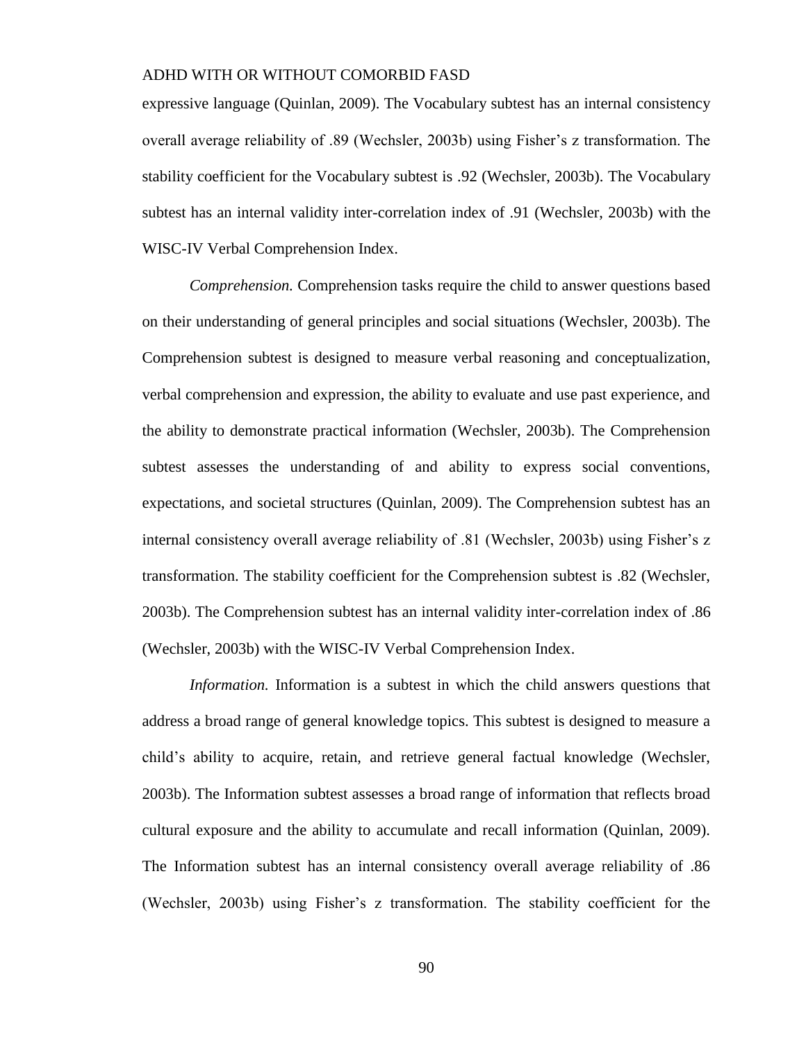expressive language (Quinlan, 2009). The Vocabulary subtest has an internal consistency overall average reliability of .89 (Wechsler, 2003b) using Fisher's z transformation. The stability coefficient for the Vocabulary subtest is .92 (Wechsler, 2003b). The Vocabulary subtest has an internal validity inter-correlation index of .91 (Wechsler, 2003b) with the WISC-IV Verbal Comprehension Index.

*Comprehension.* Comprehension tasks require the child to answer questions based on their understanding of general principles and social situations (Wechsler, 2003b). The Comprehension subtest is designed to measure verbal reasoning and conceptualization, verbal comprehension and expression, the ability to evaluate and use past experience, and the ability to demonstrate practical information (Wechsler, 2003b). The Comprehension subtest assesses the understanding of and ability to express social conventions, expectations, and societal structures (Quinlan, 2009). The Comprehension subtest has an internal consistency overall average reliability of .81 (Wechsler, 2003b) using Fisher's z transformation. The stability coefficient for the Comprehension subtest is .82 (Wechsler, 2003b). The Comprehension subtest has an internal validity inter-correlation index of .86 (Wechsler, 2003b) with the WISC-IV Verbal Comprehension Index.

*Information.* Information is a subtest in which the child answers questions that address a broad range of general knowledge topics. This subtest is designed to measure a child's ability to acquire, retain, and retrieve general factual knowledge (Wechsler, 2003b). The Information subtest assesses a broad range of information that reflects broad cultural exposure and the ability to accumulate and recall information (Quinlan, 2009). The Information subtest has an internal consistency overall average reliability of .86 (Wechsler, 2003b) using Fisher's z transformation. The stability coefficient for the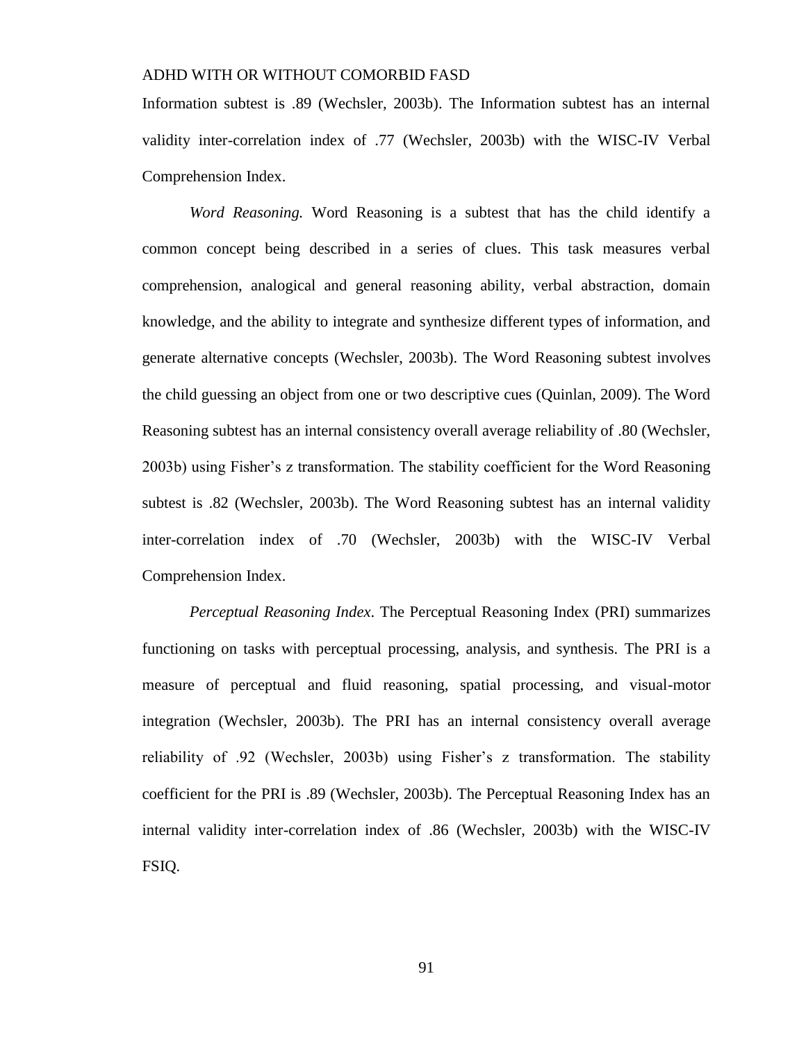Information subtest is .89 (Wechsler, 2003b). The Information subtest has an internal validity inter-correlation index of .77 (Wechsler, 2003b) with the WISC-IV Verbal Comprehension Index.

*Word Reasoning.* Word Reasoning is a subtest that has the child identify a common concept being described in a series of clues. This task measures verbal comprehension, analogical and general reasoning ability, verbal abstraction, domain knowledge, and the ability to integrate and synthesize different types of information, and generate alternative concepts (Wechsler, 2003b). The Word Reasoning subtest involves the child guessing an object from one or two descriptive cues (Quinlan, 2009). The Word Reasoning subtest has an internal consistency overall average reliability of .80 (Wechsler, 2003b) using Fisher's z transformation. The stability coefficient for the Word Reasoning subtest is .82 (Wechsler, 2003b). The Word Reasoning subtest has an internal validity inter-correlation index of .70 (Wechsler, 2003b) with the WISC-IV Verbal Comprehension Index.

*Perceptual Reasoning Index*. The Perceptual Reasoning Index (PRI) summarizes functioning on tasks with perceptual processing, analysis, and synthesis. The PRI is a measure of perceptual and fluid reasoning, spatial processing, and visual-motor integration (Wechsler, 2003b). The PRI has an internal consistency overall average reliability of .92 (Wechsler, 2003b) using Fisher's z transformation. The stability coefficient for the PRI is .89 (Wechsler, 2003b). The Perceptual Reasoning Index has an internal validity inter-correlation index of .86 (Wechsler, 2003b) with the WISC-IV FSIQ.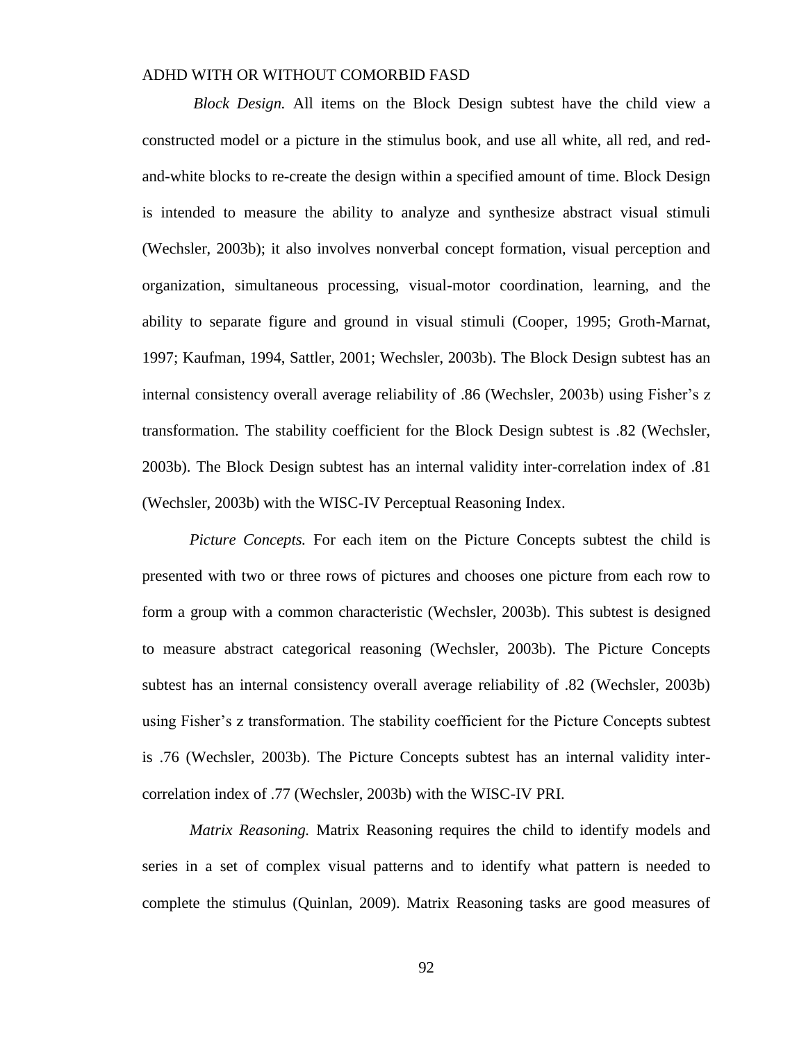*Block Design.* All items on the Block Design subtest have the child view a constructed model or a picture in the stimulus book, and use all white, all red, and redand-white blocks to re-create the design within a specified amount of time. Block Design is intended to measure the ability to analyze and synthesize abstract visual stimuli (Wechsler, 2003b); it also involves nonverbal concept formation, visual perception and organization, simultaneous processing, visual-motor coordination, learning, and the ability to separate figure and ground in visual stimuli (Cooper, 1995; Groth-Marnat, 1997; Kaufman, 1994, Sattler, 2001; Wechsler, 2003b). The Block Design subtest has an internal consistency overall average reliability of .86 (Wechsler, 2003b) using Fisher's z transformation. The stability coefficient for the Block Design subtest is .82 (Wechsler, 2003b). The Block Design subtest has an internal validity inter-correlation index of .81 (Wechsler, 2003b) with the WISC-IV Perceptual Reasoning Index.

*Picture Concepts.* For each item on the Picture Concepts subtest the child is presented with two or three rows of pictures and chooses one picture from each row to form a group with a common characteristic (Wechsler, 2003b). This subtest is designed to measure abstract categorical reasoning (Wechsler, 2003b). The Picture Concepts subtest has an internal consistency overall average reliability of .82 (Wechsler, 2003b) using Fisher's z transformation. The stability coefficient for the Picture Concepts subtest is .76 (Wechsler, 2003b). The Picture Concepts subtest has an internal validity intercorrelation index of .77 (Wechsler, 2003b) with the WISC-IV PRI.

*Matrix Reasoning.* Matrix Reasoning requires the child to identify models and series in a set of complex visual patterns and to identify what pattern is needed to complete the stimulus (Quinlan, 2009). Matrix Reasoning tasks are good measures of

92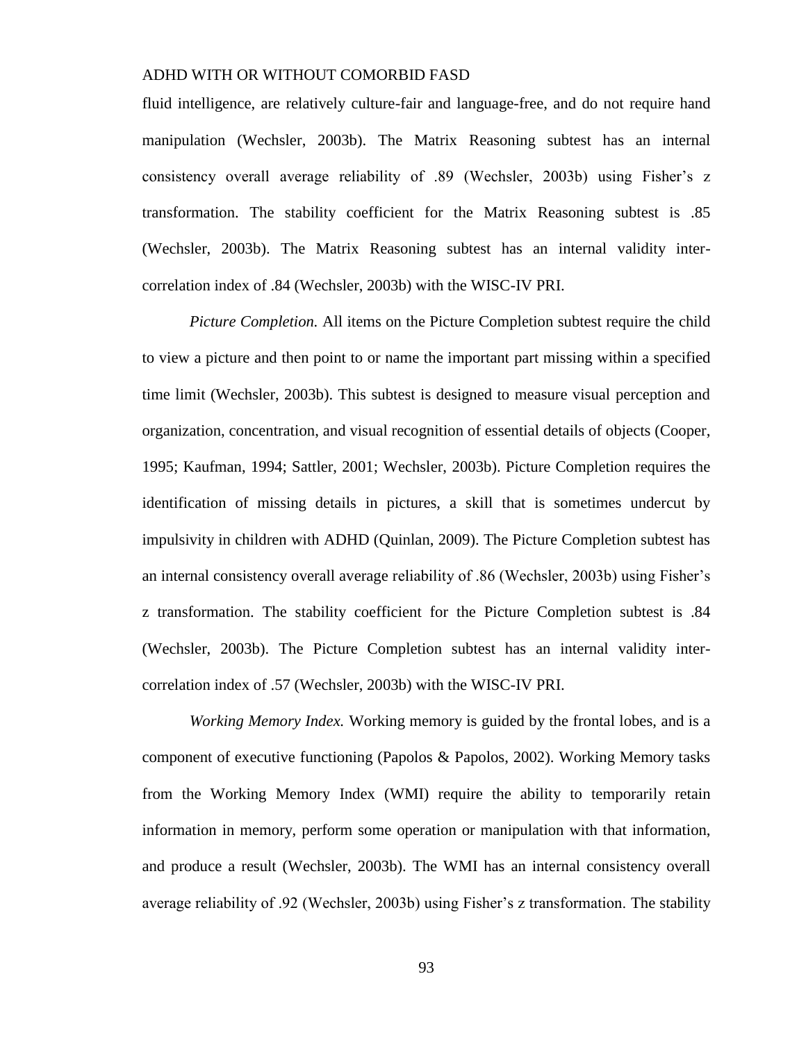fluid intelligence, are relatively culture-fair and language-free, and do not require hand manipulation (Wechsler, 2003b). The Matrix Reasoning subtest has an internal consistency overall average reliability of .89 (Wechsler, 2003b) using Fisher's z transformation. The stability coefficient for the Matrix Reasoning subtest is .85 (Wechsler, 2003b). The Matrix Reasoning subtest has an internal validity intercorrelation index of .84 (Wechsler, 2003b) with the WISC-IV PRI.

*Picture Completion.* All items on the Picture Completion subtest require the child to view a picture and then point to or name the important part missing within a specified time limit (Wechsler, 2003b). This subtest is designed to measure visual perception and organization, concentration, and visual recognition of essential details of objects (Cooper, 1995; Kaufman, 1994; Sattler, 2001; Wechsler, 2003b). Picture Completion requires the identification of missing details in pictures, a skill that is sometimes undercut by impulsivity in children with ADHD (Quinlan, 2009). The Picture Completion subtest has an internal consistency overall average reliability of .86 (Wechsler, 2003b) using Fisher's z transformation. The stability coefficient for the Picture Completion subtest is .84 (Wechsler, 2003b). The Picture Completion subtest has an internal validity intercorrelation index of .57 (Wechsler, 2003b) with the WISC-IV PRI.

*Working Memory Index.* Working memory is guided by the frontal lobes, and is a component of executive functioning (Papolos & Papolos, 2002). Working Memory tasks from the Working Memory Index (WMI) require the ability to temporarily retain information in memory, perform some operation or manipulation with that information, and produce a result (Wechsler, 2003b). The WMI has an internal consistency overall average reliability of .92 (Wechsler, 2003b) using Fisher's z transformation. The stability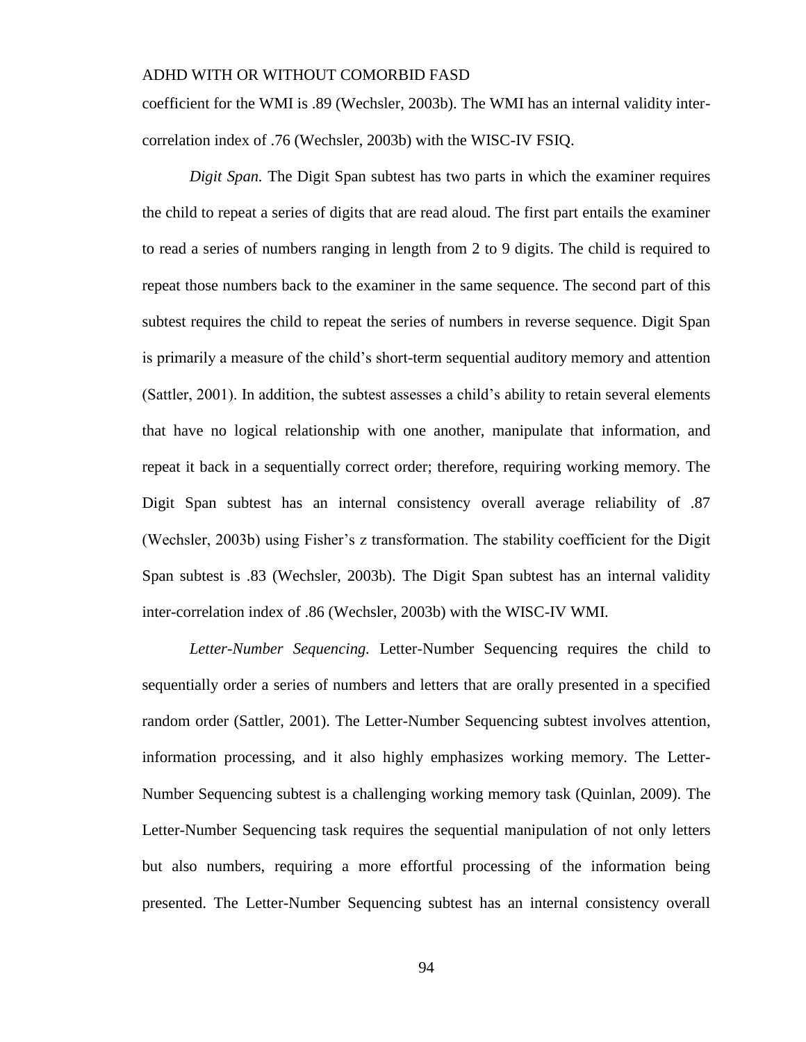coefficient for the WMI is .89 (Wechsler, 2003b). The WMI has an internal validity intercorrelation index of .76 (Wechsler, 2003b) with the WISC-IV FSIQ.

*Digit Span.* The Digit Span subtest has two parts in which the examiner requires the child to repeat a series of digits that are read aloud. The first part entails the examiner to read a series of numbers ranging in length from 2 to 9 digits. The child is required to repeat those numbers back to the examiner in the same sequence. The second part of this subtest requires the child to repeat the series of numbers in reverse sequence. Digit Span is primarily a measure of the child's short-term sequential auditory memory and attention (Sattler, 2001). In addition, the subtest assesses a child's ability to retain several elements that have no logical relationship with one another, manipulate that information, and repeat it back in a sequentially correct order; therefore, requiring working memory. The Digit Span subtest has an internal consistency overall average reliability of .87 (Wechsler, 2003b) using Fisher's z transformation. The stability coefficient for the Digit Span subtest is .83 (Wechsler, 2003b). The Digit Span subtest has an internal validity inter-correlation index of .86 (Wechsler, 2003b) with the WISC-IV WMI.

*Letter-Number Sequencing.* Letter-Number Sequencing requires the child to sequentially order a series of numbers and letters that are orally presented in a specified random order (Sattler, 2001). The Letter-Number Sequencing subtest involves attention, information processing, and it also highly emphasizes working memory. The Letter-Number Sequencing subtest is a challenging working memory task (Quinlan, 2009). The Letter-Number Sequencing task requires the sequential manipulation of not only letters but also numbers, requiring a more effortful processing of the information being presented. The Letter-Number Sequencing subtest has an internal consistency overall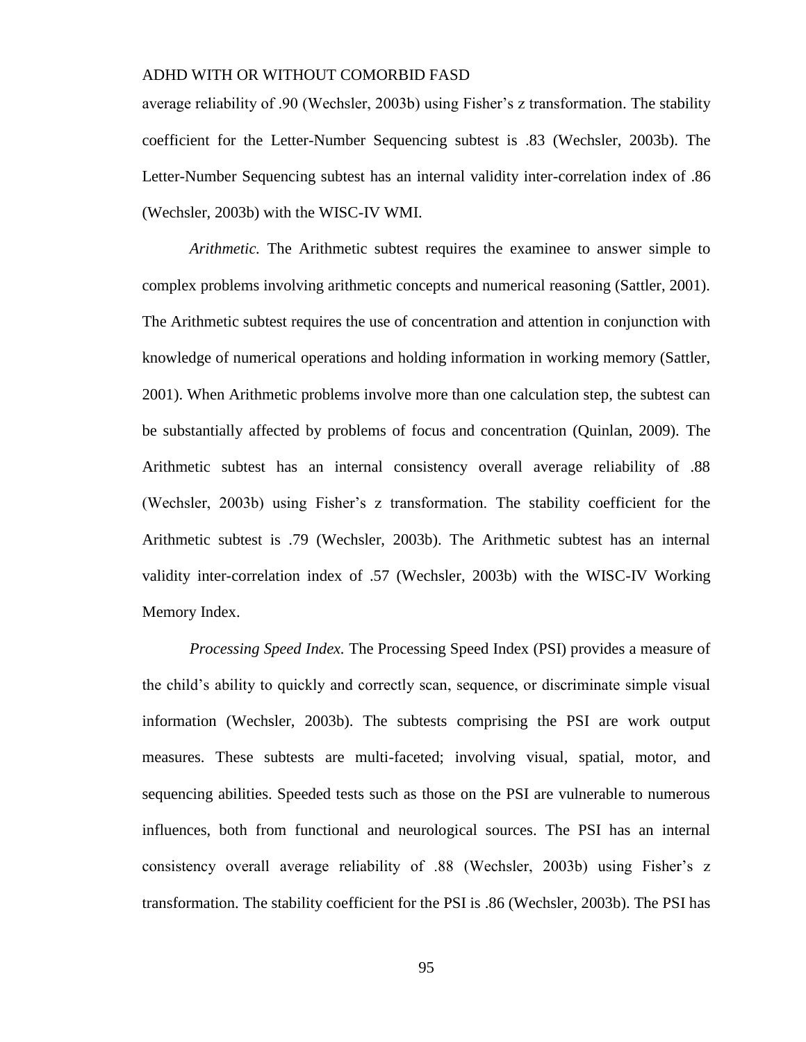average reliability of .90 (Wechsler, 2003b) using Fisher's z transformation. The stability coefficient for the Letter-Number Sequencing subtest is .83 (Wechsler, 2003b). The Letter-Number Sequencing subtest has an internal validity inter-correlation index of .86 (Wechsler, 2003b) with the WISC-IV WMI.

*Arithmetic.* The Arithmetic subtest requires the examinee to answer simple to complex problems involving arithmetic concepts and numerical reasoning (Sattler, 2001). The Arithmetic subtest requires the use of concentration and attention in conjunction with knowledge of numerical operations and holding information in working memory (Sattler, 2001). When Arithmetic problems involve more than one calculation step, the subtest can be substantially affected by problems of focus and concentration (Quinlan, 2009). The Arithmetic subtest has an internal consistency overall average reliability of .88 (Wechsler, 2003b) using Fisher's z transformation. The stability coefficient for the Arithmetic subtest is .79 (Wechsler, 2003b). The Arithmetic subtest has an internal validity inter-correlation index of .57 (Wechsler, 2003b) with the WISC-IV Working Memory Index.

*Processing Speed Index.* The Processing Speed Index (PSI) provides a measure of the child's ability to quickly and correctly scan, sequence, or discriminate simple visual information (Wechsler, 2003b). The subtests comprising the PSI are work output measures. These subtests are multi-faceted; involving visual, spatial, motor, and sequencing abilities. Speeded tests such as those on the PSI are vulnerable to numerous influences, both from functional and neurological sources. The PSI has an internal consistency overall average reliability of .88 (Wechsler, 2003b) using Fisher's z transformation. The stability coefficient for the PSI is .86 (Wechsler, 2003b). The PSI has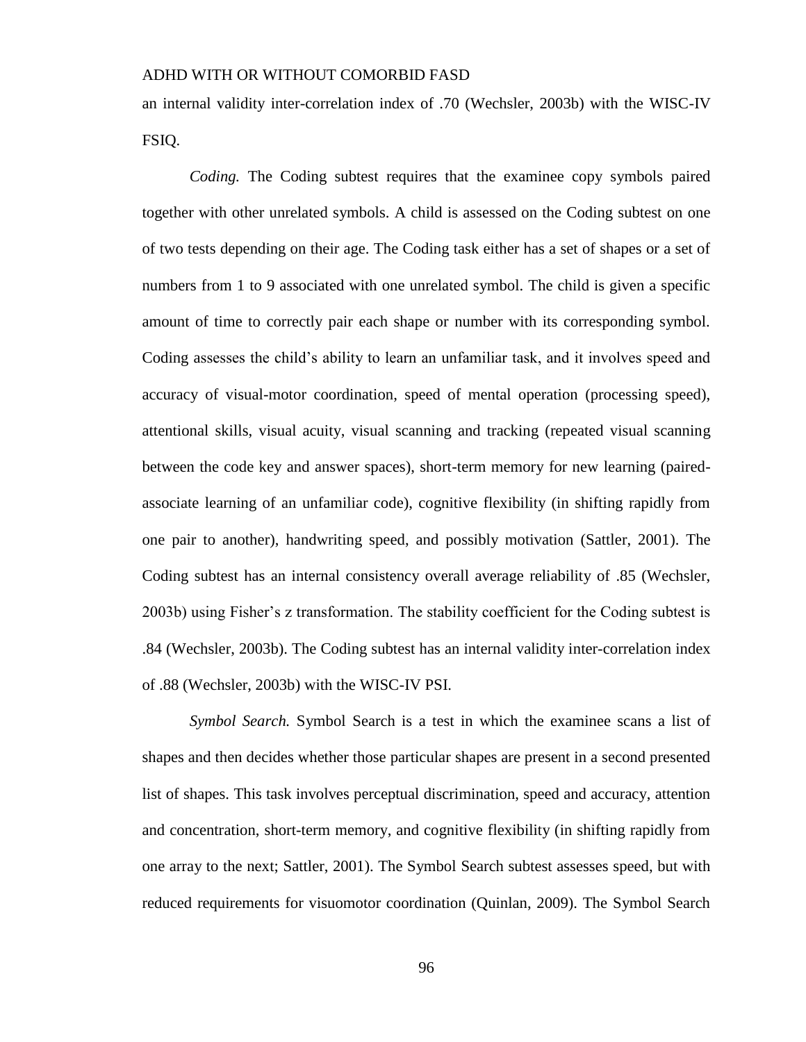an internal validity inter-correlation index of .70 (Wechsler, 2003b) with the WISC-IV FSIQ.

*Coding.* The Coding subtest requires that the examinee copy symbols paired together with other unrelated symbols. A child is assessed on the Coding subtest on one of two tests depending on their age. The Coding task either has a set of shapes or a set of numbers from 1 to 9 associated with one unrelated symbol. The child is given a specific amount of time to correctly pair each shape or number with its corresponding symbol. Coding assesses the child's ability to learn an unfamiliar task, and it involves speed and accuracy of visual-motor coordination, speed of mental operation (processing speed), attentional skills, visual acuity, visual scanning and tracking (repeated visual scanning between the code key and answer spaces), short-term memory for new learning (pairedassociate learning of an unfamiliar code), cognitive flexibility (in shifting rapidly from one pair to another), handwriting speed, and possibly motivation (Sattler, 2001). The Coding subtest has an internal consistency overall average reliability of .85 (Wechsler, 2003b) using Fisher's z transformation. The stability coefficient for the Coding subtest is .84 (Wechsler, 2003b). The Coding subtest has an internal validity inter-correlation index of .88 (Wechsler, 2003b) with the WISC-IV PSI.

*Symbol Search.* Symbol Search is a test in which the examinee scans a list of shapes and then decides whether those particular shapes are present in a second presented list of shapes. This task involves perceptual discrimination, speed and accuracy, attention and concentration, short-term memory, and cognitive flexibility (in shifting rapidly from one array to the next; Sattler, 2001). The Symbol Search subtest assesses speed, but with reduced requirements for visuomotor coordination (Quinlan, 2009). The Symbol Search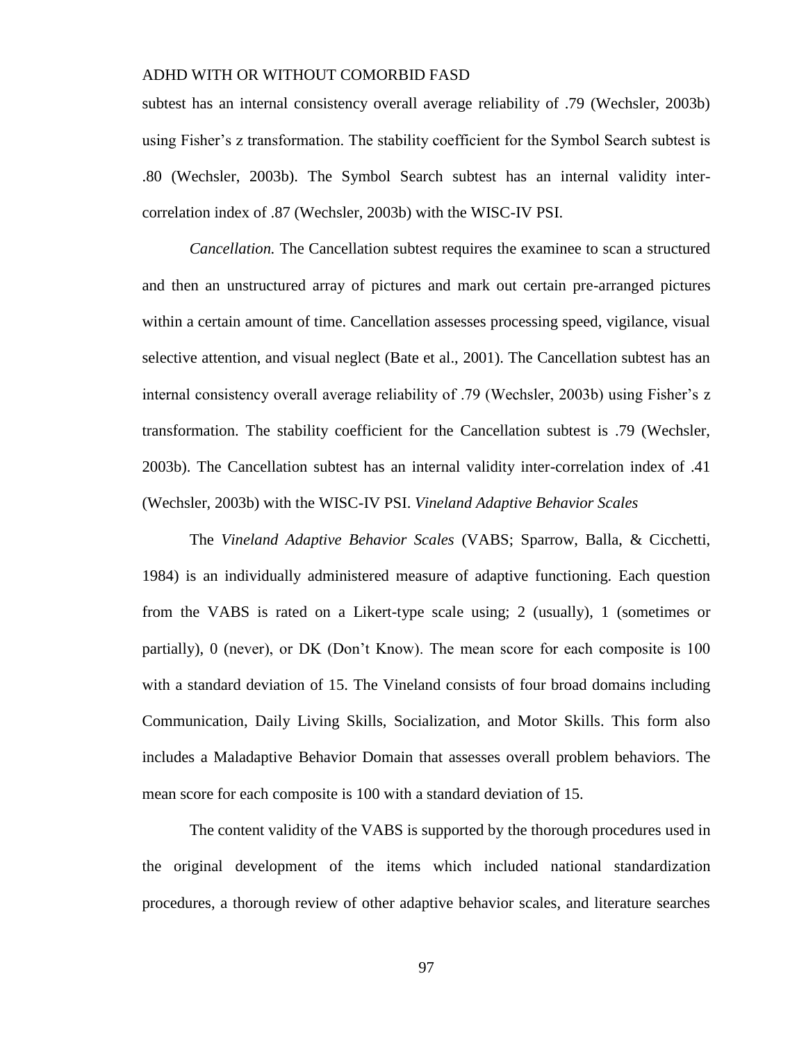subtest has an internal consistency overall average reliability of .79 (Wechsler, 2003b) using Fisher's z transformation. The stability coefficient for the Symbol Search subtest is .80 (Wechsler, 2003b). The Symbol Search subtest has an internal validity intercorrelation index of .87 (Wechsler, 2003b) with the WISC-IV PSI.

*Cancellation.* The Cancellation subtest requires the examinee to scan a structured and then an unstructured array of pictures and mark out certain pre-arranged pictures within a certain amount of time. Cancellation assesses processing speed, vigilance, visual selective attention, and visual neglect (Bate et al., 2001). The Cancellation subtest has an internal consistency overall average reliability of .79 (Wechsler, 2003b) using Fisher's z transformation. The stability coefficient for the Cancellation subtest is .79 (Wechsler, 2003b). The Cancellation subtest has an internal validity inter-correlation index of .41 (Wechsler, 2003b) with the WISC-IV PSI. *Vineland Adaptive Behavior Scales*

The *Vineland Adaptive Behavior Scales* (VABS; Sparrow, Balla, & Cicchetti, 1984) is an individually administered measure of adaptive functioning. Each question from the VABS is rated on a Likert-type scale using; 2 (usually), 1 (sometimes or partially), 0 (never), or DK (Don't Know). The mean score for each composite is 100 with a standard deviation of 15. The Vineland consists of four broad domains including Communication, Daily Living Skills, Socialization, and Motor Skills. This form also includes a Maladaptive Behavior Domain that assesses overall problem behaviors. The mean score for each composite is 100 with a standard deviation of 15.

The content validity of the VABS is supported by the thorough procedures used in the original development of the items which included national standardization procedures, a thorough review of other adaptive behavior scales, and literature searches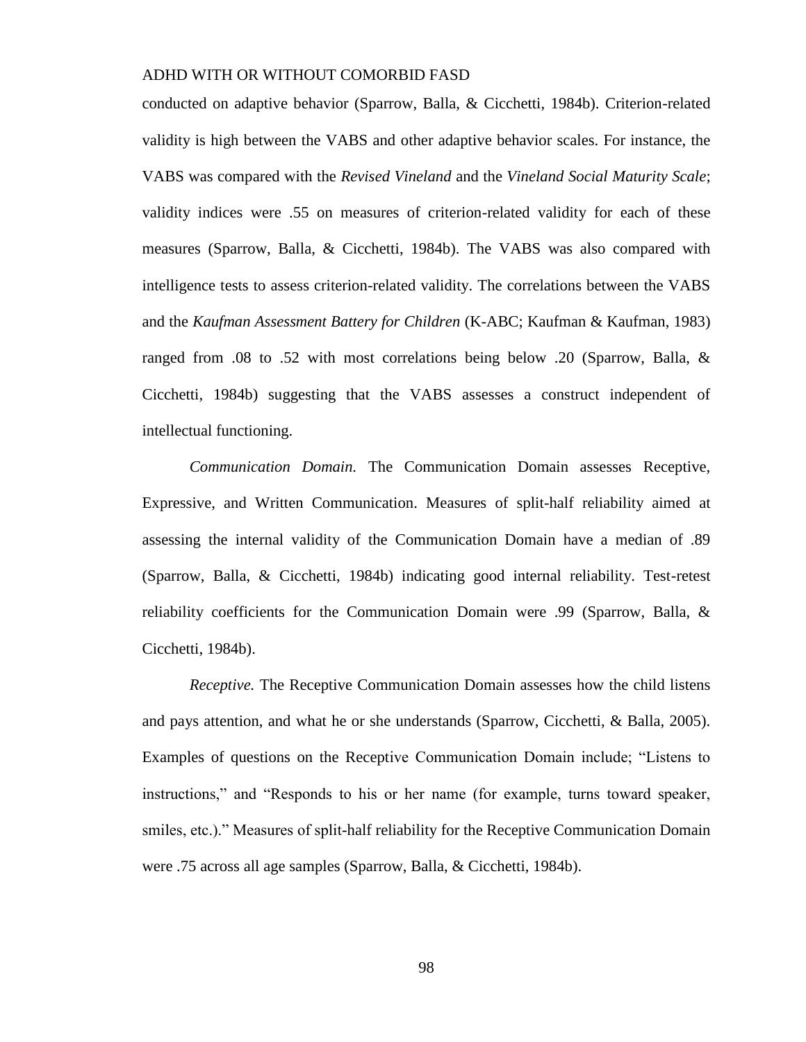conducted on adaptive behavior (Sparrow, Balla, & Cicchetti, 1984b). Criterion-related validity is high between the VABS and other adaptive behavior scales. For instance, the VABS was compared with the *Revised Vineland* and the *Vineland Social Maturity Scale*; validity indices were .55 on measures of criterion-related validity for each of these measures (Sparrow, Balla, & Cicchetti, 1984b). The VABS was also compared with intelligence tests to assess criterion-related validity. The correlations between the VABS and the *Kaufman Assessment Battery for Children* (K-ABC; Kaufman & Kaufman, 1983) ranged from .08 to .52 with most correlations being below .20 (Sparrow, Balla, & Cicchetti, 1984b) suggesting that the VABS assesses a construct independent of intellectual functioning.

*Communication Domain.* The Communication Domain assesses Receptive, Expressive, and Written Communication. Measures of split-half reliability aimed at assessing the internal validity of the Communication Domain have a median of .89 (Sparrow, Balla, & Cicchetti, 1984b) indicating good internal reliability. Test-retest reliability coefficients for the Communication Domain were .99 (Sparrow, Balla, & Cicchetti, 1984b).

*Receptive.* The Receptive Communication Domain assesses how the child listens and pays attention, and what he or she understands (Sparrow, Cicchetti, & Balla, 2005). Examples of questions on the Receptive Communication Domain include; "Listens to instructions," and "Responds to his or her name (for example, turns toward speaker, smiles, etc.)." Measures of split-half reliability for the Receptive Communication Domain were .75 across all age samples (Sparrow, Balla, & Cicchetti, 1984b).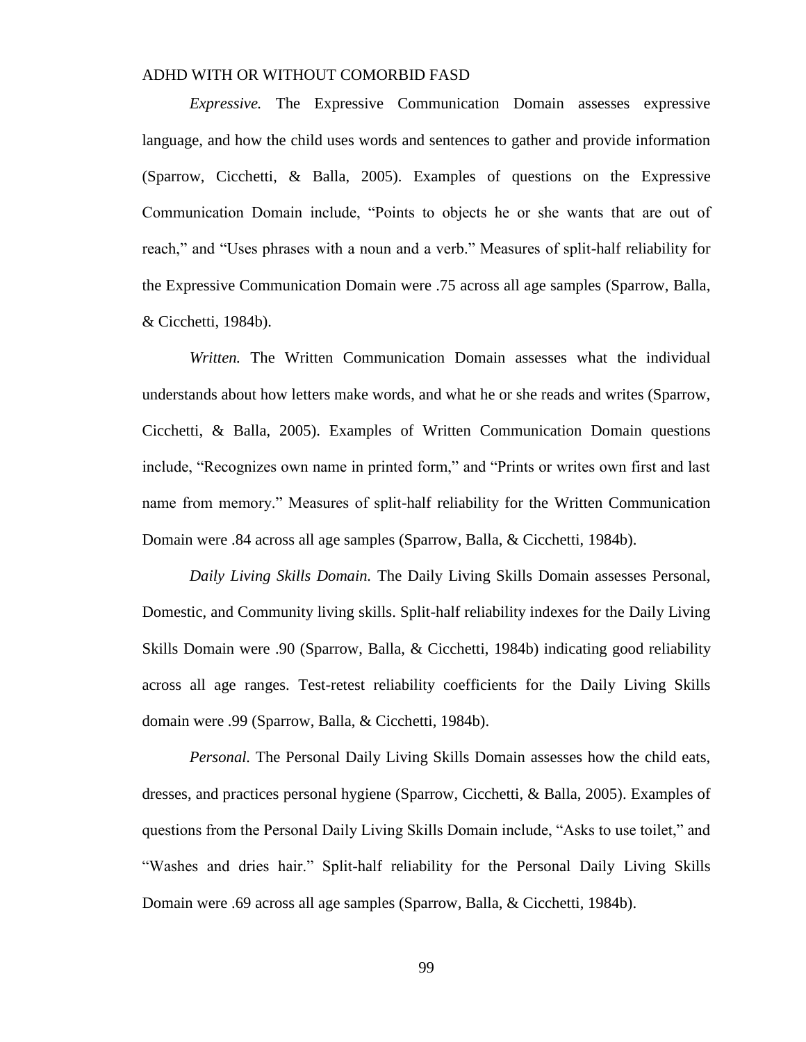*Expressive.* The Expressive Communication Domain assesses expressive language, and how the child uses words and sentences to gather and provide information (Sparrow, Cicchetti, & Balla, 2005). Examples of questions on the Expressive Communication Domain include, "Points to objects he or she wants that are out of reach," and "Uses phrases with a noun and a verb." Measures of split-half reliability for the Expressive Communication Domain were .75 across all age samples (Sparrow, Balla, & Cicchetti, 1984b).

*Written.* The Written Communication Domain assesses what the individual understands about how letters make words, and what he or she reads and writes (Sparrow, Cicchetti, & Balla, 2005). Examples of Written Communication Domain questions include, "Recognizes own name in printed form," and "Prints or writes own first and last name from memory." Measures of split-half reliability for the Written Communication Domain were .84 across all age samples (Sparrow, Balla, & Cicchetti, 1984b).

*Daily Living Skills Domain.* The Daily Living Skills Domain assesses Personal, Domestic, and Community living skills. Split-half reliability indexes for the Daily Living Skills Domain were .90 (Sparrow, Balla, & Cicchetti, 1984b) indicating good reliability across all age ranges. Test-retest reliability coefficients for the Daily Living Skills domain were .99 (Sparrow, Balla, & Cicchetti, 1984b).

*Personal.* The Personal Daily Living Skills Domain assesses how the child eats, dresses, and practices personal hygiene (Sparrow, Cicchetti, & Balla, 2005). Examples of questions from the Personal Daily Living Skills Domain include, "Asks to use toilet," and "Washes and dries hair." Split-half reliability for the Personal Daily Living Skills Domain were .69 across all age samples (Sparrow, Balla, & Cicchetti, 1984b).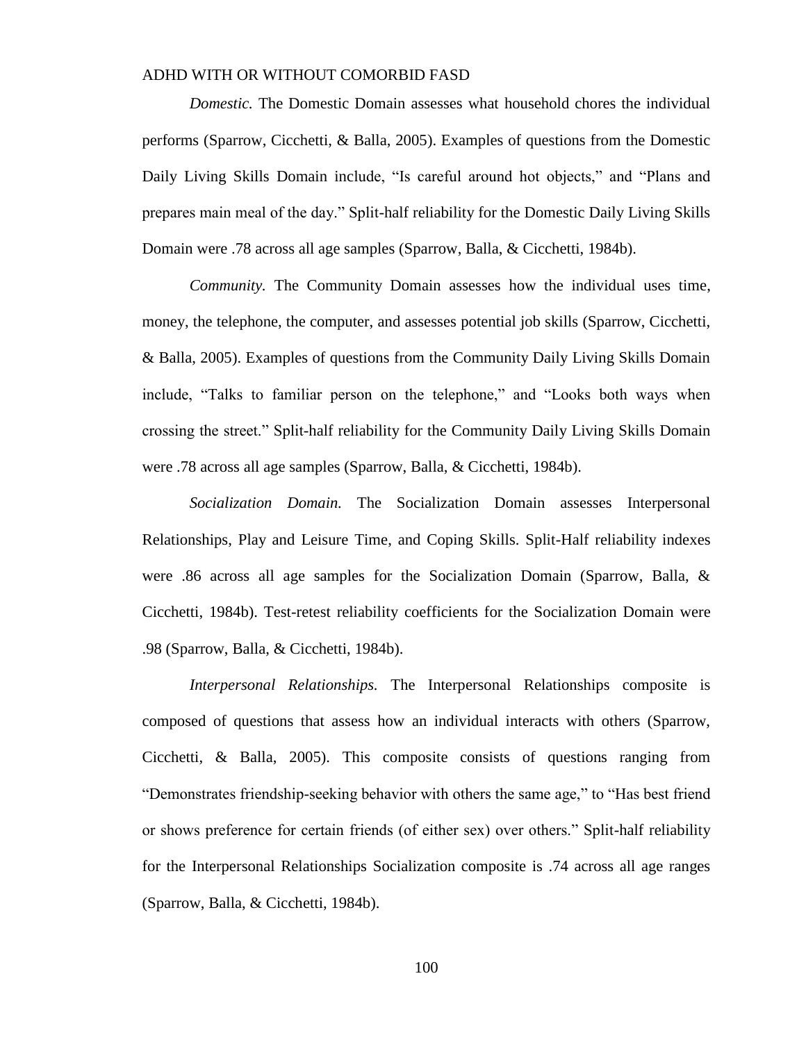*Domestic.* The Domestic Domain assesses what household chores the individual performs (Sparrow, Cicchetti, & Balla, 2005). Examples of questions from the Domestic Daily Living Skills Domain include, "Is careful around hot objects," and "Plans and prepares main meal of the day." Split-half reliability for the Domestic Daily Living Skills Domain were .78 across all age samples (Sparrow, Balla, & Cicchetti, 1984b).

*Community.* The Community Domain assesses how the individual uses time, money, the telephone, the computer, and assesses potential job skills (Sparrow, Cicchetti, & Balla, 2005). Examples of questions from the Community Daily Living Skills Domain include, "Talks to familiar person on the telephone," and "Looks both ways when crossing the street." Split-half reliability for the Community Daily Living Skills Domain were .78 across all age samples (Sparrow, Balla, & Cicchetti, 1984b).

*Socialization Domain.* The Socialization Domain assesses Interpersonal Relationships, Play and Leisure Time, and Coping Skills. Split-Half reliability indexes were .86 across all age samples for the Socialization Domain (Sparrow, Balla, & Cicchetti, 1984b). Test-retest reliability coefficients for the Socialization Domain were .98 (Sparrow, Balla, & Cicchetti, 1984b).

*Interpersonal Relationships.* The Interpersonal Relationships composite is composed of questions that assess how an individual interacts with others (Sparrow, Cicchetti, & Balla, 2005). This composite consists of questions ranging from "Demonstrates friendship-seeking behavior with others the same age," to "Has best friend or shows preference for certain friends (of either sex) over others." Split-half reliability for the Interpersonal Relationships Socialization composite is .74 across all age ranges (Sparrow, Balla, & Cicchetti, 1984b).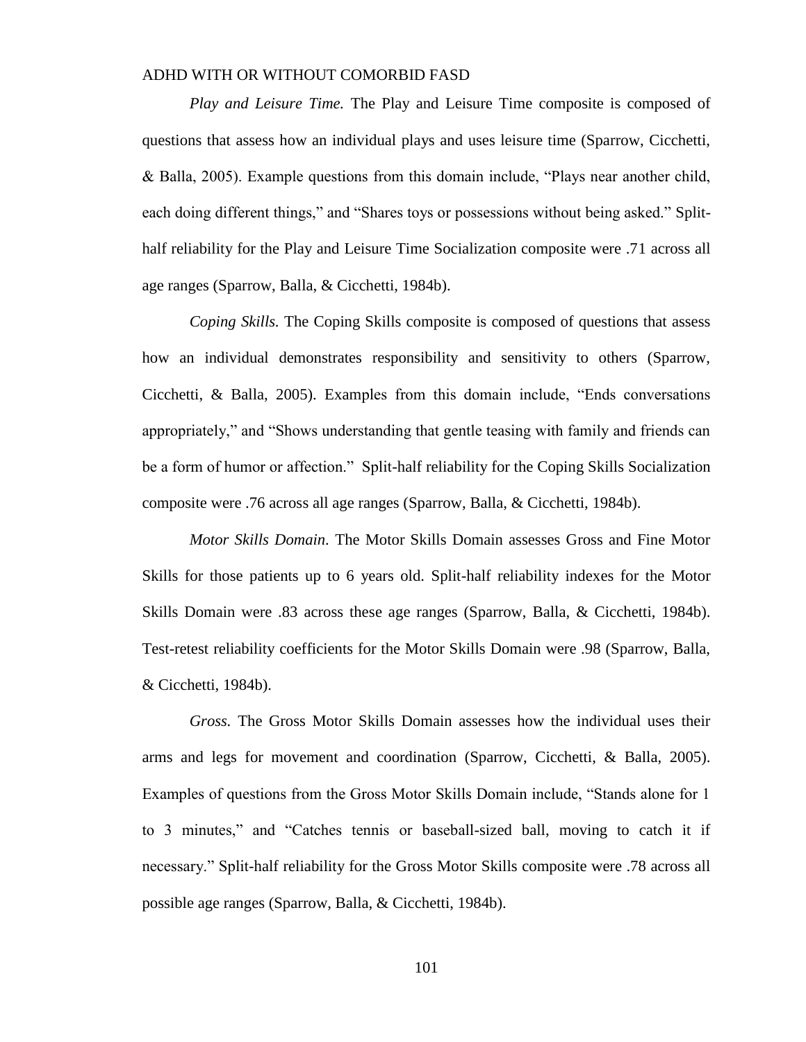*Play and Leisure Time.* The Play and Leisure Time composite is composed of questions that assess how an individual plays and uses leisure time (Sparrow, Cicchetti, & Balla, 2005). Example questions from this domain include, "Plays near another child, each doing different things," and "Shares toys or possessions without being asked." Splithalf reliability for the Play and Leisure Time Socialization composite were .71 across all age ranges (Sparrow, Balla, & Cicchetti, 1984b).

*Coping Skills.* The Coping Skills composite is composed of questions that assess how an individual demonstrates responsibility and sensitivity to others (Sparrow, Cicchetti, & Balla, 2005). Examples from this domain include, "Ends conversations appropriately," and "Shows understanding that gentle teasing with family and friends can be a form of humor or affection." Split-half reliability for the Coping Skills Socialization composite were .76 across all age ranges (Sparrow, Balla, & Cicchetti, 1984b).

*Motor Skills Domain.* The Motor Skills Domain assesses Gross and Fine Motor Skills for those patients up to 6 years old. Split-half reliability indexes for the Motor Skills Domain were .83 across these age ranges (Sparrow, Balla, & Cicchetti, 1984b). Test-retest reliability coefficients for the Motor Skills Domain were .98 (Sparrow, Balla, & Cicchetti, 1984b).

*Gross.* The Gross Motor Skills Domain assesses how the individual uses their arms and legs for movement and coordination (Sparrow, Cicchetti, & Balla, 2005). Examples of questions from the Gross Motor Skills Domain include, "Stands alone for 1 to 3 minutes," and "Catches tennis or baseball-sized ball, moving to catch it if necessary." Split-half reliability for the Gross Motor Skills composite were .78 across all possible age ranges (Sparrow, Balla, & Cicchetti, 1984b).

101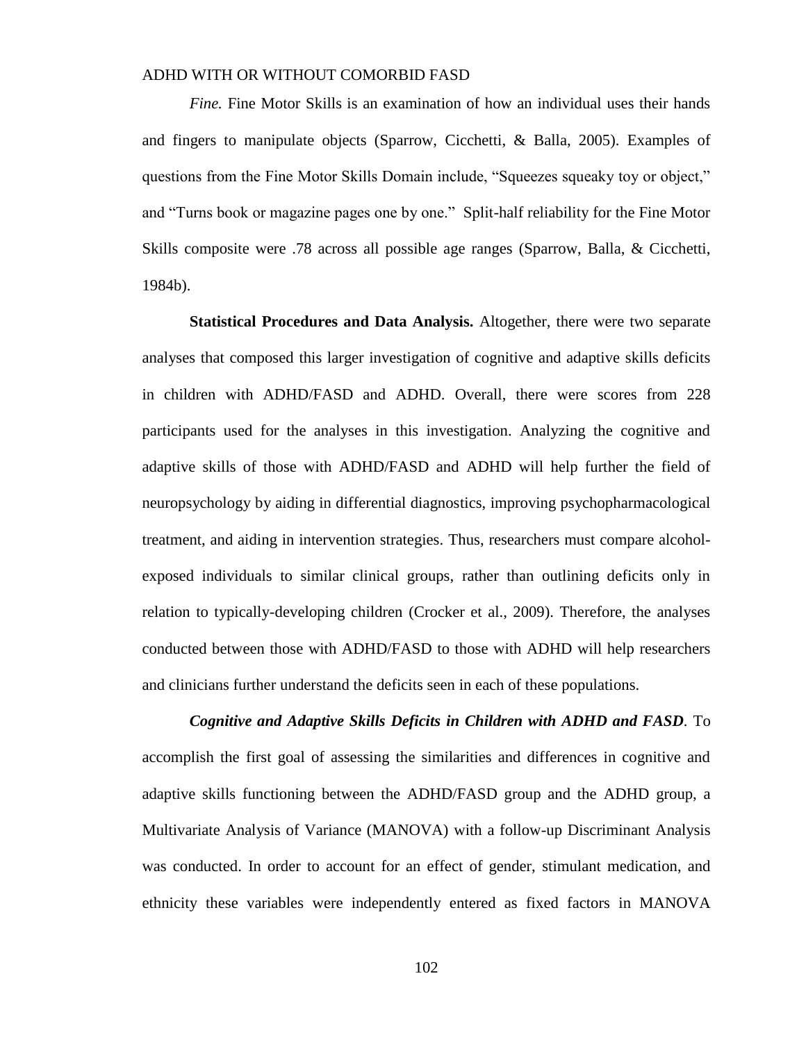*Fine.* Fine Motor Skills is an examination of how an individual uses their hands and fingers to manipulate objects (Sparrow, Cicchetti, & Balla, 2005). Examples of questions from the Fine Motor Skills Domain include, "Squeezes squeaky toy or object," and "Turns book or magazine pages one by one." Split-half reliability for the Fine Motor Skills composite were .78 across all possible age ranges (Sparrow, Balla, & Cicchetti, 1984b).

**Statistical Procedures and Data Analysis.** Altogether, there were two separate analyses that composed this larger investigation of cognitive and adaptive skills deficits in children with ADHD/FASD and ADHD. Overall, there were scores from 228 participants used for the analyses in this investigation. Analyzing the cognitive and adaptive skills of those with ADHD/FASD and ADHD will help further the field of neuropsychology by aiding in differential diagnostics, improving psychopharmacological treatment, and aiding in intervention strategies. Thus, researchers must compare alcoholexposed individuals to similar clinical groups, rather than outlining deficits only in relation to typically-developing children (Crocker et al., 2009). Therefore, the analyses conducted between those with ADHD/FASD to those with ADHD will help researchers and clinicians further understand the deficits seen in each of these populations.

*Cognitive and Adaptive Skills Deficits in Children with ADHD and FASD.* To accomplish the first goal of assessing the similarities and differences in cognitive and adaptive skills functioning between the ADHD/FASD group and the ADHD group, a Multivariate Analysis of Variance (MANOVA) with a follow-up Discriminant Analysis was conducted. In order to account for an effect of gender, stimulant medication, and ethnicity these variables were independently entered as fixed factors in MANOVA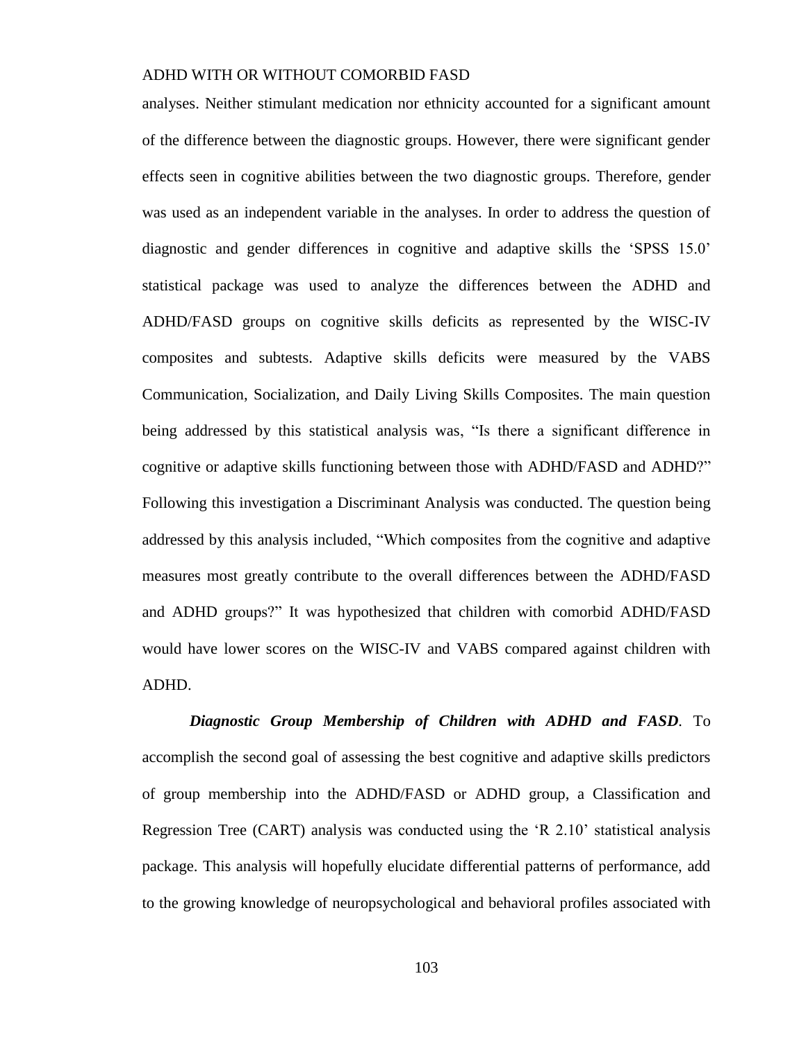analyses. Neither stimulant medication nor ethnicity accounted for a significant amount of the difference between the diagnostic groups. However, there were significant gender effects seen in cognitive abilities between the two diagnostic groups. Therefore, gender was used as an independent variable in the analyses. In order to address the question of diagnostic and gender differences in cognitive and adaptive skills the 'SPSS 15.0' statistical package was used to analyze the differences between the ADHD and ADHD/FASD groups on cognitive skills deficits as represented by the WISC-IV composites and subtests. Adaptive skills deficits were measured by the VABS Communication, Socialization, and Daily Living Skills Composites. The main question being addressed by this statistical analysis was, "Is there a significant difference in cognitive or adaptive skills functioning between those with ADHD/FASD and ADHD?" Following this investigation a Discriminant Analysis was conducted. The question being addressed by this analysis included, "Which composites from the cognitive and adaptive measures most greatly contribute to the overall differences between the ADHD/FASD and ADHD groups?" It was hypothesized that children with comorbid ADHD/FASD would have lower scores on the WISC-IV and VABS compared against children with ADHD.

*Diagnostic Group Membership of Children with ADHD and FASD.* To accomplish the second goal of assessing the best cognitive and adaptive skills predictors of group membership into the ADHD/FASD or ADHD group, a Classification and Regression Tree (CART) analysis was conducted using the 'R 2.10' statistical analysis package. This analysis will hopefully elucidate differential patterns of performance, add to the growing knowledge of neuropsychological and behavioral profiles associated with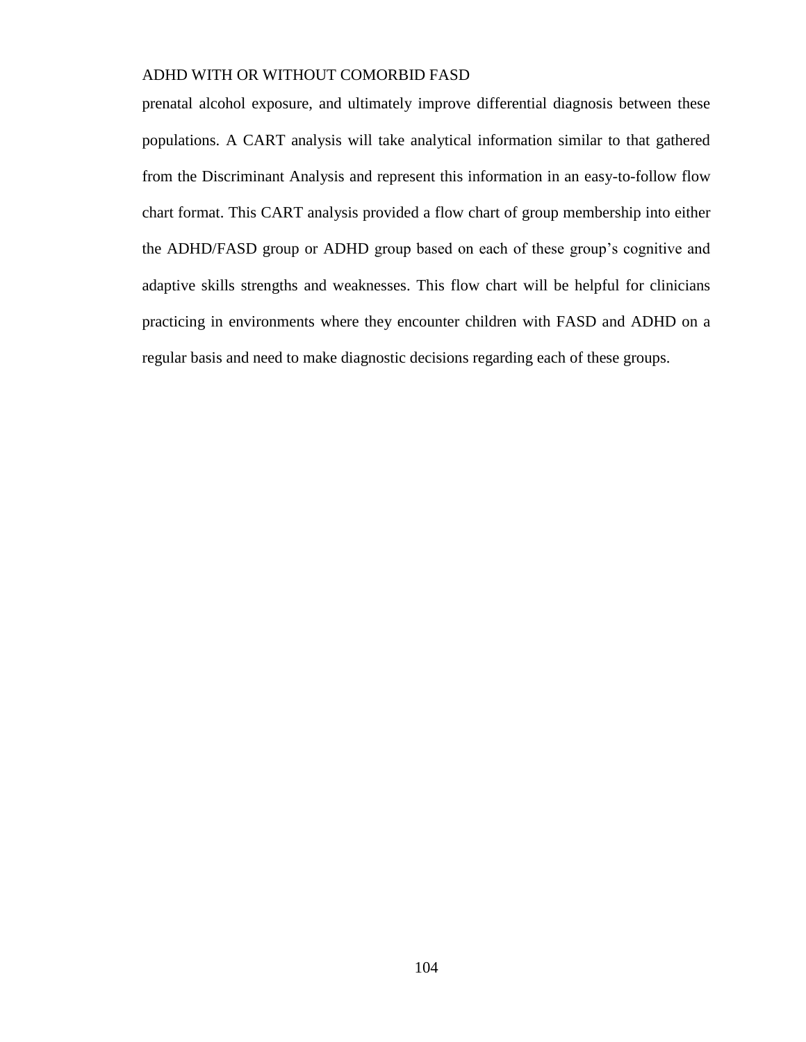prenatal alcohol exposure, and ultimately improve differential diagnosis between these populations. A CART analysis will take analytical information similar to that gathered from the Discriminant Analysis and represent this information in an easy-to-follow flow chart format. This CART analysis provided a flow chart of group membership into either the ADHD/FASD group or ADHD group based on each of these group's cognitive and adaptive skills strengths and weaknesses. This flow chart will be helpful for clinicians practicing in environments where they encounter children with FASD and ADHD on a regular basis and need to make diagnostic decisions regarding each of these groups.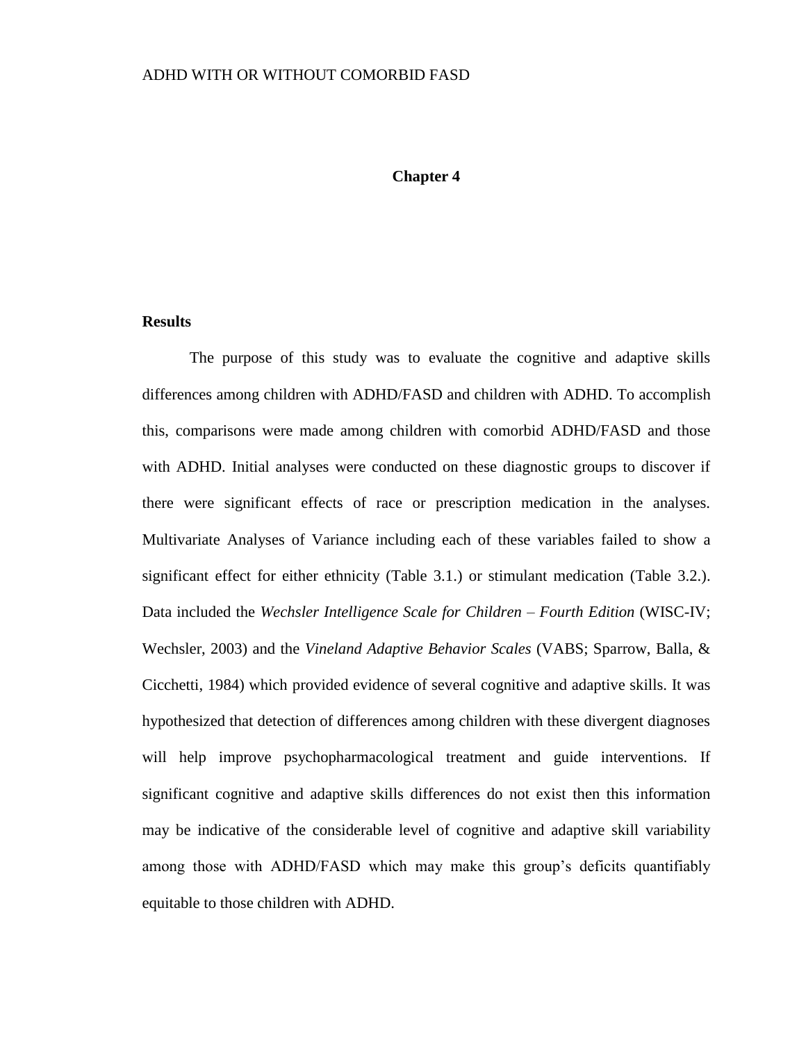#### **Chapter 4**

#### **Results**

The purpose of this study was to evaluate the cognitive and adaptive skills differences among children with ADHD/FASD and children with ADHD. To accomplish this, comparisons were made among children with comorbid ADHD/FASD and those with ADHD. Initial analyses were conducted on these diagnostic groups to discover if there were significant effects of race or prescription medication in the analyses. Multivariate Analyses of Variance including each of these variables failed to show a significant effect for either ethnicity (Table 3.1.) or stimulant medication (Table 3.2.). Data included the *Wechsler Intelligence Scale for Children – Fourth Edition* (WISC-IV; Wechsler, 2003) and the *Vineland Adaptive Behavior Scales* (VABS; Sparrow, Balla, & Cicchetti, 1984) which provided evidence of several cognitive and adaptive skills. It was hypothesized that detection of differences among children with these divergent diagnoses will help improve psychopharmacological treatment and guide interventions. If significant cognitive and adaptive skills differences do not exist then this information may be indicative of the considerable level of cognitive and adaptive skill variability among those with ADHD/FASD which may make this group's deficits quantifiably equitable to those children with ADHD.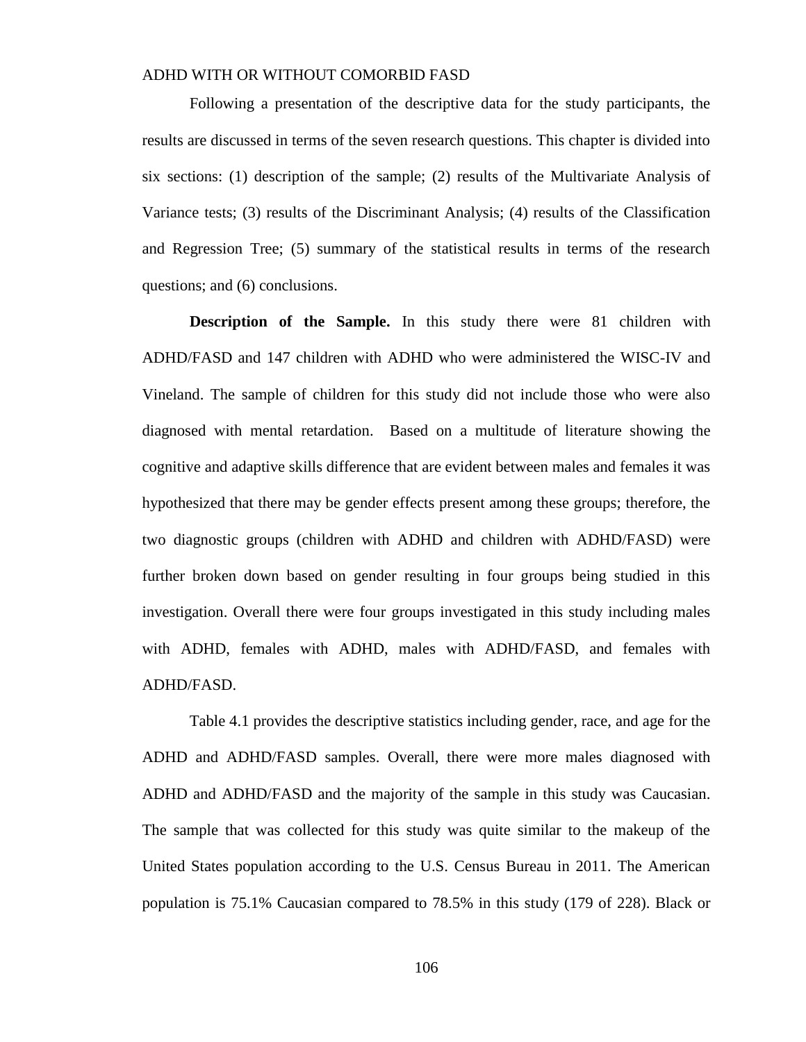Following a presentation of the descriptive data for the study participants, the results are discussed in terms of the seven research questions. This chapter is divided into six sections: (1) description of the sample; (2) results of the Multivariate Analysis of Variance tests; (3) results of the Discriminant Analysis; (4) results of the Classification and Regression Tree; (5) summary of the statistical results in terms of the research questions; and (6) conclusions.

**Description of the Sample.** In this study there were 81 children with ADHD/FASD and 147 children with ADHD who were administered the WISC-IV and Vineland. The sample of children for this study did not include those who were also diagnosed with mental retardation. Based on a multitude of literature showing the cognitive and adaptive skills difference that are evident between males and females it was hypothesized that there may be gender effects present among these groups; therefore, the two diagnostic groups (children with ADHD and children with ADHD/FASD) were further broken down based on gender resulting in four groups being studied in this investigation. Overall there were four groups investigated in this study including males with ADHD, females with ADHD, males with ADHD/FASD, and females with ADHD/FASD.

Table 4.1 provides the descriptive statistics including gender, race, and age for the ADHD and ADHD/FASD samples. Overall, there were more males diagnosed with ADHD and ADHD/FASD and the majority of the sample in this study was Caucasian. The sample that was collected for this study was quite similar to the makeup of the United States population according to the U.S. Census Bureau in 2011. The American population is 75.1% Caucasian compared to 78.5% in this study (179 of 228). Black or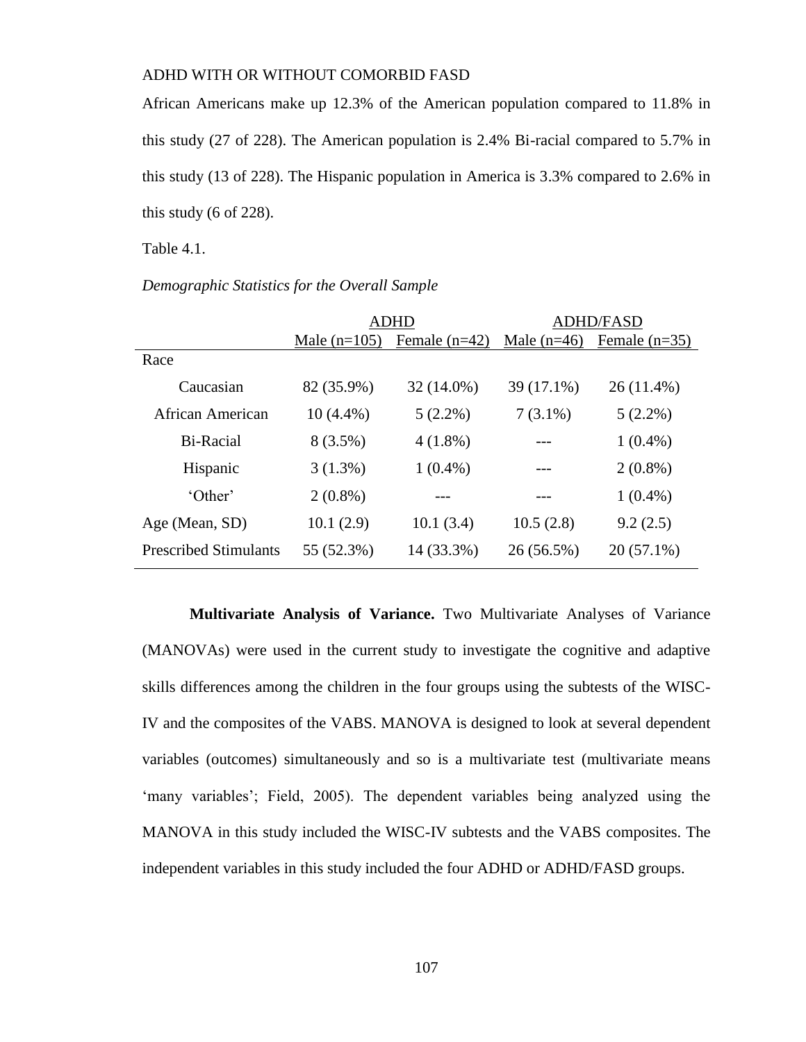African Americans make up 12.3% of the American population compared to 11.8% in this study (27 of 228). The American population is 2.4% Bi-racial compared to 5.7% in this study (13 of 228). The Hispanic population in America is 3.3% compared to 2.6% in this study  $(6 \text{ of } 228)$ .

Table 4.1.

|  |  | Demographic Statistics for the Overall Sample |  |
|--|--|-----------------------------------------------|--|
|--|--|-----------------------------------------------|--|

|                              | <b>ADHD</b>    |                 | <b>ADHD/FASD</b> |                 |
|------------------------------|----------------|-----------------|------------------|-----------------|
|                              | Male $(n=105)$ | Female $(n=42)$ | Male $(n=46)$    | Female $(n=35)$ |
| Race                         |                |                 |                  |                 |
| Caucasian                    | 82 (35.9%)     | 32 (14.0%)      | 39 (17.1%)       | $26(11.4\%)$    |
| African American             | $10(4.4\%)$    | $5(2.2\%)$      | $7(3.1\%)$       | $5(2.2\%)$      |
| Bi-Racial                    | $8(3.5\%)$     | $4(1.8\%)$      |                  | $1(0.4\%)$      |
| Hispanic                     | $3(1.3\%)$     | $1(0.4\%)$      |                  | $2(0.8\%)$      |
| 'Other'                      | $2(0.8\%)$     |                 |                  | $1(0.4\%)$      |
| Age (Mean, SD)               | 10.1(2.9)      | 10.1(3.4)       | 10.5(2.8)        | 9.2(2.5)        |
| <b>Prescribed Stimulants</b> | 55 (52.3%)     | 14 (33.3%)      | $26(56.5\%)$     | $20(57.1\%)$    |

**Multivariate Analysis of Variance.** Two Multivariate Analyses of Variance (MANOVAs) were used in the current study to investigate the cognitive and adaptive skills differences among the children in the four groups using the subtests of the WISC-IV and the composites of the VABS. MANOVA is designed to look at several dependent variables (outcomes) simultaneously and so is a multivariate test (multivariate means 'many variables'; Field, 2005). The dependent variables being analyzed using the MANOVA in this study included the WISC-IV subtests and the VABS composites. The independent variables in this study included the four ADHD or ADHD/FASD groups.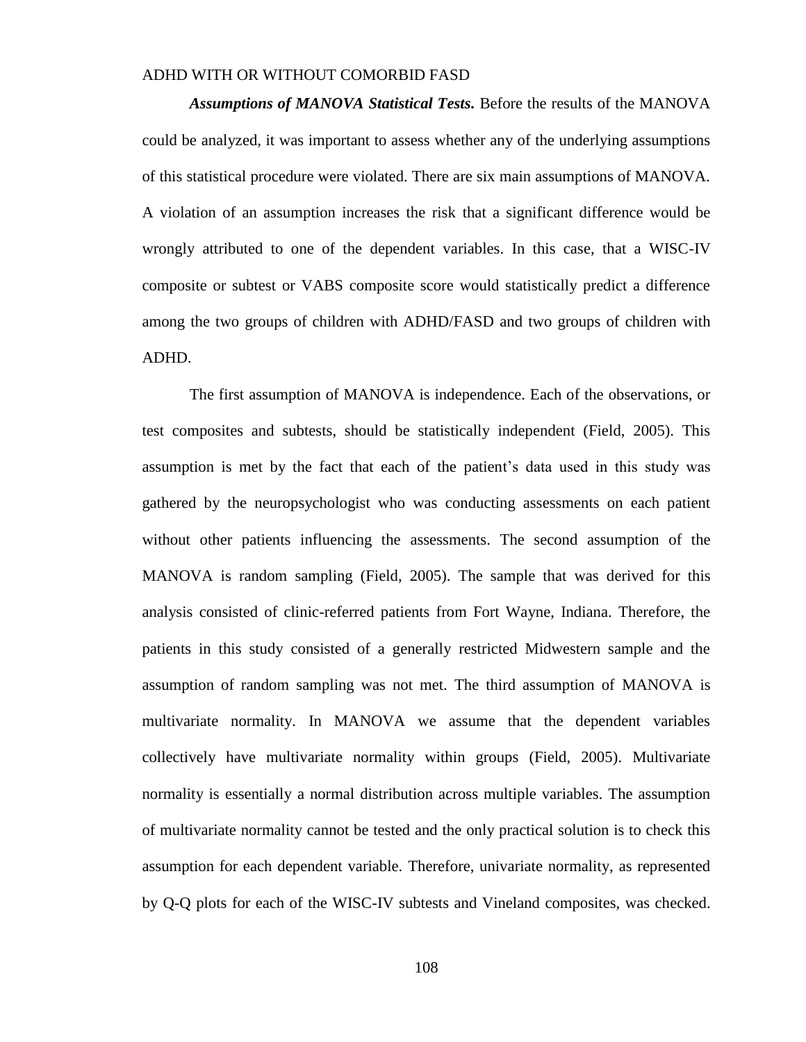*Assumptions of MANOVA Statistical Tests.* Before the results of the MANOVA could be analyzed, it was important to assess whether any of the underlying assumptions of this statistical procedure were violated. There are six main assumptions of MANOVA. A violation of an assumption increases the risk that a significant difference would be wrongly attributed to one of the dependent variables. In this case, that a WISC-IV composite or subtest or VABS composite score would statistically predict a difference among the two groups of children with ADHD/FASD and two groups of children with ADHD.

The first assumption of MANOVA is independence. Each of the observations, or test composites and subtests, should be statistically independent (Field, 2005). This assumption is met by the fact that each of the patient's data used in this study was gathered by the neuropsychologist who was conducting assessments on each patient without other patients influencing the assessments. The second assumption of the MANOVA is random sampling (Field, 2005). The sample that was derived for this analysis consisted of clinic-referred patients from Fort Wayne, Indiana. Therefore, the patients in this study consisted of a generally restricted Midwestern sample and the assumption of random sampling was not met. The third assumption of MANOVA is multivariate normality. In MANOVA we assume that the dependent variables collectively have multivariate normality within groups (Field, 2005). Multivariate normality is essentially a normal distribution across multiple variables. The assumption of multivariate normality cannot be tested and the only practical solution is to check this assumption for each dependent variable. Therefore, univariate normality, as represented by Q-Q plots for each of the WISC-IV subtests and Vineland composites, was checked.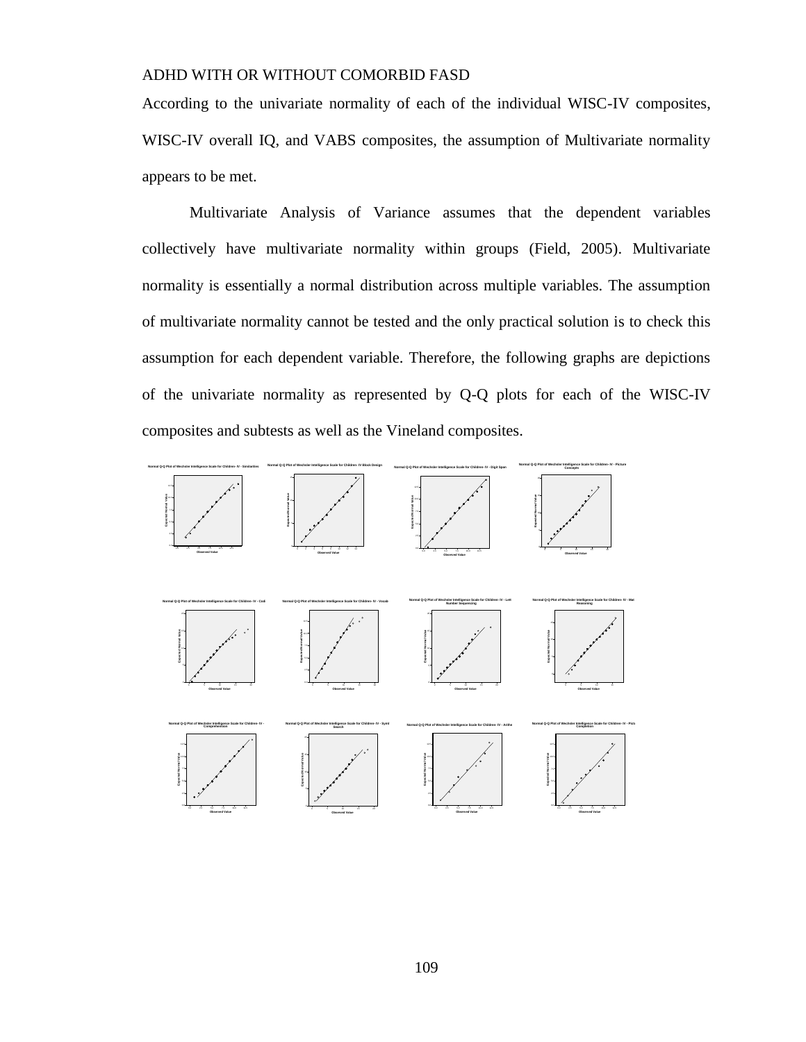According to the univariate normality of each of the individual WISC-IV composites, WISC-IV overall IQ, and VABS composites, the assumption of Multivariate normality appears to be met.

Multivariate Analysis of Variance assumes that the dependent variables collectively have multivariate normality within groups (Field, 2005). Multivariate normality is essentially a normal distribution across multiple variables. The assumption of multivariate normality cannot be tested and the only practical solution is to check this assumption for each dependent variable. Therefore, the following graphs are depictions of the univariate normality as represented by Q-Q plots for each of the WISC-IV composites and subtests as well as the Vineland composites.

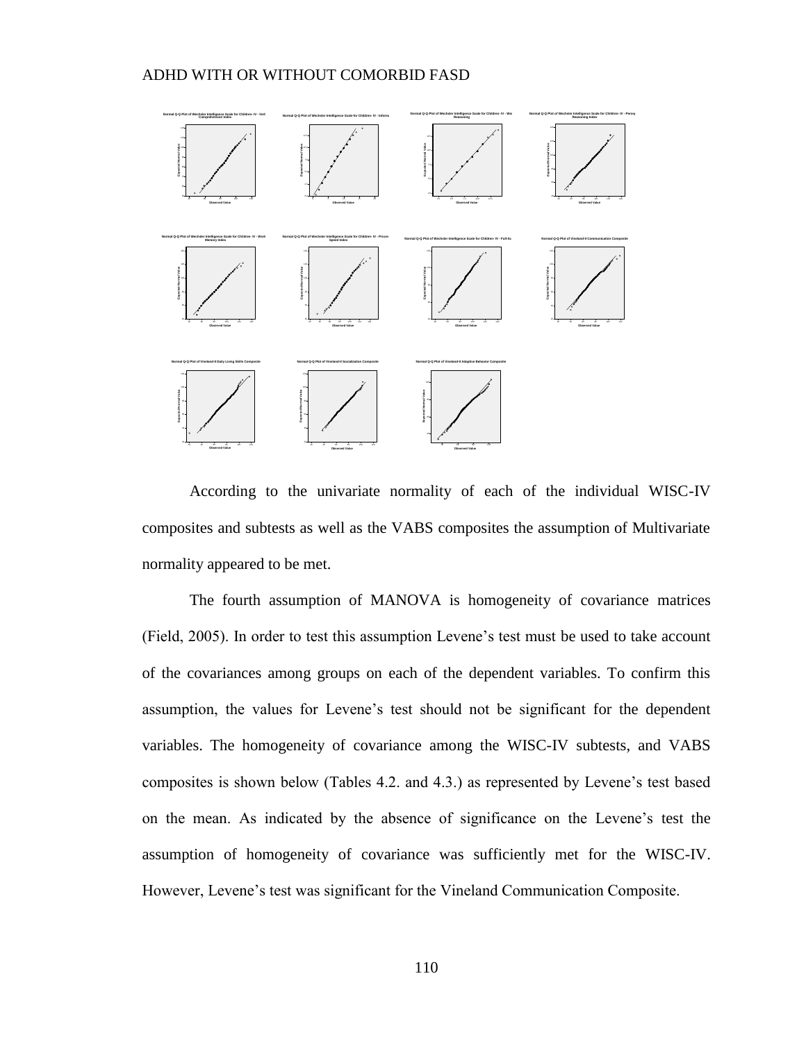

According to the univariate normality of each of the individual WISC-IV composites and subtests as well as the VABS composites the assumption of Multivariate normality appeared to be met.

The fourth assumption of MANOVA is homogeneity of covariance matrices (Field, 2005). In order to test this assumption Levene's test must be used to take account of the covariances among groups on each of the dependent variables. To confirm this assumption, the values for Levene's test should not be significant for the dependent variables. The homogeneity of covariance among the WISC-IV subtests, and VABS composites is shown below (Tables 4.2. and 4.3.) as represented by Levene's test based on the mean. As indicated by the absence of significance on the Levene's test the assumption of homogeneity of covariance was sufficiently met for the WISC-IV. However, Levene's test was significant for the Vineland Communication Composite.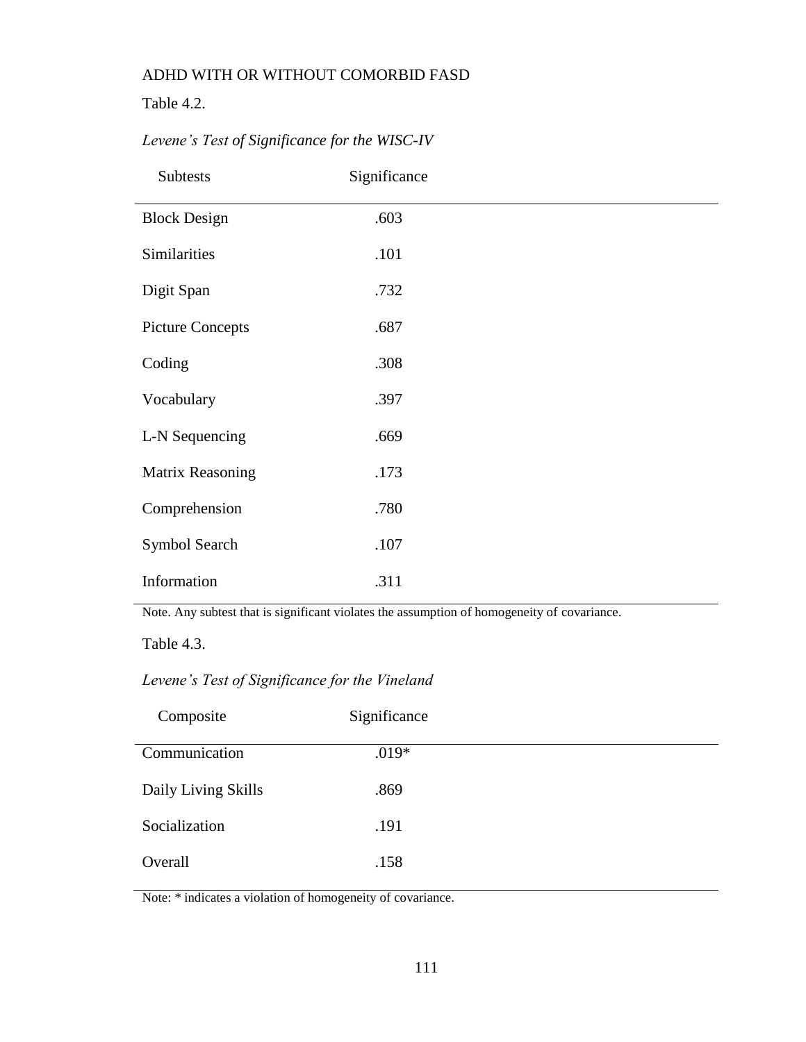Table 4.2.

| <b>Subtests</b>         | Significance |
|-------------------------|--------------|
| <b>Block Design</b>     | .603         |
| Similarities            | .101         |
| Digit Span              | .732         |
| <b>Picture Concepts</b> | .687         |
| Coding                  | .308         |
| Vocabulary              | .397         |
| L-N Sequencing          | .669         |
| Matrix Reasoning        | .173         |
| Comprehension           | .780         |
| Symbol Search           | .107         |
| Information             | .311         |

# *Levene's Test of Significance for the WISC-IV*

Note. Any subtest that is significant violates the assumption of homogeneity of covariance.

Table 4.3.

*Levene's Test of Significance for the Vineland*

| Composite           | Significance |
|---------------------|--------------|
| Communication       | $.019*$      |
| Daily Living Skills | .869         |
| Socialization       | .191         |
| Overall             | .158         |

Note: \* indicates a violation of homogeneity of covariance.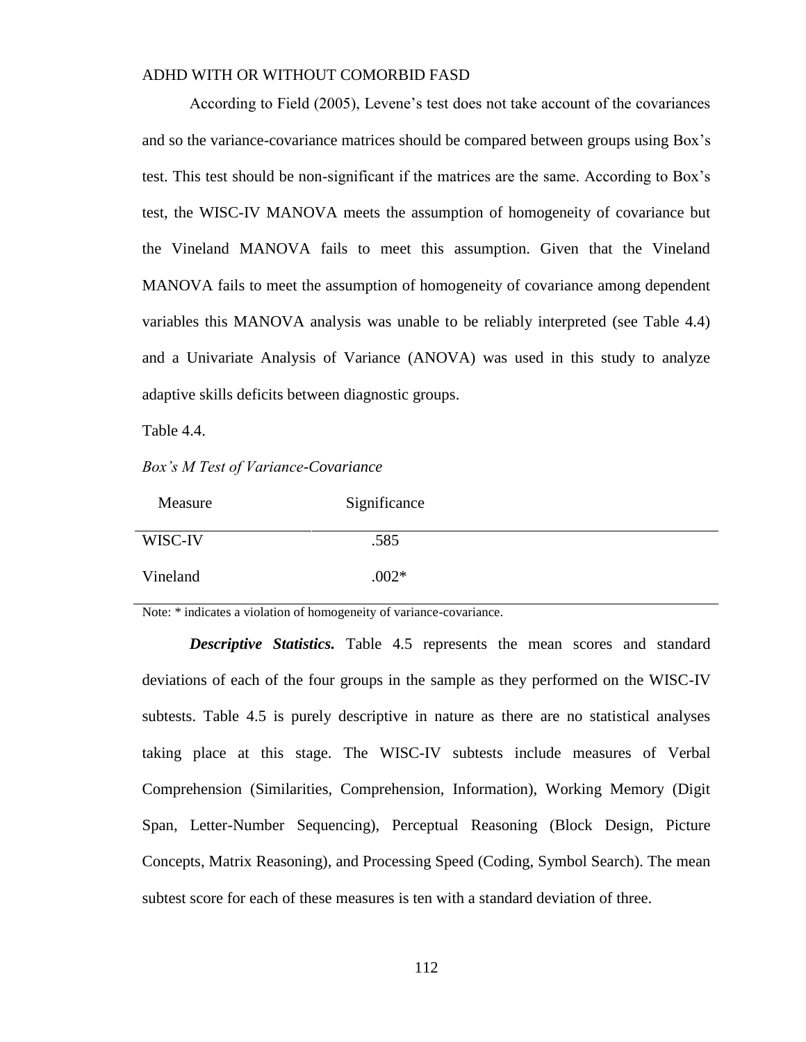According to Field (2005), Levene's test does not take account of the covariances and so the variance-covariance matrices should be compared between groups using Box's test. This test should be non-significant if the matrices are the same. According to Box's test, the WISC-IV MANOVA meets the assumption of homogeneity of covariance but the Vineland MANOVA fails to meet this assumption. Given that the Vineland MANOVA fails to meet the assumption of homogeneity of covariance among dependent variables this MANOVA analysis was unable to be reliably interpreted (see Table 4.4) and a Univariate Analysis of Variance (ANOVA) was used in this study to analyze adaptive skills deficits between diagnostic groups.

Table 4.4.

*Box's M Test of Variance-Covariance*

| Measure  | Significance |
|----------|--------------|
| WISC-IV  | .585         |
| Vineland | $.002*$      |

Note: \* indicates a violation of homogeneity of variance-covariance.

*Descriptive Statistics.* Table 4.5 represents the mean scores and standard deviations of each of the four groups in the sample as they performed on the WISC-IV subtests. Table 4.5 is purely descriptive in nature as there are no statistical analyses taking place at this stage. The WISC-IV subtests include measures of Verbal Comprehension (Similarities, Comprehension, Information), Working Memory (Digit Span, Letter-Number Sequencing), Perceptual Reasoning (Block Design, Picture Concepts, Matrix Reasoning), and Processing Speed (Coding, Symbol Search). The mean subtest score for each of these measures is ten with a standard deviation of three.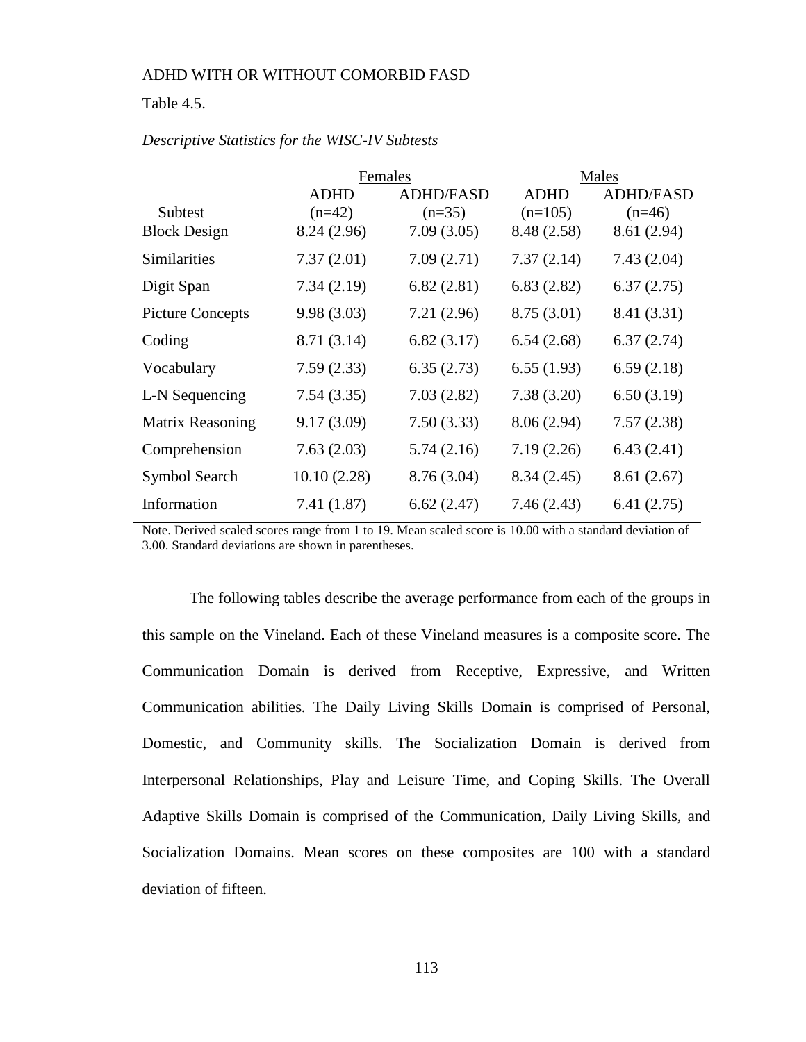#### Table 4.5.

|                         |             | Females          | Males       |                  |  |
|-------------------------|-------------|------------------|-------------|------------------|--|
|                         | ADHD        | <b>ADHD/FASD</b> | <b>ADHD</b> | <b>ADHD/FASD</b> |  |
| Subtest                 | $(n=42)$    | $(n=35)$         | $(n=105)$   | $(n=46)$         |  |
| <b>Block Design</b>     | 8.24 (2.96) | 7.09(3.05)       | 8.48 (2.58) | 8.61 (2.94)      |  |
| <b>Similarities</b>     | 7.37(2.01)  | 7.09(2.71)       | 7.37(2.14)  | 7.43(2.04)       |  |
| Digit Span              | 7.34(2.19)  | 6.82(2.81)       | 6.83(2.82)  | 6.37(2.75)       |  |
| <b>Picture Concepts</b> | 9.98(3.03)  | 7.21(2.96)       | 8.75(3.01)  | 8.41 (3.31)      |  |
| Coding                  | 8.71 (3.14) | 6.82(3.17)       | 6.54(2.68)  | 6.37(2.74)       |  |
| Vocabulary              | 7.59(2.33)  | 6.35(2.73)       | 6.55(1.93)  | 6.59(2.18)       |  |
| L-N Sequencing          | 7.54(3.35)  | 7.03(2.82)       | 7.38(3.20)  | 6.50(3.19)       |  |
| Matrix Reasoning        | 9.17(3.09)  | 7.50(3.33)       | 8.06(2.94)  | 7.57(2.38)       |  |
| Comprehension           | 7.63(2.03)  | 5.74(2.16)       | 7.19(2.26)  | 6.43(2.41)       |  |
| Symbol Search           | 10.10(2.28) | 8.76 (3.04)      | 8.34(2.45)  | 8.61(2.67)       |  |
| Information             | 7.41(1.87)  | 6.62(2.47)       | 7.46(2.43)  | 6.41(2.75)       |  |

#### *Descriptive Statistics for the WISC-IV Subtests*

Note. Derived scaled scores range from 1 to 19. Mean scaled score is 10.00 with a standard deviation of 3.00. Standard deviations are shown in parentheses.

The following tables describe the average performance from each of the groups in this sample on the Vineland. Each of these Vineland measures is a composite score. The Communication Domain is derived from Receptive, Expressive, and Written Communication abilities. The Daily Living Skills Domain is comprised of Personal, Domestic, and Community skills. The Socialization Domain is derived from Interpersonal Relationships, Play and Leisure Time, and Coping Skills. The Overall Adaptive Skills Domain is comprised of the Communication, Daily Living Skills, and Socialization Domains. Mean scores on these composites are 100 with a standard deviation of fifteen.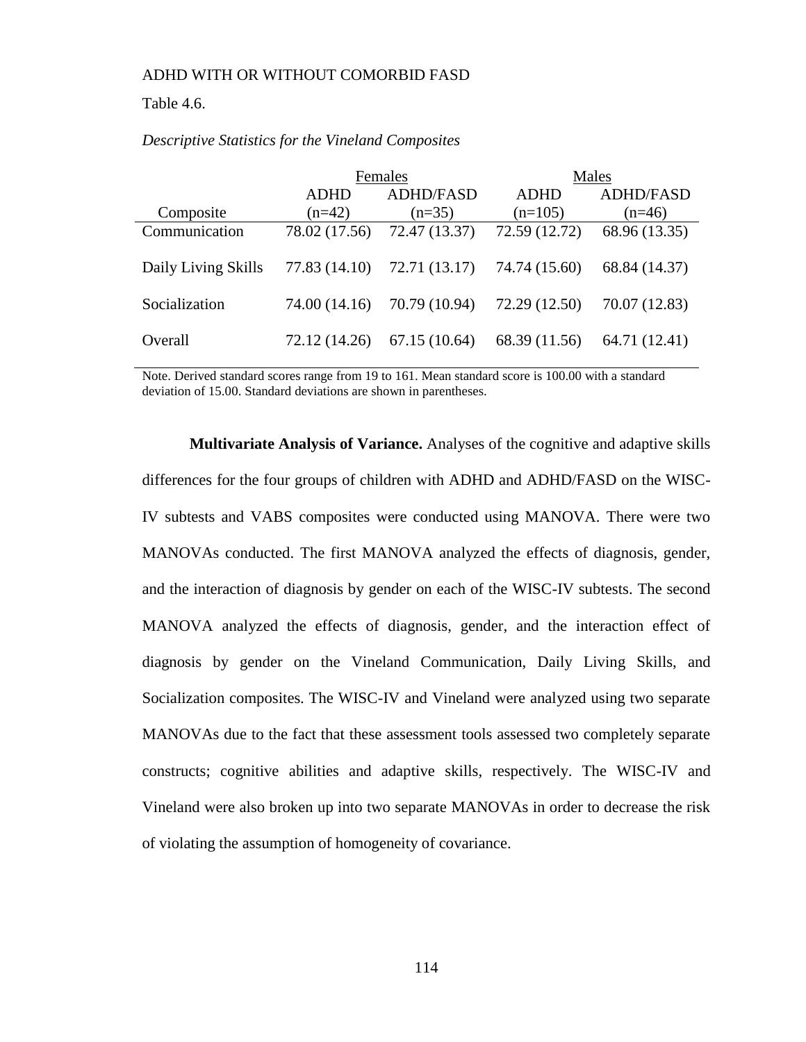#### Table 4.6.

|                     |               | Females          | Males         |                  |  |
|---------------------|---------------|------------------|---------------|------------------|--|
|                     | <b>ADHD</b>   | <b>ADHD/FASD</b> | <b>ADHD</b>   | <b>ADHD/FASD</b> |  |
| Composite           | $(n=42)$      | $(n=35)$         | $(n=105)$     | $(n=46)$         |  |
| Communication       | 78.02 (17.56) | 72.47 (13.37)    | 72.59 (12.72) | 68.96 (13.35)    |  |
| Daily Living Skills | 77.83 (14.10) | 72.71 (13.17)    | 74.74 (15.60) | 68.84 (14.37)    |  |
| Socialization       | 74.00 (14.16) | 70.79 (10.94)    | 72.29 (12.50) | 70.07 (12.83)    |  |
| Overall             | 72.12 (14.26) | 67.15(10.64)     | 68.39 (11.56) | 64.71 (12.41)    |  |

#### *Descriptive Statistics for the Vineland Composites*

Note. Derived standard scores range from 19 to 161. Mean standard score is 100.00 with a standard deviation of 15.00. Standard deviations are shown in parentheses.

**Multivariate Analysis of Variance.** Analyses of the cognitive and adaptive skills differences for the four groups of children with ADHD and ADHD/FASD on the WISC-IV subtests and VABS composites were conducted using MANOVA. There were two MANOVAs conducted. The first MANOVA analyzed the effects of diagnosis, gender, and the interaction of diagnosis by gender on each of the WISC-IV subtests. The second MANOVA analyzed the effects of diagnosis, gender, and the interaction effect of diagnosis by gender on the Vineland Communication, Daily Living Skills, and Socialization composites. The WISC-IV and Vineland were analyzed using two separate MANOVAs due to the fact that these assessment tools assessed two completely separate constructs; cognitive abilities and adaptive skills, respectively. The WISC-IV and Vineland were also broken up into two separate MANOVAs in order to decrease the risk of violating the assumption of homogeneity of covariance.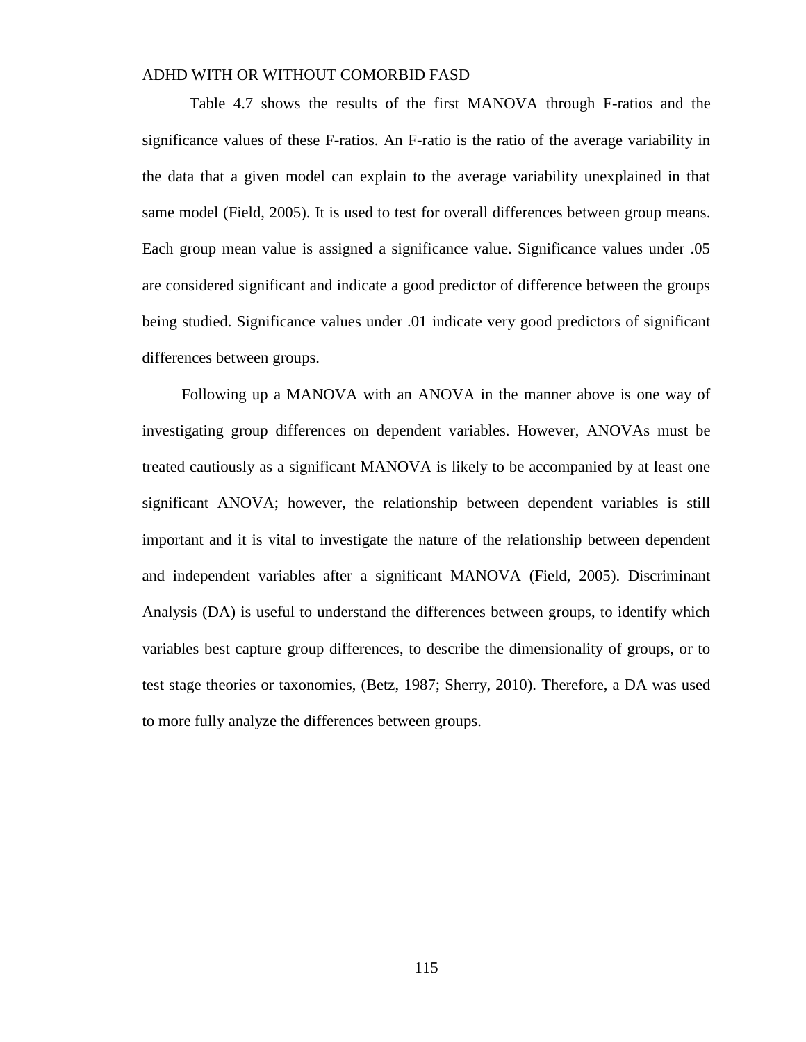Table 4.7 shows the results of the first MANOVA through F-ratios and the significance values of these F-ratios. An F-ratio is the ratio of the average variability in the data that a given model can explain to the average variability unexplained in that same model (Field, 2005). It is used to test for overall differences between group means. Each group mean value is assigned a significance value. Significance values under .05 are considered significant and indicate a good predictor of difference between the groups being studied. Significance values under .01 indicate very good predictors of significant differences between groups.

 Following up a MANOVA with an ANOVA in the manner above is one way of investigating group differences on dependent variables. However, ANOVAs must be treated cautiously as a significant MANOVA is likely to be accompanied by at least one significant ANOVA; however, the relationship between dependent variables is still important and it is vital to investigate the nature of the relationship between dependent and independent variables after a significant MANOVA (Field, 2005). Discriminant Analysis (DA) is useful to understand the differences between groups, to identify which variables best capture group differences, to describe the dimensionality of groups, or to test stage theories or taxonomies, (Betz, 1987; Sherry, 2010). Therefore, a DA was used to more fully analyze the differences between groups.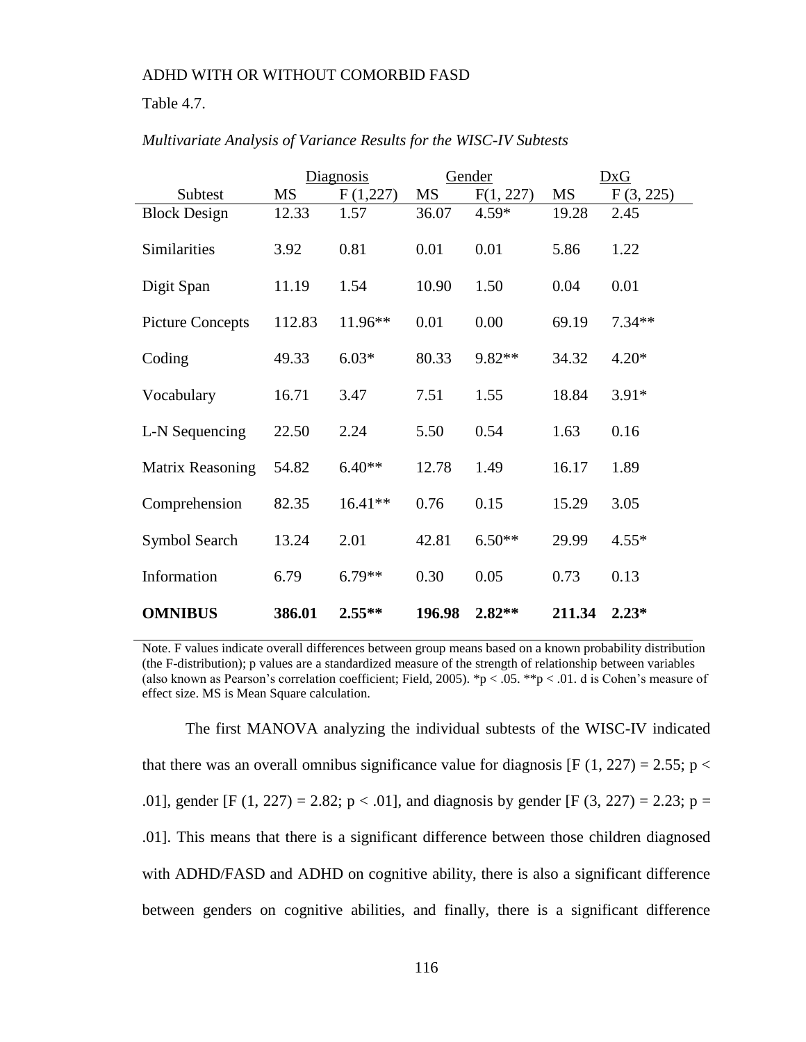#### Table 4.7.

|                         |           | Diagnosis |           | Gender    |           | DxG       |
|-------------------------|-----------|-----------|-----------|-----------|-----------|-----------|
| Subtest                 | <b>MS</b> | F(1,227)  | <b>MS</b> | F(1, 227) | <b>MS</b> | F(3, 225) |
| <b>Block Design</b>     | 12.33     | 1.57      | 36.07     | 4.59*     | 19.28     | 2.45      |
| Similarities            | 3.92      | 0.81      | 0.01      | 0.01      | 5.86      | 1.22      |
| Digit Span              | 11.19     | 1.54      | 10.90     | 1.50      | 0.04      | 0.01      |
| <b>Picture Concepts</b> | 112.83    | $11.96**$ | 0.01      | 0.00      | 69.19     | $7.34**$  |
| Coding                  | 49.33     | $6.03*$   | 80.33     | 9.82**    | 34.32     | $4.20*$   |
| Vocabulary              | 16.71     | 3.47      | 7.51      | 1.55      | 18.84     | $3.91*$   |
| L-N Sequencing          | 22.50     | 2.24      | 5.50      | 0.54      | 1.63      | 0.16      |
| Matrix Reasoning        | 54.82     | $6.40**$  | 12.78     | 1.49      | 16.17     | 1.89      |
| Comprehension           | 82.35     | $16.41**$ | 0.76      | 0.15      | 15.29     | 3.05      |
| Symbol Search           | 13.24     | 2.01      | 42.81     | $6.50**$  | 29.99     | $4.55*$   |
| Information             | 6.79      | $6.79**$  | 0.30      | 0.05      | 0.73      | 0.13      |
| <b>OMNIBUS</b>          | 386.01    | $2.55***$ | 196.98    | $2.82**$  | 211.34    | $2.23*$   |

#### *Multivariate Analysis of Variance Results for the WISC-IV Subtests*

Note. F values indicate overall differences between group means based on a known probability distribution (the F-distribution); p values are a standardized measure of the strength of relationship between variables (also known as Pearson's correlation coefficient; Field, 2005). \*p < .05. \*\*p < .01. d is Cohen's measure of effect size. MS is Mean Square calculation.

 The first MANOVA analyzing the individual subtests of the WISC-IV indicated that there was an overall omnibus significance value for diagnosis [F (1, 227) = 2.55;  $p <$ .01], gender [F (1, 227) = 2.82;  $p < .01$ ], and diagnosis by gender [F (3, 227) = 2.23;  $p =$ .01]. This means that there is a significant difference between those children diagnosed with ADHD/FASD and ADHD on cognitive ability, there is also a significant difference between genders on cognitive abilities, and finally, there is a significant difference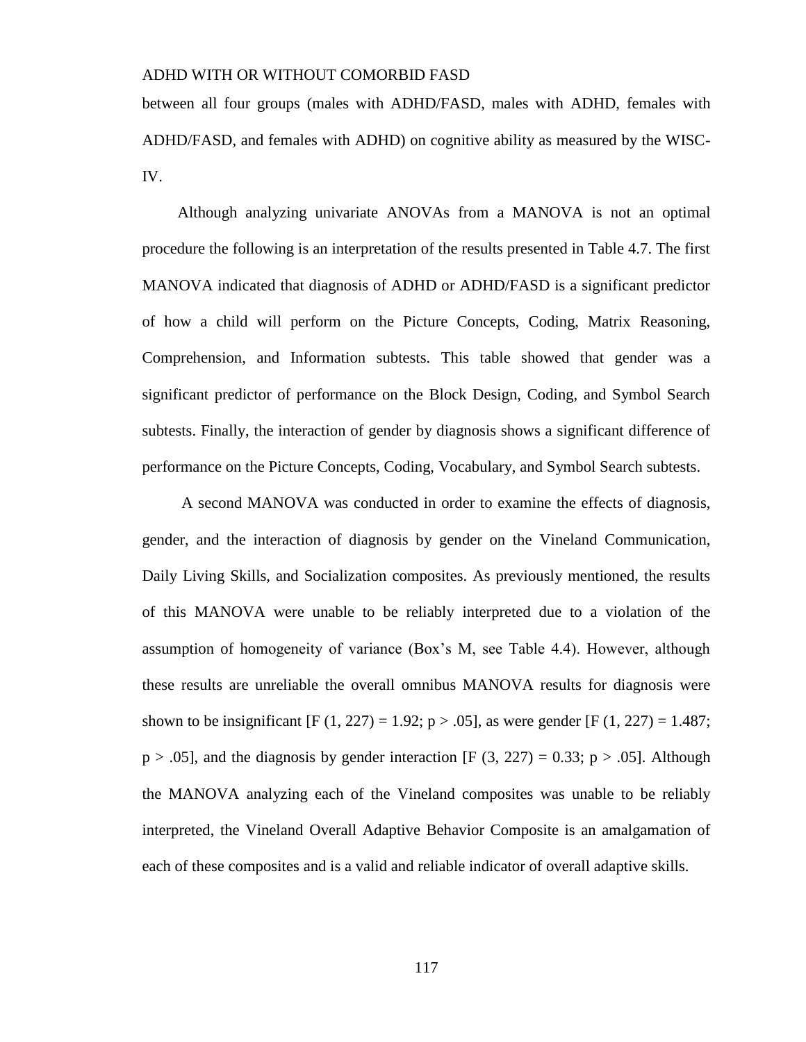between all four groups (males with ADHD/FASD, males with ADHD, females with ADHD/FASD, and females with ADHD) on cognitive ability as measured by the WISC-IV.

 Although analyzing univariate ANOVAs from a MANOVA is not an optimal procedure the following is an interpretation of the results presented in Table 4.7. The first MANOVA indicated that diagnosis of ADHD or ADHD/FASD is a significant predictor of how a child will perform on the Picture Concepts, Coding, Matrix Reasoning, Comprehension, and Information subtests. This table showed that gender was a significant predictor of performance on the Block Design, Coding, and Symbol Search subtests. Finally, the interaction of gender by diagnosis shows a significant difference of performance on the Picture Concepts, Coding, Vocabulary, and Symbol Search subtests.

 A second MANOVA was conducted in order to examine the effects of diagnosis, gender, and the interaction of diagnosis by gender on the Vineland Communication, Daily Living Skills, and Socialization composites. As previously mentioned, the results of this MANOVA were unable to be reliably interpreted due to a violation of the assumption of homogeneity of variance (Box's M, see Table 4.4). However, although these results are unreliable the overall omnibus MANOVA results for diagnosis were shown to be insignificant [F (1, 227) = 1.92; p > .05], as were gender [F (1, 227) = 1.487;  $p > .05$ ], and the diagnosis by gender interaction [F (3, 227) = 0.33;  $p > .05$ ]. Although the MANOVA analyzing each of the Vineland composites was unable to be reliably interpreted, the Vineland Overall Adaptive Behavior Composite is an amalgamation of each of these composites and is a valid and reliable indicator of overall adaptive skills.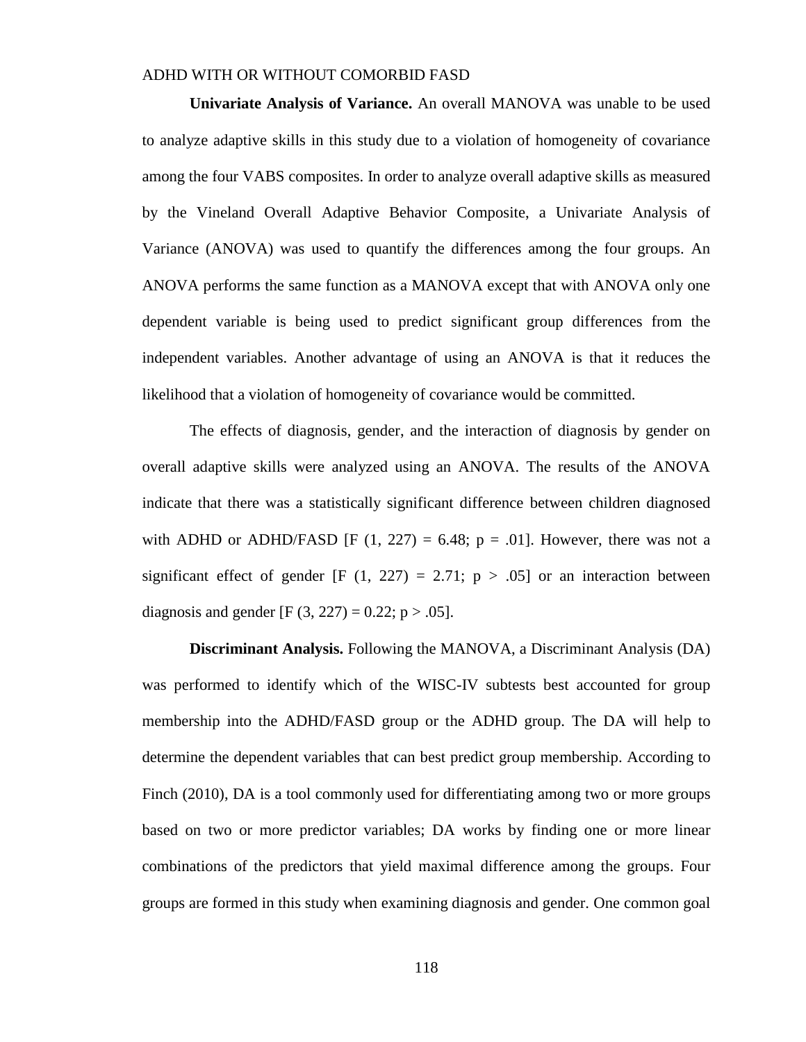**Univariate Analysis of Variance.** An overall MANOVA was unable to be used to analyze adaptive skills in this study due to a violation of homogeneity of covariance among the four VABS composites. In order to analyze overall adaptive skills as measured by the Vineland Overall Adaptive Behavior Composite, a Univariate Analysis of Variance (ANOVA) was used to quantify the differences among the four groups. An ANOVA performs the same function as a MANOVA except that with ANOVA only one dependent variable is being used to predict significant group differences from the independent variables. Another advantage of using an ANOVA is that it reduces the likelihood that a violation of homogeneity of covariance would be committed.

The effects of diagnosis, gender, and the interaction of diagnosis by gender on overall adaptive skills were analyzed using an ANOVA. The results of the ANOVA indicate that there was a statistically significant difference between children diagnosed with ADHD or ADHD/FASD [F  $(1, 227) = 6.48$ ;  $p = .01$ ]. However, there was not a significant effect of gender  $[F (1, 227) = 2.71; p > .05]$  or an interaction between diagnosis and gender [F  $(3, 227) = 0.22$ ; p > .05].

**Discriminant Analysis.** Following the MANOVA, a Discriminant Analysis (DA) was performed to identify which of the WISC-IV subtests best accounted for group membership into the ADHD/FASD group or the ADHD group. The DA will help to determine the dependent variables that can best predict group membership. According to Finch (2010), DA is a tool commonly used for differentiating among two or more groups based on two or more predictor variables; DA works by finding one or more linear combinations of the predictors that yield maximal difference among the groups. Four groups are formed in this study when examining diagnosis and gender. One common goal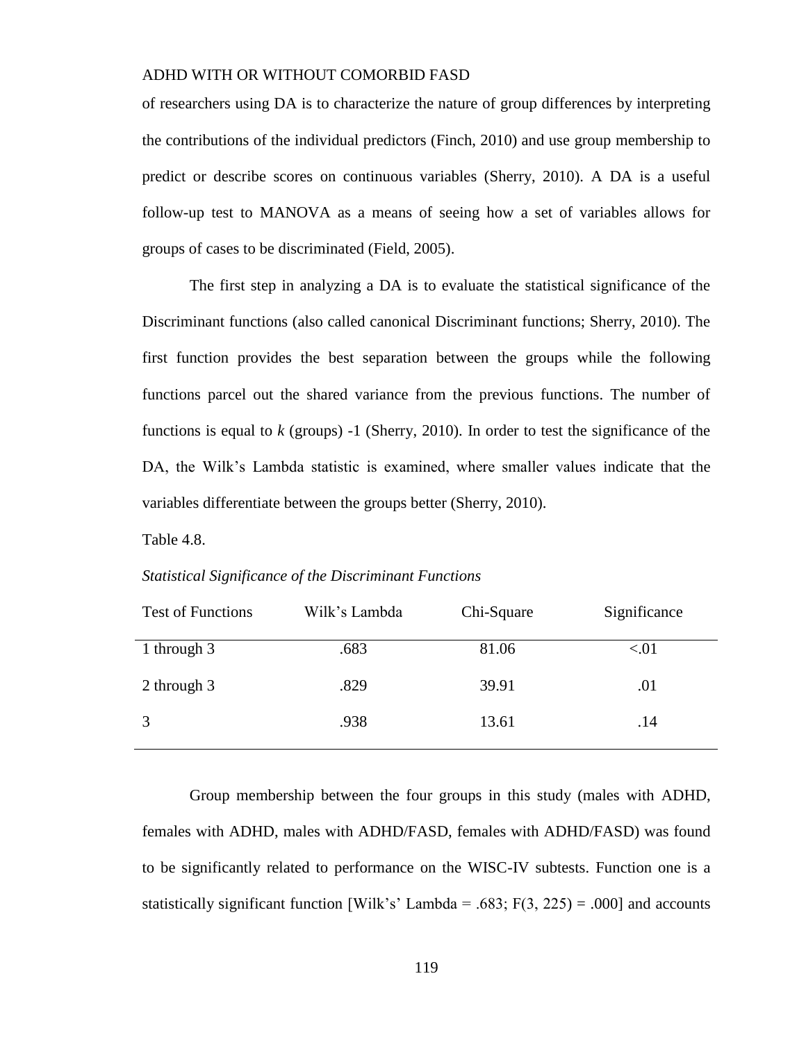of researchers using DA is to characterize the nature of group differences by interpreting the contributions of the individual predictors (Finch, 2010) and use group membership to predict or describe scores on continuous variables (Sherry, 2010). A DA is a useful follow-up test to MANOVA as a means of seeing how a set of variables allows for groups of cases to be discriminated (Field, 2005).

The first step in analyzing a DA is to evaluate the statistical significance of the Discriminant functions (also called canonical Discriminant functions; Sherry, 2010). The first function provides the best separation between the groups while the following functions parcel out the shared variance from the previous functions. The number of functions is equal to *k* (groups) -1 (Sherry, 2010). In order to test the significance of the DA, the Wilk's Lambda statistic is examined, where smaller values indicate that the variables differentiate between the groups better (Sherry, 2010).

Table 4.8.

#### *Statistical Significance of the Discriminant Functions*

| <b>Test of Functions</b> | Wilk's Lambda | Chi-Square | Significance |
|--------------------------|---------------|------------|--------------|
| 1 through 3              | .683          | 81.06      | < 01         |
| 2 through 3              | .829          | 39.91      | .01          |
| 3                        | .938          | 13.61      | .14          |

Group membership between the four groups in this study (males with ADHD, females with ADHD, males with ADHD/FASD, females with ADHD/FASD) was found to be significantly related to performance on the WISC-IV subtests. Function one is a statistically significant function [Wilk's' Lambda = .683;  $F(3, 225) = .000$ ] and accounts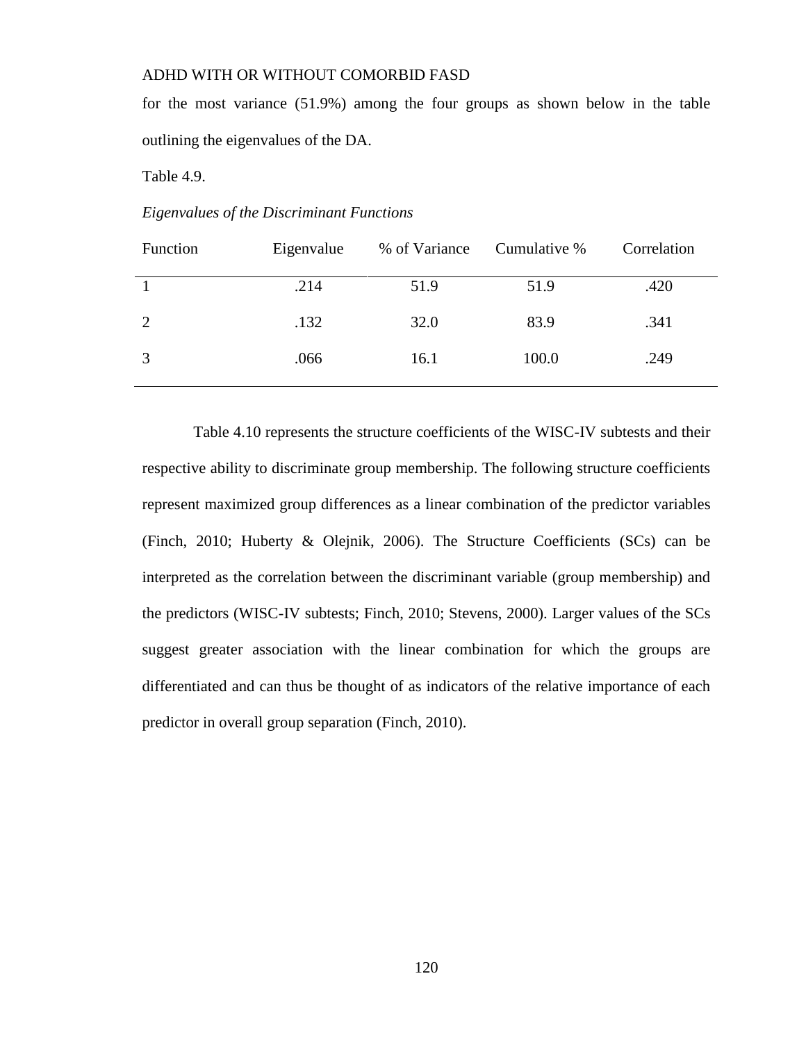for the most variance (51.9%) among the four groups as shown below in the table outlining the eigenvalues of the DA.

Table 4.9.

*Eigenvalues of the Discriminant Functions*

| Function | Eigenvalue | % of Variance | Cumulative % | Correlation |
|----------|------------|---------------|--------------|-------------|
|          | .214       | 51.9          | 51.9         | .420        |
| 2        | .132       | 32.0          | 83.9         | .341        |
| 3        | .066       | 16.1          | 100.0        | .249        |

 Table 4.10 represents the structure coefficients of the WISC-IV subtests and their respective ability to discriminate group membership. The following structure coefficients represent maximized group differences as a linear combination of the predictor variables (Finch, 2010; Huberty & Olejnik, 2006). The Structure Coefficients (SCs) can be interpreted as the correlation between the discriminant variable (group membership) and the predictors (WISC-IV subtests; Finch, 2010; Stevens, 2000). Larger values of the SCs suggest greater association with the linear combination for which the groups are differentiated and can thus be thought of as indicators of the relative importance of each predictor in overall group separation (Finch, 2010).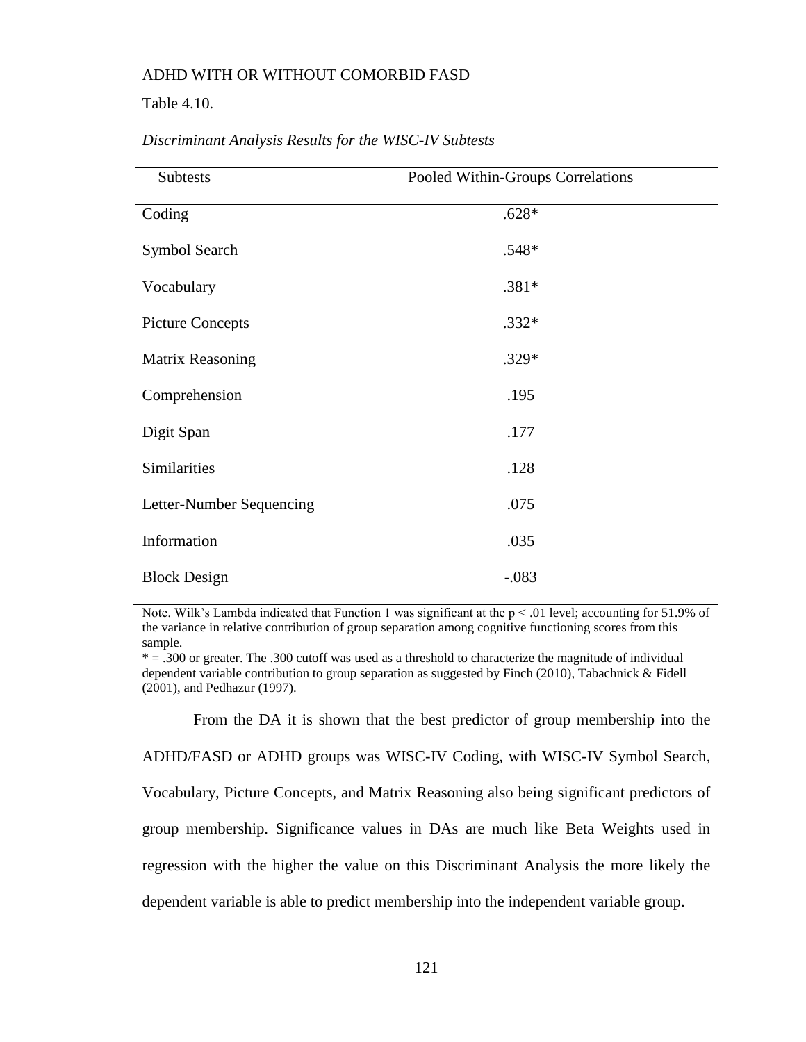Table 4.10.

| <b>Subtests</b>          | Pooled Within-Groups Correlations |  |
|--------------------------|-----------------------------------|--|
| Coding                   | $.628*$                           |  |
| Symbol Search            | .548*                             |  |
| Vocabulary               | $.381*$                           |  |
| <b>Picture Concepts</b>  | $.332*$                           |  |
| Matrix Reasoning         | .329*                             |  |
| Comprehension            | .195                              |  |
| Digit Span               | .177                              |  |
| Similarities             | .128                              |  |
| Letter-Number Sequencing | .075                              |  |
| Information              | .035                              |  |
| <b>Block Design</b>      | $-.083$                           |  |

#### *Discriminant Analysis Results for the WISC-IV Subtests*

Note. Wilk's Lambda indicated that Function 1 was significant at the  $p < .01$  level; accounting for 51.9% of the variance in relative contribution of group separation among cognitive functioning scores from this sample.

 $* = .300$  or greater. The .300 cutoff was used as a threshold to characterize the magnitude of individual dependent variable contribution to group separation as suggested by Finch (2010), Tabachnick & Fidell (2001), and Pedhazur (1997).

 From the DA it is shown that the best predictor of group membership into the ADHD/FASD or ADHD groups was WISC-IV Coding, with WISC-IV Symbol Search, Vocabulary, Picture Concepts, and Matrix Reasoning also being significant predictors of group membership. Significance values in DAs are much like Beta Weights used in regression with the higher the value on this Discriminant Analysis the more likely the dependent variable is able to predict membership into the independent variable group.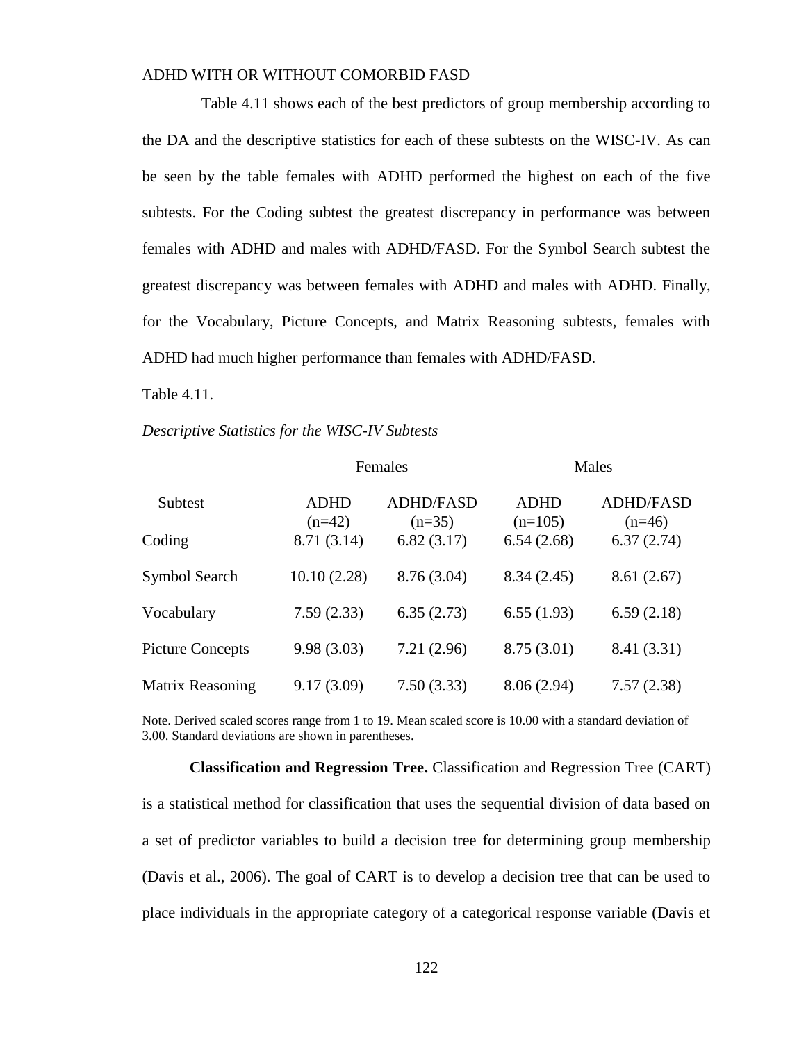Table 4.11 shows each of the best predictors of group membership according to the DA and the descriptive statistics for each of these subtests on the WISC-IV. As can be seen by the table females with ADHD performed the highest on each of the five subtests. For the Coding subtest the greatest discrepancy in performance was between females with ADHD and males with ADHD/FASD. For the Symbol Search subtest the greatest discrepancy was between females with ADHD and males with ADHD. Finally, for the Vocabulary, Picture Concepts, and Matrix Reasoning subtests, females with ADHD had much higher performance than females with ADHD/FASD.

Table 4.11.

#### *Descriptive Statistics for the WISC-IV Subtests*

|                         |                         | Females                      | Males             |                              |  |
|-------------------------|-------------------------|------------------------------|-------------------|------------------------------|--|
| <b>Subtest</b>          | <b>ADHD</b><br>$(n=42)$ | <b>ADHD/FASD</b><br>$(n=35)$ | ADHD<br>$(n=105)$ | <b>ADHD/FASD</b><br>$(n=46)$ |  |
| Coding                  | 8.71(3.14)              | 6.82(3.17)                   | 6.54(2.68)        | 6.37(2.74)                   |  |
| Symbol Search           | 10.10(2.28)             | 8.76 (3.04)                  | 8.34(2.45)        | 8.61(2.67)                   |  |
| Vocabulary              | 7.59(2.33)              | 6.35(2.73)                   | 6.55(1.93)        | 6.59(2.18)                   |  |
| <b>Picture Concepts</b> | 9.98(3.03)              | 7.21(2.96)                   | 8.75(3.01)        | 8.41 (3.31)                  |  |
| Matrix Reasoning        | 9.17(3.09)              | 7.50(3.33)                   | 8.06(2.94)        | 7.57(2.38)                   |  |

Note. Derived scaled scores range from 1 to 19. Mean scaled score is 10.00 with a standard deviation of 3.00. Standard deviations are shown in parentheses.

**Classification and Regression Tree.** Classification and Regression Tree (CART) is a statistical method for classification that uses the sequential division of data based on a set of predictor variables to build a decision tree for determining group membership (Davis et al., 2006). The goal of CART is to develop a decision tree that can be used to place individuals in the appropriate category of a categorical response variable (Davis et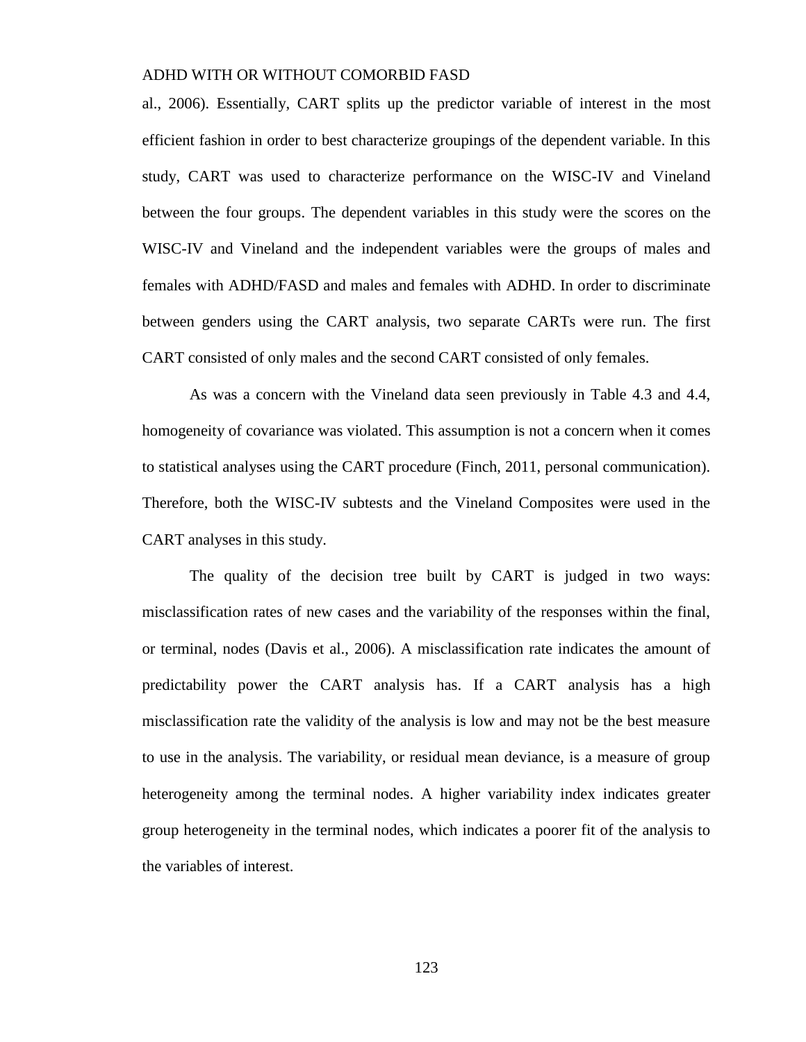al., 2006). Essentially, CART splits up the predictor variable of interest in the most efficient fashion in order to best characterize groupings of the dependent variable. In this study, CART was used to characterize performance on the WISC-IV and Vineland between the four groups. The dependent variables in this study were the scores on the WISC-IV and Vineland and the independent variables were the groups of males and females with ADHD/FASD and males and females with ADHD. In order to discriminate between genders using the CART analysis, two separate CARTs were run. The first CART consisted of only males and the second CART consisted of only females.

As was a concern with the Vineland data seen previously in Table 4.3 and 4.4, homogeneity of covariance was violated. This assumption is not a concern when it comes to statistical analyses using the CART procedure (Finch, 2011, personal communication). Therefore, both the WISC-IV subtests and the Vineland Composites were used in the CART analyses in this study.

The quality of the decision tree built by CART is judged in two ways: misclassification rates of new cases and the variability of the responses within the final, or terminal, nodes (Davis et al., 2006). A misclassification rate indicates the amount of predictability power the CART analysis has. If a CART analysis has a high misclassification rate the validity of the analysis is low and may not be the best measure to use in the analysis. The variability, or residual mean deviance, is a measure of group heterogeneity among the terminal nodes. A higher variability index indicates greater group heterogeneity in the terminal nodes, which indicates a poorer fit of the analysis to the variables of interest.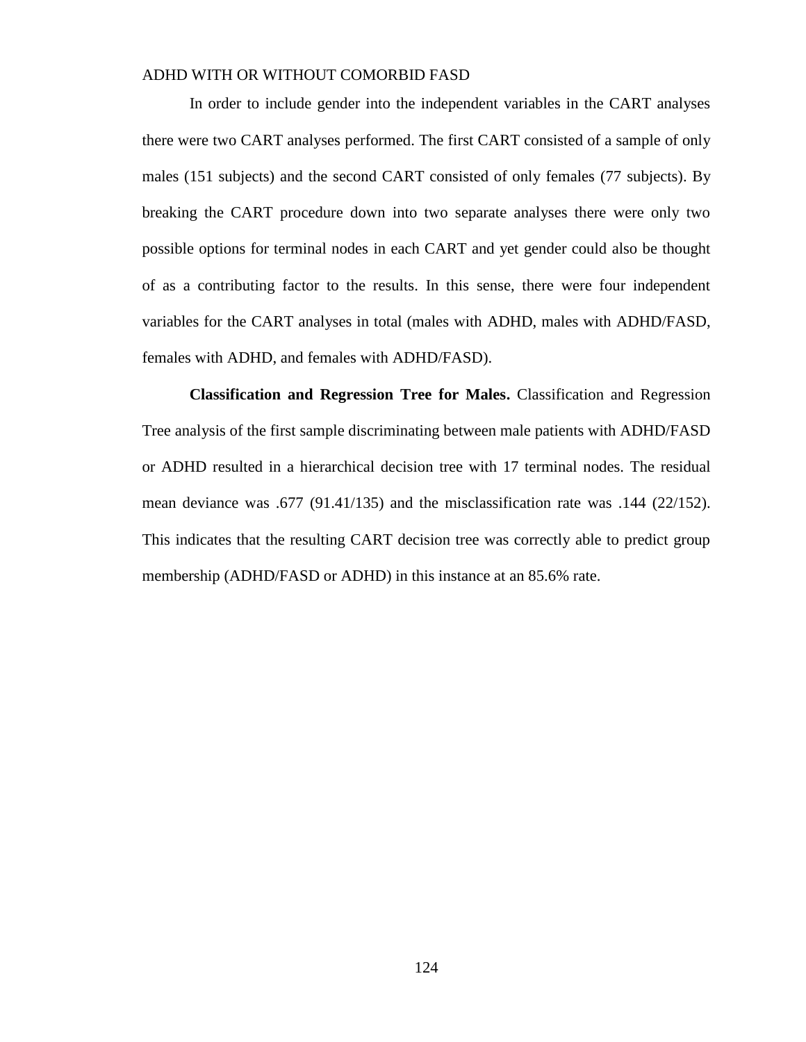In order to include gender into the independent variables in the CART analyses there were two CART analyses performed. The first CART consisted of a sample of only males (151 subjects) and the second CART consisted of only females (77 subjects). By breaking the CART procedure down into two separate analyses there were only two possible options for terminal nodes in each CART and yet gender could also be thought of as a contributing factor to the results. In this sense, there were four independent variables for the CART analyses in total (males with ADHD, males with ADHD/FASD, females with ADHD, and females with ADHD/FASD).

**Classification and Regression Tree for Males.** Classification and Regression Tree analysis of the first sample discriminating between male patients with ADHD/FASD or ADHD resulted in a hierarchical decision tree with 17 terminal nodes. The residual mean deviance was .677 (91.41/135) and the misclassification rate was .144 (22/152). This indicates that the resulting CART decision tree was correctly able to predict group membership (ADHD/FASD or ADHD) in this instance at an 85.6% rate.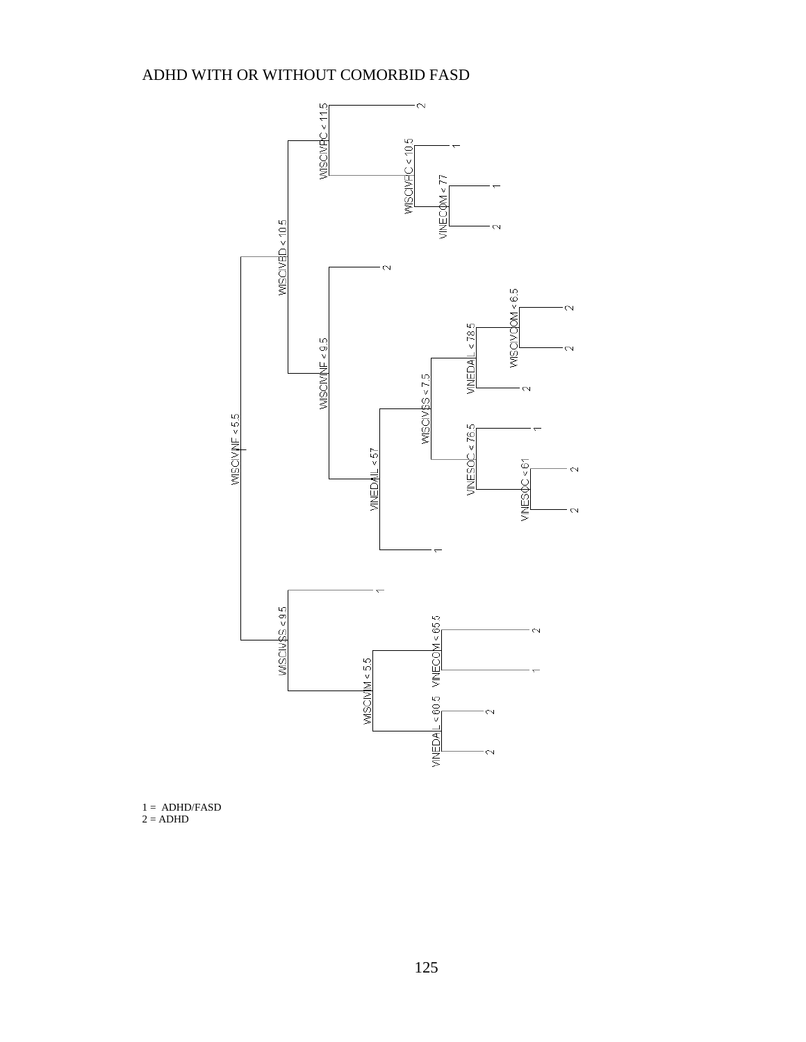

1 = ADHD/FASD  $2 = ADHD$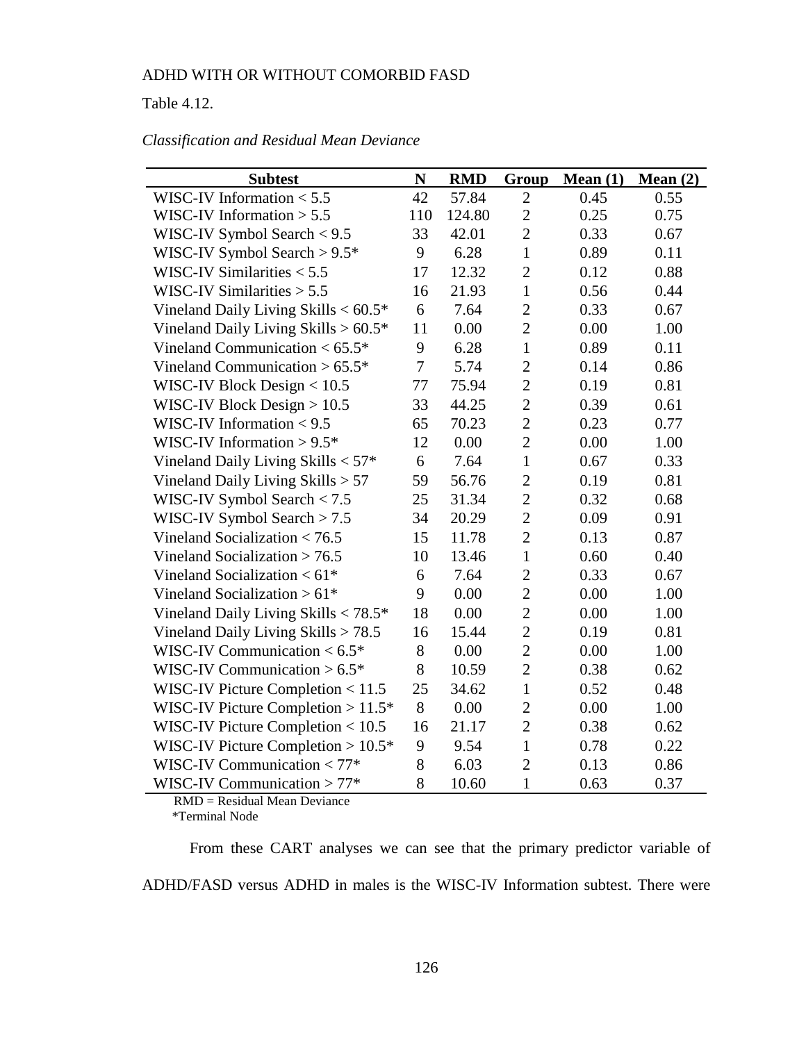Table 4.12.

| <b>Subtest</b>                                     | ${\bf N}$      | <b>RMD</b> | Group          | Mean(1) | Mean(2) |
|----------------------------------------------------|----------------|------------|----------------|---------|---------|
| WISC-IV Information $< 5.5$                        | 42             | 57.84      | $\overline{2}$ | 0.45    | 0.55    |
| WISC-IV Information $> 5.5$                        | 110            | 124.80     | $\overline{2}$ | 0.25    | 0.75    |
| WISC-IV Symbol Search $< 9.5$                      | 33             | 42.01      | $\overline{2}$ | 0.33    | 0.67    |
| WISC-IV Symbol Search $> 9.5*$                     | 9              | 6.28       | $\mathbf{1}$   | 0.89    | 0.11    |
| WISC-IV Similarities $< 5.5$                       | 17             | 12.32      | $\overline{2}$ | 0.12    | 0.88    |
| WISC-IV Similarities $> 5.5$                       | 16             | 21.93      | $\mathbf{1}$   | 0.56    | 0.44    |
| Vineland Daily Living Skills $< 60.5$ <sup>*</sup> | 6              | 7.64       | $\overline{2}$ | 0.33    | 0.67    |
| Vineland Daily Living Skills $> 60.5*$             | 11             | 0.00       | $\overline{2}$ | 0.00    | 1.00    |
| Vineland Communication < $65.5*$                   | 9              | 6.28       | $\mathbf{1}$   | 0.89    | 0.11    |
| Vineland Communication $> 65.5*$                   | $\overline{7}$ | 5.74       | $\overline{2}$ | 0.14    | 0.86    |
| WISC-IV Block Design $< 10.5$                      | 77             | 75.94      | $\overline{2}$ | 0.19    | 0.81    |
| WISC-IV Block Design $> 10.5$                      | 33             | 44.25      | $\overline{2}$ | 0.39    | 0.61    |
| WISC-IV Information $< 9.5$                        | 65             | 70.23      | $\overline{2}$ | 0.23    | 0.77    |
| WISC-IV Information $> 9.5*$                       | 12             | 0.00       | $\overline{2}$ | 0.00    | 1.00    |
| Vineland Daily Living Skills $< 57$ <sup>*</sup>   | 6              | 7.64       | $\mathbf{1}$   | 0.67    | 0.33    |
| Vineland Daily Living Skills $> 57$                | 59             | 56.76      | $\overline{2}$ | 0.19    | 0.81    |
| WISC-IV Symbol Search $< 7.5$                      | 25             | 31.34      | $\overline{2}$ | 0.32    | 0.68    |
| WISC-IV Symbol Search $> 7.5$                      | 34             | 20.29      | $\overline{2}$ | 0.09    | 0.91    |
| Vineland Socialization $< 76.5$                    | 15             | 11.78      | $\overline{2}$ | 0.13    | 0.87    |
| Vineland Socialization $> 76.5$                    | 10             | 13.46      | $\mathbf{1}$   | 0.60    | 0.40    |
| Vineland Socialization $< 61$ <sup>*</sup>         | 6              | 7.64       | $\overline{2}$ | 0.33    | 0.67    |
| Vineland Socialization $> 61*$                     | 9              | 0.00       | $\overline{2}$ | 0.00    | 1.00    |
| Vineland Daily Living Skills $< 78.5$ *            | 18             | 0.00       | $\overline{2}$ | 0.00    | 1.00    |
| Vineland Daily Living Skills > 78.5                | 16             | 15.44      | $\overline{2}$ | 0.19    | 0.81    |
| WISC-IV Communication $< 6.5$ <sup>*</sup>         | 8              | 0.00       | $\overline{2}$ | 0.00    | 1.00    |
| WISC-IV Communication $> 6.5*$                     | 8              | 10.59      | $\overline{2}$ | 0.38    | 0.62    |
| WISC-IV Picture Completion $< 11.5$                | 25             | 34.62      | $\mathbf{1}$   | 0.52    | 0.48    |
| WISC-IV Picture Completion $>11.5*$                | 8              | 0.00       | $\overline{2}$ | 0.00    | 1.00    |
| WISC-IV Picture Completion $< 10.5$                | 16             | 21.17      | $\overline{2}$ | 0.38    | 0.62    |
| WISC-IV Picture Completion $> 10.5*$               | 9              | 9.54       | $\mathbf{1}$   | 0.78    | 0.22    |
| WISC-IV Communication $< 77$ *                     | 8              | 6.03       | $\overline{2}$ | 0.13    | 0.86    |
| WISC-IV Communication $> 77*$                      | 8              | 10.60      | $\mathbf{1}$   | 0.63    | 0.37    |

## *Classification and Residual Mean Deviance*

 RMD = Residual Mean Deviance \*Terminal Node

From these CART analyses we can see that the primary predictor variable of ADHD/FASD versus ADHD in males is the WISC-IV Information subtest. There were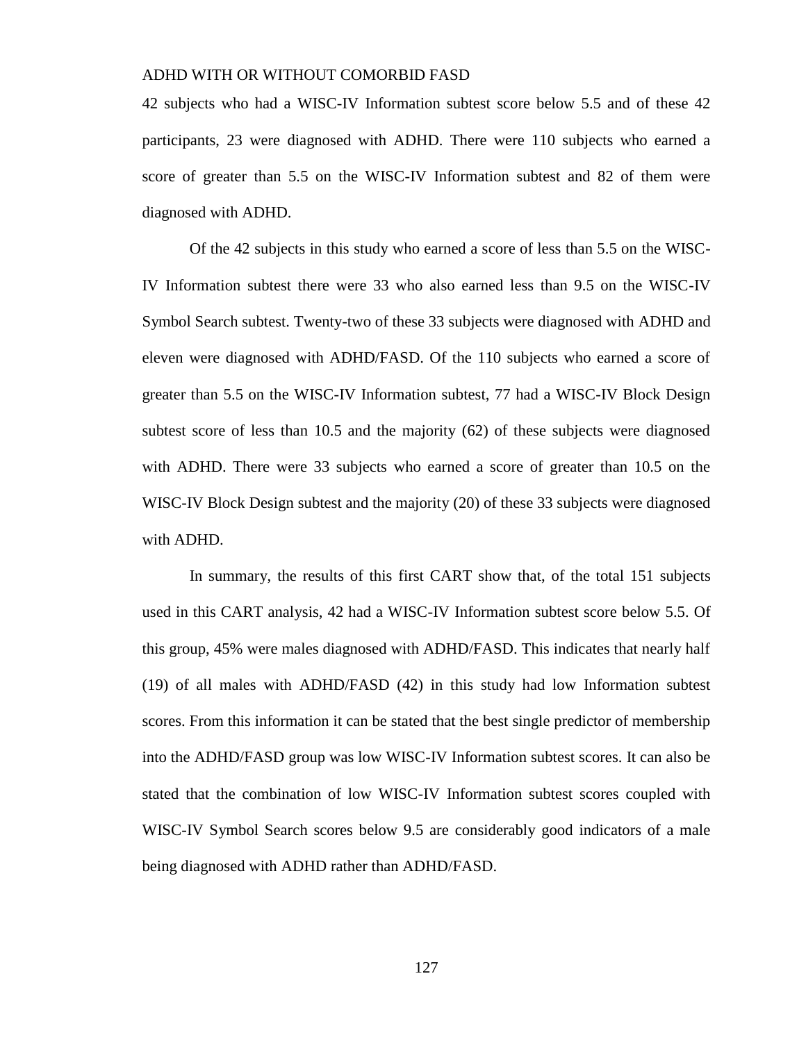42 subjects who had a WISC-IV Information subtest score below 5.5 and of these 42 participants, 23 were diagnosed with ADHD. There were 110 subjects who earned a score of greater than 5.5 on the WISC-IV Information subtest and 82 of them were diagnosed with ADHD.

Of the 42 subjects in this study who earned a score of less than 5.5 on the WISC-IV Information subtest there were 33 who also earned less than 9.5 on the WISC-IV Symbol Search subtest. Twenty-two of these 33 subjects were diagnosed with ADHD and eleven were diagnosed with ADHD/FASD. Of the 110 subjects who earned a score of greater than 5.5 on the WISC-IV Information subtest, 77 had a WISC-IV Block Design subtest score of less than 10.5 and the majority (62) of these subjects were diagnosed with ADHD. There were 33 subjects who earned a score of greater than 10.5 on the WISC-IV Block Design subtest and the majority (20) of these 33 subjects were diagnosed with ADHD.

In summary, the results of this first CART show that, of the total 151 subjects used in this CART analysis, 42 had a WISC-IV Information subtest score below 5.5. Of this group, 45% were males diagnosed with ADHD/FASD. This indicates that nearly half (19) of all males with ADHD/FASD (42) in this study had low Information subtest scores. From this information it can be stated that the best single predictor of membership into the ADHD/FASD group was low WISC-IV Information subtest scores. It can also be stated that the combination of low WISC-IV Information subtest scores coupled with WISC-IV Symbol Search scores below 9.5 are considerably good indicators of a male being diagnosed with ADHD rather than ADHD/FASD.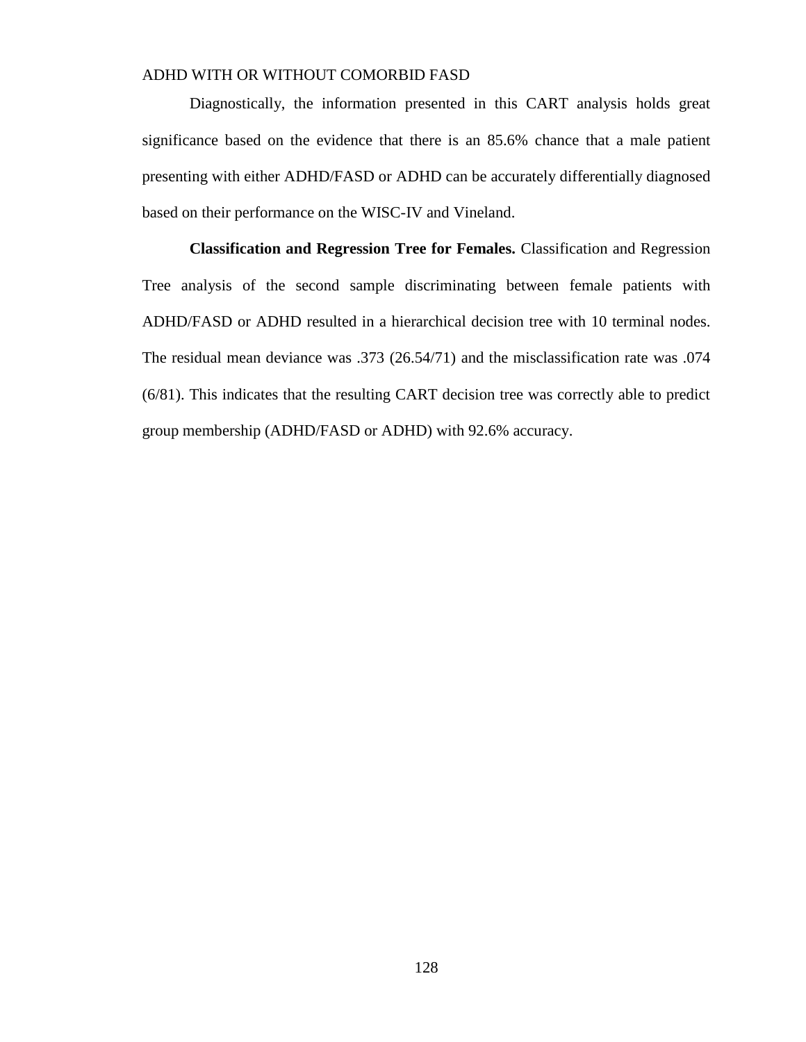Diagnostically, the information presented in this CART analysis holds great significance based on the evidence that there is an 85.6% chance that a male patient presenting with either ADHD/FASD or ADHD can be accurately differentially diagnosed based on their performance on the WISC-IV and Vineland.

**Classification and Regression Tree for Females.** Classification and Regression Tree analysis of the second sample discriminating between female patients with ADHD/FASD or ADHD resulted in a hierarchical decision tree with 10 terminal nodes. The residual mean deviance was .373 (26.54/71) and the misclassification rate was .074 (6/81). This indicates that the resulting CART decision tree was correctly able to predict group membership (ADHD/FASD or ADHD) with 92.6% accuracy.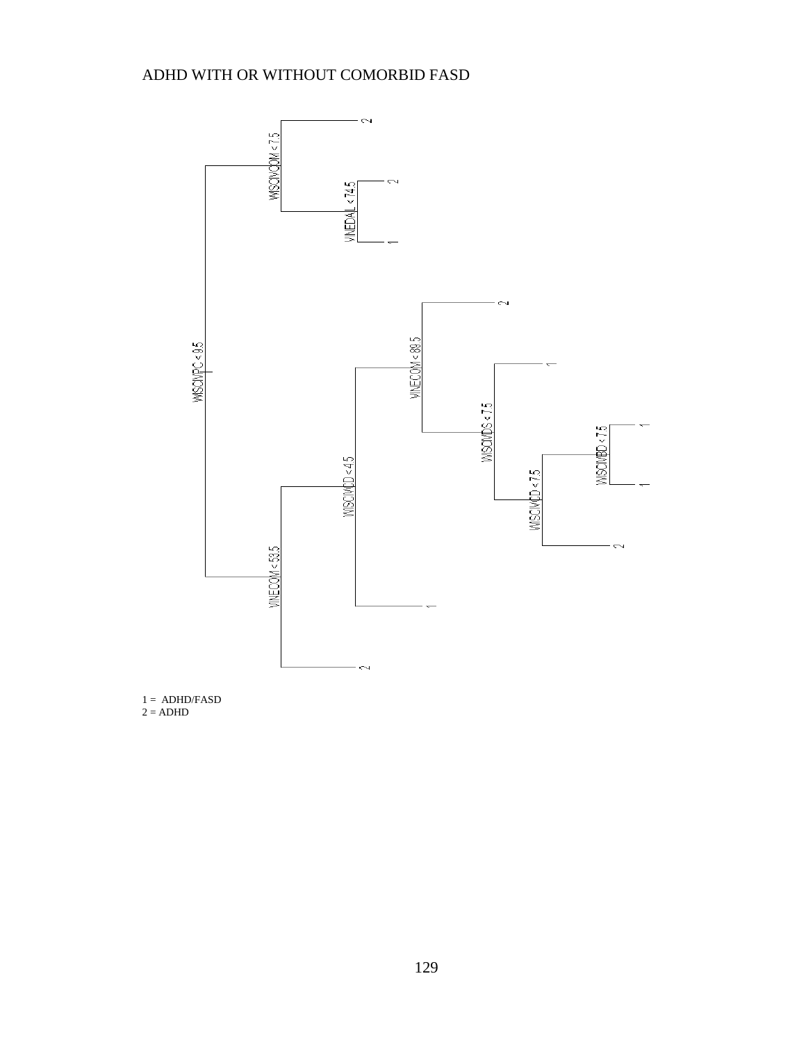

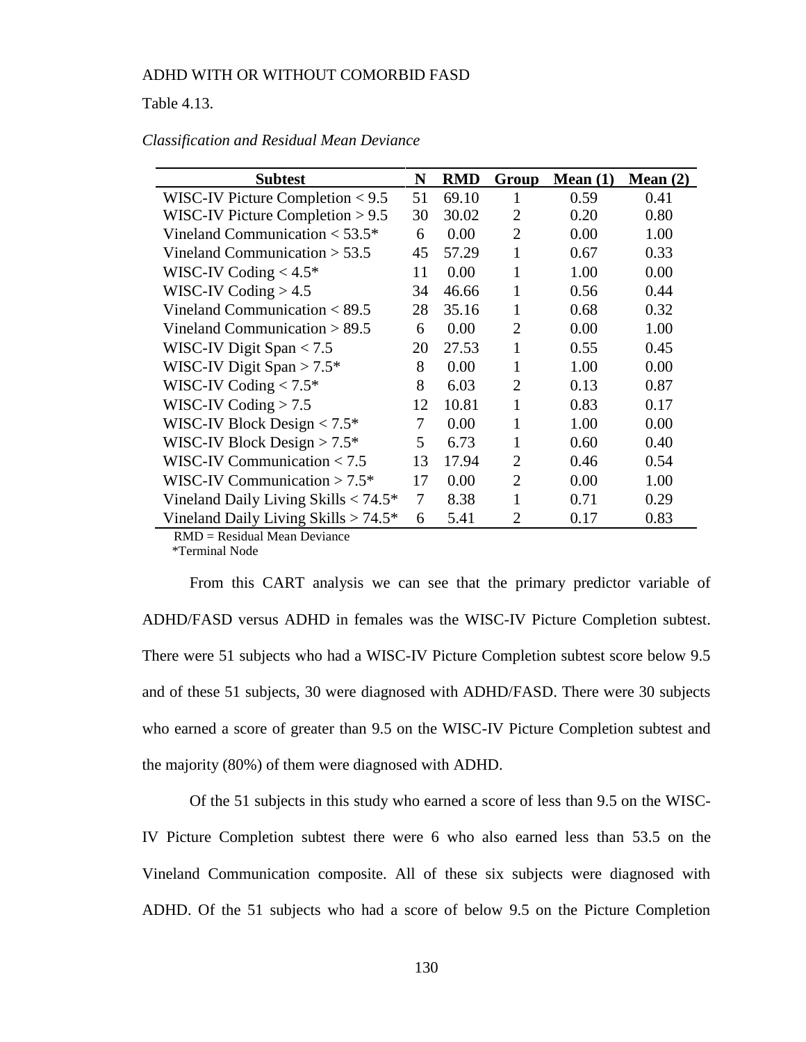#### Table 4.13.

| <b>Subtest</b>                             | N  | <b>RMD</b> | Group          | Mean $(1)$ | Mean $(2)$ |
|--------------------------------------------|----|------------|----------------|------------|------------|
| WISC-IV Picture Completion $< 9.5$         | 51 | 69.10      |                | 0.59       | 0.41       |
| WISC-IV Picture Completion $> 9.5$         | 30 | 30.02      | $\overline{2}$ | 0.20       | 0.80       |
| Vineland Communication $<$ 53.5 $*$        | 6  | 0.00       | $\overline{2}$ | 0.00       | 1.00       |
| Vineland Communication $> 53.5$            | 45 | 57.29      | 1              | 0.67       | 0.33       |
| WISC-IV Coding $< 4.5$ <sup>*</sup>        | 11 | 0.00       | 1              | 1.00       | 0.00       |
| WISC-IV Coding $> 4.5$                     | 34 | 46.66      | 1              | 0.56       | 0.44       |
| Vineland Communication $< 89.5$            | 28 | 35.16      | $\mathbf{1}$   | 0.68       | 0.32       |
| Vineland Communication $> 89.5$            | 6  | 0.00       | $\overline{2}$ | 0.00       | 1.00       |
| WISC-IV Digit Span $< 7.5$                 | 20 | 27.53      | 1              | 0.55       | 0.45       |
| WISC-IV Digit Span > $7.5^*$               | 8  | 0.00       | 1              | 1.00       | 0.00       |
| WISC-IV Coding $< 7.5$ <sup>*</sup>        | 8  | 6.03       | $\overline{2}$ | 0.13       | 0.87       |
| WISC-IV Coding $> 7.5$                     | 12 | 10.81      | 1              | 0.83       | 0.17       |
| WISC-IV Block Design $< 7.5^*$             | 7  | 0.00       | 1              | 1.00       | 0.00       |
| WISC-IV Block Design $> 7.5^*$             | 5  | 6.73       | 1              | 0.60       | 0.40       |
| WISC-IV Communication $< 7.5$              | 13 | 17.94      | $\overline{2}$ | 0.46       | 0.54       |
| WISC-IV Communication $> 7.5$ <sup>*</sup> | 17 | 0.00       | 2              | 0.00       | 1.00       |
| Vineland Daily Living Skills $< 74.5^*$    | 7  | 8.38       | 1              | 0.71       | 0.29       |
| Vineland Daily Living Skills $> 74.5^*$    | 6  | 5.41       | $\overline{2}$ | 0.17       | 0.83       |

#### *Classification and Residual Mean Deviance*

RMD = Residual Mean Deviance

\*Terminal Node

From this CART analysis we can see that the primary predictor variable of ADHD/FASD versus ADHD in females was the WISC-IV Picture Completion subtest. There were 51 subjects who had a WISC-IV Picture Completion subtest score below 9.5 and of these 51 subjects, 30 were diagnosed with ADHD/FASD. There were 30 subjects who earned a score of greater than 9.5 on the WISC-IV Picture Completion subtest and the majority (80%) of them were diagnosed with ADHD.

Of the 51 subjects in this study who earned a score of less than 9.5 on the WISC-IV Picture Completion subtest there were 6 who also earned less than 53.5 on the Vineland Communication composite. All of these six subjects were diagnosed with ADHD. Of the 51 subjects who had a score of below 9.5 on the Picture Completion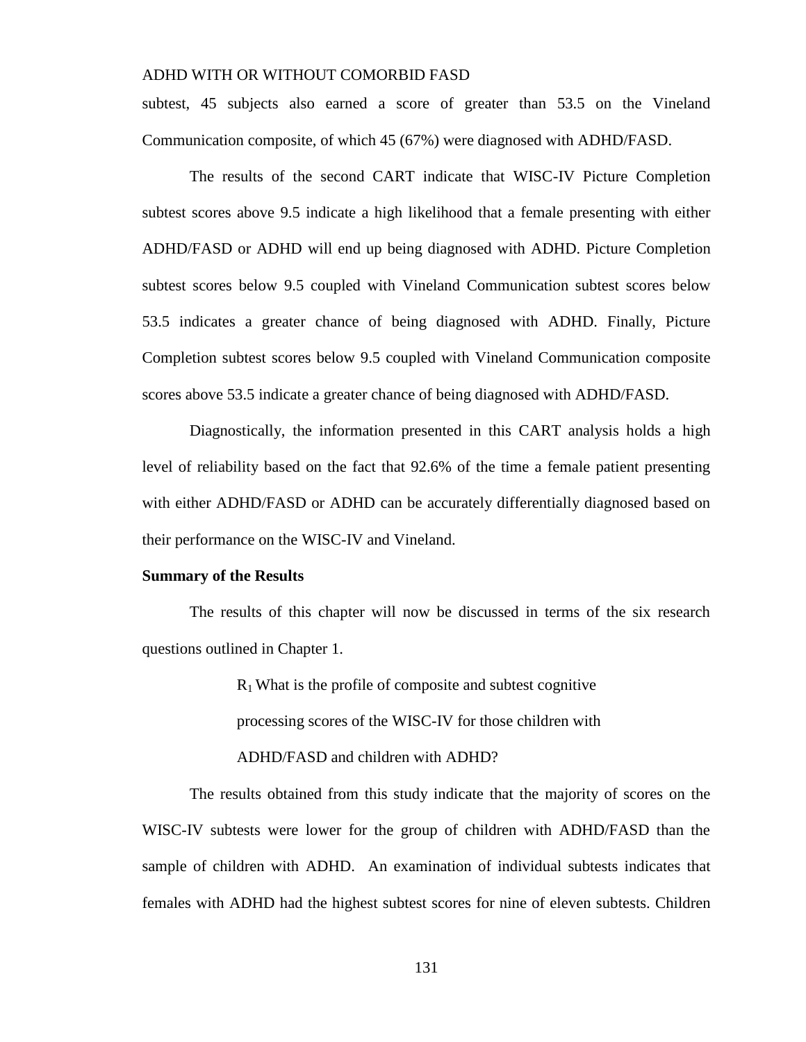subtest, 45 subjects also earned a score of greater than 53.5 on the Vineland Communication composite, of which 45 (67%) were diagnosed with ADHD/FASD.

The results of the second CART indicate that WISC-IV Picture Completion subtest scores above 9.5 indicate a high likelihood that a female presenting with either ADHD/FASD or ADHD will end up being diagnosed with ADHD. Picture Completion subtest scores below 9.5 coupled with Vineland Communication subtest scores below 53.5 indicates a greater chance of being diagnosed with ADHD. Finally, Picture Completion subtest scores below 9.5 coupled with Vineland Communication composite scores above 53.5 indicate a greater chance of being diagnosed with ADHD/FASD.

Diagnostically, the information presented in this CART analysis holds a high level of reliability based on the fact that 92.6% of the time a female patient presenting with either ADHD/FASD or ADHD can be accurately differentially diagnosed based on their performance on the WISC-IV and Vineland.

#### **Summary of the Results**

The results of this chapter will now be discussed in terms of the six research questions outlined in Chapter 1.

> $R_1$  What is the profile of composite and subtest cognitive processing scores of the WISC-IV for those children with ADHD/FASD and children with ADHD?

The results obtained from this study indicate that the majority of scores on the WISC-IV subtests were lower for the group of children with ADHD/FASD than the sample of children with ADHD. An examination of individual subtests indicates that females with ADHD had the highest subtest scores for nine of eleven subtests. Children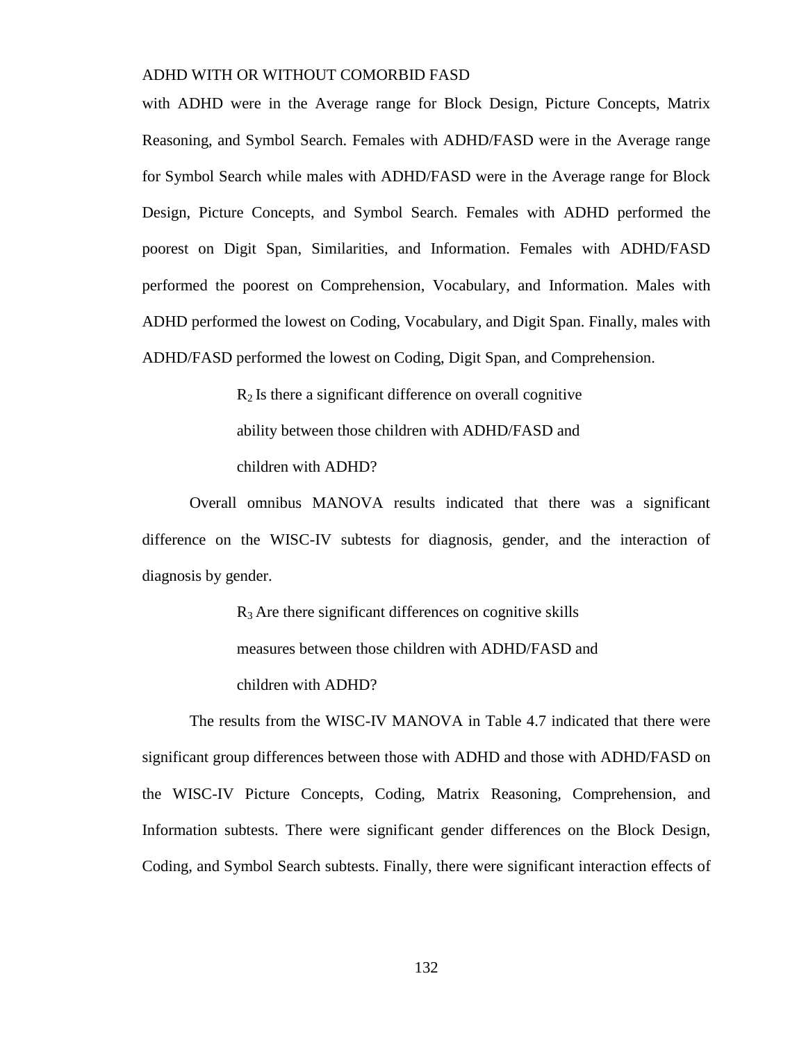with ADHD were in the Average range for Block Design, Picture Concepts, Matrix Reasoning, and Symbol Search. Females with ADHD/FASD were in the Average range for Symbol Search while males with ADHD/FASD were in the Average range for Block Design, Picture Concepts, and Symbol Search. Females with ADHD performed the poorest on Digit Span, Similarities, and Information. Females with ADHD/FASD performed the poorest on Comprehension, Vocabulary, and Information. Males with ADHD performed the lowest on Coding, Vocabulary, and Digit Span. Finally, males with ADHD/FASD performed the lowest on Coding, Digit Span, and Comprehension.

> $R<sub>2</sub>$  Is there a significant difference on overall cognitive ability between those children with ADHD/FASD and children with ADHD?

Overall omnibus MANOVA results indicated that there was a significant difference on the WISC-IV subtests for diagnosis, gender, and the interaction of diagnosis by gender.

> $R<sub>3</sub>$  Are there significant differences on cognitive skills measures between those children with ADHD/FASD and children with ADHD?

The results from the WISC-IV MANOVA in Table 4.7 indicated that there were significant group differences between those with ADHD and those with ADHD/FASD on the WISC-IV Picture Concepts, Coding, Matrix Reasoning, Comprehension, and Information subtests. There were significant gender differences on the Block Design, Coding, and Symbol Search subtests. Finally, there were significant interaction effects of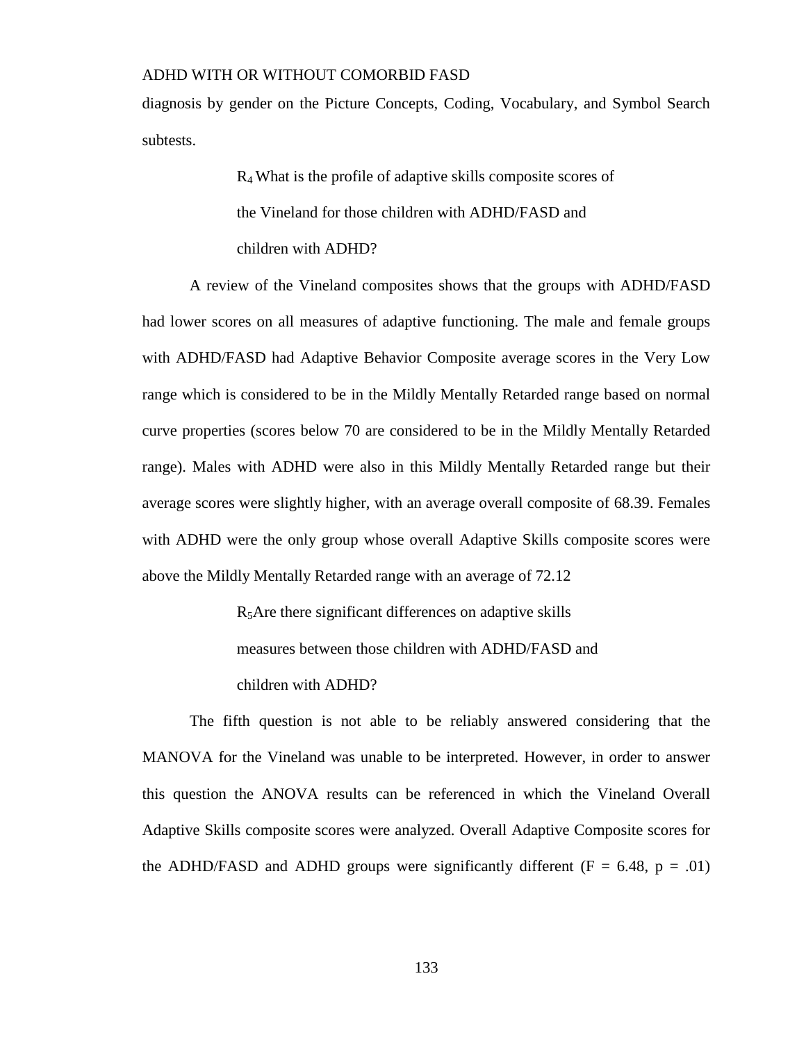diagnosis by gender on the Picture Concepts, Coding, Vocabulary, and Symbol Search subtests.

> R<sup>4</sup> What is the profile of adaptive skills composite scores of the Vineland for those children with ADHD/FASD and children with ADHD?

A review of the Vineland composites shows that the groups with ADHD/FASD had lower scores on all measures of adaptive functioning. The male and female groups with ADHD/FASD had Adaptive Behavior Composite average scores in the Very Low range which is considered to be in the Mildly Mentally Retarded range based on normal curve properties (scores below 70 are considered to be in the Mildly Mentally Retarded range). Males with ADHD were also in this Mildly Mentally Retarded range but their average scores were slightly higher, with an average overall composite of 68.39. Females with ADHD were the only group whose overall Adaptive Skills composite scores were above the Mildly Mentally Retarded range with an average of 72.12

> $R<sub>5</sub>$ Are there significant differences on adaptive skills measures between those children with ADHD/FASD and children with ADHD?

The fifth question is not able to be reliably answered considering that the MANOVA for the Vineland was unable to be interpreted. However, in order to answer this question the ANOVA results can be referenced in which the Vineland Overall Adaptive Skills composite scores were analyzed. Overall Adaptive Composite scores for the ADHD/FASD and ADHD groups were significantly different ( $F = 6.48$ ,  $p = .01$ )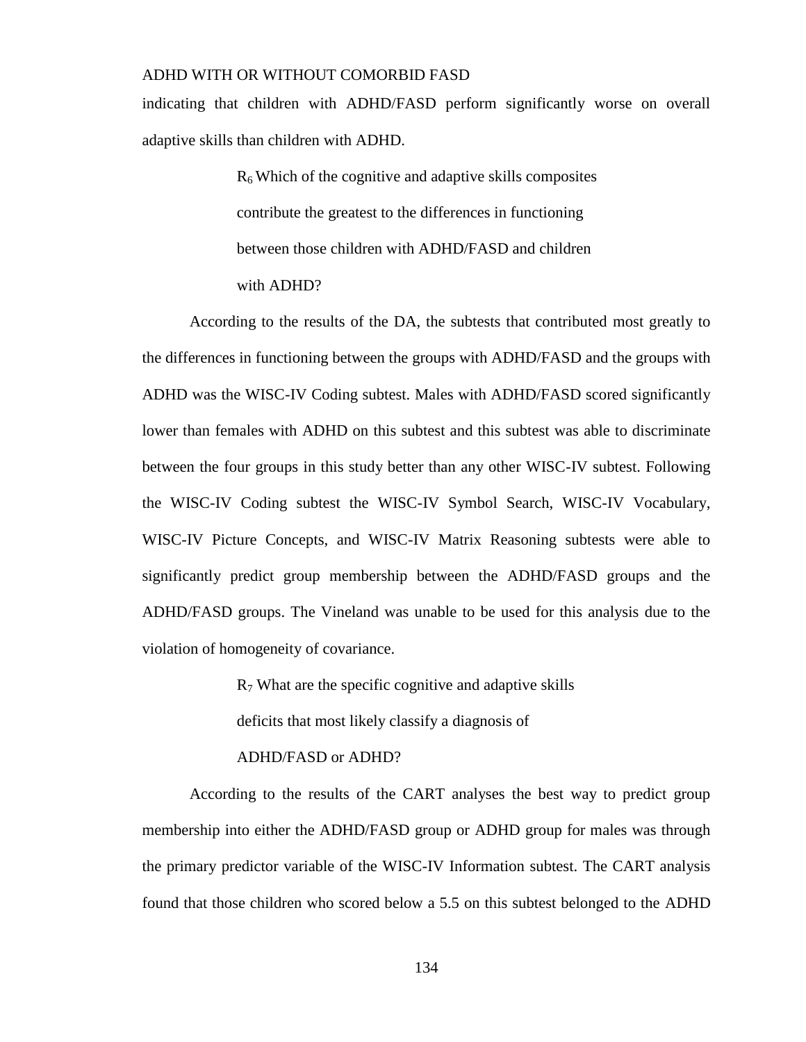indicating that children with ADHD/FASD perform significantly worse on overall adaptive skills than children with ADHD.

> $R<sub>6</sub>$  Which of the cognitive and adaptive skills composites contribute the greatest to the differences in functioning between those children with ADHD/FASD and children with ADHD?

According to the results of the DA, the subtests that contributed most greatly to the differences in functioning between the groups with ADHD/FASD and the groups with ADHD was the WISC-IV Coding subtest. Males with ADHD/FASD scored significantly lower than females with ADHD on this subtest and this subtest was able to discriminate between the four groups in this study better than any other WISC-IV subtest. Following the WISC-IV Coding subtest the WISC-IV Symbol Search, WISC-IV Vocabulary, WISC-IV Picture Concepts, and WISC-IV Matrix Reasoning subtests were able to significantly predict group membership between the ADHD/FASD groups and the ADHD/FASD groups. The Vineland was unable to be used for this analysis due to the violation of homogeneity of covariance.

 $R_7$  What are the specific cognitive and adaptive skills

deficits that most likely classify a diagnosis of

#### ADHD/FASD or ADHD?

According to the results of the CART analyses the best way to predict group membership into either the ADHD/FASD group or ADHD group for males was through the primary predictor variable of the WISC-IV Information subtest. The CART analysis found that those children who scored below a 5.5 on this subtest belonged to the ADHD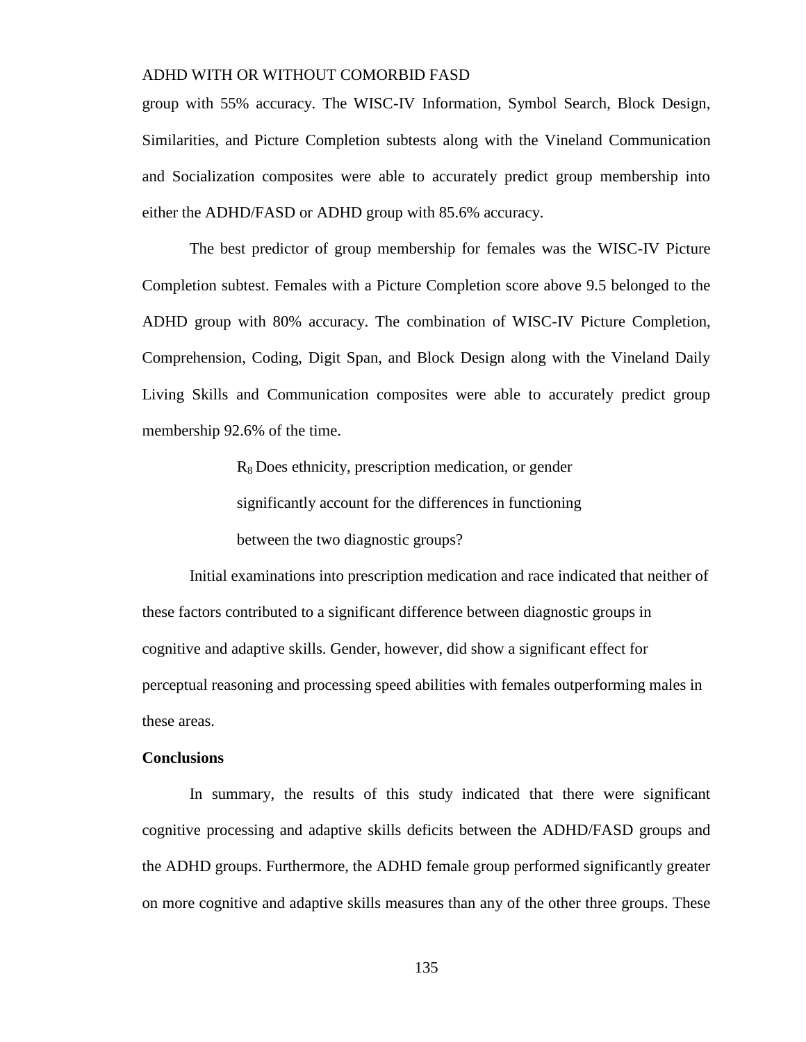group with 55% accuracy. The WISC-IV Information, Symbol Search, Block Design, Similarities, and Picture Completion subtests along with the Vineland Communication and Socialization composites were able to accurately predict group membership into either the ADHD/FASD or ADHD group with 85.6% accuracy.

The best predictor of group membership for females was the WISC-IV Picture Completion subtest. Females with a Picture Completion score above 9.5 belonged to the ADHD group with 80% accuracy. The combination of WISC-IV Picture Completion, Comprehension, Coding, Digit Span, and Block Design along with the Vineland Daily Living Skills and Communication composites were able to accurately predict group membership 92.6% of the time.

R8 Does ethnicity, prescription medication, or gender

significantly account for the differences in functioning

between the two diagnostic groups?

Initial examinations into prescription medication and race indicated that neither of these factors contributed to a significant difference between diagnostic groups in cognitive and adaptive skills. Gender, however, did show a significant effect for perceptual reasoning and processing speed abilities with females outperforming males in these areas.

#### **Conclusions**

In summary, the results of this study indicated that there were significant cognitive processing and adaptive skills deficits between the ADHD/FASD groups and the ADHD groups. Furthermore, the ADHD female group performed significantly greater on more cognitive and adaptive skills measures than any of the other three groups. These

135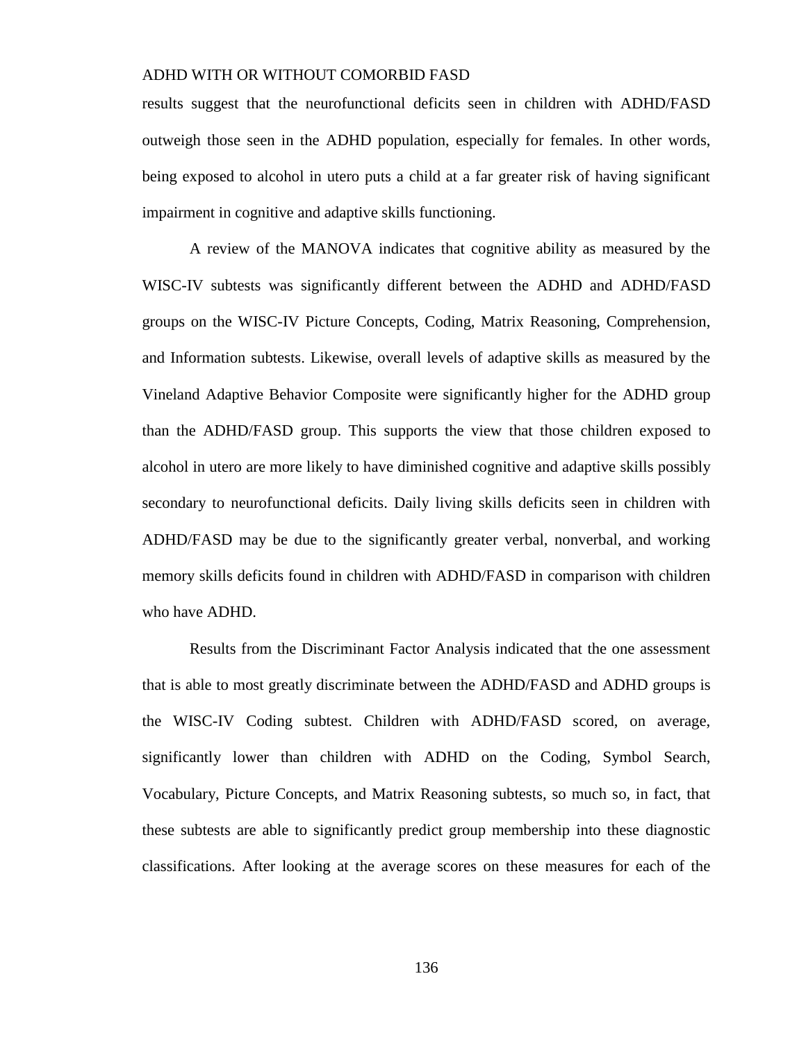results suggest that the neurofunctional deficits seen in children with ADHD/FASD outweigh those seen in the ADHD population, especially for females. In other words, being exposed to alcohol in utero puts a child at a far greater risk of having significant impairment in cognitive and adaptive skills functioning.

A review of the MANOVA indicates that cognitive ability as measured by the WISC-IV subtests was significantly different between the ADHD and ADHD/FASD groups on the WISC-IV Picture Concepts, Coding, Matrix Reasoning, Comprehension, and Information subtests. Likewise, overall levels of adaptive skills as measured by the Vineland Adaptive Behavior Composite were significantly higher for the ADHD group than the ADHD/FASD group. This supports the view that those children exposed to alcohol in utero are more likely to have diminished cognitive and adaptive skills possibly secondary to neurofunctional deficits. Daily living skills deficits seen in children with ADHD/FASD may be due to the significantly greater verbal, nonverbal, and working memory skills deficits found in children with ADHD/FASD in comparison with children who have ADHD.

Results from the Discriminant Factor Analysis indicated that the one assessment that is able to most greatly discriminate between the ADHD/FASD and ADHD groups is the WISC-IV Coding subtest. Children with ADHD/FASD scored, on average, significantly lower than children with ADHD on the Coding, Symbol Search, Vocabulary, Picture Concepts, and Matrix Reasoning subtests, so much so, in fact, that these subtests are able to significantly predict group membership into these diagnostic classifications. After looking at the average scores on these measures for each of the

136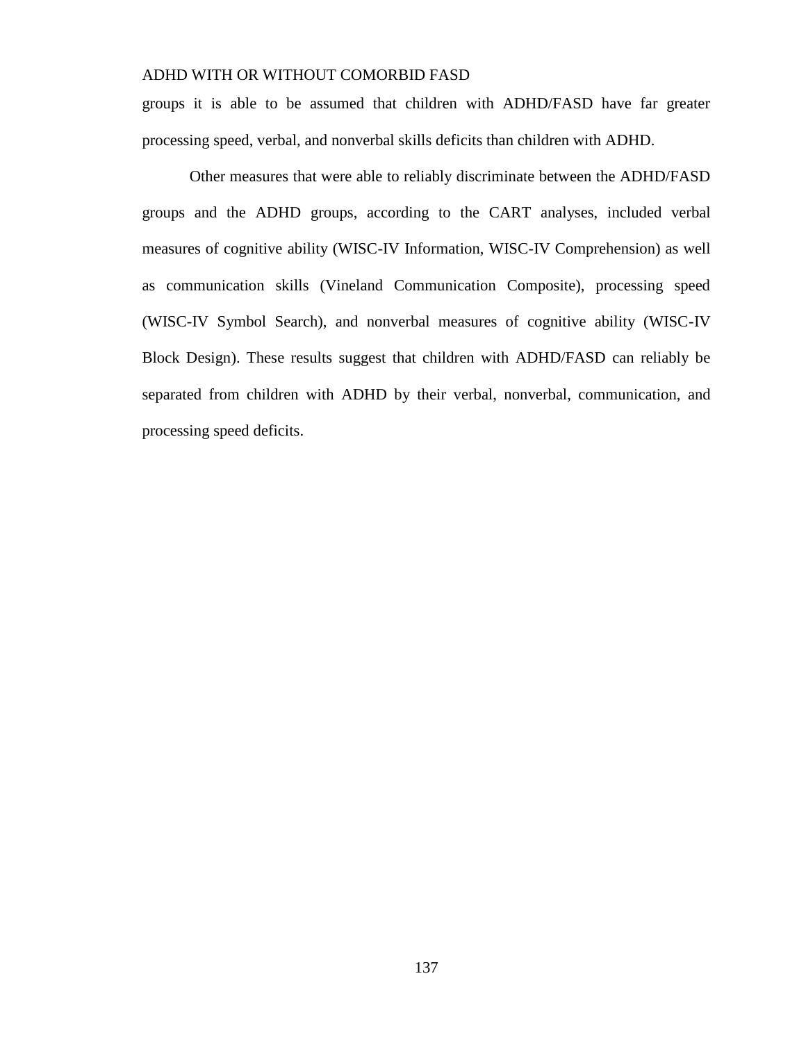groups it is able to be assumed that children with ADHD/FASD have far greater processing speed, verbal, and nonverbal skills deficits than children with ADHD.

Other measures that were able to reliably discriminate between the ADHD/FASD groups and the ADHD groups, according to the CART analyses, included verbal measures of cognitive ability (WISC-IV Information, WISC-IV Comprehension) as well as communication skills (Vineland Communication Composite), processing speed (WISC-IV Symbol Search), and nonverbal measures of cognitive ability (WISC-IV Block Design). These results suggest that children with ADHD/FASD can reliably be separated from children with ADHD by their verbal, nonverbal, communication, and processing speed deficits.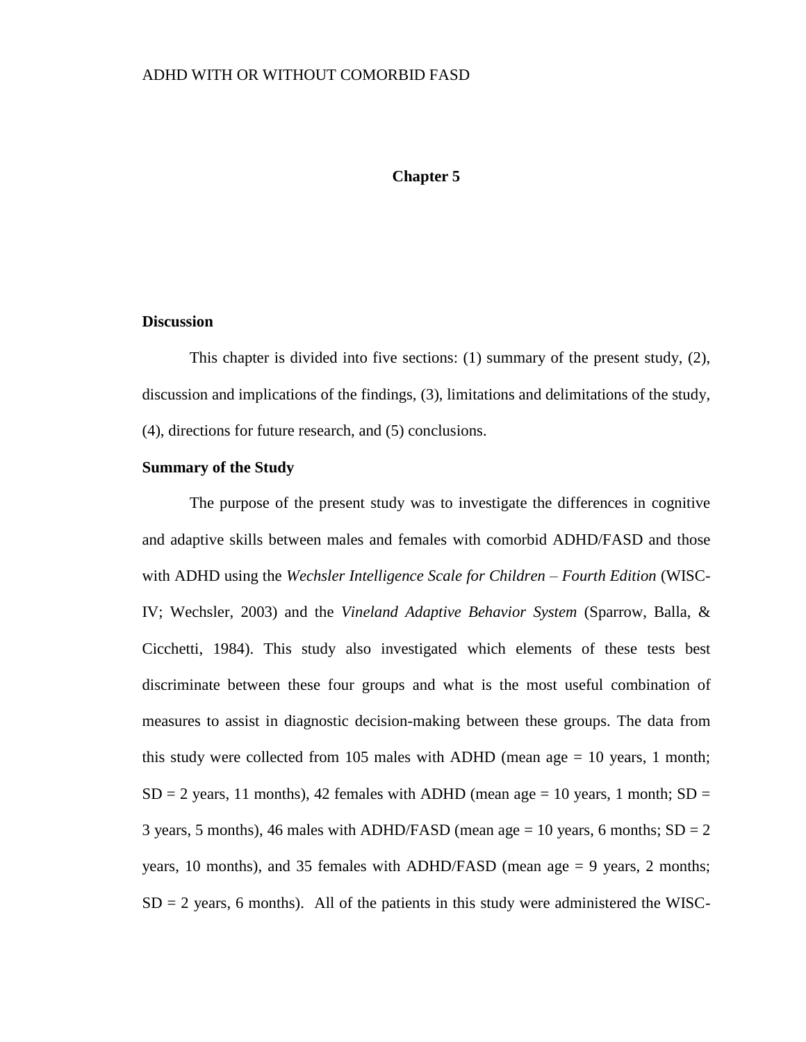#### **Chapter 5**

#### **Discussion**

This chapter is divided into five sections: (1) summary of the present study, (2), discussion and implications of the findings, (3), limitations and delimitations of the study, (4), directions for future research, and (5) conclusions.

#### **Summary of the Study**

The purpose of the present study was to investigate the differences in cognitive and adaptive skills between males and females with comorbid ADHD/FASD and those with ADHD using the *Wechsler Intelligence Scale for Children – Fourth Edition* (WISC-IV; Wechsler, 2003) and the *Vineland Adaptive Behavior System* (Sparrow, Balla, & Cicchetti, 1984). This study also investigated which elements of these tests best discriminate between these four groups and what is the most useful combination of measures to assist in diagnostic decision-making between these groups. The data from this study were collected from 105 males with ADHD (mean age  $= 10$  years, 1 month;  $SD = 2$  years, 11 months), 42 females with ADHD (mean age = 10 years, 1 month;  $SD =$ 3 years, 5 months), 46 males with ADHD/FASD (mean age  $= 10$  years, 6 months; SD  $= 2$ years, 10 months), and 35 females with ADHD/FASD (mean age = 9 years, 2 months;  $SD = 2$  years, 6 months). All of the patients in this study were administered the WISC-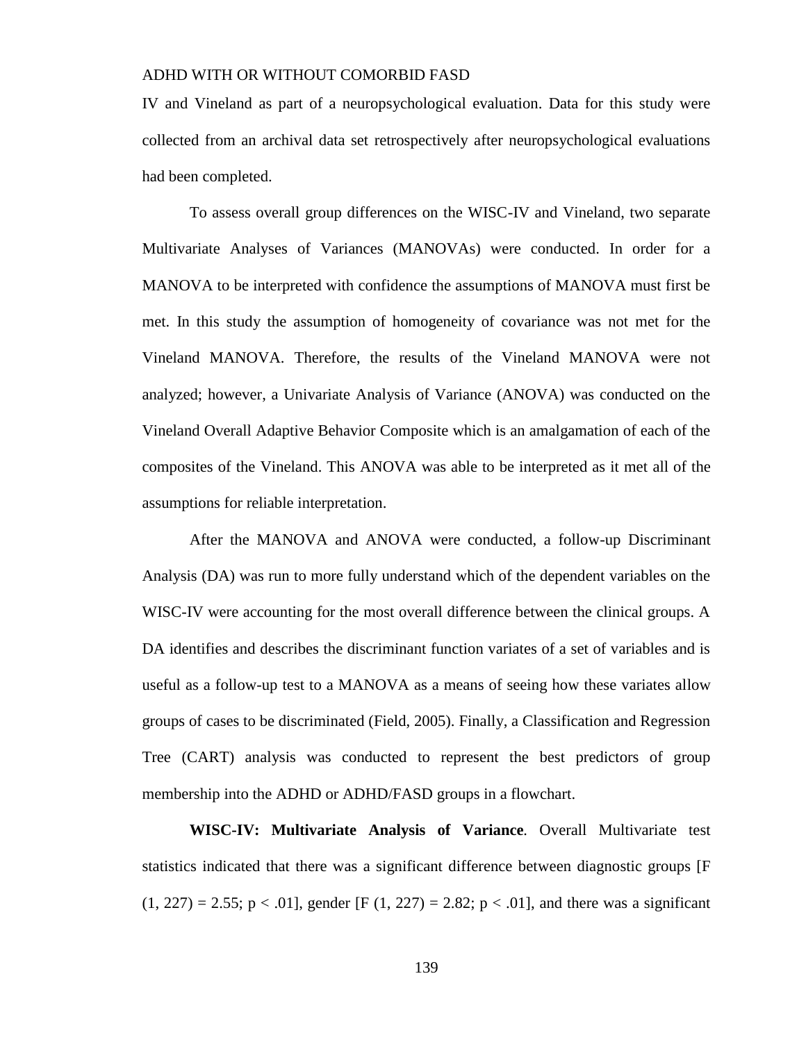IV and Vineland as part of a neuropsychological evaluation. Data for this study were collected from an archival data set retrospectively after neuropsychological evaluations had been completed.

To assess overall group differences on the WISC-IV and Vineland, two separate Multivariate Analyses of Variances (MANOVAs) were conducted. In order for a MANOVA to be interpreted with confidence the assumptions of MANOVA must first be met. In this study the assumption of homogeneity of covariance was not met for the Vineland MANOVA. Therefore, the results of the Vineland MANOVA were not analyzed; however, a Univariate Analysis of Variance (ANOVA) was conducted on the Vineland Overall Adaptive Behavior Composite which is an amalgamation of each of the composites of the Vineland. This ANOVA was able to be interpreted as it met all of the assumptions for reliable interpretation.

After the MANOVA and ANOVA were conducted, a follow-up Discriminant Analysis (DA) was run to more fully understand which of the dependent variables on the WISC-IV were accounting for the most overall difference between the clinical groups. A DA identifies and describes the discriminant function variates of a set of variables and is useful as a follow-up test to a MANOVA as a means of seeing how these variates allow groups of cases to be discriminated (Field, 2005). Finally, a Classification and Regression Tree (CART) analysis was conducted to represent the best predictors of group membership into the ADHD or ADHD/FASD groups in a flowchart.

**WISC-IV: Multivariate Analysis of Variance***.* Overall Multivariate test statistics indicated that there was a significant difference between diagnostic groups [F  $(1, 227) = 2.55$ ;  $p < .01$ ], gender [F (1, 227) = 2.82;  $p < .01$ ], and there was a significant

139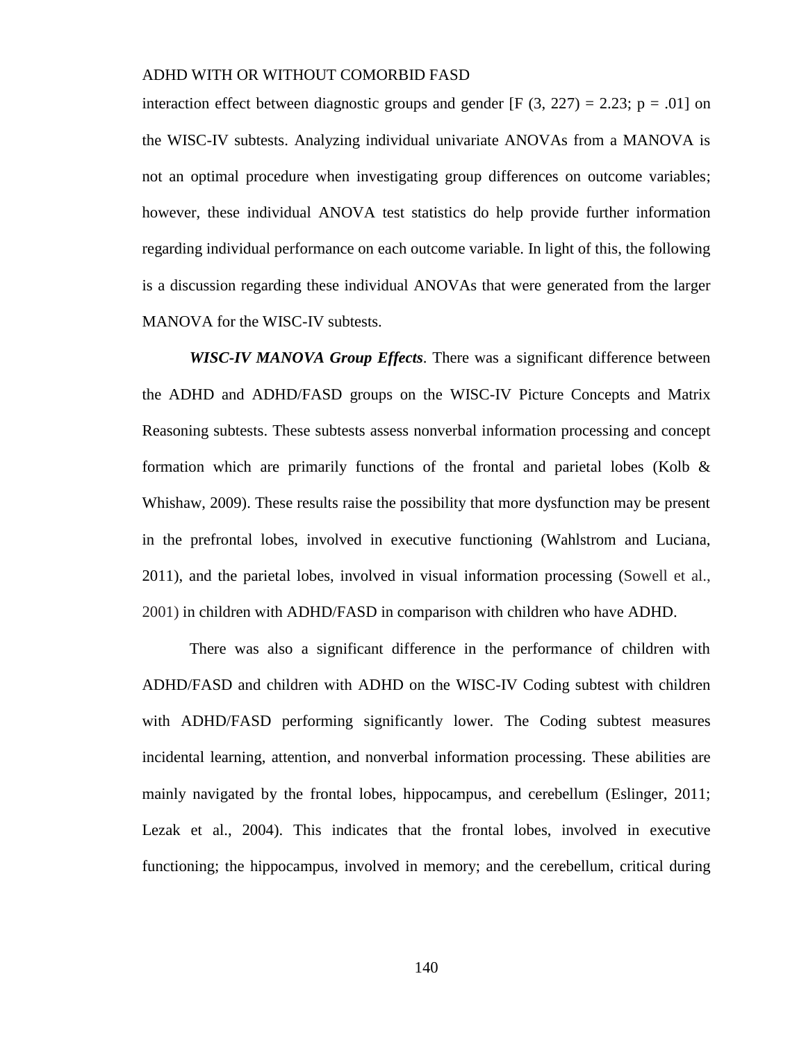interaction effect between diagnostic groups and gender  $[F(3, 227) = 2.23; p = .01]$  on the WISC-IV subtests. Analyzing individual univariate ANOVAs from a MANOVA is not an optimal procedure when investigating group differences on outcome variables; however, these individual ANOVA test statistics do help provide further information regarding individual performance on each outcome variable. In light of this, the following is a discussion regarding these individual ANOVAs that were generated from the larger MANOVA for the WISC-IV subtests.

*WISC-IV MANOVA Group Effects*. There was a significant difference between the ADHD and ADHD/FASD groups on the WISC-IV Picture Concepts and Matrix Reasoning subtests. These subtests assess nonverbal information processing and concept formation which are primarily functions of the frontal and parietal lobes (Kolb  $\&$ Whishaw, 2009). These results raise the possibility that more dysfunction may be present in the prefrontal lobes, involved in executive functioning (Wahlstrom and Luciana, 2011), and the parietal lobes, involved in visual information processing (Sowell et al., 2001) in children with ADHD/FASD in comparison with children who have ADHD.

There was also a significant difference in the performance of children with ADHD/FASD and children with ADHD on the WISC-IV Coding subtest with children with ADHD/FASD performing significantly lower. The Coding subtest measures incidental learning, attention, and nonverbal information processing. These abilities are mainly navigated by the frontal lobes, hippocampus, and cerebellum (Eslinger, 2011; Lezak et al., 2004). This indicates that the frontal lobes, involved in executive functioning; the hippocampus, involved in memory; and the cerebellum, critical during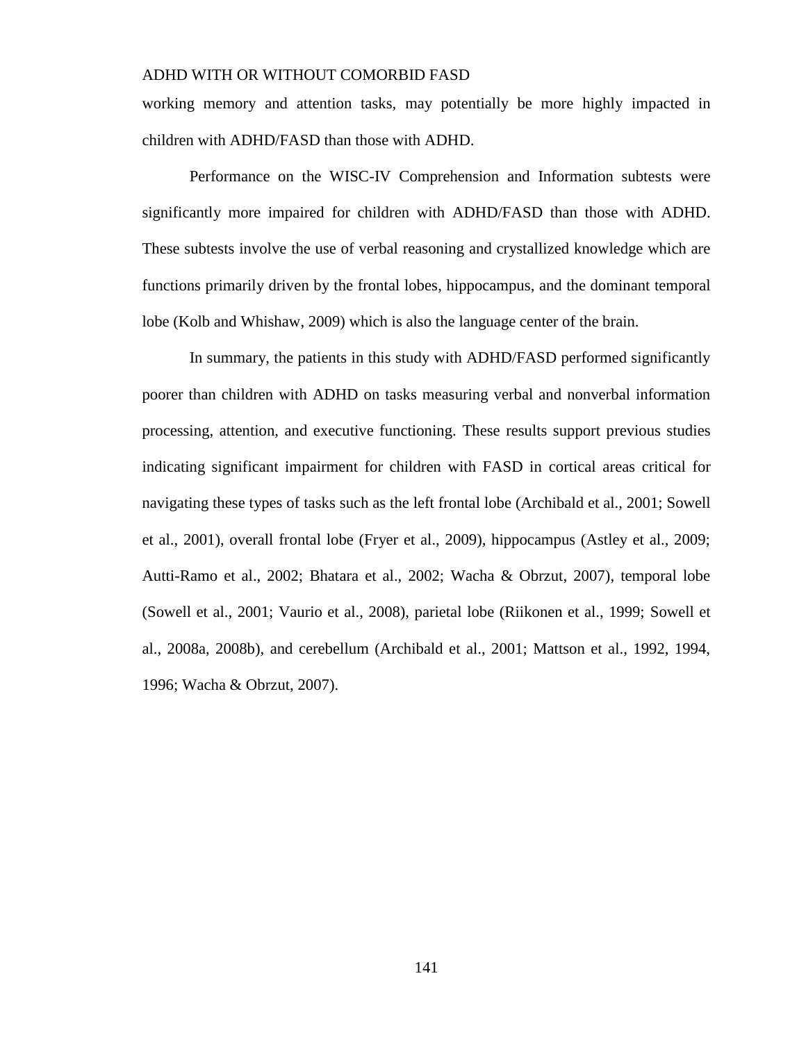working memory and attention tasks, may potentially be more highly impacted in children with ADHD/FASD than those with ADHD.

Performance on the WISC-IV Comprehension and Information subtests were significantly more impaired for children with ADHD/FASD than those with ADHD. These subtests involve the use of verbal reasoning and crystallized knowledge which are functions primarily driven by the frontal lobes, hippocampus, and the dominant temporal lobe (Kolb and Whishaw, 2009) which is also the language center of the brain.

In summary, the patients in this study with ADHD/FASD performed significantly poorer than children with ADHD on tasks measuring verbal and nonverbal information processing, attention, and executive functioning. These results support previous studies indicating significant impairment for children with FASD in cortical areas critical for navigating these types of tasks such as the left frontal lobe (Archibald et al., 2001; Sowell et al., 2001), overall frontal lobe (Fryer et al., 2009), hippocampus (Astley et al., 2009; Autti-Ramo et al., 2002; Bhatara et al., 2002; Wacha & Obrzut, 2007), temporal lobe (Sowell et al., 2001; Vaurio et al., 2008), parietal lobe (Riikonen et al., 1999; Sowell et al., 2008a, 2008b), and cerebellum (Archibald et al., 2001; Mattson et al., 1992, 1994, 1996; Wacha & Obrzut, 2007).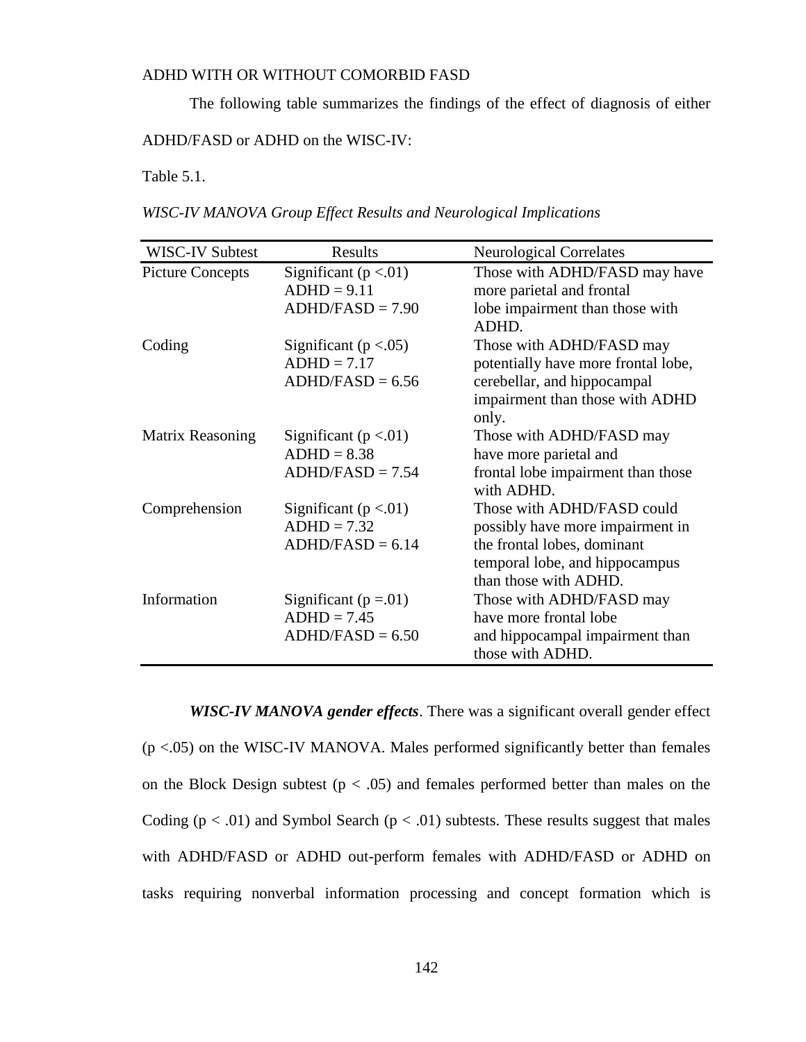The following table summarizes the findings of the effect of diagnosis of either

ADHD/FASD or ADHD on the WISC-IV:

Table 5.1.

*WISC-IV MANOVA Group Effect Results and Neurological Implications*

| <b>WISC-IV Subtest</b>  | Results                                                          | <b>Neurological Correlates</b>                                                                                                                           |
|-------------------------|------------------------------------------------------------------|----------------------------------------------------------------------------------------------------------------------------------------------------------|
| <b>Picture Concepts</b> | Significant ( $p < 01$ )<br>$ADHD = 9.11$<br>$ADHD/FASD = 7.90$  | Those with ADHD/FASD may have<br>more parietal and frontal<br>lobe impairment than those with                                                            |
|                         |                                                                  | ADHD.                                                                                                                                                    |
| Coding                  | Significant ( $p < .05$ )<br>$ADHD = 7.17$<br>$ADHD/FASD = 6.56$ | Those with ADHD/FASD may<br>potentially have more frontal lobe,<br>cerebellar, and hippocampal<br>impairment than those with ADHD<br>only.               |
| Matrix Reasoning        | Significant ( $p < 01$ )<br>$ADHD = 8.38$<br>$ADHD/FASD = 7.54$  | Those with ADHD/FASD may<br>have more parietal and<br>frontal lobe impairment than those<br>with ADHD.                                                   |
| Comprehension           | Significant ( $p < 01$ )<br>$ADHD = 7.32$<br>$ADHD/FASD = 6.14$  | Those with ADHD/FASD could<br>possibly have more impairment in<br>the frontal lobes, dominant<br>temporal lobe, and hippocampus<br>than those with ADHD. |
| Information             | Significant ( $p = 01$ )<br>$ADHD = 7.45$<br>$ADHD/FASD = 6.50$  | Those with ADHD/FASD may<br>have more frontal lobe<br>and hippocampal impairment than<br>those with ADHD.                                                |

*WISC-IV MANOVA gender effects*. There was a significant overall gender effect  $(p < .05)$  on the WISC-IV MANOVA. Males performed significantly better than females on the Block Design subtest ( $p < .05$ ) and females performed better than males on the Coding ( $p < .01$ ) and Symbol Search ( $p < .01$ ) subtests. These results suggest that males with ADHD/FASD or ADHD out-perform females with ADHD/FASD or ADHD on tasks requiring nonverbal information processing and concept formation which is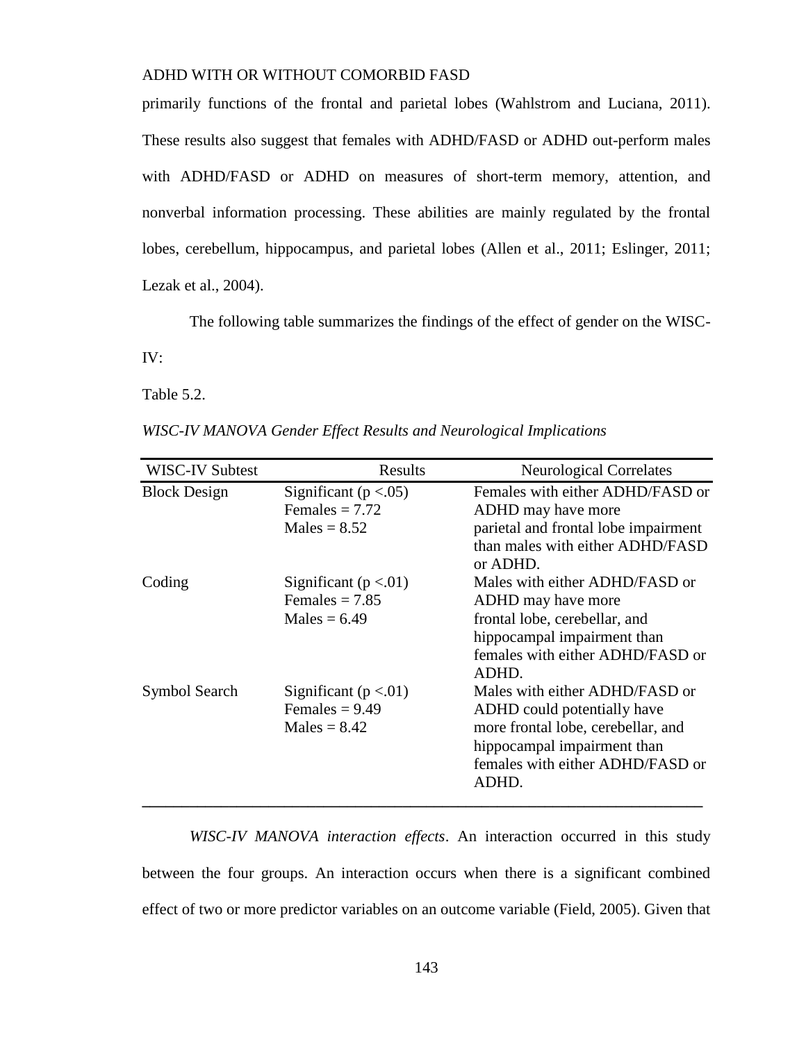primarily functions of the frontal and parietal lobes (Wahlstrom and Luciana, 2011). These results also suggest that females with ADHD/FASD or ADHD out-perform males with ADHD/FASD or ADHD on measures of short-term memory, attention, and nonverbal information processing. These abilities are mainly regulated by the frontal lobes, cerebellum, hippocampus, and parietal lobes (Allen et al., 2011; Eslinger, 2011; Lezak et al., 2004).

The following table summarizes the findings of the effect of gender on the WISC-

IV:

Table 5.2.

| WISC-IV MANOVA Gender Effect Results and Neurological Implications |  |  |
|--------------------------------------------------------------------|--|--|
|                                                                    |  |  |

| <b>WISC-IV Subtest</b> | Results                                                         | <b>Neurological Correlates</b>                                                                                                                                                  |
|------------------------|-----------------------------------------------------------------|---------------------------------------------------------------------------------------------------------------------------------------------------------------------------------|
| <b>Block Design</b>    | Significant ( $p < .05$ )<br>Females $= 7.72$<br>$Males = 8.52$ | Females with either ADHD/FASD or<br>ADHD may have more<br>parietal and frontal lobe impairment<br>than males with either ADHD/FASD<br>or ADHD.                                  |
| Coding                 | Significant ( $p < 01$ )<br>Females $= 7.85$<br>Males = $6.49$  | Males with either ADHD/FASD or<br>ADHD may have more<br>frontal lobe, cerebellar, and<br>hippocampal impairment than<br>females with either ADHD/FASD or<br>ADHD.               |
| Symbol Search          | Significant ( $p < 01$ )<br>Females = $9.49$<br>$Males = 8.42$  | Males with either ADHD/FASD or<br>ADHD could potentially have<br>more frontal lobe, cerebellar, and<br>hippocampal impairment than<br>females with either ADHD/FASD or<br>ADHD. |

*WISC-IV MANOVA interaction effects*. An interaction occurred in this study between the four groups. An interaction occurs when there is a significant combined effect of two or more predictor variables on an outcome variable (Field, 2005). Given that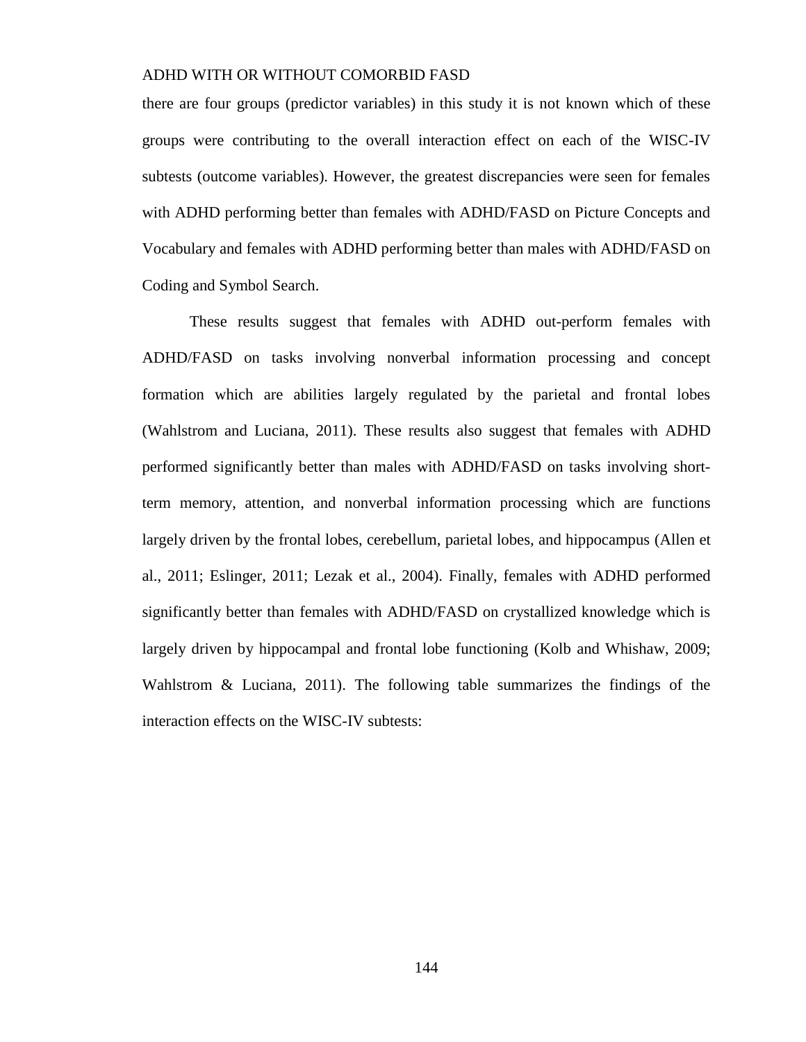there are four groups (predictor variables) in this study it is not known which of these groups were contributing to the overall interaction effect on each of the WISC-IV subtests (outcome variables). However, the greatest discrepancies were seen for females with ADHD performing better than females with ADHD/FASD on Picture Concepts and Vocabulary and females with ADHD performing better than males with ADHD/FASD on Coding and Symbol Search.

These results suggest that females with ADHD out-perform females with ADHD/FASD on tasks involving nonverbal information processing and concept formation which are abilities largely regulated by the parietal and frontal lobes (Wahlstrom and Luciana, 2011). These results also suggest that females with ADHD performed significantly better than males with ADHD/FASD on tasks involving shortterm memory, attention, and nonverbal information processing which are functions largely driven by the frontal lobes, cerebellum, parietal lobes, and hippocampus (Allen et al., 2011; Eslinger, 2011; Lezak et al., 2004). Finally, females with ADHD performed significantly better than females with ADHD/FASD on crystallized knowledge which is largely driven by hippocampal and frontal lobe functioning (Kolb and Whishaw, 2009; Wahlstrom & Luciana, 2011). The following table summarizes the findings of the interaction effects on the WISC-IV subtests: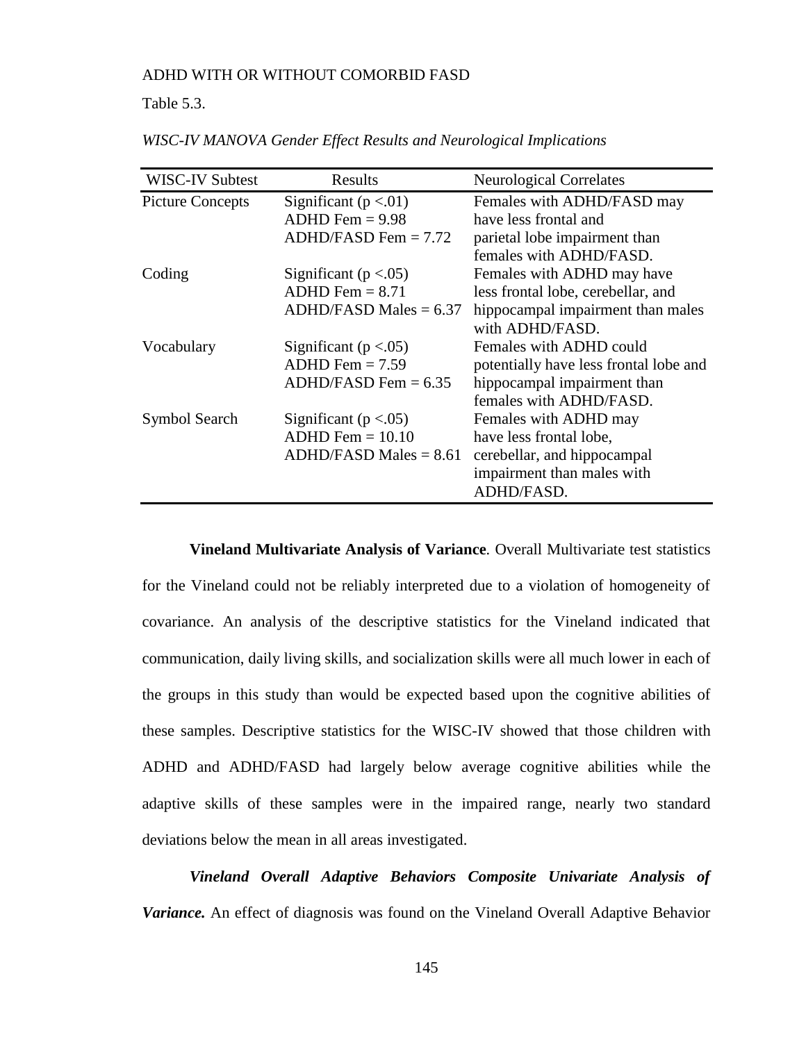## Table 5.3.

| WISC-IV Subtest         | Results                   | <b>Neurological Correlates</b>         |
|-------------------------|---------------------------|----------------------------------------|
| <b>Picture Concepts</b> | Significant ( $p < 01$ )  | Females with ADHD/FASD may             |
|                         | $ADHD$ Fem = 9.98         | have less frontal and                  |
|                         | $ADHD/FASD$ Fem = 7.72    | parietal lobe impairment than          |
|                         |                           | females with ADHD/FASD.                |
| Coding                  | Significant ( $p < .05$ ) | Females with ADHD may have             |
|                         | $ADHD$ Fem = 8.71         | less frontal lobe, cerebellar, and     |
|                         | $ADHD/FASD$ Males = 6.37  | hippocampal impairment than males      |
|                         |                           | with ADHD/FASD.                        |
| Vocabulary              | Significant ( $p < .05$ ) | Females with ADHD could                |
|                         | $ADHD$ Fem = 7.59         | potentially have less frontal lobe and |
|                         | $ADHD/FASD$ Fem = 6.35    | hippocampal impairment than            |
|                         |                           | females with ADHD/FASD.                |
| Symbol Search           | Significant ( $p < .05$ ) | Females with ADHD may                  |
|                         | $ADHD$ Fem = 10.10        | have less frontal lobe,                |
|                         | $ADHD/FASD$ Males = 8.61  | cerebellar, and hippocampal            |
|                         |                           | impairment than males with             |
|                         |                           | ADHD/FASD.                             |

*WISC-IV MANOVA Gender Effect Results and Neurological Implications*

**Vineland Multivariate Analysis of Variance***.* Overall Multivariate test statistics for the Vineland could not be reliably interpreted due to a violation of homogeneity of covariance. An analysis of the descriptive statistics for the Vineland indicated that communication, daily living skills, and socialization skills were all much lower in each of the groups in this study than would be expected based upon the cognitive abilities of these samples. Descriptive statistics for the WISC-IV showed that those children with ADHD and ADHD/FASD had largely below average cognitive abilities while the adaptive skills of these samples were in the impaired range, nearly two standard deviations below the mean in all areas investigated.

*Vineland Overall Adaptive Behaviors Composite Univariate Analysis of Variance.* An effect of diagnosis was found on the Vineland Overall Adaptive Behavior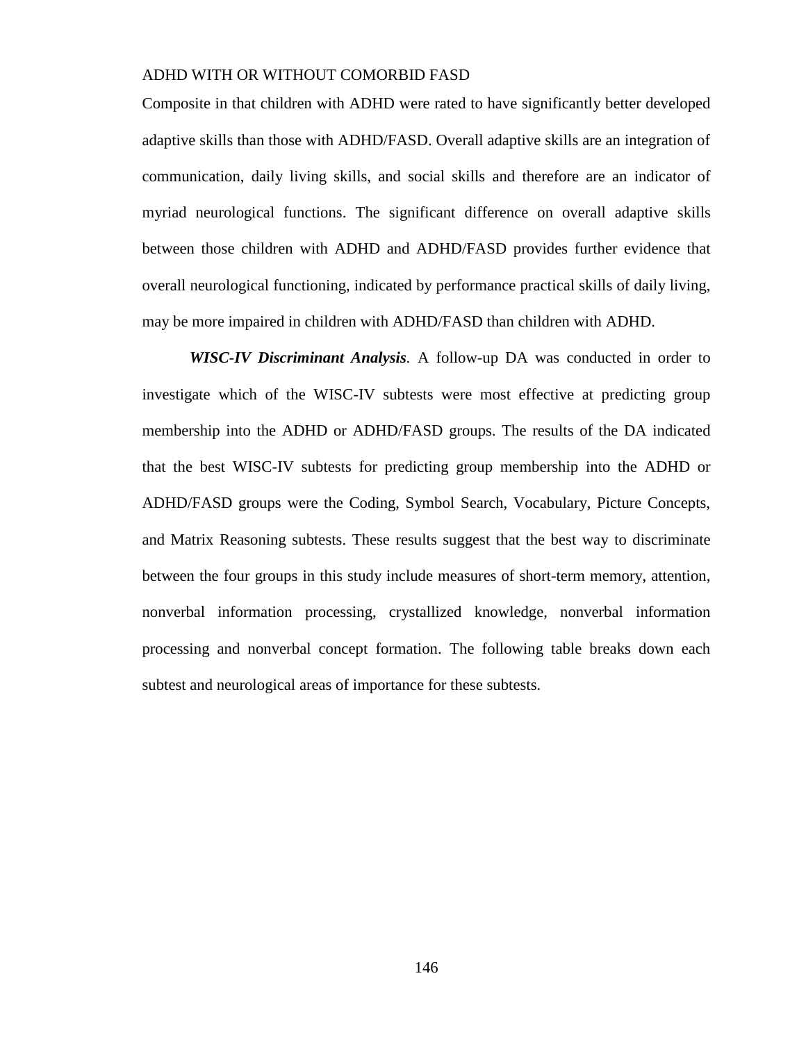Composite in that children with ADHD were rated to have significantly better developed adaptive skills than those with ADHD/FASD. Overall adaptive skills are an integration of communication, daily living skills, and social skills and therefore are an indicator of myriad neurological functions. The significant difference on overall adaptive skills between those children with ADHD and ADHD/FASD provides further evidence that overall neurological functioning, indicated by performance practical skills of daily living, may be more impaired in children with ADHD/FASD than children with ADHD.

*WISC-IV Discriminant Analysis.* A follow-up DA was conducted in order to investigate which of the WISC-IV subtests were most effective at predicting group membership into the ADHD or ADHD/FASD groups. The results of the DA indicated that the best WISC-IV subtests for predicting group membership into the ADHD or ADHD/FASD groups were the Coding, Symbol Search, Vocabulary, Picture Concepts, and Matrix Reasoning subtests. These results suggest that the best way to discriminate between the four groups in this study include measures of short-term memory, attention, nonverbal information processing, crystallized knowledge, nonverbal information processing and nonverbal concept formation. The following table breaks down each subtest and neurological areas of importance for these subtests.

146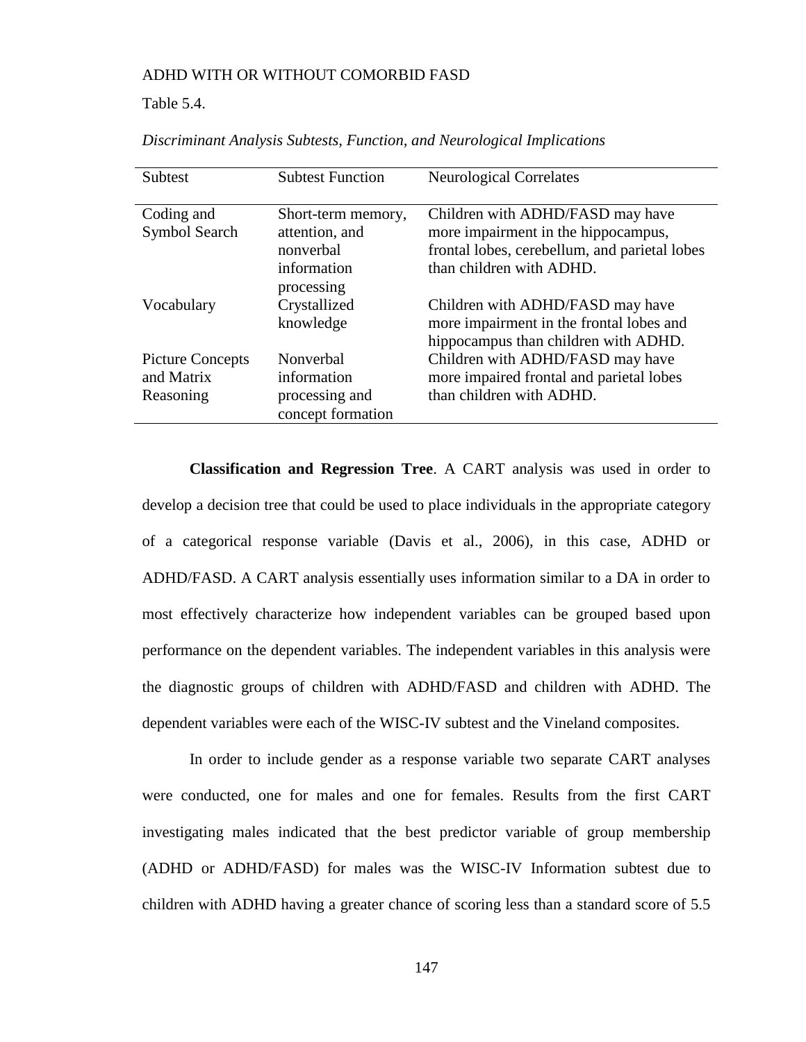Table 5.4.

| Subtest                                            | <b>Subtest Function</b>                                          | <b>Neurological Correlates</b>                                                                                                                       |
|----------------------------------------------------|------------------------------------------------------------------|------------------------------------------------------------------------------------------------------------------------------------------------------|
| Coding and<br>Symbol Search                        | Short-term memory,<br>attention, and<br>nonverbal<br>information | Children with ADHD/FASD may have<br>more impairment in the hippocampus,<br>frontal lobes, cerebellum, and parietal lobes<br>than children with ADHD. |
| Vocabulary                                         | processing<br>Crystallized<br>knowledge                          | Children with ADHD/FASD may have<br>more impairment in the frontal lobes and<br>hippocampus than children with ADHD.                                 |
| <b>Picture Concepts</b><br>and Matrix<br>Reasoning | Nonverbal<br>information<br>processing and<br>concept formation  | Children with ADHD/FASD may have<br>more impaired frontal and parietal lobes<br>than children with ADHD.                                             |

*Discriminant Analysis Subtests, Function, and Neurological Implications*

**Classification and Regression Tree**. A CART analysis was used in order to develop a decision tree that could be used to place individuals in the appropriate category of a categorical response variable (Davis et al., 2006), in this case, ADHD or ADHD/FASD. A CART analysis essentially uses information similar to a DA in order to most effectively characterize how independent variables can be grouped based upon performance on the dependent variables. The independent variables in this analysis were the diagnostic groups of children with ADHD/FASD and children with ADHD. The dependent variables were each of the WISC-IV subtest and the Vineland composites.

In order to include gender as a response variable two separate CART analyses were conducted, one for males and one for females. Results from the first CART investigating males indicated that the best predictor variable of group membership (ADHD or ADHD/FASD) for males was the WISC-IV Information subtest due to children with ADHD having a greater chance of scoring less than a standard score of 5.5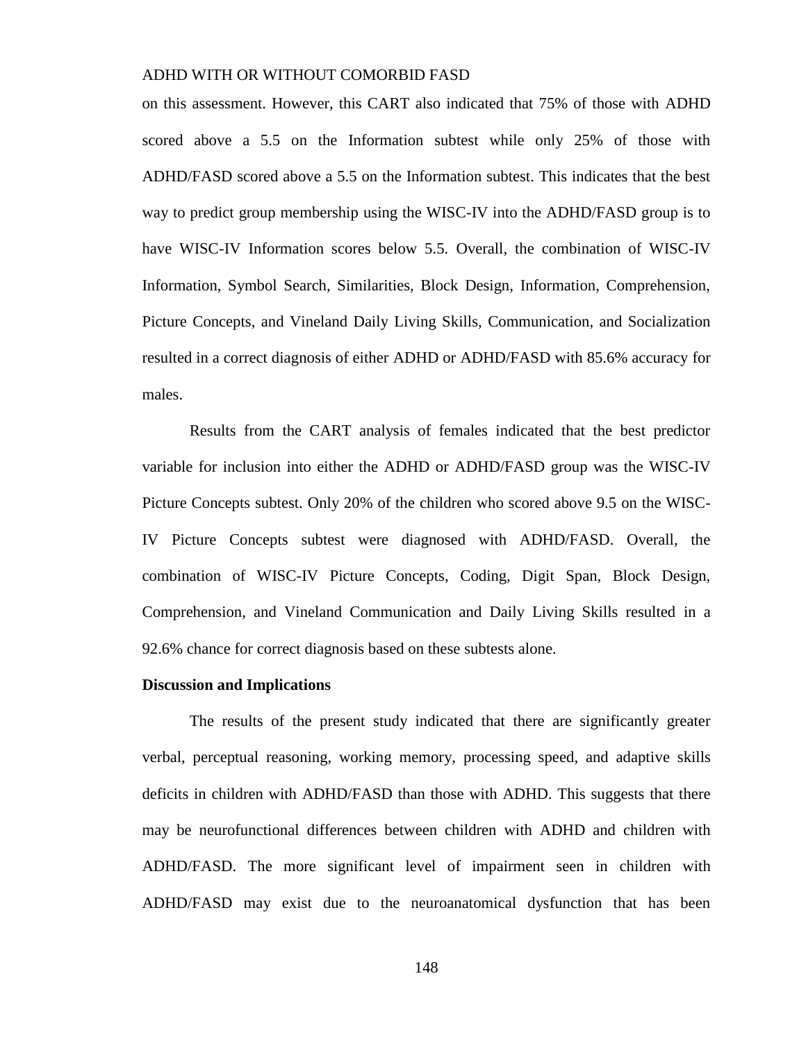on this assessment. However, this CART also indicated that 75% of those with ADHD scored above a 5.5 on the Information subtest while only 25% of those with ADHD/FASD scored above a 5.5 on the Information subtest. This indicates that the best way to predict group membership using the WISC-IV into the ADHD/FASD group is to have WISC-IV Information scores below 5.5. Overall, the combination of WISC-IV Information, Symbol Search, Similarities, Block Design, Information, Comprehension, Picture Concepts, and Vineland Daily Living Skills, Communication, and Socialization resulted in a correct diagnosis of either ADHD or ADHD/FASD with 85.6% accuracy for males.

Results from the CART analysis of females indicated that the best predictor variable for inclusion into either the ADHD or ADHD/FASD group was the WISC-IV Picture Concepts subtest. Only 20% of the children who scored above 9.5 on the WISC-IV Picture Concepts subtest were diagnosed with ADHD/FASD. Overall, the combination of WISC-IV Picture Concepts, Coding, Digit Span, Block Design, Comprehension, and Vineland Communication and Daily Living Skills resulted in a 92.6% chance for correct diagnosis based on these subtests alone.

#### **Discussion and Implications**

The results of the present study indicated that there are significantly greater verbal, perceptual reasoning, working memory, processing speed, and adaptive skills deficits in children with ADHD/FASD than those with ADHD. This suggests that there may be neurofunctional differences between children with ADHD and children with ADHD/FASD. The more significant level of impairment seen in children with ADHD/FASD may exist due to the neuroanatomical dysfunction that has been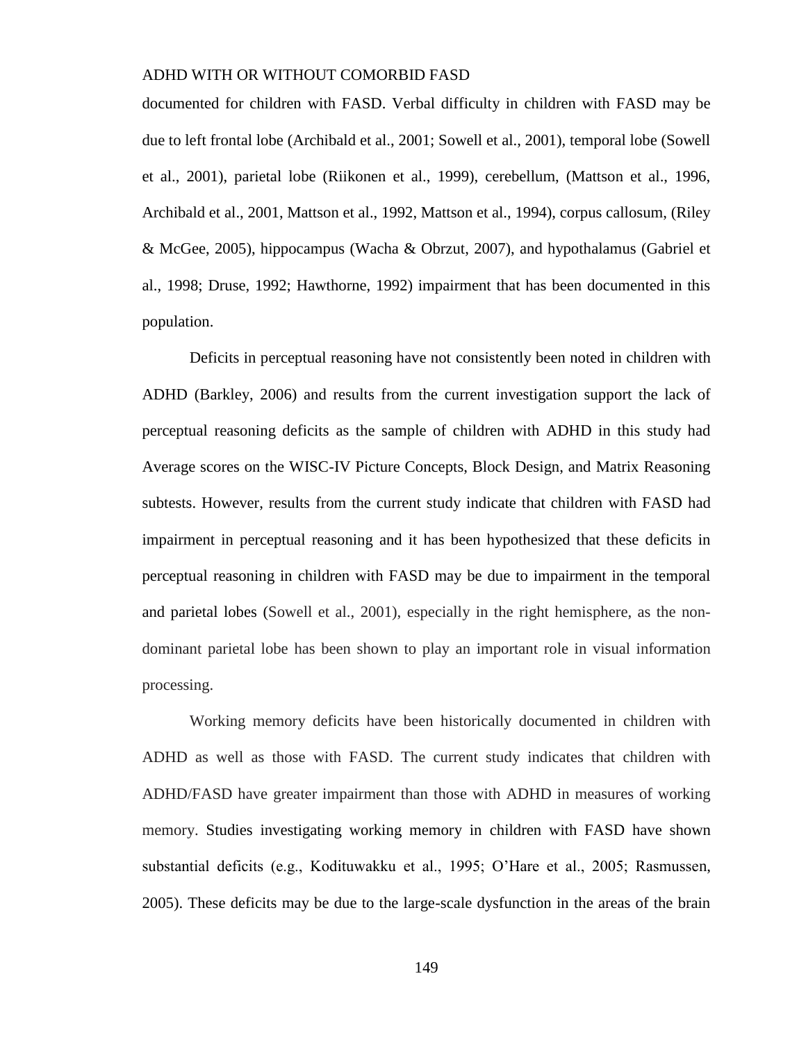documented for children with FASD. Verbal difficulty in children with FASD may be due to left frontal lobe (Archibald et al., 2001; Sowell et al., 2001), temporal lobe (Sowell et al., 2001), parietal lobe (Riikonen et al., 1999), cerebellum, (Mattson et al., 1996, Archibald et al., 2001, Mattson et al., 1992, Mattson et al., 1994), corpus callosum, (Riley & McGee, 2005), hippocampus (Wacha & Obrzut, 2007), and hypothalamus (Gabriel et al., 1998; Druse, 1992; Hawthorne, 1992) impairment that has been documented in this population.

Deficits in perceptual reasoning have not consistently been noted in children with ADHD (Barkley, 2006) and results from the current investigation support the lack of perceptual reasoning deficits as the sample of children with ADHD in this study had Average scores on the WISC-IV Picture Concepts, Block Design, and Matrix Reasoning subtests. However, results from the current study indicate that children with FASD had impairment in perceptual reasoning and it has been hypothesized that these deficits in perceptual reasoning in children with FASD may be due to impairment in the temporal and parietal lobes (Sowell et al., 2001), especially in the right hemisphere, as the nondominant parietal lobe has been shown to play an important role in visual information processing.

Working memory deficits have been historically documented in children with ADHD as well as those with FASD. The current study indicates that children with ADHD/FASD have greater impairment than those with ADHD in measures of working memory. Studies investigating working memory in children with FASD have shown substantial deficits (e.g., Kodituwakku et al., 1995; O'Hare et al., 2005; Rasmussen, 2005). These deficits may be due to the large-scale dysfunction in the areas of the brain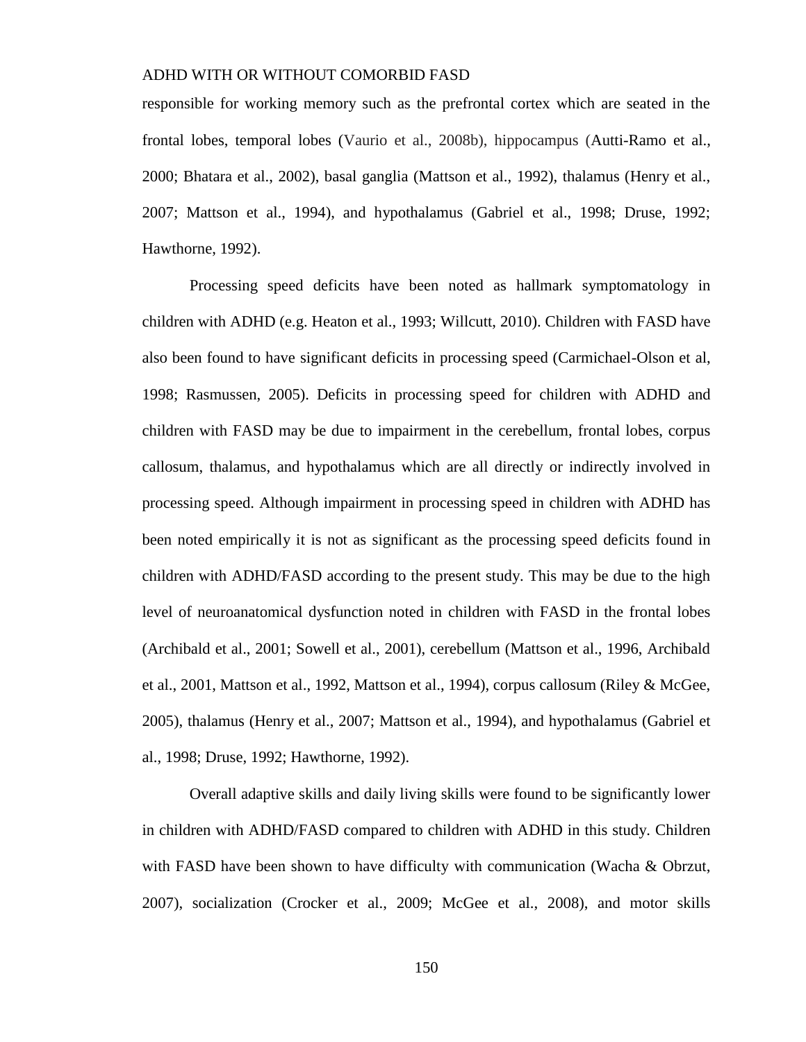responsible for working memory such as the prefrontal cortex which are seated in the frontal lobes, temporal lobes (Vaurio et al., 2008b), hippocampus (Autti-Ramo et al., 2000; Bhatara et al., 2002), basal ganglia (Mattson et al., 1992), thalamus (Henry et al., 2007; Mattson et al., 1994), and hypothalamus (Gabriel et al., 1998; Druse, 1992; Hawthorne, 1992).

Processing speed deficits have been noted as hallmark symptomatology in children with ADHD (e.g. Heaton et al., 1993; Willcutt, 2010). Children with FASD have also been found to have significant deficits in processing speed (Carmichael-Olson et al, 1998; Rasmussen, 2005). Deficits in processing speed for children with ADHD and children with FASD may be due to impairment in the cerebellum, frontal lobes, corpus callosum, thalamus, and hypothalamus which are all directly or indirectly involved in processing speed. Although impairment in processing speed in children with ADHD has been noted empirically it is not as significant as the processing speed deficits found in children with ADHD/FASD according to the present study. This may be due to the high level of neuroanatomical dysfunction noted in children with FASD in the frontal lobes (Archibald et al., 2001; Sowell et al., 2001), cerebellum (Mattson et al., 1996, Archibald et al., 2001, Mattson et al., 1992, Mattson et al., 1994), corpus callosum (Riley & McGee, 2005), thalamus (Henry et al., 2007; Mattson et al., 1994), and hypothalamus (Gabriel et al., 1998; Druse, 1992; Hawthorne, 1992).

Overall adaptive skills and daily living skills were found to be significantly lower in children with ADHD/FASD compared to children with ADHD in this study. Children with FASD have been shown to have difficulty with communication (Wacha & Obrzut, 2007), socialization (Crocker et al., 2009; McGee et al., 2008), and motor skills

150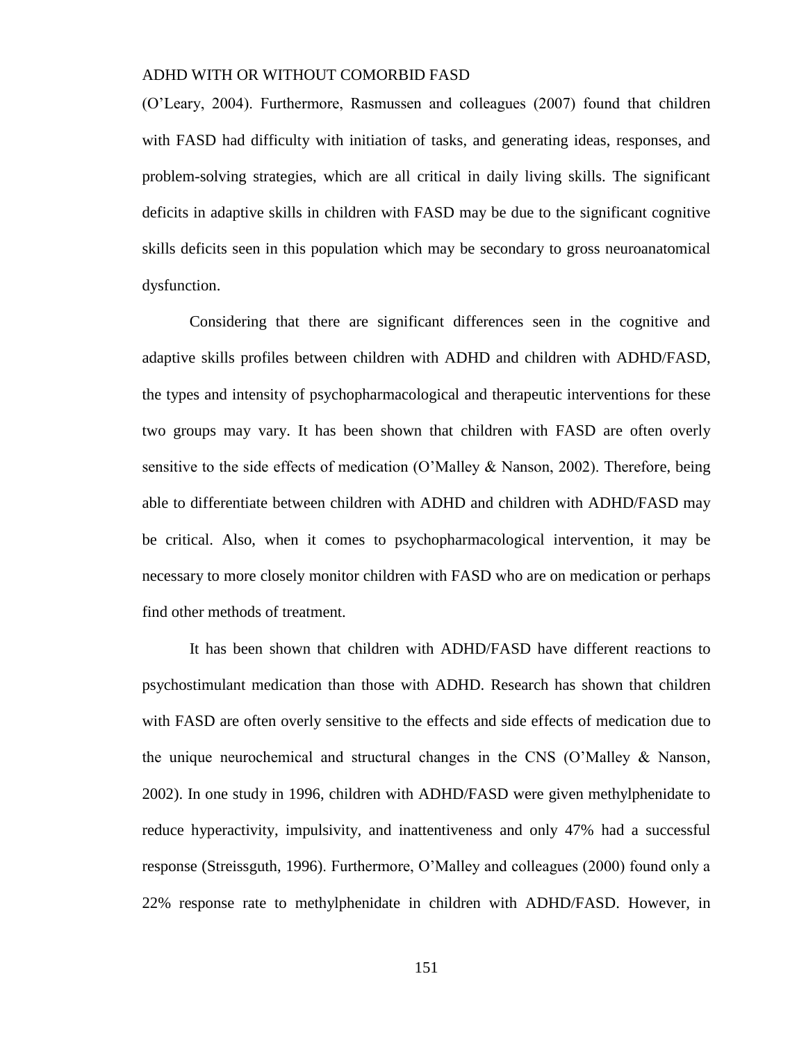(O'Leary, 2004). Furthermore, Rasmussen and colleagues (2007) found that children with FASD had difficulty with initiation of tasks, and generating ideas, responses, and problem-solving strategies, which are all critical in daily living skills. The significant deficits in adaptive skills in children with FASD may be due to the significant cognitive skills deficits seen in this population which may be secondary to gross neuroanatomical dysfunction.

Considering that there are significant differences seen in the cognitive and adaptive skills profiles between children with ADHD and children with ADHD/FASD, the types and intensity of psychopharmacological and therapeutic interventions for these two groups may vary. It has been shown that children with FASD are often overly sensitive to the side effects of medication (O'Malley & Nanson, 2002). Therefore, being able to differentiate between children with ADHD and children with ADHD/FASD may be critical. Also, when it comes to psychopharmacological intervention, it may be necessary to more closely monitor children with FASD who are on medication or perhaps find other methods of treatment.

It has been shown that children with ADHD/FASD have different reactions to psychostimulant medication than those with ADHD. Research has shown that children with FASD are often overly sensitive to the effects and side effects of medication due to the unique neurochemical and structural changes in the CNS (O'Malley & Nanson, 2002). In one study in 1996, children with ADHD/FASD were given methylphenidate to reduce hyperactivity, impulsivity, and inattentiveness and only 47% had a successful response (Streissguth, 1996). Furthermore, O'Malley and colleagues (2000) found only a 22% response rate to methylphenidate in children with ADHD/FASD. However, in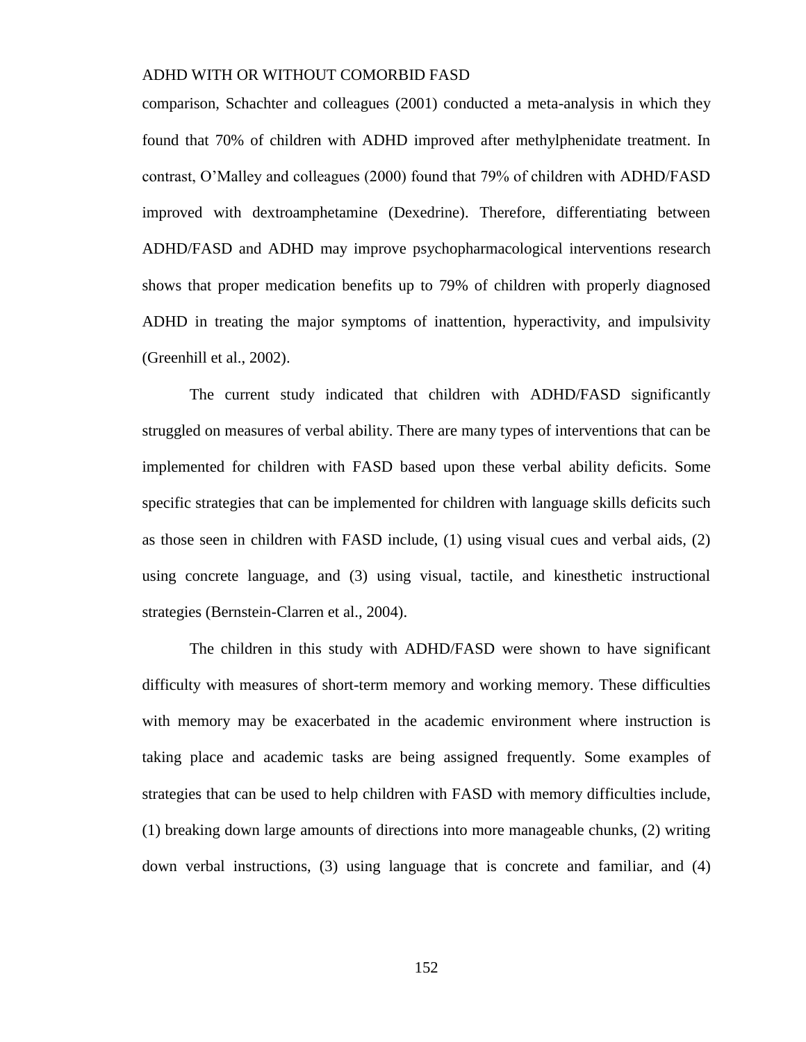comparison, Schachter and colleagues (2001) conducted a meta-analysis in which they found that 70% of children with ADHD improved after methylphenidate treatment. In contrast, O'Malley and colleagues (2000) found that 79% of children with ADHD/FASD improved with dextroamphetamine (Dexedrine). Therefore, differentiating between ADHD/FASD and ADHD may improve psychopharmacological interventions research shows that proper medication benefits up to 79% of children with properly diagnosed ADHD in treating the major symptoms of inattention, hyperactivity, and impulsivity (Greenhill et al., 2002).

The current study indicated that children with ADHD/FASD significantly struggled on measures of verbal ability. There are many types of interventions that can be implemented for children with FASD based upon these verbal ability deficits. Some specific strategies that can be implemented for children with language skills deficits such as those seen in children with FASD include, (1) using visual cues and verbal aids, (2) using concrete language, and (3) using visual, tactile, and kinesthetic instructional strategies (Bernstein-Clarren et al., 2004).

The children in this study with ADHD/FASD were shown to have significant difficulty with measures of short-term memory and working memory. These difficulties with memory may be exacerbated in the academic environment where instruction is taking place and academic tasks are being assigned frequently. Some examples of strategies that can be used to help children with FASD with memory difficulties include, (1) breaking down large amounts of directions into more manageable chunks, (2) writing down verbal instructions, (3) using language that is concrete and familiar, and (4)

152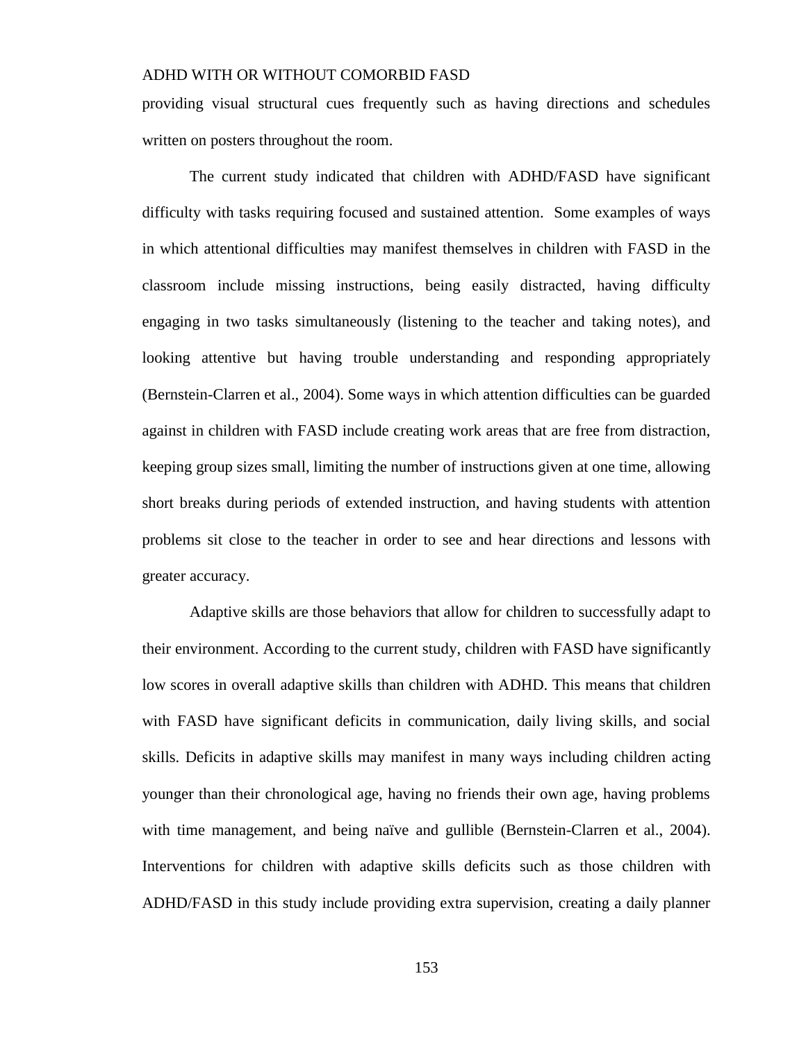providing visual structural cues frequently such as having directions and schedules written on posters throughout the room.

The current study indicated that children with ADHD/FASD have significant difficulty with tasks requiring focused and sustained attention. Some examples of ways in which attentional difficulties may manifest themselves in children with FASD in the classroom include missing instructions, being easily distracted, having difficulty engaging in two tasks simultaneously (listening to the teacher and taking notes), and looking attentive but having trouble understanding and responding appropriately (Bernstein-Clarren et al., 2004). Some ways in which attention difficulties can be guarded against in children with FASD include creating work areas that are free from distraction, keeping group sizes small, limiting the number of instructions given at one time, allowing short breaks during periods of extended instruction, and having students with attention problems sit close to the teacher in order to see and hear directions and lessons with greater accuracy.

Adaptive skills are those behaviors that allow for children to successfully adapt to their environment. According to the current study, children with FASD have significantly low scores in overall adaptive skills than children with ADHD. This means that children with FASD have significant deficits in communication, daily living skills, and social skills. Deficits in adaptive skills may manifest in many ways including children acting younger than their chronological age, having no friends their own age, having problems with time management, and being naïve and gullible (Bernstein-Clarren et al., 2004). Interventions for children with adaptive skills deficits such as those children with ADHD/FASD in this study include providing extra supervision, creating a daily planner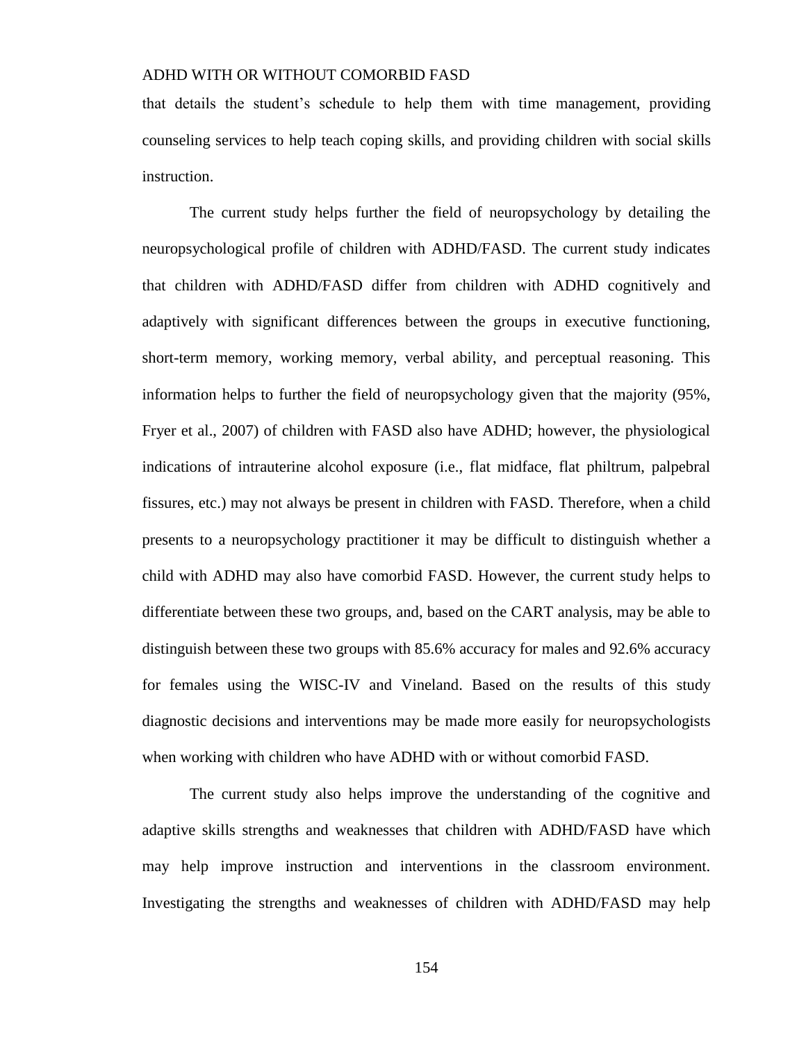that details the student's schedule to help them with time management, providing counseling services to help teach coping skills, and providing children with social skills instruction.

The current study helps further the field of neuropsychology by detailing the neuropsychological profile of children with ADHD/FASD. The current study indicates that children with ADHD/FASD differ from children with ADHD cognitively and adaptively with significant differences between the groups in executive functioning, short-term memory, working memory, verbal ability, and perceptual reasoning. This information helps to further the field of neuropsychology given that the majority (95%, Fryer et al., 2007) of children with FASD also have ADHD; however, the physiological indications of intrauterine alcohol exposure (i.e., flat midface, flat philtrum, palpebral fissures, etc.) may not always be present in children with FASD. Therefore, when a child presents to a neuropsychology practitioner it may be difficult to distinguish whether a child with ADHD may also have comorbid FASD. However, the current study helps to differentiate between these two groups, and, based on the CART analysis, may be able to distinguish between these two groups with 85.6% accuracy for males and 92.6% accuracy for females using the WISC-IV and Vineland. Based on the results of this study diagnostic decisions and interventions may be made more easily for neuropsychologists when working with children who have ADHD with or without comorbid FASD.

The current study also helps improve the understanding of the cognitive and adaptive skills strengths and weaknesses that children with ADHD/FASD have which may help improve instruction and interventions in the classroom environment. Investigating the strengths and weaknesses of children with ADHD/FASD may help

154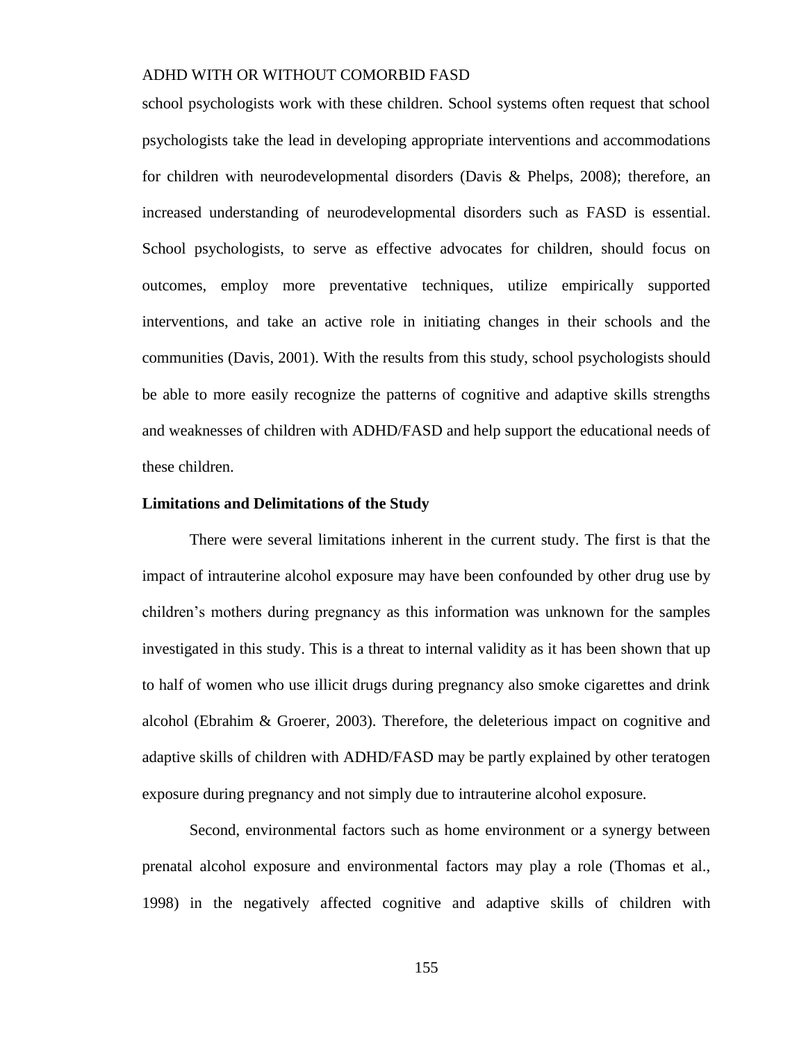school psychologists work with these children. School systems often request that school psychologists take the lead in developing appropriate interventions and accommodations for children with neurodevelopmental disorders (Davis & Phelps, 2008); therefore, an increased understanding of neurodevelopmental disorders such as FASD is essential. School psychologists, to serve as effective advocates for children, should focus on outcomes, employ more preventative techniques, utilize empirically supported interventions, and take an active role in initiating changes in their schools and the communities (Davis, 2001). With the results from this study, school psychologists should be able to more easily recognize the patterns of cognitive and adaptive skills strengths and weaknesses of children with ADHD/FASD and help support the educational needs of these children.

#### **Limitations and Delimitations of the Study**

There were several limitations inherent in the current study. The first is that the impact of intrauterine alcohol exposure may have been confounded by other drug use by children's mothers during pregnancy as this information was unknown for the samples investigated in this study. This is a threat to internal validity as it has been shown that up to half of women who use illicit drugs during pregnancy also smoke cigarettes and drink alcohol (Ebrahim & Groerer, 2003). Therefore, the deleterious impact on cognitive and adaptive skills of children with ADHD/FASD may be partly explained by other teratogen exposure during pregnancy and not simply due to intrauterine alcohol exposure.

Second, environmental factors such as home environment or a synergy between prenatal alcohol exposure and environmental factors may play a role (Thomas et al., 1998) in the negatively affected cognitive and adaptive skills of children with

155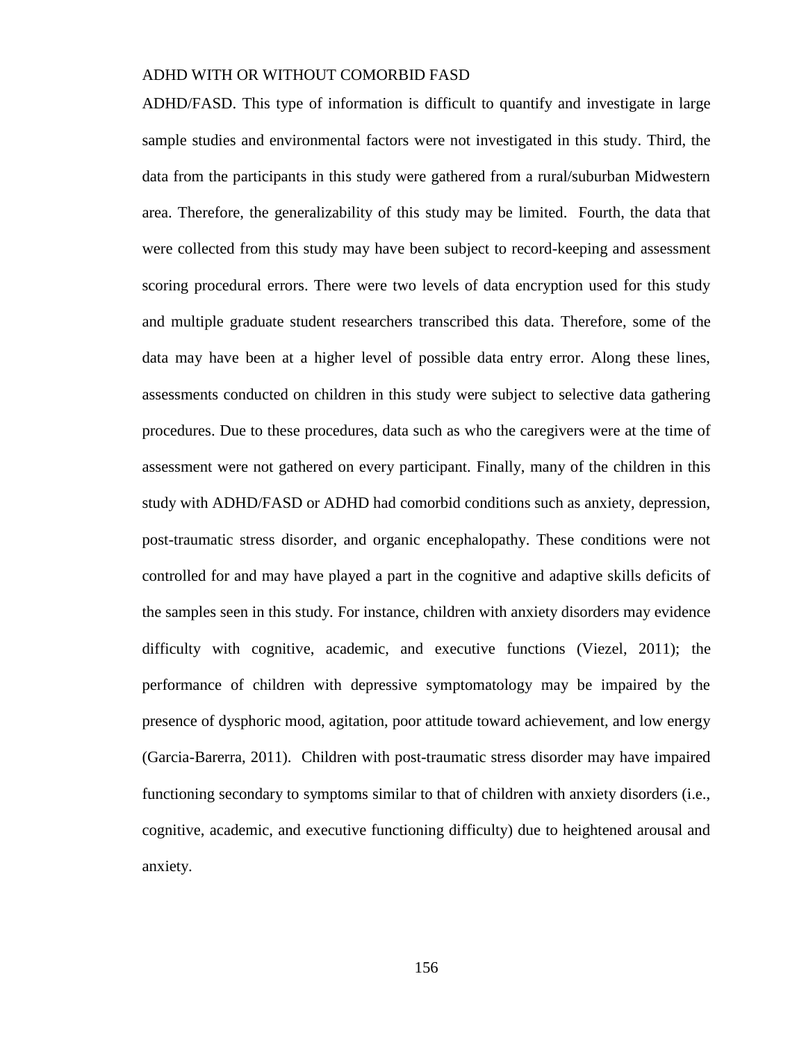ADHD/FASD. This type of information is difficult to quantify and investigate in large sample studies and environmental factors were not investigated in this study. Third, the data from the participants in this study were gathered from a rural/suburban Midwestern area. Therefore, the generalizability of this study may be limited. Fourth, the data that were collected from this study may have been subject to record-keeping and assessment scoring procedural errors. There were two levels of data encryption used for this study and multiple graduate student researchers transcribed this data. Therefore, some of the data may have been at a higher level of possible data entry error. Along these lines, assessments conducted on children in this study were subject to selective data gathering procedures. Due to these procedures, data such as who the caregivers were at the time of assessment were not gathered on every participant. Finally, many of the children in this study with ADHD/FASD or ADHD had comorbid conditions such as anxiety, depression, post-traumatic stress disorder, and organic encephalopathy. These conditions were not controlled for and may have played a part in the cognitive and adaptive skills deficits of the samples seen in this study. For instance, children with anxiety disorders may evidence difficulty with cognitive, academic, and executive functions (Viezel, 2011); the performance of children with depressive symptomatology may be impaired by the presence of dysphoric mood, agitation, poor attitude toward achievement, and low energy (Garcia-Barerra, 2011). Children with post-traumatic stress disorder may have impaired functioning secondary to symptoms similar to that of children with anxiety disorders (i.e., cognitive, academic, and executive functioning difficulty) due to heightened arousal and anxiety.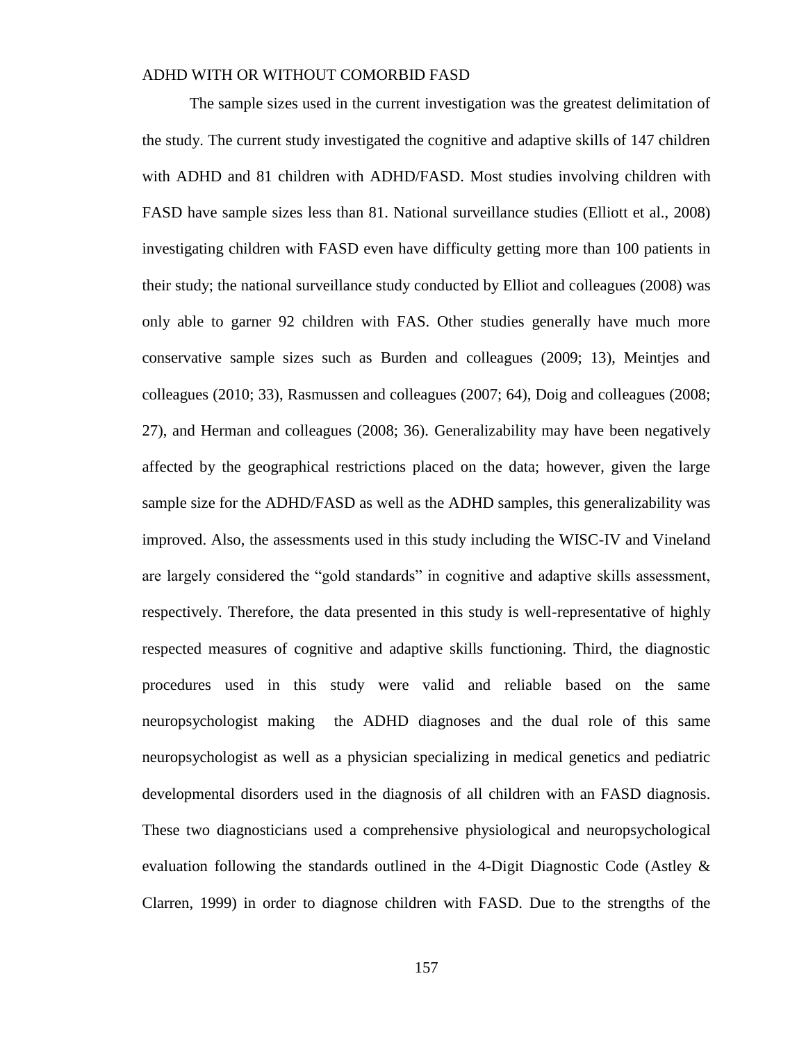The sample sizes used in the current investigation was the greatest delimitation of the study. The current study investigated the cognitive and adaptive skills of 147 children with ADHD and 81 children with ADHD/FASD. Most studies involving children with FASD have sample sizes less than 81. National surveillance studies (Elliott et al., 2008) investigating children with FASD even have difficulty getting more than 100 patients in their study; the national surveillance study conducted by Elliot and colleagues (2008) was only able to garner 92 children with FAS. Other studies generally have much more conservative sample sizes such as Burden and colleagues (2009; 13), Meintjes and colleagues (2010; 33), Rasmussen and colleagues (2007; 64), Doig and colleagues (2008; 27), and Herman and colleagues (2008; 36). Generalizability may have been negatively affected by the geographical restrictions placed on the data; however, given the large sample size for the ADHD/FASD as well as the ADHD samples, this generalizability was improved. Also, the assessments used in this study including the WISC-IV and Vineland are largely considered the "gold standards" in cognitive and adaptive skills assessment, respectively. Therefore, the data presented in this study is well-representative of highly respected measures of cognitive and adaptive skills functioning. Third, the diagnostic procedures used in this study were valid and reliable based on the same neuropsychologist making the ADHD diagnoses and the dual role of this same neuropsychologist as well as a physician specializing in medical genetics and pediatric developmental disorders used in the diagnosis of all children with an FASD diagnosis. These two diagnosticians used a comprehensive physiological and neuropsychological evaluation following the standards outlined in the 4-Digit Diagnostic Code (Astley & Clarren, 1999) in order to diagnose children with FASD. Due to the strengths of the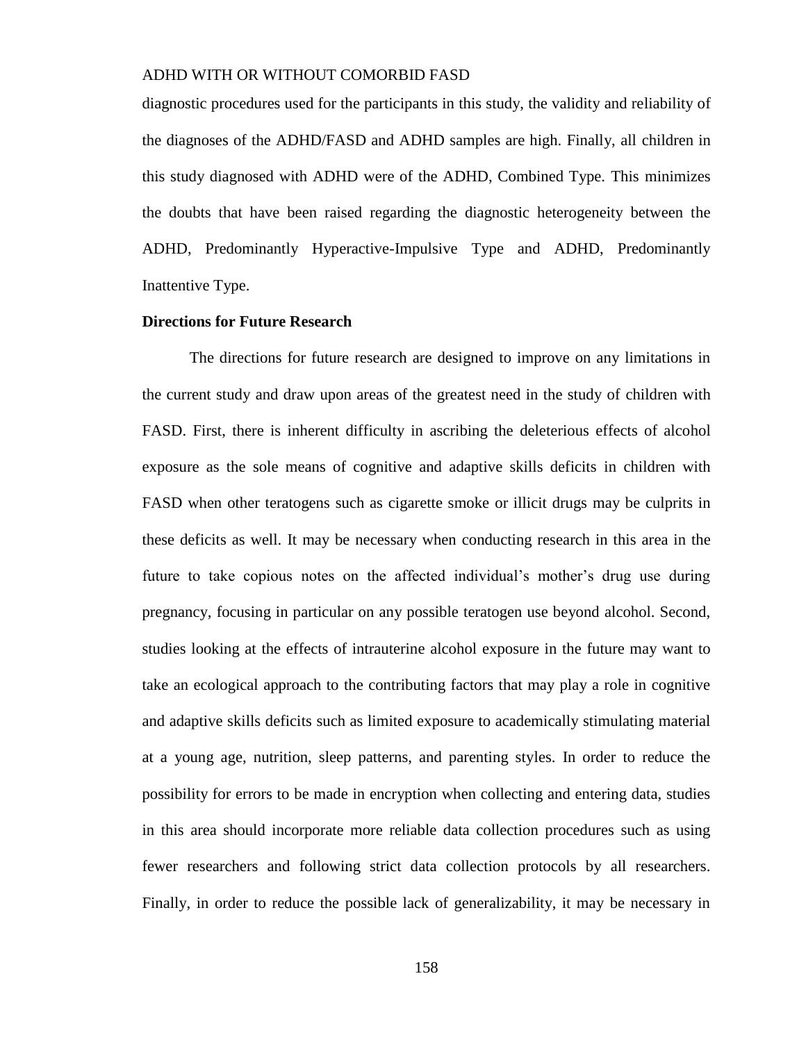diagnostic procedures used for the participants in this study, the validity and reliability of the diagnoses of the ADHD/FASD and ADHD samples are high. Finally, all children in this study diagnosed with ADHD were of the ADHD, Combined Type. This minimizes the doubts that have been raised regarding the diagnostic heterogeneity between the ADHD, Predominantly Hyperactive-Impulsive Type and ADHD, Predominantly Inattentive Type.

#### **Directions for Future Research**

The directions for future research are designed to improve on any limitations in the current study and draw upon areas of the greatest need in the study of children with FASD. First, there is inherent difficulty in ascribing the deleterious effects of alcohol exposure as the sole means of cognitive and adaptive skills deficits in children with FASD when other teratogens such as cigarette smoke or illicit drugs may be culprits in these deficits as well. It may be necessary when conducting research in this area in the future to take copious notes on the affected individual's mother's drug use during pregnancy, focusing in particular on any possible teratogen use beyond alcohol. Second, studies looking at the effects of intrauterine alcohol exposure in the future may want to take an ecological approach to the contributing factors that may play a role in cognitive and adaptive skills deficits such as limited exposure to academically stimulating material at a young age, nutrition, sleep patterns, and parenting styles. In order to reduce the possibility for errors to be made in encryption when collecting and entering data, studies in this area should incorporate more reliable data collection procedures such as using fewer researchers and following strict data collection protocols by all researchers. Finally, in order to reduce the possible lack of generalizability, it may be necessary in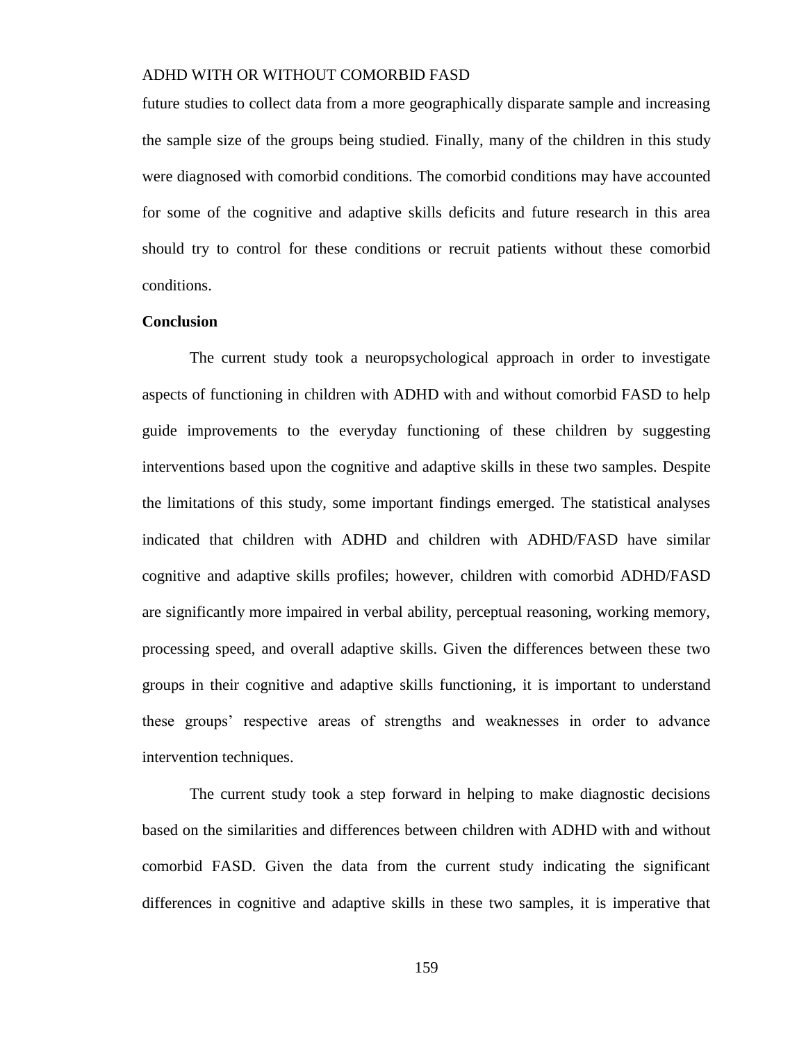future studies to collect data from a more geographically disparate sample and increasing the sample size of the groups being studied. Finally, many of the children in this study were diagnosed with comorbid conditions. The comorbid conditions may have accounted for some of the cognitive and adaptive skills deficits and future research in this area should try to control for these conditions or recruit patients without these comorbid conditions.

#### **Conclusion**

The current study took a neuropsychological approach in order to investigate aspects of functioning in children with ADHD with and without comorbid FASD to help guide improvements to the everyday functioning of these children by suggesting interventions based upon the cognitive and adaptive skills in these two samples. Despite the limitations of this study, some important findings emerged. The statistical analyses indicated that children with ADHD and children with ADHD/FASD have similar cognitive and adaptive skills profiles; however, children with comorbid ADHD/FASD are significantly more impaired in verbal ability, perceptual reasoning, working memory, processing speed, and overall adaptive skills. Given the differences between these two groups in their cognitive and adaptive skills functioning, it is important to understand these groups' respective areas of strengths and weaknesses in order to advance intervention techniques.

The current study took a step forward in helping to make diagnostic decisions based on the similarities and differences between children with ADHD with and without comorbid FASD. Given the data from the current study indicating the significant differences in cognitive and adaptive skills in these two samples, it is imperative that

159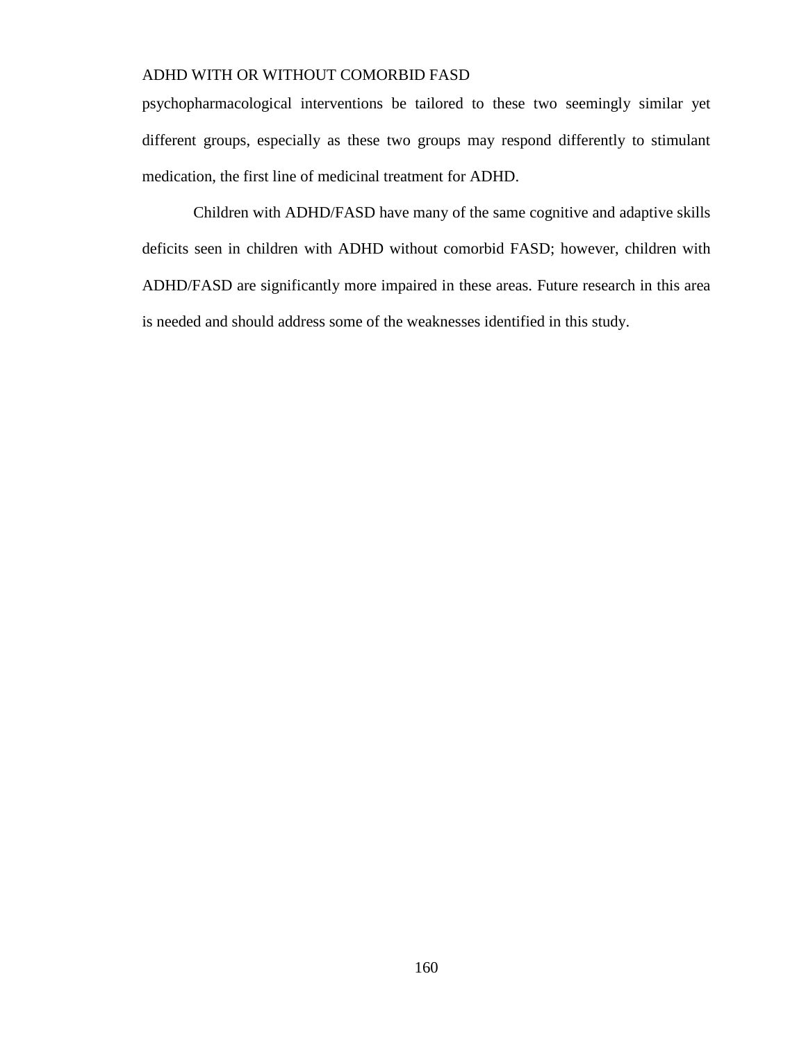psychopharmacological interventions be tailored to these two seemingly similar yet different groups, especially as these two groups may respond differently to stimulant medication, the first line of medicinal treatment for ADHD.

Children with ADHD/FASD have many of the same cognitive and adaptive skills deficits seen in children with ADHD without comorbid FASD; however, children with ADHD/FASD are significantly more impaired in these areas. Future research in this area is needed and should address some of the weaknesses identified in this study.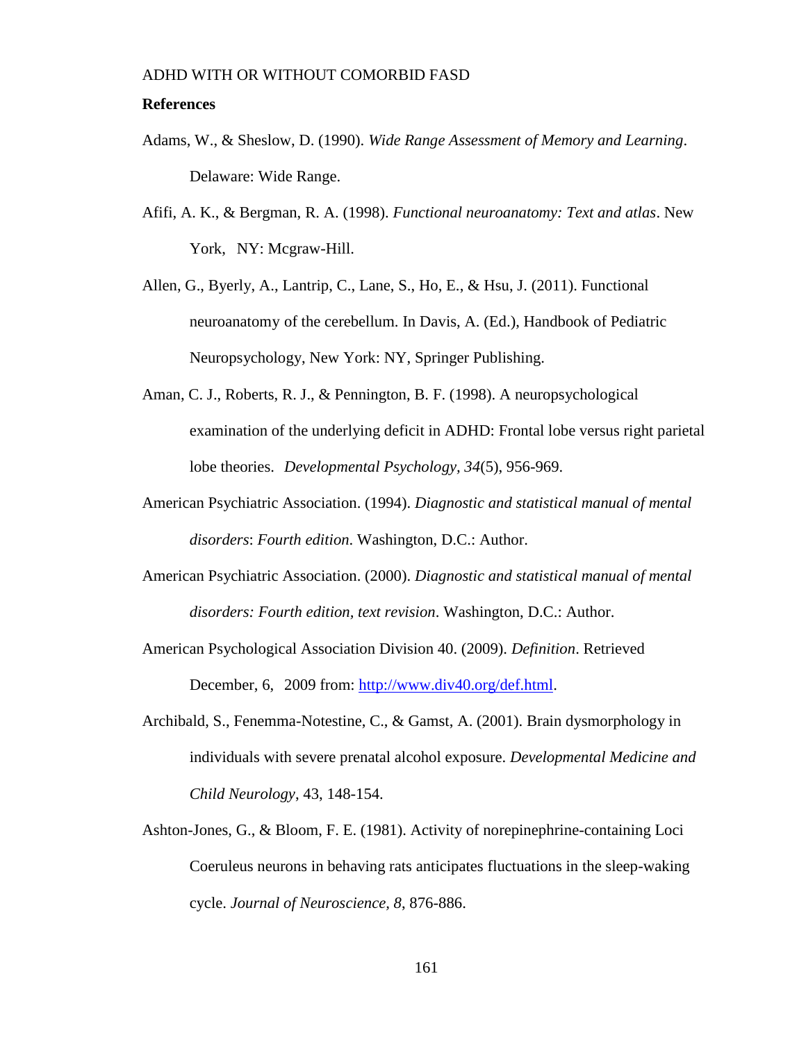#### **References**

- Adams, W., & Sheslow, D. (1990). *Wide Range Assessment of Memory and Learning*. Delaware: Wide Range.
- Afifi, A. K., & Bergman, R. A. (1998). *Functional neuroanatomy: Text and atlas*. New York, NY: Mcgraw-Hill.
- Allen, G., Byerly, A., Lantrip, C., Lane, S., Ho, E., & Hsu, J. (2011). Functional neuroanatomy of the cerebellum. In Davis, A. (Ed.), Handbook of Pediatric Neuropsychology, New York: NY, Springer Publishing.
- Aman, C. J., Roberts, R. J., & Pennington, B. F. (1998). A neuropsychological examination of the underlying deficit in ADHD: Frontal lobe versus right parietal lobe theories. *Developmental Psychology, 34*(5), 956-969.
- American Psychiatric Association. (1994). *Diagnostic and statistical manual of mental disorders*: *Fourth edition*. Washington, D.C.: Author.
- American Psychiatric Association. (2000). *Diagnostic and statistical manual of mental disorders: Fourth edition, text revision*. Washington, D.C.: Author.
- American Psychological Association Division 40. (2009). *Definition*. Retrieved December, 6, 2009 from: [http://www.div40.org/def.html.](http://www.div40.org/def.html)
- Archibald, S., Fenemma-Notestine, C., & Gamst, A. (2001). Brain dysmorphology in individuals with severe prenatal alcohol exposure. *Developmental Medicine and Child Neurology*, 43, 148-154.
- Ashton-Jones, G., & Bloom, F. E. (1981). Activity of norepinephrine-containing Loci Coeruleus neurons in behaving rats anticipates fluctuations in the sleep-waking cycle. *Journal of Neuroscience, 8*, 876-886.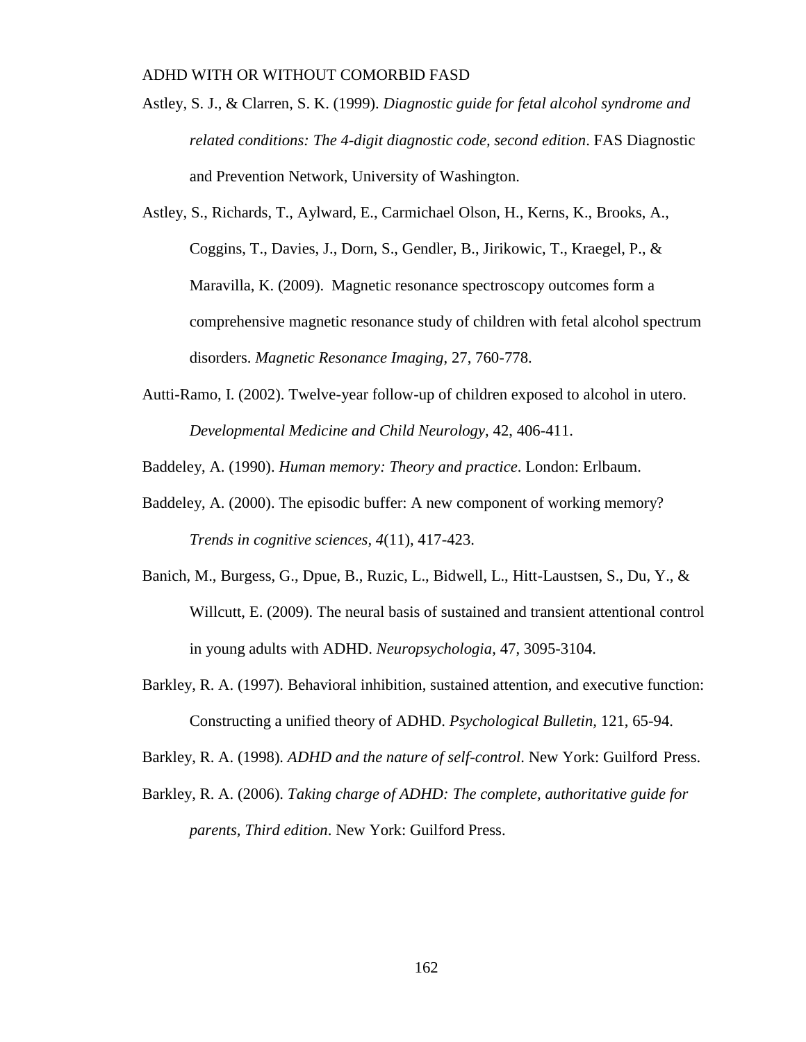- Astley, S. J., & Clarren, S. K. (1999). *Diagnostic guide for fetal alcohol syndrome and related conditions: The 4-digit diagnostic code, second edition*. FAS Diagnostic and Prevention Network, University of Washington.
- Astley, S., Richards, T., Aylward, E., Carmichael Olson, H., Kerns, K., Brooks, A., Coggins, T., Davies, J., Dorn, S., Gendler, B., Jirikowic, T., Kraegel, P., & Maravilla, K. (2009). Magnetic resonance spectroscopy outcomes form a comprehensive magnetic resonance study of children with fetal alcohol spectrum disorders. *Magnetic Resonance Imaging*, 27, 760-778.
- Autti-Ramo, I. (2002). Twelve-year follow-up of children exposed to alcohol in utero. *Developmental Medicine and Child Neurology,* 42, 406-411.

Baddeley, A. (1990). *Human memory: Theory and practice*. London: Erlbaum.

- Baddeley, A. (2000). The episodic buffer: A new component of working memory? *Trends in cognitive sciences, 4*(11), 417-423.
- Banich, M., Burgess, G., Dpue, B., Ruzic, L., Bidwell, L., Hitt-Laustsen, S., Du, Y., & Willcutt, E. (2009). The neural basis of sustained and transient attentional control in young adults with ADHD. *Neuropsychologia*, 47, 3095-3104.
- Barkley, R. A. (1997). Behavioral inhibition, sustained attention, and executive function: Constructing a unified theory of ADHD. *Psychological Bulletin,* 121, 65-94.

Barkley, R. A. (1998). *ADHD and the nature of self-control*. New York: Guilford Press.

Barkley, R. A. (2006). *Taking charge of ADHD: The complete, authoritative guide for parents, Third edition*. New York: Guilford Press.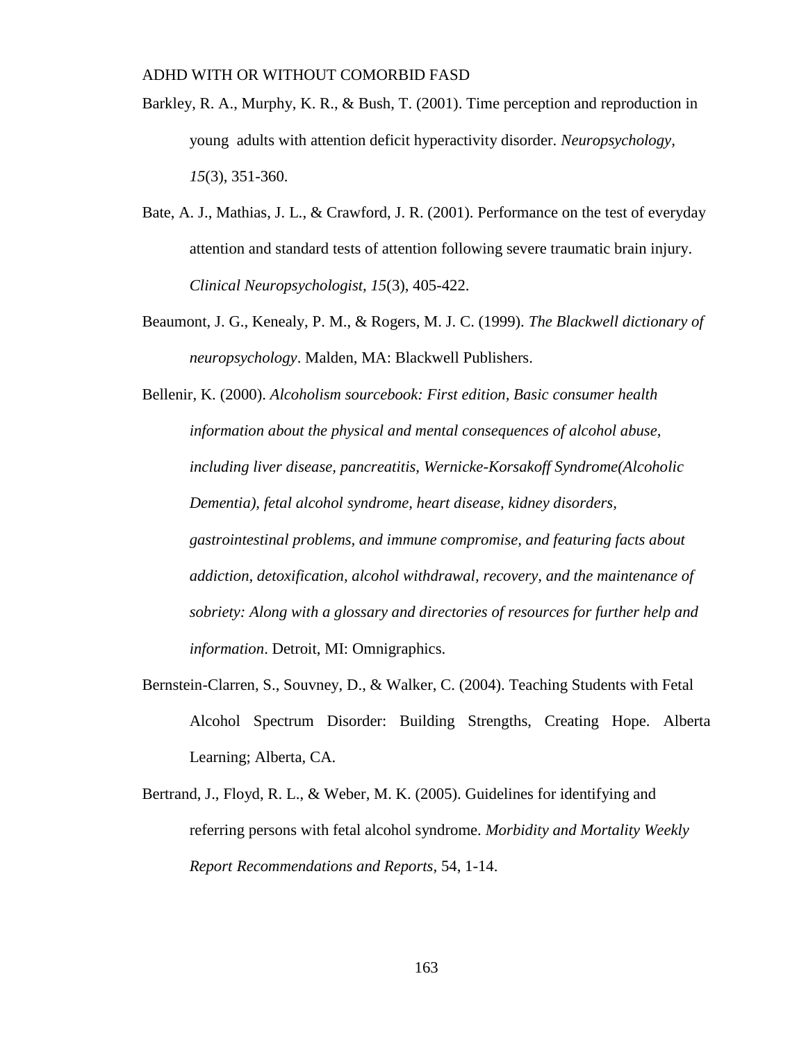- Barkley, R. A., Murphy, K. R., & Bush, T. (2001). Time perception and reproduction in young adults with attention deficit hyperactivity disorder. *Neuropsychology, 15*(3), 351-360.
- Bate, A. J., Mathias, J. L., & Crawford, J. R. (2001). Performance on the test of everyday attention and standard tests of attention following severe traumatic brain injury. *Clinical Neuropsychologist, 15*(3), 405-422.
- Beaumont, J. G., Kenealy, P. M., & Rogers, M. J. C. (1999). *The Blackwell dictionary of neuropsychology*. Malden, MA: Blackwell Publishers.

Bellenir, K. (2000). *Alcoholism sourcebook: First edition, Basic consumer health information about the physical and mental consequences of alcohol abuse, including liver disease, pancreatitis, Wernicke-Korsakoff Syndrome(Alcoholic Dementia), fetal alcohol syndrome, heart disease, kidney disorders, gastrointestinal problems, and immune compromise, and featuring facts about addiction, detoxification, alcohol withdrawal, recovery, and the maintenance of sobriety: Along with a glossary and directories of resources for further help and information*. Detroit, MI: Omnigraphics.

- Bernstein-Clarren, S., Souvney, D., & Walker, C. (2004). Teaching Students with Fetal Alcohol Spectrum Disorder: Building Strengths, Creating Hope. Alberta Learning; Alberta, CA.
- Bertrand, J., Floyd, R. L., & Weber, M. K. (2005). Guidelines for identifying and referring persons with fetal alcohol syndrome. *Morbidity and Mortality Weekly Report Recommendations and Reports,* 54, 1-14.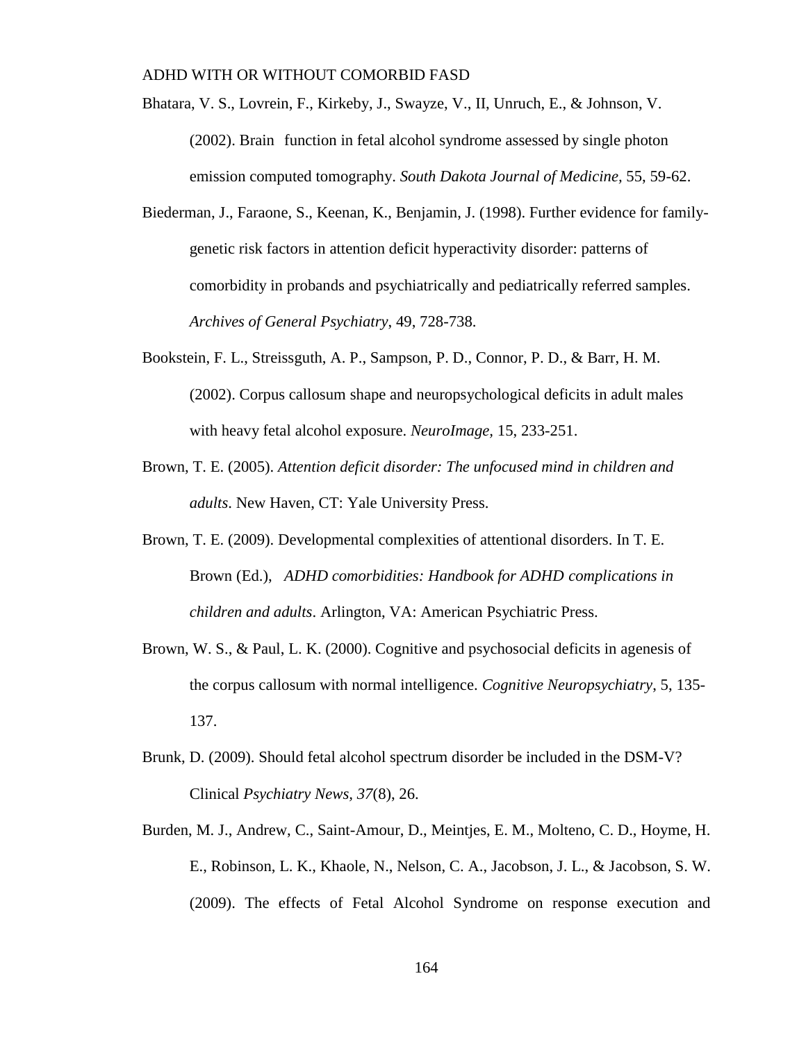- Bhatara, V. S., Lovrein, F., Kirkeby, J., Swayze, V., II, Unruch, E., & Johnson, V. (2002). Brain function in fetal alcohol syndrome assessed by single photon emission computed tomography. *South Dakota Journal of Medicine,* 55, 59-62.
- Biederman, J., Faraone, S., Keenan, K., Benjamin, J. (1998). Further evidence for familygenetic risk factors in attention deficit hyperactivity disorder: patterns of comorbidity in probands and psychiatrically and pediatrically referred samples. *Archives of General Psychiatry*, 49, 728-738.
- Bookstein, F. L., Streissguth, A. P., Sampson, P. D., Connor, P. D., & Barr, H. M. (2002). Corpus callosum shape and neuropsychological deficits in adult males with heavy fetal alcohol exposure. *NeuroImage,* 15, 233-251.
- Brown, T. E. (2005). *Attention deficit disorder: The unfocused mind in children and adults*. New Haven, CT: Yale University Press.
- Brown, T. E. (2009). Developmental complexities of attentional disorders. In T. E. Brown (Ed.), *ADHD comorbidities: Handbook for ADHD complications in children and adults*. Arlington, VA: American Psychiatric Press.
- Brown, W. S., & Paul, L. K. (2000). Cognitive and psychosocial deficits in agenesis of the corpus callosum with normal intelligence. *Cognitive Neuropsychiatry*, 5, 135- 137.
- Brunk, D. (2009). Should fetal alcohol spectrum disorder be included in the DSM-V? Clinical *Psychiatry News, 37*(8), 26.
- Burden, M. J., Andrew, C., Saint-Amour, D., Meintjes, E. M., Molteno, C. D., Hoyme, H. E., Robinson, L. K., Khaole, N., Nelson, C. A., Jacobson, J. L., & Jacobson, S. W. (2009). The effects of Fetal Alcohol Syndrome on response execution and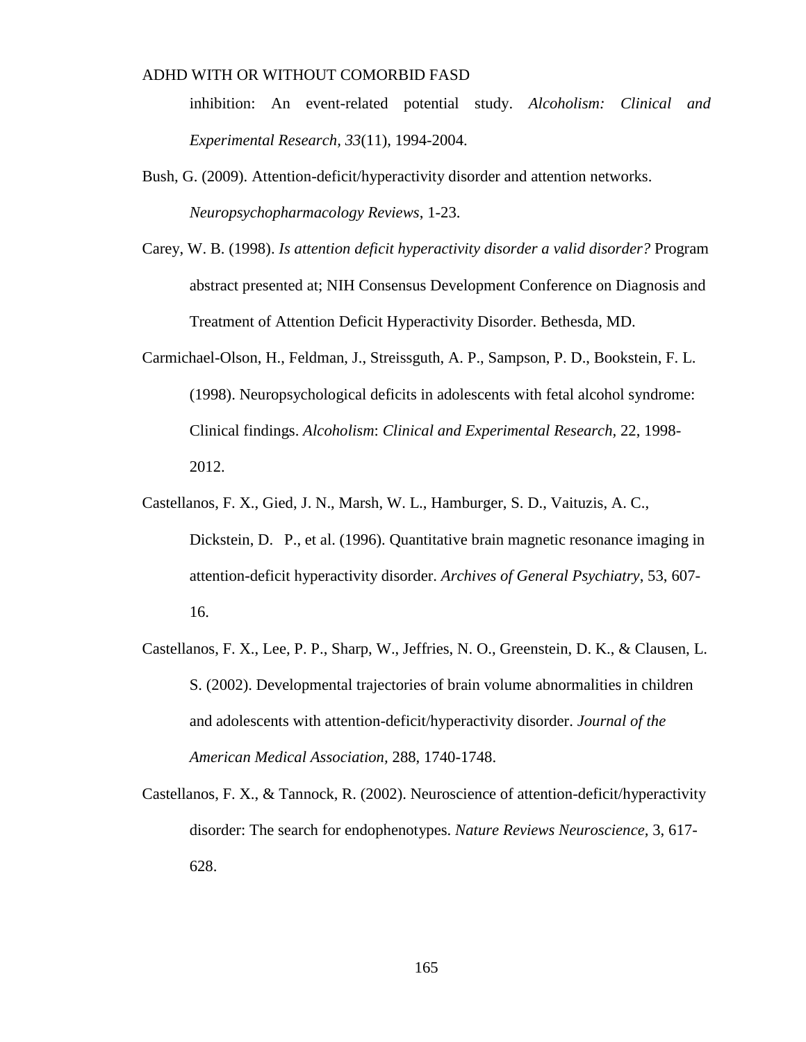inhibition: An event-related potential study. *Alcoholism: Clinical and Experimental Research, 33*(11), 1994-2004.

- Bush, G. (2009). Attention-deficit/hyperactivity disorder and attention networks. *Neuropsychopharmacology Reviews*, 1-23.
- Carey, W. B. (1998). *Is attention deficit hyperactivity disorder a valid disorder?* Program abstract presented at; NIH Consensus Development Conference on Diagnosis and Treatment of Attention Deficit Hyperactivity Disorder. Bethesda, MD.
- Carmichael-Olson, H., Feldman, J., Streissguth, A. P., Sampson, P. D., Bookstein, F. L. (1998). Neuropsychological deficits in adolescents with fetal alcohol syndrome: Clinical findings. *Alcoholism*: *Clinical and Experimental Research,* 22, 1998- 2012.
- Castellanos, F. X., Gied, J. N., Marsh, W. L., Hamburger, S. D., Vaituzis, A. C., Dickstein, D. P., et al. (1996). Quantitative brain magnetic resonance imaging in attention-deficit hyperactivity disorder. *Archives of General Psychiatry*, 53, 607- 16.
- Castellanos, F. X., Lee, P. P., Sharp, W., Jeffries, N. O., Greenstein, D. K., & Clausen, L. S. (2002). Developmental trajectories of brain volume abnormalities in children and adolescents with attention-deficit/hyperactivity disorder. *Journal of the American Medical Association,* 288, 1740-1748.
- Castellanos, F. X., & Tannock, R. (2002). Neuroscience of attention-deficit/hyperactivity disorder: The search for endophenotypes. *Nature Reviews Neuroscience,* 3, 617- 628.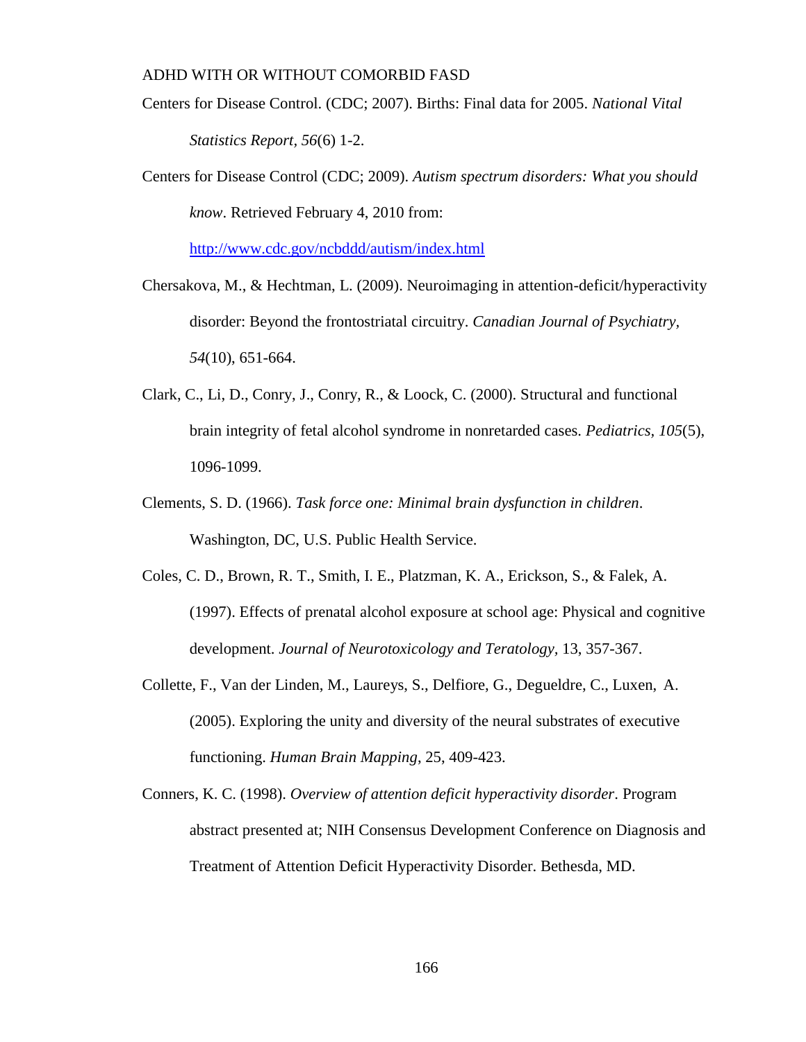- Centers for Disease Control. (CDC; 2007). Births: Final data for 2005. *National Vital Statistics Report, 56*(6) 1-2.
- Centers for Disease Control (CDC; 2009). *Autism spectrum disorders: What you should know*. Retrieved February 4, 2010 from:

<http://www.cdc.gov/ncbddd/autism/index.html>

- Chersakova, M., & Hechtman, L. (2009). Neuroimaging in attention-deficit/hyperactivity disorder: Beyond the frontostriatal circuitry. *Canadian Journal of Psychiatry, 54*(10), 651-664.
- Clark, C., Li, D., Conry, J., Conry, R., & Loock, C. (2000). Structural and functional brain integrity of fetal alcohol syndrome in nonretarded cases. *Pediatrics, 105*(5), 1096-1099.
- Clements, S. D. (1966). *Task force one: Minimal brain dysfunction in children*. Washington, DC, U.S. Public Health Service.
- Coles, C. D., Brown, R. T., Smith, I. E., Platzman, K. A., Erickson, S., & Falek, A. (1997). Effects of prenatal alcohol exposure at school age: Physical and cognitive development. *Journal of Neurotoxicology and Teratology,* 13, 357-367.
- Collette, F., Van der Linden, M., Laureys, S., Delfiore, G., Degueldre, C., Luxen, A. (2005). Exploring the unity and diversity of the neural substrates of executive functioning. *Human Brain Mapping*, 25, 409-423.
- Conners, K. C. (1998). *Overview of attention deficit hyperactivity disorder*. Program abstract presented at; NIH Consensus Development Conference on Diagnosis and Treatment of Attention Deficit Hyperactivity Disorder. Bethesda, MD.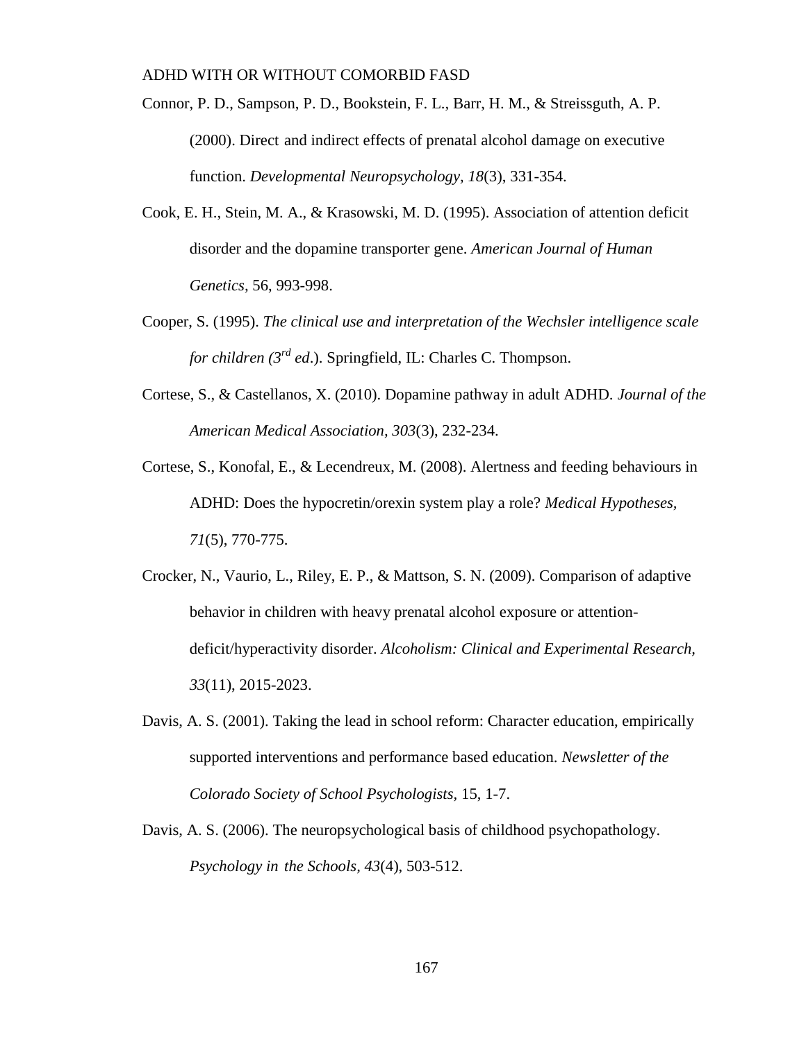Connor, P. D., Sampson, P. D., Bookstein, F. L., Barr, H. M., & Streissguth, A. P. (2000). Direct and indirect effects of prenatal alcohol damage on executive function. *Developmental Neuropsychology, 18*(3), 331-354.

- Cook, E. H., Stein, M. A., & Krasowski, M. D. (1995). Association of attention deficit disorder and the dopamine transporter gene. *American Journal of Human Genetics,* 56, 993-998.
- Cooper, S. (1995). *The clinical use and interpretation of the Wechsler intelligence scale for children (3rd ed*.). Springfield, IL: Charles C. Thompson.
- Cortese, S., & Castellanos, X. (2010). Dopamine pathway in adult ADHD. *Journal of the American Medical Association, 303*(3), 232-234.
- Cortese, S., Konofal, E., & Lecendreux, M. (2008). Alertness and feeding behaviours in ADHD: Does the hypocretin/orexin system play a role? *Medical Hypotheses, 71*(5), 770-775.
- Crocker, N., Vaurio, L., Riley, E. P., & Mattson, S. N. (2009). Comparison of adaptive behavior in children with heavy prenatal alcohol exposure or attentiondeficit/hyperactivity disorder. *Alcoholism: Clinical and Experimental Research, 33*(11), 2015-2023.
- Davis, A. S. (2001). Taking the lead in school reform: Character education, empirically supported interventions and performance based education. *Newsletter of the Colorado Society of School Psychologists,* 15, 1-7.
- Davis, A. S. (2006). The neuropsychological basis of childhood psychopathology. *Psychology in the Schools, 43*(4), 503-512.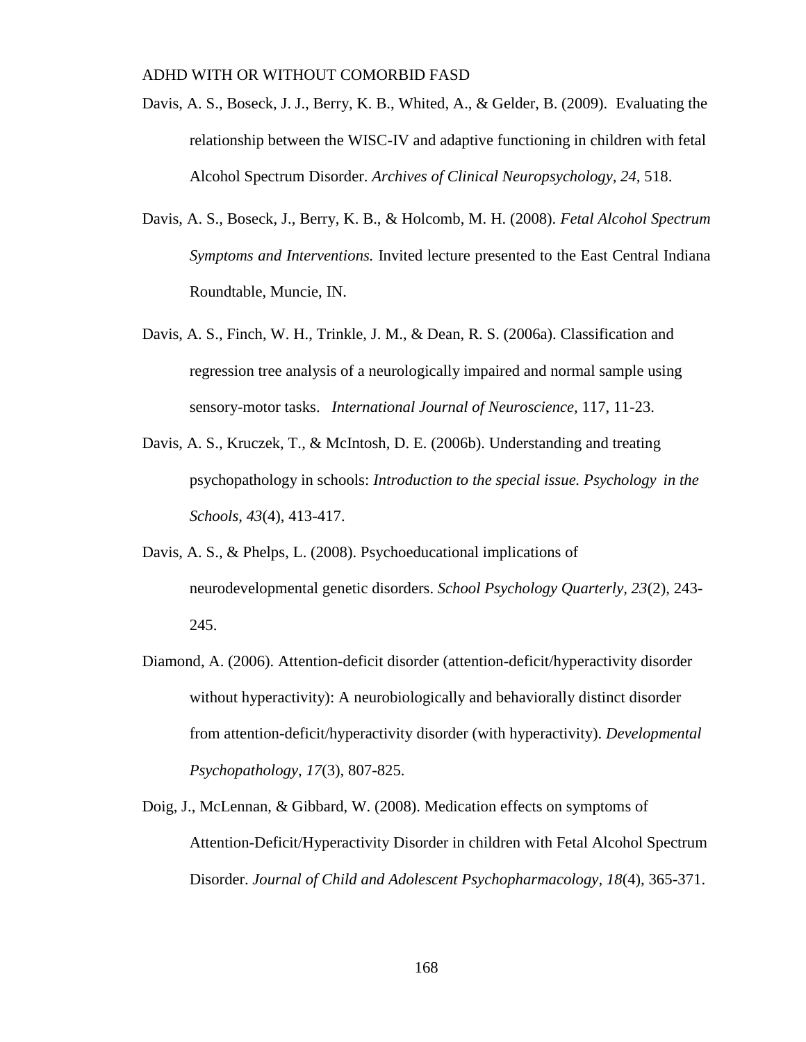- Davis, A. S., Boseck, J. J., Berry, K. B., Whited, A., & Gelder, B. (2009). Evaluating the relationship between the WISC-IV and adaptive functioning in children with fetal Alcohol Spectrum Disorder. *Archives of Clinical Neuropsychology, 24,* 518.
- Davis, A. S., Boseck, J., Berry, K. B., & Holcomb, M. H. (2008). *Fetal Alcohol Spectrum Symptoms and Interventions.* Invited lecture presented to the East Central Indiana Roundtable, Muncie, IN.
- Davis, A. S., Finch, W. H., Trinkle, J. M., & Dean, R. S. (2006a). Classification and regression tree analysis of a neurologically impaired and normal sample using sensory-motor tasks. *International Journal of Neuroscience,* 117, 11-23.
- Davis, A. S., Kruczek, T., & McIntosh, D. E. (2006b). Understanding and treating psychopathology in schools: *Introduction to the special issue. Psychology in the Schools, 43*(4), 413-417.
- Davis, A. S., & Phelps, L. (2008). Psychoeducational implications of neurodevelopmental genetic disorders. *School Psychology Quarterly, 23*(2), 243- 245.
- Diamond, A. (2006). Attention-deficit disorder (attention-deficit/hyperactivity disorder without hyperactivity): A neurobiologically and behaviorally distinct disorder from attention-deficit/hyperactivity disorder (with hyperactivity). *Developmental Psychopathology, 17*(3), 807-825.
- Doig, J., McLennan, & Gibbard, W. (2008). Medication effects on symptoms of Attention-Deficit/Hyperactivity Disorder in children with Fetal Alcohol Spectrum Disorder. *Journal of Child and Adolescent Psychopharmacology, 18*(4), 365-371.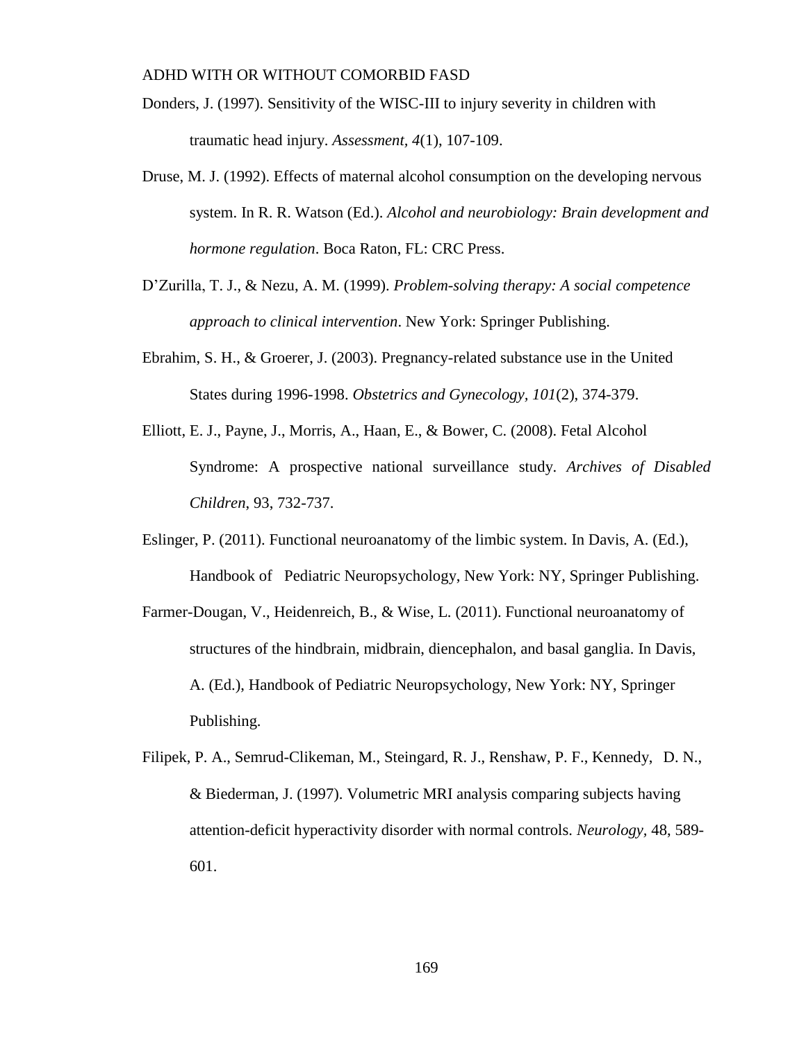- Donders, J. (1997). Sensitivity of the WISC-III to injury severity in children with traumatic head injury. *Assessment, 4*(1), 107-109.
- Druse, M. J. (1992). Effects of maternal alcohol consumption on the developing nervous system. In R. R. Watson (Ed.). *Alcohol and neurobiology: Brain development and hormone regulation*. Boca Raton, FL: CRC Press.
- D'Zurilla, T. J., & Nezu, A. M. (1999). *Problem-solving therapy: A social competence approach to clinical intervention*. New York: Springer Publishing.
- Ebrahim, S. H., & Groerer, J. (2003). Pregnancy-related substance use in the United States during 1996-1998. *Obstetrics and Gynecology, 101*(2), 374-379.
- Elliott, E. J., Payne, J., Morris, A., Haan, E., & Bower, C. (2008). Fetal Alcohol Syndrome: A prospective national surveillance study. *Archives of Disabled Children*, 93, 732-737.
- Eslinger, P. (2011). Functional neuroanatomy of the limbic system. In Davis, A. (Ed.), Handbook of Pediatric Neuropsychology, New York: NY, Springer Publishing.
- Farmer-Dougan, V., Heidenreich, B., & Wise, L. (2011). Functional neuroanatomy of structures of the hindbrain, midbrain, diencephalon, and basal ganglia. In Davis, A. (Ed.), Handbook of Pediatric Neuropsychology, New York: NY, Springer Publishing.
- Filipek, P. A., Semrud-Clikeman, M., Steingard, R. J., Renshaw, P. F., Kennedy, D. N., & Biederman, J. (1997). Volumetric MRI analysis comparing subjects having attention-deficit hyperactivity disorder with normal controls. *Neurology,* 48, 589- 601.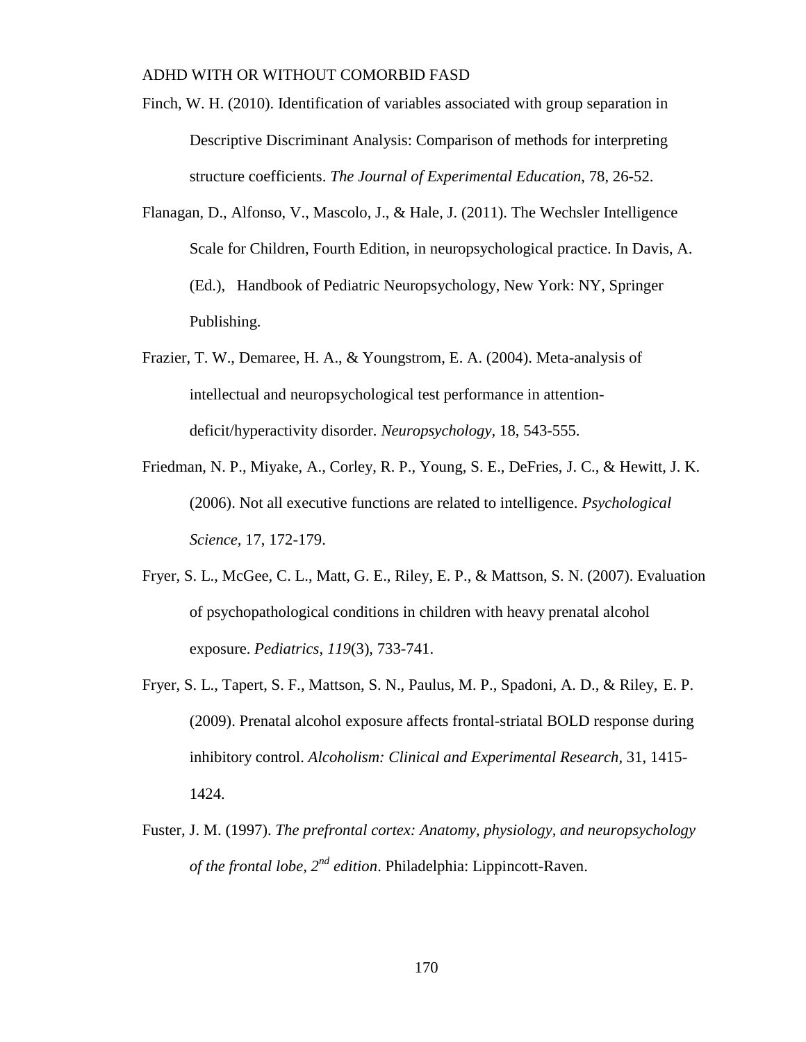Finch, W. H. (2010). Identification of variables associated with group separation in Descriptive Discriminant Analysis: Comparison of methods for interpreting structure coefficients. *The Journal of Experimental Education*, 78, 26-52.

- Flanagan, D., Alfonso, V., Mascolo, J., & Hale, J. (2011). The Wechsler Intelligence Scale for Children, Fourth Edition, in neuropsychological practice. In Davis, A. (Ed.), Handbook of Pediatric Neuropsychology, New York: NY, Springer Publishing.
- Frazier, T. W., Demaree, H. A., & Youngstrom, E. A. (2004). Meta-analysis of intellectual and neuropsychological test performance in attentiondeficit/hyperactivity disorder. *Neuropsychology,* 18, 543-555.
- Friedman, N. P., Miyake, A., Corley, R. P., Young, S. E., DeFries, J. C., & Hewitt, J. K. (2006). Not all executive functions are related to intelligence. *Psychological Science,* 17, 172-179.
- Fryer, S. L., McGee, C. L., Matt, G. E., Riley, E. P., & Mattson, S. N. (2007). Evaluation of psychopathological conditions in children with heavy prenatal alcohol exposure. *Pediatrics*, *119*(3), 733-741.
- Fryer, S. L., Tapert, S. F., Mattson, S. N., Paulus, M. P., Spadoni, A. D., & Riley, E. P. (2009). Prenatal alcohol exposure affects frontal-striatal BOLD response during inhibitory control. *Alcoholism: Clinical and Experimental Research,* 31, 1415- 1424.
- Fuster, J. M. (1997). *The prefrontal cortex: Anatomy, physiology, and neuropsychology of the frontal lobe, 2nd edition*. Philadelphia: Lippincott-Raven.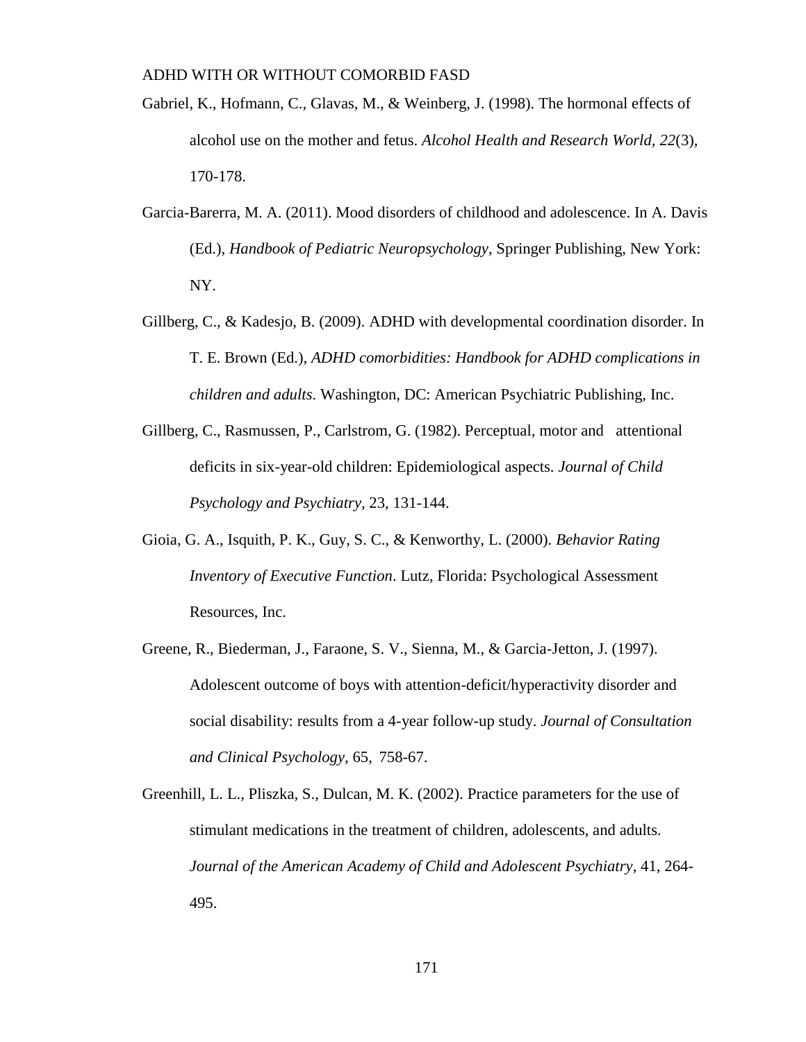- Gabriel, K., Hofmann, C., Glavas, M., & Weinberg, J. (1998). The hormonal effects of alcohol use on the mother and fetus. *Alcohol Health and Research World, 22*(3), 170-178.
- Garcia-Barerra, M. A. (2011). Mood disorders of childhood and adolescence. In A. Davis (Ed.), *Handbook of Pediatric Neuropsychology*, Springer Publishing, New York: NY.
- Gillberg, C., & Kadesjo, B. (2009). ADHD with developmental coordination disorder. In T. E. Brown (Ed.), *ADHD comorbidities: Handbook for ADHD complications in children and adults*. Washington, DC: American Psychiatric Publishing, Inc.
- Gillberg, C., Rasmussen, P., Carlstrom, G. (1982). Perceptual, motor and attentional deficits in six-year-old children: Epidemiological aspects. *Journal of Child Psychology and Psychiatry,* 23, 131-144.
- Gioia, G. A., Isquith, P. K., Guy, S. C., & Kenworthy, L. (2000). *Behavior Rating Inventory of Executive Function*. Lutz, Florida: Psychological Assessment Resources, Inc.
- Greene, R., Biederman, J., Faraone, S. V., Sienna, M., & Garcia-Jetton, J. (1997). Adolescent outcome of boys with attention-deficit/hyperactivity disorder and social disability: results from a 4-year follow-up study. *Journal of Consultation and Clinical Psychology*, 65, 758-67.
- Greenhill, L. L., Pliszka, S., Dulcan, M. K. (2002). Practice parameters for the use of stimulant medications in the treatment of children, adolescents, and adults. *Journal of the American Academy of Child and Adolescent Psychiatry*, 41, 264- 495.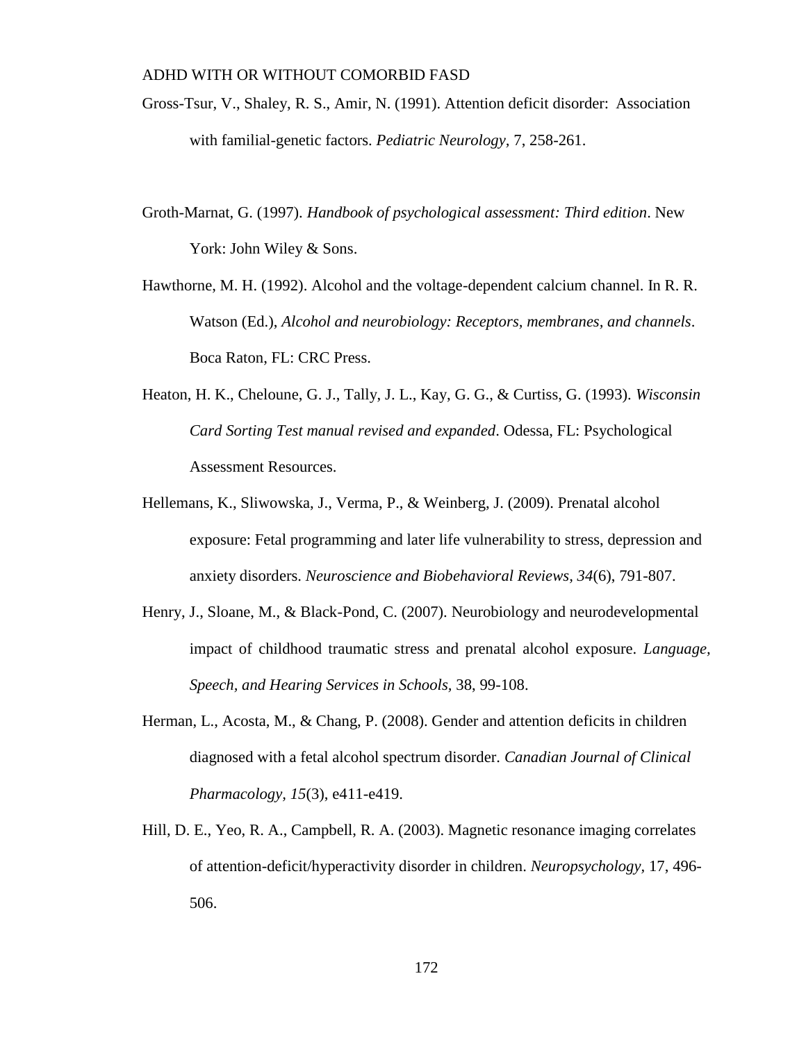- Gross-Tsur, V., Shaley, R. S., Amir, N. (1991). Attention deficit disorder: Association with familial-genetic factors. *Pediatric Neurology,* 7, 258-261.
- Groth-Marnat, G. (1997). *Handbook of psychological assessment: Third edition*. New York: John Wiley & Sons.
- Hawthorne, M. H. (1992). Alcohol and the voltage-dependent calcium channel. In R. R. Watson (Ed.), *Alcohol and neurobiology: Receptors, membranes, and channels*. Boca Raton, FL: CRC Press.
- Heaton, H. K., Cheloune, G. J., Tally, J. L., Kay, G. G., & Curtiss, G. (1993). *Wisconsin Card Sorting Test manual revised and expanded*. Odessa, FL: Psychological Assessment Resources.
- Hellemans, K., Sliwowska, J., Verma, P., & Weinberg, J. (2009). Prenatal alcohol exposure: Fetal programming and later life vulnerability to stress, depression and anxiety disorders. *Neuroscience and Biobehavioral Reviews, 34*(6), 791-807.
- Henry, J., Sloane, M., & Black-Pond, C. (2007). Neurobiology and neurodevelopmental impact of childhood traumatic stress and prenatal alcohol exposure. *Language, Speech, and Hearing Services in Schools,* 38, 99-108.
- Herman, L., Acosta, M., & Chang, P. (2008). Gender and attention deficits in children diagnosed with a fetal alcohol spectrum disorder. *Canadian Journal of Clinical Pharmacology, 15*(3), e411-e419.
- Hill, D. E., Yeo, R. A., Campbell, R. A. (2003). Magnetic resonance imaging correlates of attention-deficit/hyperactivity disorder in children. *Neuropsychology,* 17, 496- 506.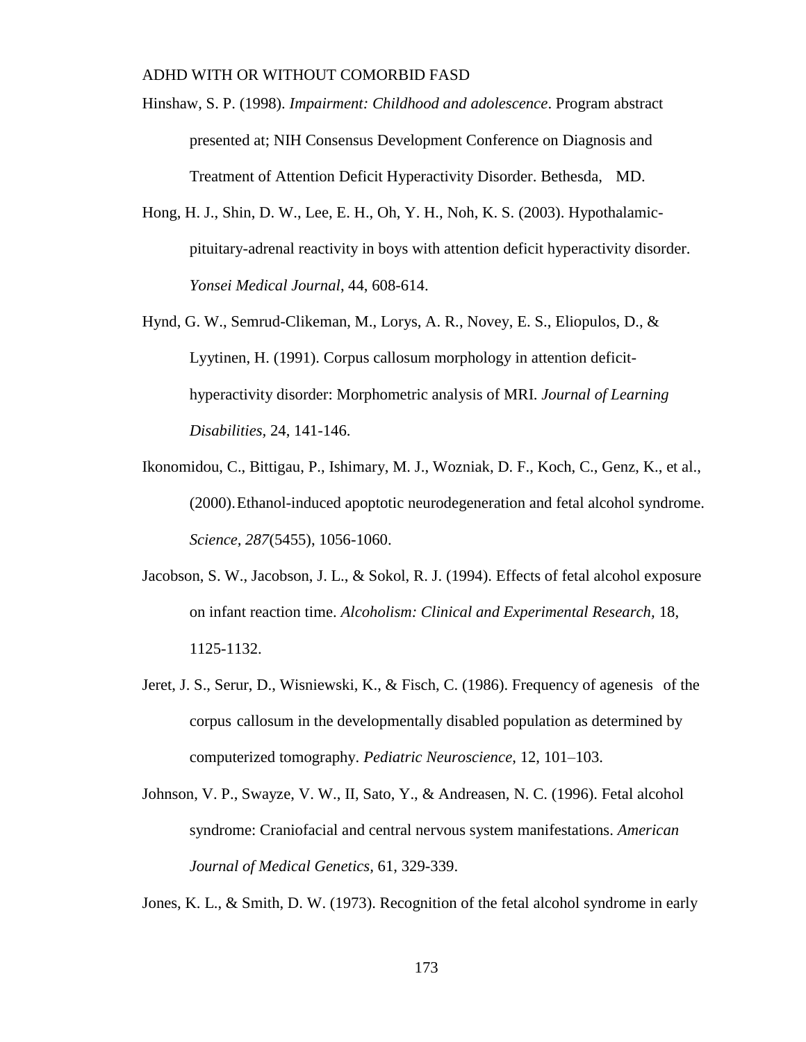- Hinshaw, S. P. (1998). *Impairment: Childhood and adolescence*. Program abstract presented at; NIH Consensus Development Conference on Diagnosis and Treatment of Attention Deficit Hyperactivity Disorder. Bethesda, MD.
- Hong, H. J., Shin, D. W., Lee, E. H., Oh, Y. H., Noh, K. S. (2003). Hypothalamicpituitary-adrenal reactivity in boys with attention deficit hyperactivity disorder. *Yonsei Medical Journal*, 44, 608-614.
- Hynd, G. W., Semrud-Clikeman, M., Lorys, A. R., Novey, E. S., Eliopulos, D., & Lyytinen, H. (1991). Corpus callosum morphology in attention deficithyperactivity disorder: Morphometric analysis of MRI. *Journal of Learning Disabilities,* 24, 141-146.
- Ikonomidou, C., Bittigau, P., Ishimary, M. J., Wozniak, D. F., Koch, C., Genz, K., et al., (2000).Ethanol-induced apoptotic neurodegeneration and fetal alcohol syndrome. *Science, 287*(5455), 1056-1060.
- Jacobson, S. W., Jacobson, J. L., & Sokol, R. J. (1994). Effects of fetal alcohol exposure on infant reaction time. *Alcoholism: Clinical and Experimental Research,* 18, 1125-1132.
- Jeret, J. S., Serur, D., Wisniewski, K., & Fisch, C. (1986). Frequency of agenesis of the corpus callosum in the developmentally disabled population as determined by computerized tomography. *Pediatric Neuroscience*, 12, 101–103.
- Johnson, V. P., Swayze, V. W., II, Sato, Y., & Andreasen, N. C. (1996). Fetal alcohol syndrome: Craniofacial and central nervous system manifestations. *American Journal of Medical Genetics,* 61, 329-339.

Jones, K. L., & Smith, D. W. (1973). Recognition of the fetal alcohol syndrome in early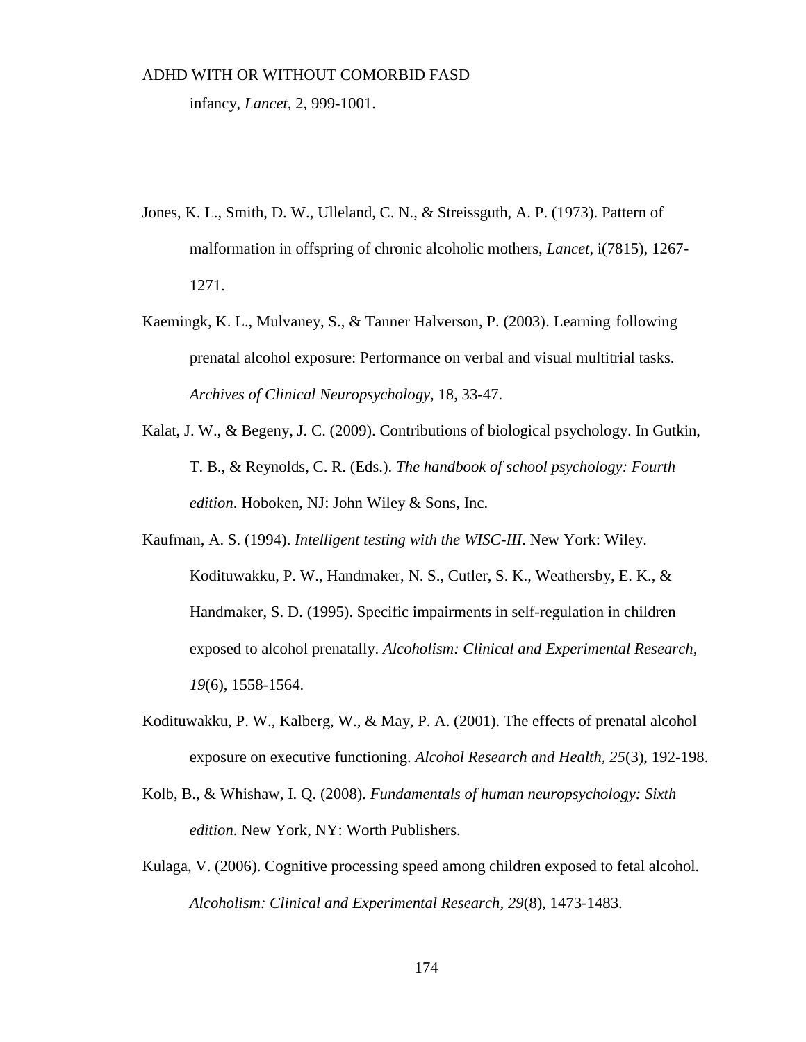infancy, *Lancet,* 2, 999-1001.

- Jones, K. L., Smith, D. W., Ulleland, C. N., & Streissguth, A. P. (1973). Pattern of malformation in offspring of chronic alcoholic mothers, *Lancet*, i(7815), 1267- 1271.
- Kaemingk, K. L., Mulvaney, S., & Tanner Halverson, P. (2003). Learning following prenatal alcohol exposure: Performance on verbal and visual multitrial tasks. *Archives of Clinical Neuropsychology,* 18, 33-47.
- Kalat, J. W., & Begeny, J. C. (2009). Contributions of biological psychology. In Gutkin, T. B., & Reynolds, C. R. (Eds.). *The handbook of school psychology: Fourth edition*. Hoboken, NJ: John Wiley & Sons, Inc.
- Kaufman, A. S. (1994). *Intelligent testing with the WISC-III*. New York: Wiley. Kodituwakku, P. W., Handmaker, N. S., Cutler, S. K., Weathersby, E. K., & Handmaker, S. D. (1995). Specific impairments in self-regulation in children exposed to alcohol prenatally. *Alcoholism: Clinical and Experimental Research, 19*(6), 1558-1564.
- Kodituwakku, P. W., Kalberg, W., & May, P. A. (2001). The effects of prenatal alcohol exposure on executive functioning. *Alcohol Research and Health, 25*(3), 192-198.
- Kolb, B., & Whishaw, I. Q. (2008). *Fundamentals of human neuropsychology: Sixth edition*. New York, NY: Worth Publishers.
- Kulaga, V. (2006). Cognitive processing speed among children exposed to fetal alcohol. *Alcoholism: Clinical and Experimental Research, 29*(8), 1473-1483.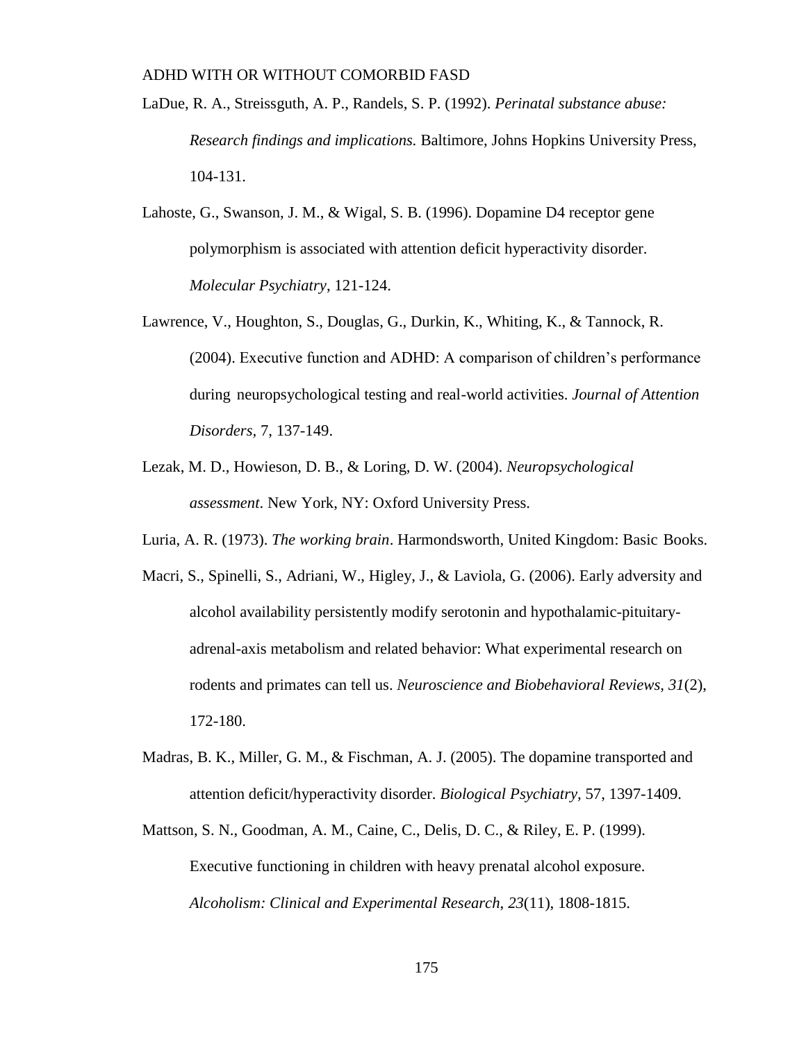- LaDue, R. A., Streissguth, A. P., Randels, S. P. (1992). *Perinatal substance abuse: Research findings and implications.* Baltimore, Johns Hopkins University Press, 104-131.
- Lahoste, G., Swanson, J. M., & Wigal, S. B. (1996). Dopamine D4 receptor gene polymorphism is associated with attention deficit hyperactivity disorder. *Molecular Psychiatry*, 121-124.
- Lawrence, V., Houghton, S., Douglas, G., Durkin, K., Whiting, K., & Tannock, R. (2004). Executive function and ADHD: A comparison of children's performance during neuropsychological testing and real-world activities. *Journal of Attention Disorders,* 7, 137-149.
- Lezak, M. D., Howieson, D. B., & Loring, D. W. (2004). *Neuropsychological assessment*. New York, NY: Oxford University Press.
- Luria, A. R. (1973). *The working brain*. Harmondsworth, United Kingdom: Basic Books.
- Macri, S., Spinelli, S., Adriani, W., Higley, J., & Laviola, G. (2006). Early adversity and alcohol availability persistently modify serotonin and hypothalamic-pituitaryadrenal-axis metabolism and related behavior: What experimental research on rodents and primates can tell us. *Neuroscience and Biobehavioral Reviews, 31*(2), 172-180.
- Madras, B. K., Miller, G. M., & Fischman, A. J. (2005). The dopamine transported and attention deficit/hyperactivity disorder. *Biological Psychiatry,* 57, 1397-1409.
- Mattson, S. N., Goodman, A. M., Caine, C., Delis, D. C., & Riley, E. P. (1999). Executive functioning in children with heavy prenatal alcohol exposure. *Alcoholism: Clinical and Experimental Research*, *23*(11), 1808-1815.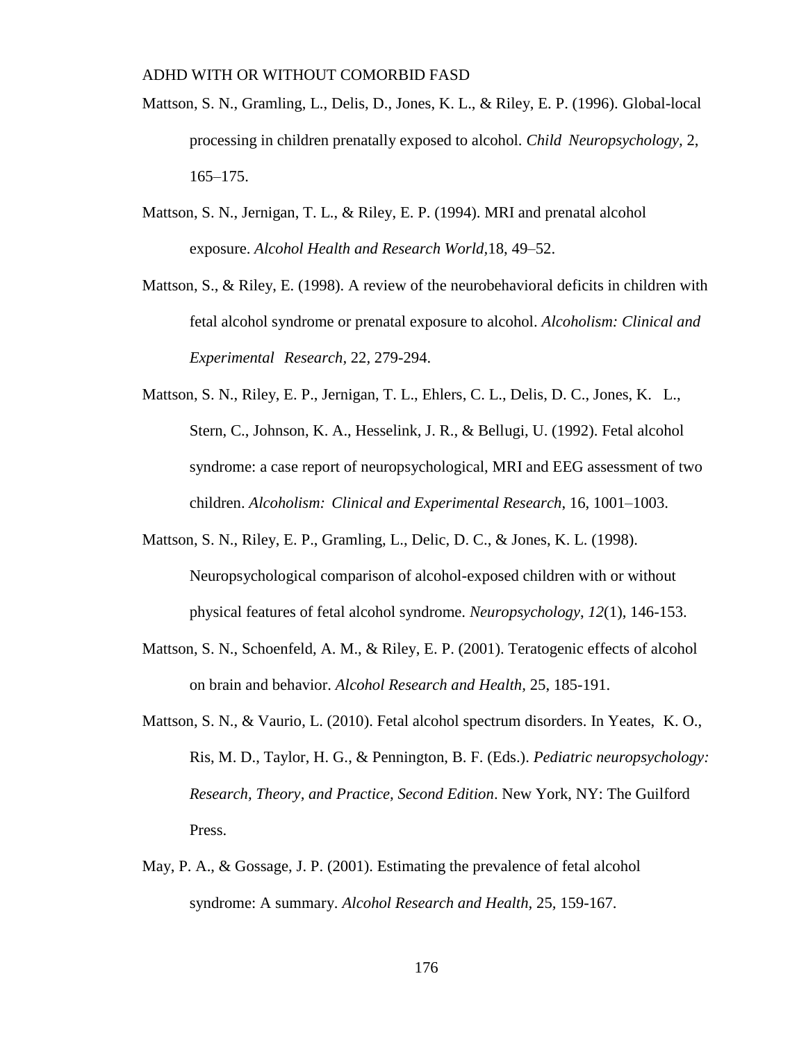- Mattson, S. N., Gramling, L., Delis, D., Jones, K. L., & Riley, E. P. (1996). Global-local processing in children prenatally exposed to alcohol. *Child Neuropsychology,* 2, 165–175.
- Mattson, S. N., Jernigan, T. L., & Riley, E. P. (1994). MRI and prenatal alcohol exposure. *Alcohol Health and Research World,*18, 49–52.
- Mattson, S., & Riley, E. (1998). A review of the neurobehavioral deficits in children with fetal alcohol syndrome or prenatal exposure to alcohol. *Alcoholism: Clinical and Experimental Research,* 22*,* 279-294.
- Mattson, S. N., Riley, E. P., Jernigan, T. L., Ehlers, C. L., Delis, D. C., Jones, K. L., Stern, C., Johnson, K. A., Hesselink, J. R., & Bellugi, U. (1992). Fetal alcohol syndrome: a case report of neuropsychological, MRI and EEG assessment of two children. *Alcoholism: Clinical and Experimental Research*, 16, 1001–1003.
- Mattson, S. N., Riley, E. P., Gramling, L., Delic, D. C., & Jones, K. L. (1998). Neuropsychological comparison of alcohol-exposed children with or without physical features of fetal alcohol syndrome. *Neuropsychology*, *12*(1), 146-153.
- Mattson, S. N., Schoenfeld, A. M., & Riley, E. P. (2001). Teratogenic effects of alcohol on brain and behavior. *Alcohol Research and Health,* 25, 185-191.
- Mattson, S. N., & Vaurio, L. (2010). Fetal alcohol spectrum disorders. In Yeates, K. O., Ris, M. D., Taylor, H. G., & Pennington, B. F. (Eds.). *Pediatric neuropsychology: Research, Theory, and Practice, Second Edition*. New York, NY: The Guilford Press.
- May, P. A., & Gossage, J. P. (2001). Estimating the prevalence of fetal alcohol syndrome: A summary. *Alcohol Research and Health,* 25*,* 159-167.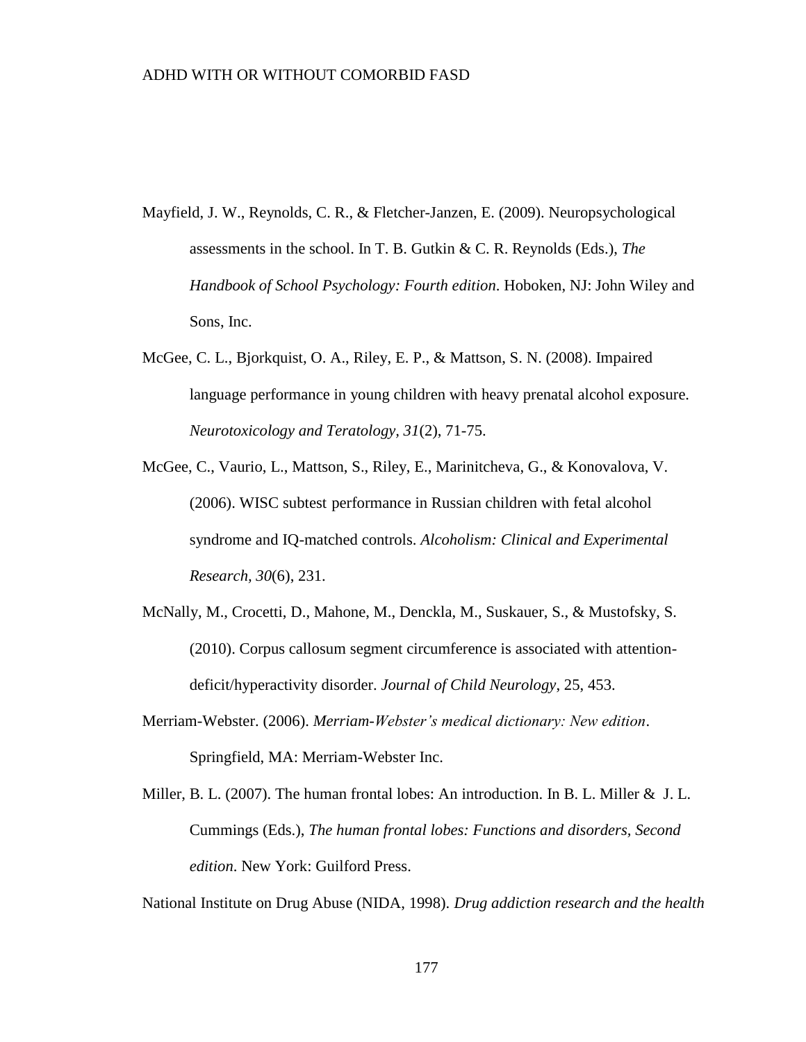- Mayfield, J. W., Reynolds, C. R., & Fletcher-Janzen, E. (2009). Neuropsychological assessments in the school. In T. B. Gutkin & C. R. Reynolds (Eds.), *The Handbook of School Psychology: Fourth edition*. Hoboken, NJ: John Wiley and Sons, Inc.
- McGee, C. L., Bjorkquist, O. A., Riley, E. P., & Mattson, S. N. (2008). Impaired language performance in young children with heavy prenatal alcohol exposure. *Neurotoxicology and Teratology, 31*(2), 71-75.
- McGee, C., Vaurio, L., Mattson, S., Riley, E., Marinitcheva, G., & Konovalova, V. (2006). WISC subtest performance in Russian children with fetal alcohol syndrome and IQ-matched controls. *Alcoholism: Clinical and Experimental Research, 30*(6), 231.
- McNally, M., Crocetti, D., Mahone, M., Denckla, M., Suskauer, S., & Mustofsky, S. (2010). Corpus callosum segment circumference is associated with attentiondeficit/hyperactivity disorder. *Journal of Child Neurology*, 25, 453.
- Merriam-Webster. (2006). *Merriam-Webster's medical dictionary: New edition*. Springfield, MA: Merriam-Webster Inc.
- Miller, B. L. (2007). The human frontal lobes: An introduction. In B. L. Miller & J. L. Cummings (Eds.), *The human frontal lobes: Functions and disorders, Second edition*. New York: Guilford Press.

National Institute on Drug Abuse (NIDA, 1998). *Drug addiction research and the health*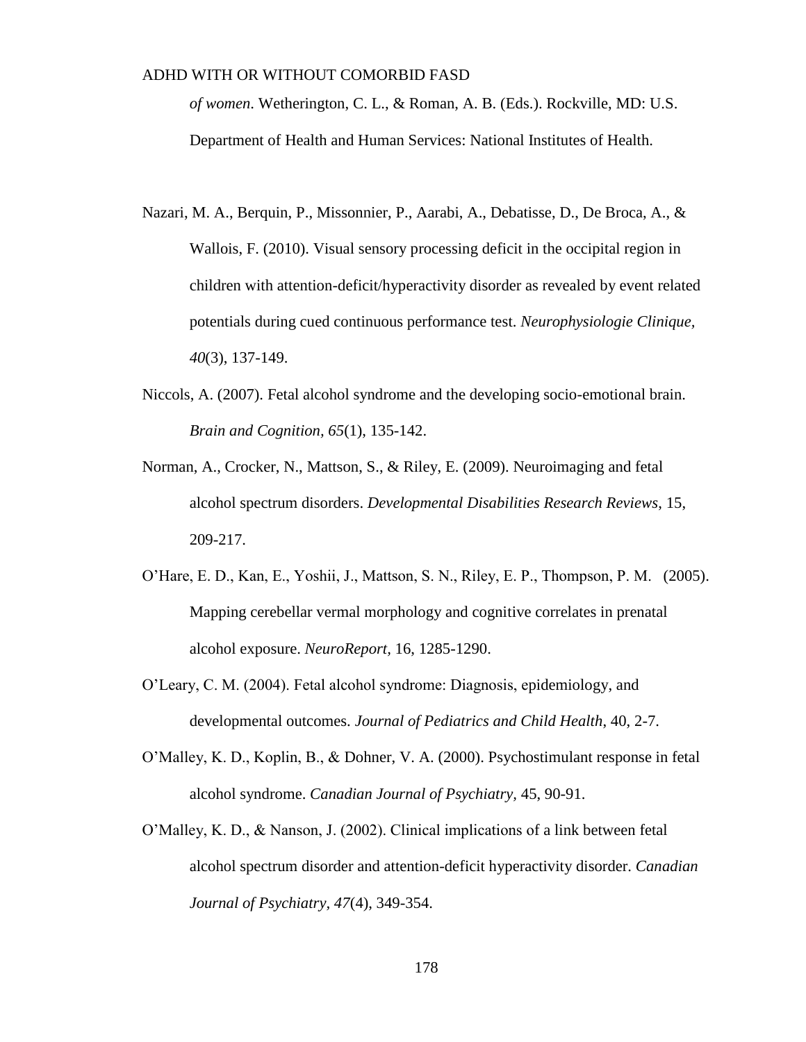*of women*. Wetherington, C. L., & Roman, A. B. (Eds.). Rockville, MD: U.S. Department of Health and Human Services: National Institutes of Health.

- Nazari, M. A., Berquin, P., Missonnier, P., Aarabi, A., Debatisse, D., De Broca, A., & Wallois, F. (2010). Visual sensory processing deficit in the occipital region in children with attention-deficit/hyperactivity disorder as revealed by event related potentials during cued continuous performance test. *Neurophysiologie Clinique, 40*(3), 137-149.
- Niccols, A. (2007). Fetal alcohol syndrome and the developing socio-emotional brain. *Brain and Cognition, 65*(1), 135-142.
- Norman, A., Crocker, N., Mattson, S., & Riley, E. (2009). Neuroimaging and fetal alcohol spectrum disorders. *Developmental Disabilities Research Reviews*, 15, 209-217.
- O'Hare, E. D., Kan, E., Yoshii, J., Mattson, S. N., Riley, E. P., Thompson, P. M. (2005). Mapping cerebellar vermal morphology and cognitive correlates in prenatal alcohol exposure. *NeuroReport,* 16, 1285-1290.
- O'Leary, C. M. (2004). Fetal alcohol syndrome: Diagnosis, epidemiology, and developmental outcomes. *Journal of Pediatrics and Child Health*, 40, 2-7.
- O'Malley, K. D., Koplin, B., & Dohner, V. A. (2000). Psychostimulant response in fetal alcohol syndrome. *Canadian Journal of Psychiatry,* 45, 90-91.
- O'Malley, K. D., & Nanson, J. (2002). Clinical implications of a link between fetal alcohol spectrum disorder and attention-deficit hyperactivity disorder. *Canadian Journal of Psychiatry, 47*(4), 349-354.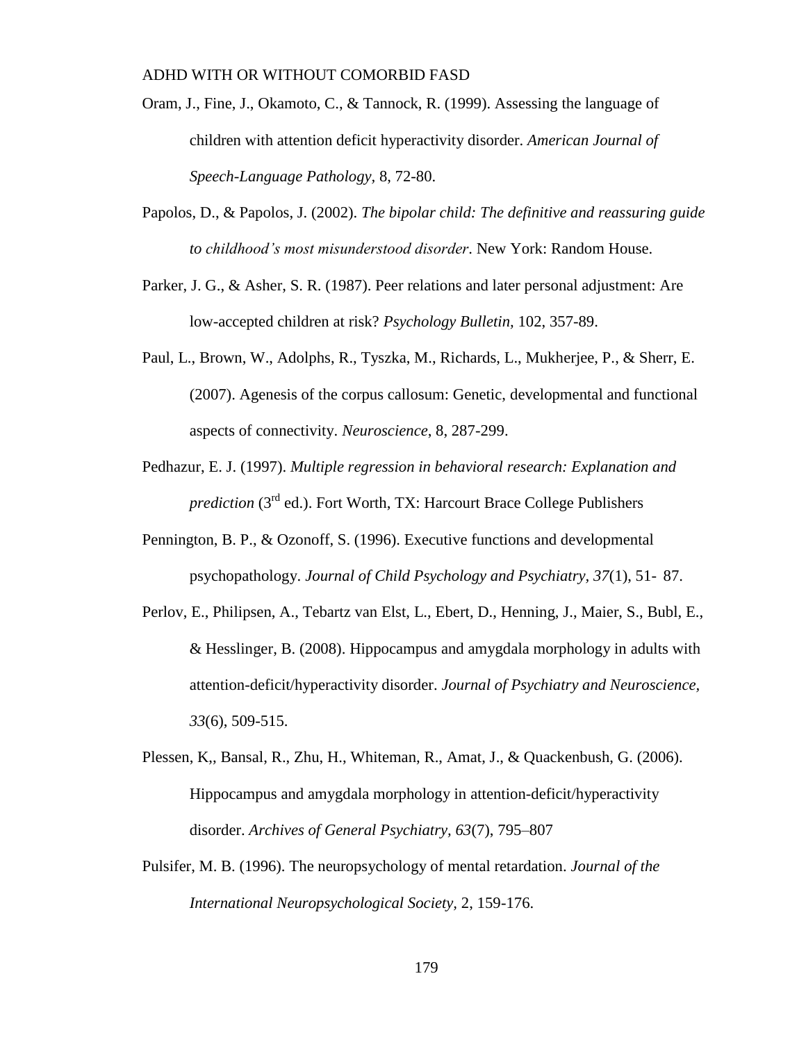- Oram, J., Fine, J., Okamoto, C., & Tannock, R. (1999). Assessing the language of children with attention deficit hyperactivity disorder. *American Journal of Speech-Language Pathology,* 8, 72-80.
- Papolos, D., & Papolos, J. (2002). *The bipolar child: The definitive and reassuring guide to childhood's most misunderstood disorder*. New York: Random House.
- Parker, J. G., & Asher, S. R. (1987). Peer relations and later personal adjustment: Are low-accepted children at risk? *Psychology Bulletin,* 102, 357-89.
- Paul, L., Brown, W., Adolphs, R., Tyszka, M., Richards, L., Mukherjee, P., & Sherr, E. (2007). Agenesis of the corpus callosum: Genetic, developmental and functional aspects of connectivity. *Neuroscience*, 8, 287-299.
- Pedhazur, E. J. (1997). *Multiple regression in behavioral research: Explanation and prediction* (3<sup>rd</sup> ed.). Fort Worth, TX: Harcourt Brace College Publishers
- Pennington, B. P., & Ozonoff, S. (1996). Executive functions and developmental psychopathology. *Journal of Child Psychology and Psychiatry, 37*(1), 51- 87.
- Perlov, E., Philipsen, A., Tebartz van Elst, L., Ebert, D., Henning, J., Maier, S., Bubl, E., & Hesslinger, B. (2008). Hippocampus and amygdala morphology in adults with attention-deficit/hyperactivity disorder. *Journal of Psychiatry and Neuroscience, 33*(6), 509-515.
- Plessen, K,, Bansal, R., Zhu, H., Whiteman, R., Amat, J., & Quackenbush, G. (2006). Hippocampus and amygdala morphology in attention-deficit/hyperactivity disorder. *Archives of General Psychiatry, 63*(7), 795–807
- Pulsifer, M. B. (1996). The neuropsychology of mental retardation. *Journal of the International Neuropsychological Society,* 2, 159-176.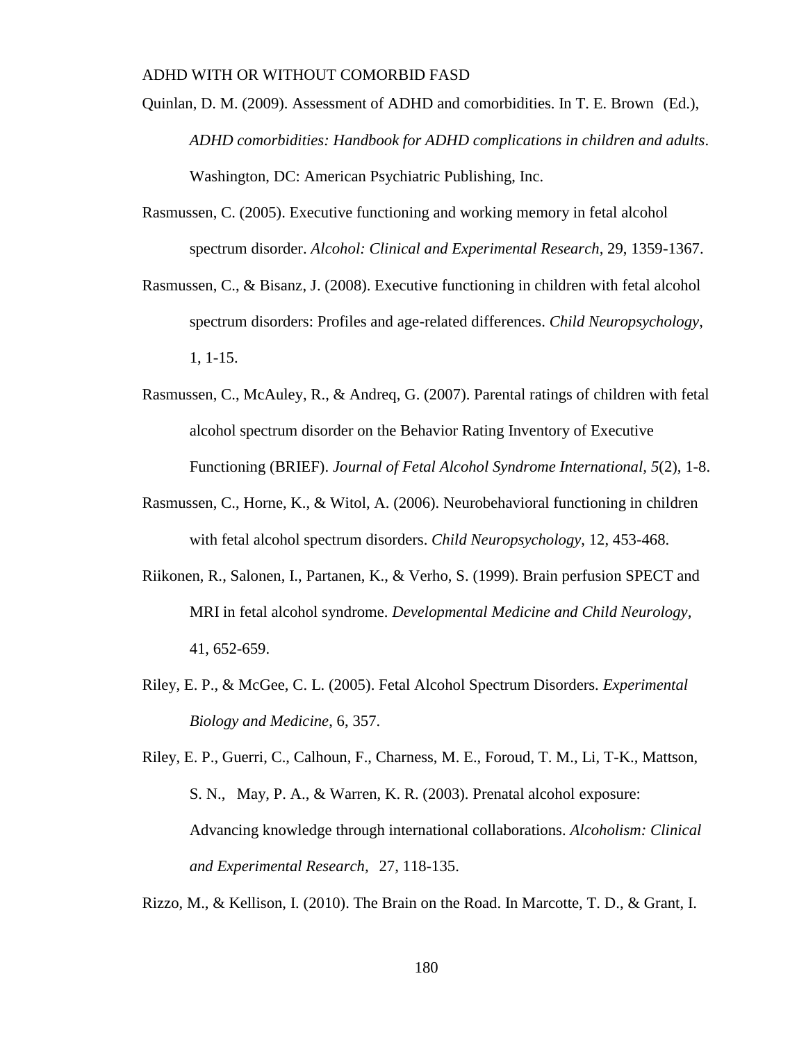- Quinlan, D. M. (2009). Assessment of ADHD and comorbidities. In T. E. Brown (Ed.), *ADHD comorbidities: Handbook for ADHD complications in children and adults*. Washington, DC: American Psychiatric Publishing, Inc.
- Rasmussen, C. (2005). Executive functioning and working memory in fetal alcohol spectrum disorder. *Alcohol: Clinical and Experimental Research,* 29, 1359-1367.
- Rasmussen, C., & Bisanz, J. (2008). Executive functioning in children with fetal alcohol spectrum disorders: Profiles and age-related differences. *Child Neuropsychology*, 1, 1-15.
- Rasmussen, C., McAuley, R., & Andreq, G. (2007). Parental ratings of children with fetal alcohol spectrum disorder on the Behavior Rating Inventory of Executive Functioning (BRIEF). *Journal of Fetal Alcohol Syndrome International, 5*(2), 1-8.
- Rasmussen, C., Horne, K., & Witol, A. (2006). Neurobehavioral functioning in children with fetal alcohol spectrum disorders. *Child Neuropsychology*, 12, 453-468.
- Riikonen, R., Salonen, I., Partanen, K., & Verho, S. (1999). Brain perfusion SPECT and MRI in fetal alcohol syndrome. *Developmental Medicine and Child Neurology,*  41, 652-659.
- Riley, E. P., & McGee, C. L. (2005). Fetal Alcohol Spectrum Disorders. *Experimental Biology and Medicine*, 6, 357.

Riley, E. P., Guerri, C., Calhoun, F., Charness, M. E., Foroud, T. M., Li, T-K., Mattson, S. N., May, P. A., & Warren, K. R. (2003). Prenatal alcohol exposure: Advancing knowledge through international collaborations. *Alcoholism: Clinical and Experimental Research,* 27, 118-135.

Rizzo, M., & Kellison, I. (2010). The Brain on the Road. In Marcotte, T. D., & Grant, I.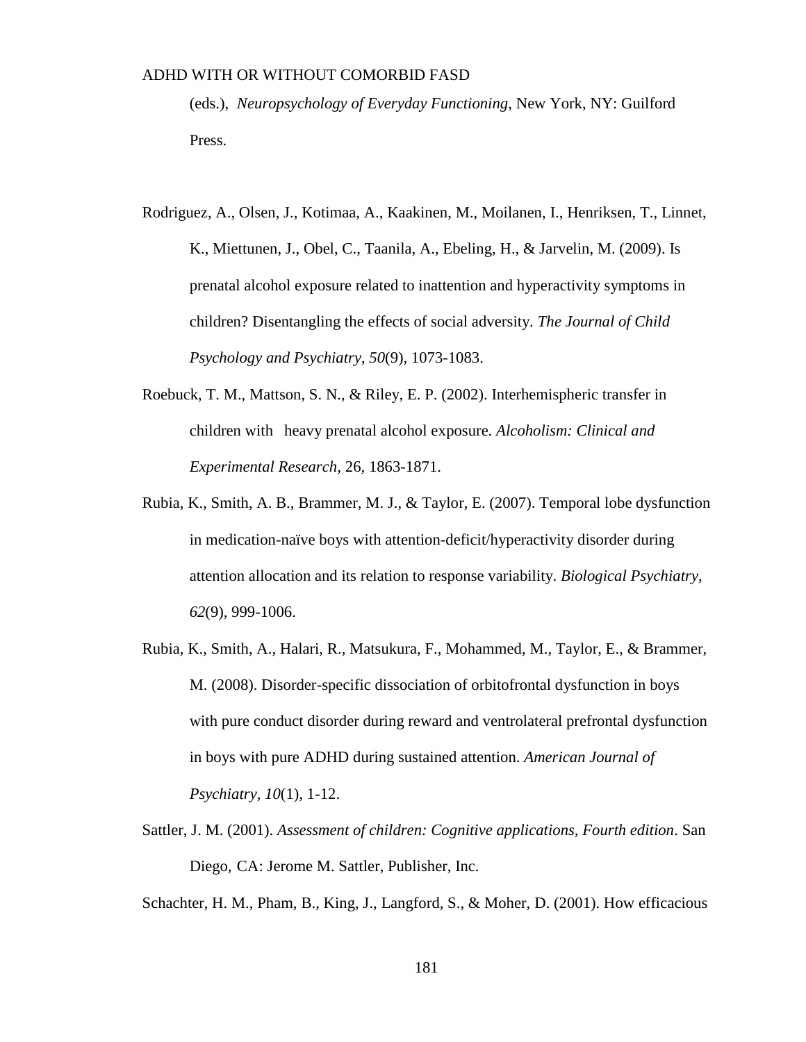(eds.), *Neuropsychology of Everyday Functioning*, New York, NY: Guilford Press.

- Rodriguez, A., Olsen, J., Kotimaa, A., Kaakinen, M., Moilanen, I., Henriksen, T., Linnet, K., Miettunen, J., Obel, C., Taanila, A., Ebeling, H., & Jarvelin, M. (2009). Is prenatal alcohol exposure related to inattention and hyperactivity symptoms in children? Disentangling the effects of social adversity. *The Journal of Child Psychology and Psychiatry*, *50*(9), 1073-1083.
- Roebuck, T. M., Mattson, S. N., & Riley, E. P. (2002). Interhemispheric transfer in children with heavy prenatal alcohol exposure. *Alcoholism: Clinical and Experimental Research,* 26*,* 1863-1871.
- Rubia, K., Smith, A. B., Brammer, M. J., & Taylor, E. (2007). Temporal lobe dysfunction in medication-naïve boys with attention-deficit/hyperactivity disorder during attention allocation and its relation to response variability. *Biological Psychiatry, 62*(9), 999-1006.
- Rubia, K., Smith, A., Halari, R., Matsukura, F., Mohammed, M., Taylor, E., & Brammer, M. (2008). Disorder-specific dissociation of orbitofrontal dysfunction in boys with pure conduct disorder during reward and ventrolateral prefrontal dysfunction in boys with pure ADHD during sustained attention. *American Journal of Psychiatry, 10*(1), 1-12.
- Sattler, J. M. (2001). *Assessment of children: Cognitive applications, Fourth edition*. San Diego, CA: Jerome M. Sattler, Publisher, Inc.

Schachter, H. M., Pham, B., King, J., Langford, S., & Moher, D. (2001). How efficacious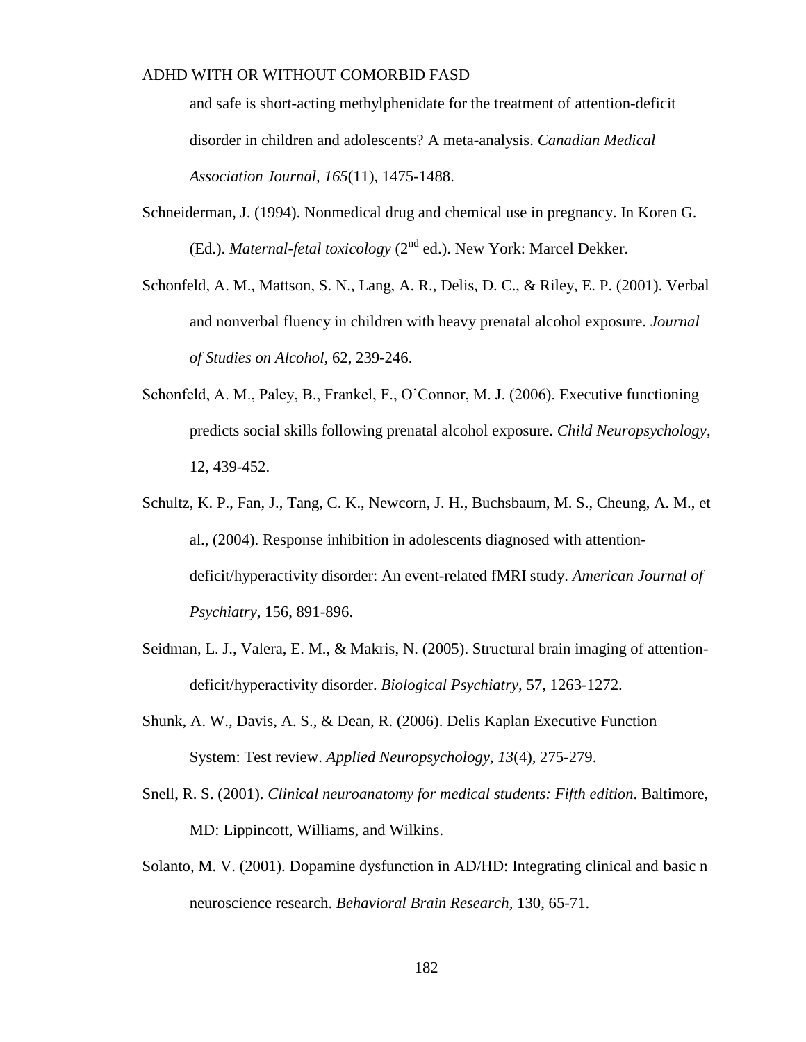and safe is short-acting methylphenidate for the treatment of attention-deficit disorder in children and adolescents? A meta-analysis. *Canadian Medical Association Journal, 165*(11), 1475-1488.

- Schneiderman, J. (1994). Nonmedical drug and chemical use in pregnancy. In Koren G. (Ed.). *Maternal-fetal toxicology* (2nd ed.). New York: Marcel Dekker.
- Schonfeld, A. M., Mattson, S. N., Lang, A. R., Delis, D. C., & Riley, E. P. (2001). Verbal and nonverbal fluency in children with heavy prenatal alcohol exposure. *Journal of Studies on Alcohol,* 62, 239-246.
- Schonfeld, A. M., Paley, B., Frankel, F., O'Connor, M. J. (2006). Executive functioning predicts social skills following prenatal alcohol exposure. *Child Neuropsychology*, 12, 439-452.
- Schultz, K. P., Fan, J., Tang, C. K., Newcorn, J. H., Buchsbaum, M. S., Cheung, A. M., et al., (2004). Response inhibition in adolescents diagnosed with attentiondeficit/hyperactivity disorder: An event-related fMRI study. *American Journal of Psychiatry,* 156, 891-896.
- Seidman, L. J., Valera, E. M., & Makris, N. (2005). Structural brain imaging of attentiondeficit/hyperactivity disorder. *Biological Psychiatry,* 57, 1263-1272.
- Shunk, A. W., Davis, A. S., & Dean, R. (2006). Delis Kaplan Executive Function System: Test review. *Applied Neuropsychology, 13*(4), 275-279.
- Snell, R. S. (2001). *Clinical neuroanatomy for medical students: Fifth edition*. Baltimore, MD: Lippincott, Williams, and Wilkins.
- Solanto, M. V. (2001). Dopamine dysfunction in AD/HD: Integrating clinical and basic n neuroscience research. *Behavioral Brain Research,* 130, 65-71.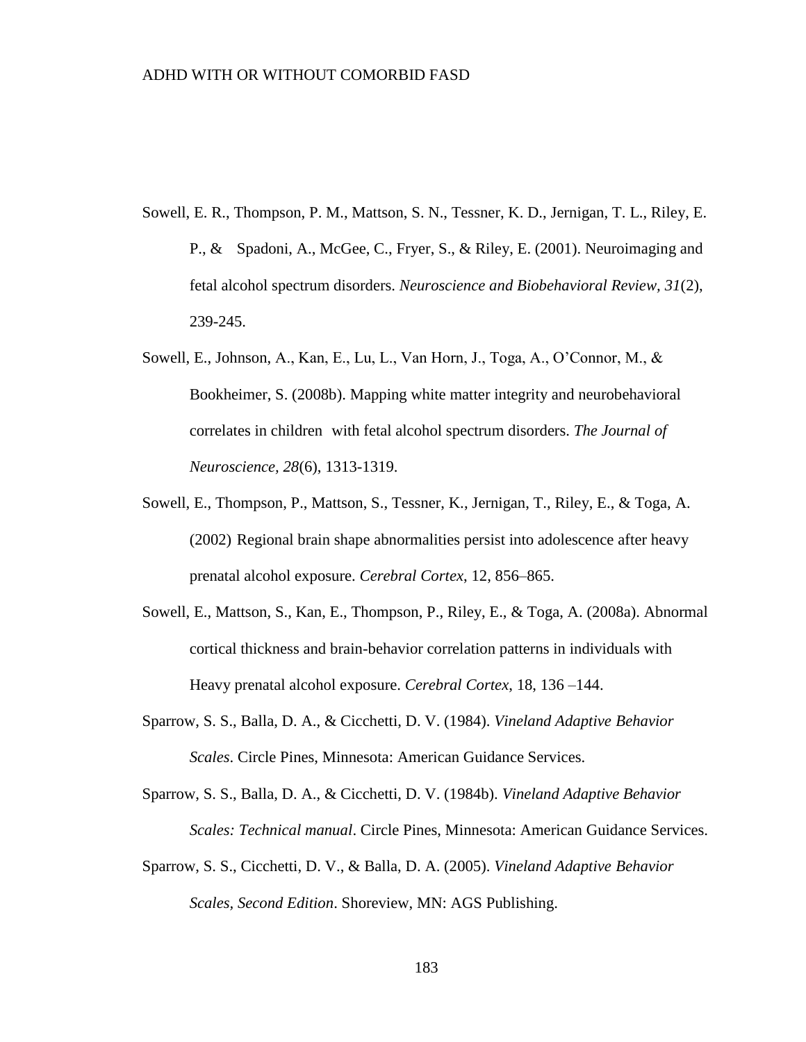- Sowell, E. R., Thompson, P. M., Mattson, S. N., Tessner, K. D., Jernigan, T. L., Riley, E. P., & Spadoni, A., McGee, C., Fryer, S., & Riley, E. (2001). Neuroimaging and fetal alcohol spectrum disorders. *Neuroscience and Biobehavioral Review, 31*(2), 239-245.
- Sowell, E., Johnson, A., Kan, E., Lu, L., Van Horn, J., Toga, A., O'Connor, M., & Bookheimer, S. (2008b). Mapping white matter integrity and neurobehavioral correlates in children with fetal alcohol spectrum disorders. *The Journal of Neuroscience, 28*(6), 1313-1319.
- Sowell, E., Thompson, P., Mattson, S., Tessner, K., Jernigan, T., Riley, E., & Toga, A. (2002) Regional brain shape abnormalities persist into adolescence after heavy prenatal alcohol exposure. *Cerebral Cortex*, 12, 856–865.
- Sowell, E., Mattson, S., Kan, E., Thompson, P., Riley, E., & Toga, A. (2008a). Abnormal cortical thickness and brain-behavior correlation patterns in individuals with Heavy prenatal alcohol exposure. *Cerebral Cortex*, 18, 136 –144.
- Sparrow, S. S., Balla, D. A., & Cicchetti, D. V. (1984). *Vineland Adaptive Behavior Scales*. Circle Pines, Minnesota: American Guidance Services.
- Sparrow, S. S., Balla, D. A., & Cicchetti, D. V. (1984b). *Vineland Adaptive Behavior Scales: Technical manual*. Circle Pines, Minnesota: American Guidance Services.
- Sparrow, S. S., Cicchetti, D. V., & Balla, D. A. (2005). *Vineland Adaptive Behavior Scales, Second Edition*. Shoreview, MN: AGS Publishing.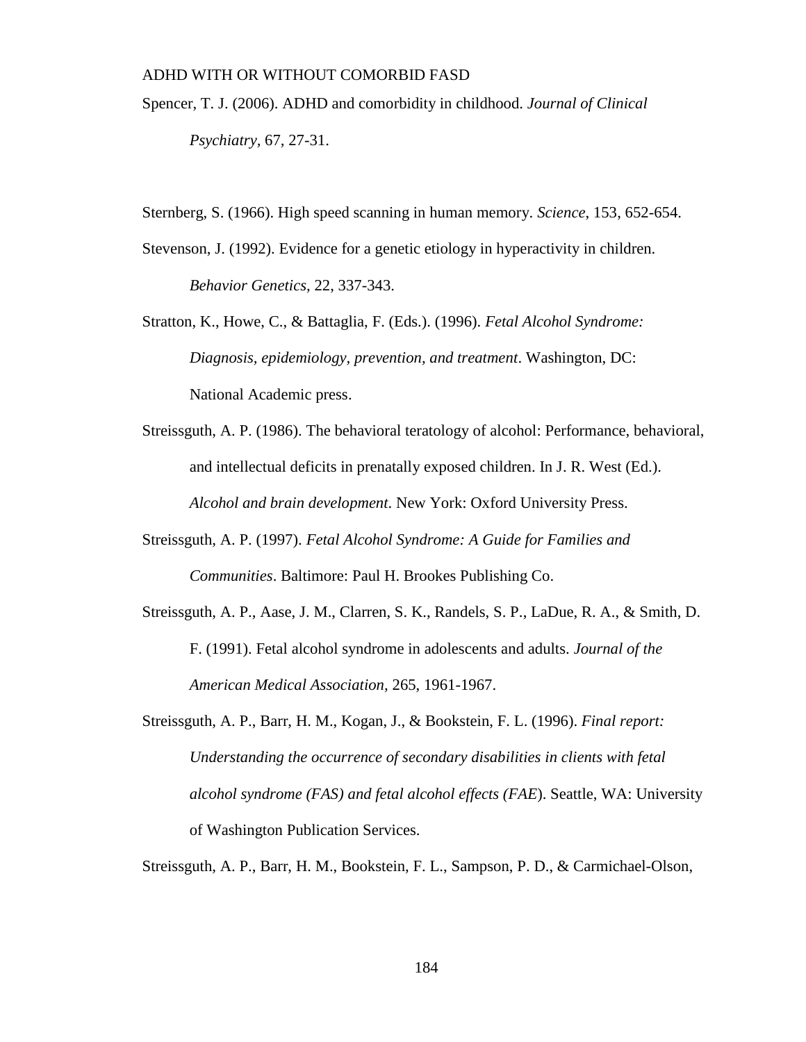- Spencer, T. J. (2006). ADHD and comorbidity in childhood. *Journal of Clinical Psychiatry,* 67*,* 27-31.
- Sternberg, S. (1966). High speed scanning in human memory. *Science*, 153, 652-654.
- Stevenson, J. (1992). Evidence for a genetic etiology in hyperactivity in children. *Behavior Genetics,* 22, 337-343.
- Stratton, K., Howe, C., & Battaglia, F. (Eds.). (1996). *Fetal Alcohol Syndrome: Diagnosis, epidemiology, prevention, and treatment*. Washington, DC: National Academic press.
- Streissguth, A. P. (1986). The behavioral teratology of alcohol: Performance, behavioral, and intellectual deficits in prenatally exposed children. In J. R. West (Ed.). *Alcohol and brain development*. New York: Oxford University Press.
- Streissguth, A. P. (1997). *Fetal Alcohol Syndrome: A Guide for Families and Communities*. Baltimore: Paul H. Brookes Publishing Co.
- Streissguth, A. P., Aase, J. M., Clarren, S. K., Randels, S. P., LaDue, R. A., & Smith, D. F. (1991). Fetal alcohol syndrome in adolescents and adults. *Journal of the American Medical Association,* 265, 1961-1967.
- Streissguth, A. P., Barr, H. M., Kogan, J., & Bookstein, F. L. (1996). *Final report: Understanding the occurrence of secondary disabilities in clients with fetal alcohol syndrome (FAS) and fetal alcohol effects (FAE*). Seattle, WA: University of Washington Publication Services.
- Streissguth, A. P., Barr, H. M., Bookstein, F. L., Sampson, P. D., & Carmichael-Olson,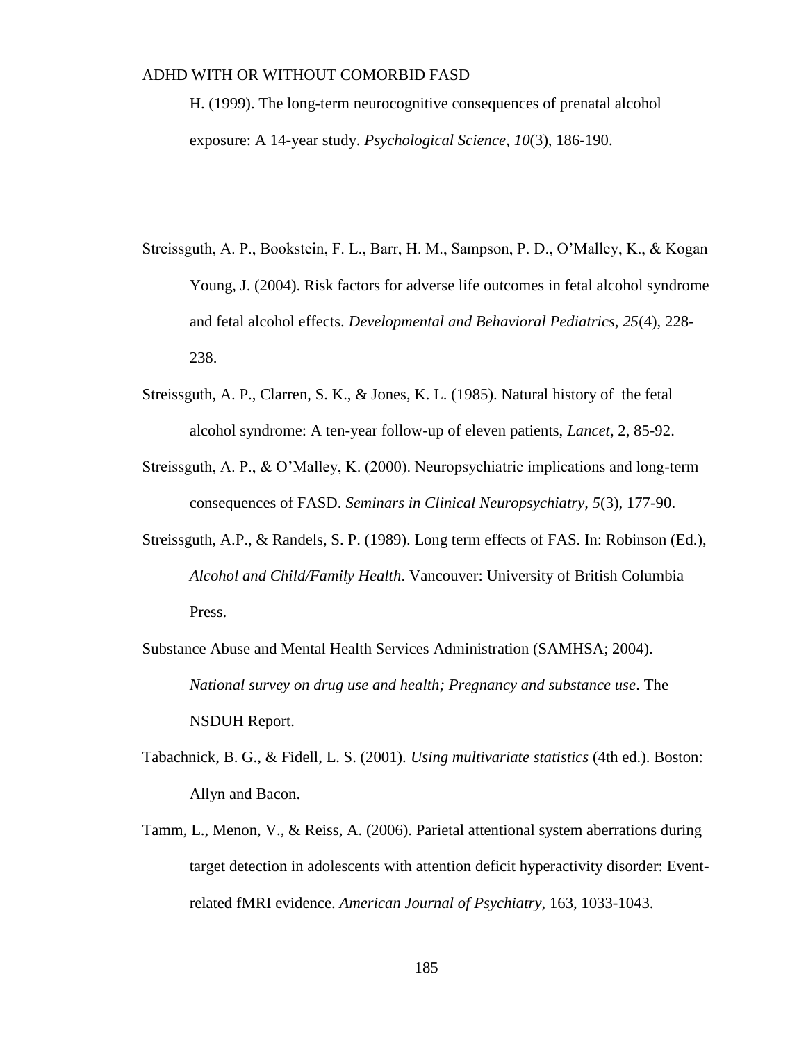H. (1999). The long-term neurocognitive consequences of prenatal alcohol exposure: A 14-year study. *Psychological Science*, *10*(3), 186-190.

- Streissguth, A. P., Bookstein, F. L., Barr, H. M., Sampson, P. D., O'Malley, K., & Kogan Young, J. (2004). Risk factors for adverse life outcomes in fetal alcohol syndrome and fetal alcohol effects. *Developmental and Behavioral Pediatrics, 25*(4), 228- 238.
- Streissguth, A. P., Clarren, S. K., & Jones, K. L. (1985). Natural history of the fetal alcohol syndrome: A ten-year follow-up of eleven patients, *Lancet,* 2, 85-92.
- Streissguth, A. P., & O'Malley, K. (2000). Neuropsychiatric implications and long-term consequences of FASD. *Seminars in Clinical Neuropsychiatry, 5*(3), 177-90.
- Streissguth, A.P., & Randels, S. P. (1989). Long term effects of FAS. In: Robinson (Ed.), *Alcohol and Child/Family Health*. Vancouver: University of British Columbia Press.
- Substance Abuse and Mental Health Services Administration (SAMHSA; 2004). *National survey on drug use and health; Pregnancy and substance use*. The NSDUH Report.
- Tabachnick, B. G., & Fidell, L. S. (2001). *Using multivariate statistics* (4th ed.). Boston: Allyn and Bacon.
- Tamm, L., Menon, V., & Reiss, A. (2006). Parietal attentional system aberrations during target detection in adolescents with attention deficit hyperactivity disorder: Eventrelated fMRI evidence. *American Journal of Psychiatry*, 163, 1033-1043.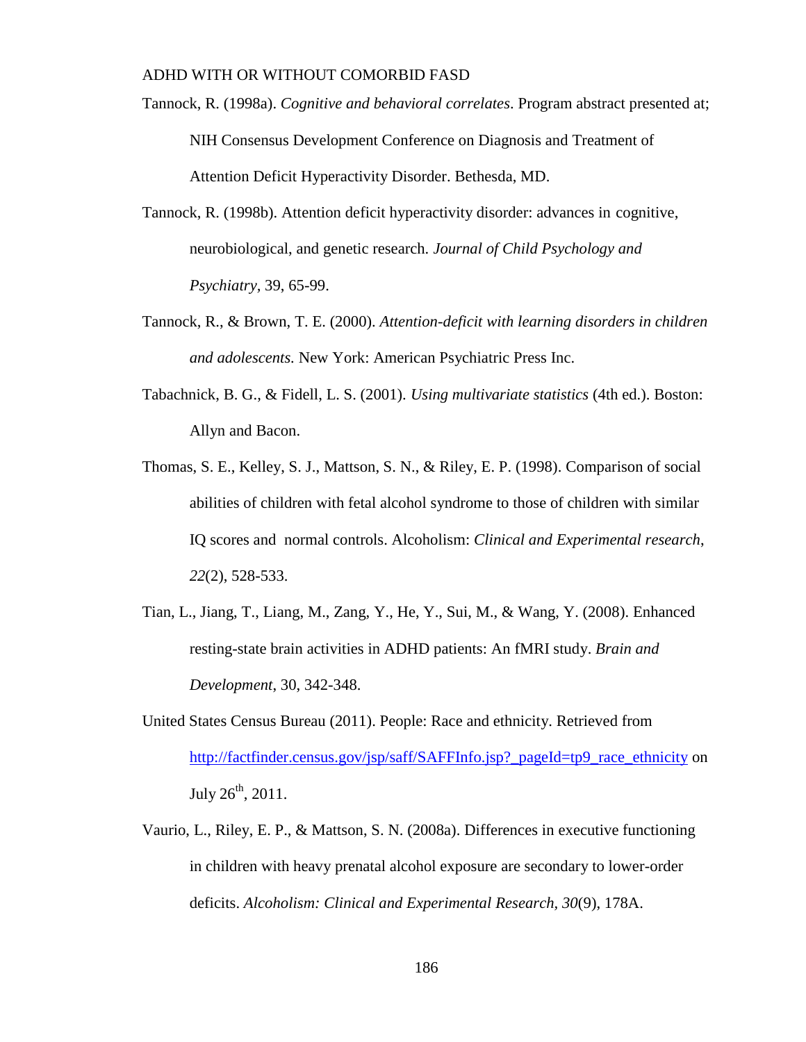- Tannock, R. (1998a). *Cognitive and behavioral correlates*. Program abstract presented at; NIH Consensus Development Conference on Diagnosis and Treatment of Attention Deficit Hyperactivity Disorder. Bethesda, MD.
- Tannock, R. (1998b). Attention deficit hyperactivity disorder: advances in cognitive, neurobiological, and genetic research. *Journal of Child Psychology and Psychiatry,* 39, 65-99.
- Tannock, R., & Brown, T. E. (2000). *Attention-deficit with learning disorders in children and adolescents.* New York: American Psychiatric Press Inc.
- Tabachnick, B. G., & Fidell, L. S. (2001). *Using multivariate statistics* (4th ed.). Boston: Allyn and Bacon.
- Thomas, S. E., Kelley, S. J., Mattson, S. N., & Riley, E. P. (1998). Comparison of social abilities of children with fetal alcohol syndrome to those of children with similar IQ scores and normal controls. Alcoholism: *Clinical and Experimental research*, *22*(2), 528-533.
- Tian, L., Jiang, T., Liang, M., Zang, Y., He, Y., Sui, M., & Wang, Y. (2008). Enhanced resting-state brain activities in ADHD patients: An fMRI study. *Brain and Development*, 30, 342-348.
- United States Census Bureau (2011). People: Race and ethnicity. Retrieved from [http://factfinder.census.gov/jsp/saff/SAFFInfo.jsp?\\_pageId=tp9\\_race\\_ethnicity](http://factfinder.census.gov/jsp/saff/SAFFInfo.jsp?_pageId=tp9_race_ethnicity) on July  $26^{th}$ ,  $2011$ .
- Vaurio, L., Riley, E. P., & Mattson, S. N. (2008a). Differences in executive functioning in children with heavy prenatal alcohol exposure are secondary to lower-order deficits. *Alcoholism: Clinical and Experimental Research, 30*(9), 178A.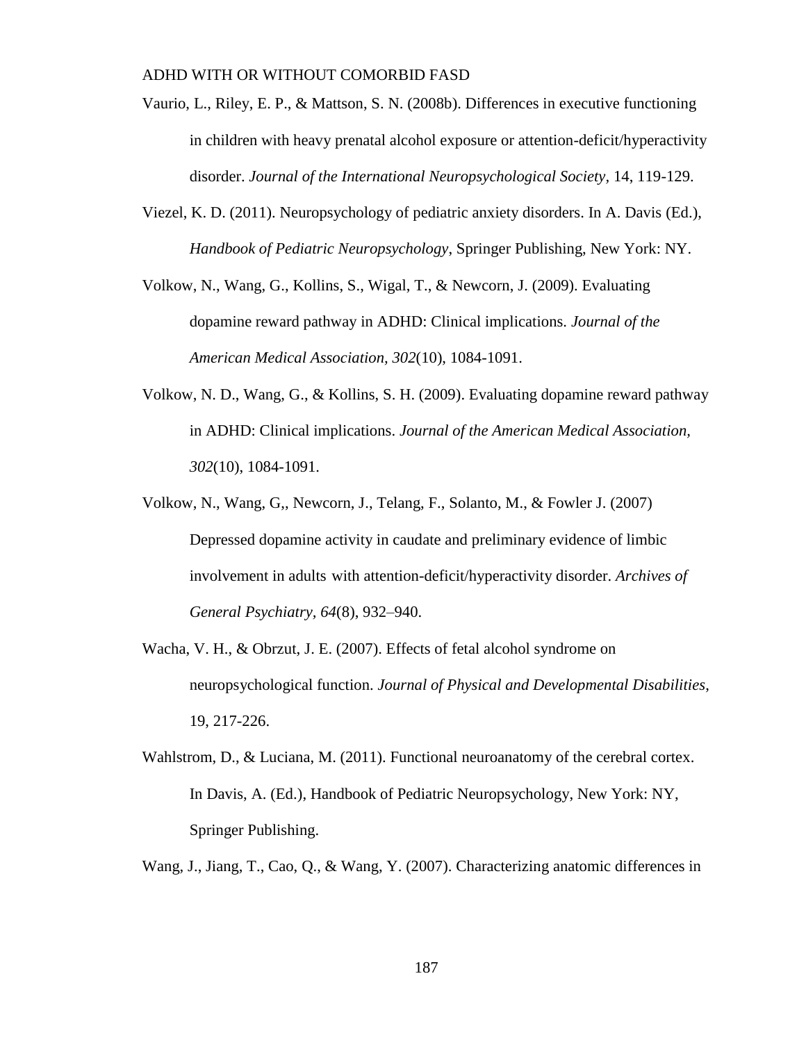- Vaurio, L., Riley, E. P., & Mattson, S. N. (2008b). Differences in executive functioning in children with heavy prenatal alcohol exposure or attention-deficit/hyperactivity disorder. *Journal of the International Neuropsychological Society,* 14, 119-129.
- Viezel, K. D. (2011). Neuropsychology of pediatric anxiety disorders. In A. Davis (Ed.), *Handbook of Pediatric Neuropsychology*, Springer Publishing, New York: NY.
- Volkow, N., Wang, G., Kollins, S., Wigal, T., & Newcorn, J. (2009). Evaluating dopamine reward pathway in ADHD: Clinical implications. *Journal of the American Medical Association, 302*(10), 1084-1091.
- Volkow, N. D., Wang, G., & Kollins, S. H. (2009). Evaluating dopamine reward pathway in ADHD: Clinical implications. *Journal of the American Medical Association, 302*(10), 1084-1091.
- Volkow, N., Wang, G,, Newcorn, J., Telang, F., Solanto, M., & Fowler J. (2007) Depressed dopamine activity in caudate and preliminary evidence of limbic involvement in adults with attention-deficit/hyperactivity disorder. *Archives of General Psychiatry, 64*(8), 932–940.
- Wacha, V. H., & Obrzut, J. E. (2007). Effects of fetal alcohol syndrome on neuropsychological function. *Journal of Physical and Developmental Disabilities*, 19, 217-226.
- Wahlstrom, D., & Luciana, M. (2011). Functional neuroanatomy of the cerebral cortex. In Davis, A. (Ed.), Handbook of Pediatric Neuropsychology, New York: NY, Springer Publishing.
- Wang, J., Jiang, T., Cao, Q., & Wang, Y. (2007). Characterizing anatomic differences in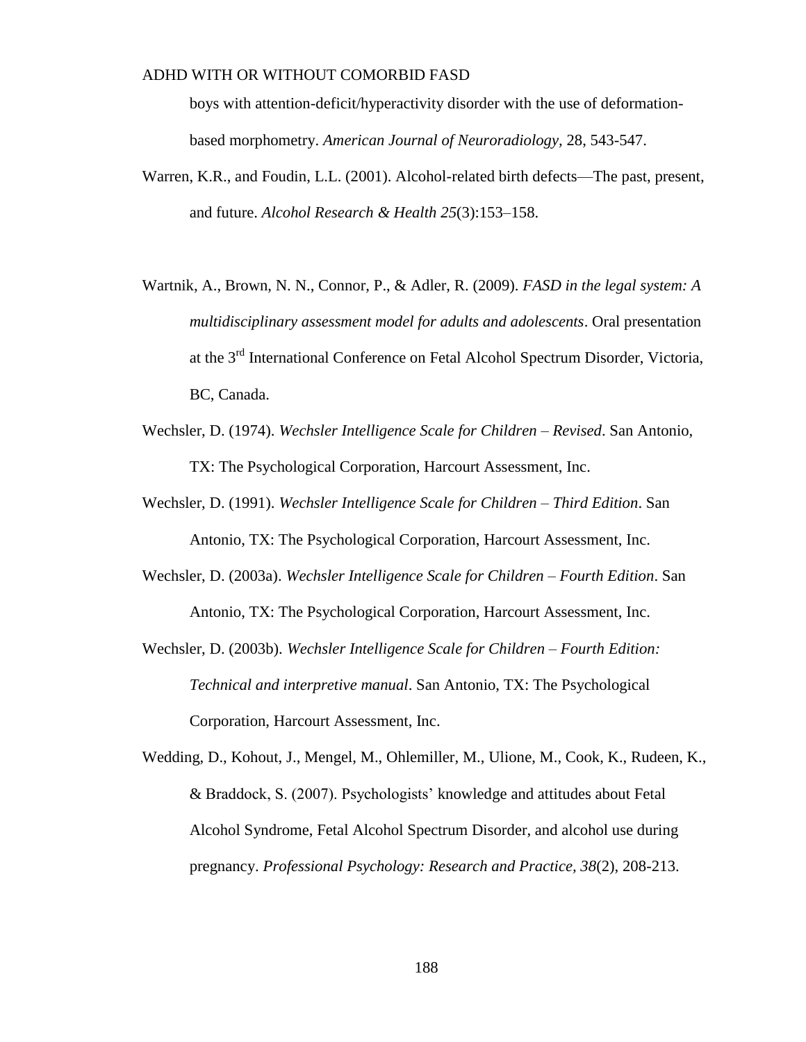boys with attention-deficit/hyperactivity disorder with the use of deformationbased morphometry. *American Journal of Neuroradiology,* 28, 543-547.

- Warren, K.R., and Foudin, L.L. (2001). Alcohol-related birth defects—The past, present, and future. *Alcohol Research & Health 25*(3):153–158.
- Wartnik, A., Brown, N. N., Connor, P., & Adler, R. (2009). *FASD in the legal system: A multidisciplinary assessment model for adults and adolescents*. Oral presentation at the 3<sup>rd</sup> International Conference on Fetal Alcohol Spectrum Disorder, Victoria, BC, Canada.
- Wechsler, D. (1974). *Wechsler Intelligence Scale for Children – Revised*. San Antonio, TX: The Psychological Corporation, Harcourt Assessment, Inc.
- Wechsler, D. (1991). *Wechsler Intelligence Scale for Children – Third Edition*. San Antonio, TX: The Psychological Corporation, Harcourt Assessment, Inc.
- Wechsler, D. (2003a). *Wechsler Intelligence Scale for Children – Fourth Edition*. San Antonio, TX: The Psychological Corporation, Harcourt Assessment, Inc.
- Wechsler, D. (2003b). *Wechsler Intelligence Scale for Children – Fourth Edition: Technical and interpretive manual*. San Antonio, TX: The Psychological Corporation, Harcourt Assessment, Inc.
- Wedding, D., Kohout, J., Mengel, M., Ohlemiller, M., Ulione, M., Cook, K., Rudeen, K., & Braddock, S. (2007). Psychologists' knowledge and attitudes about Fetal Alcohol Syndrome, Fetal Alcohol Spectrum Disorder, and alcohol use during pregnancy. *Professional Psychology: Research and Practice, 38*(2), 208-213.